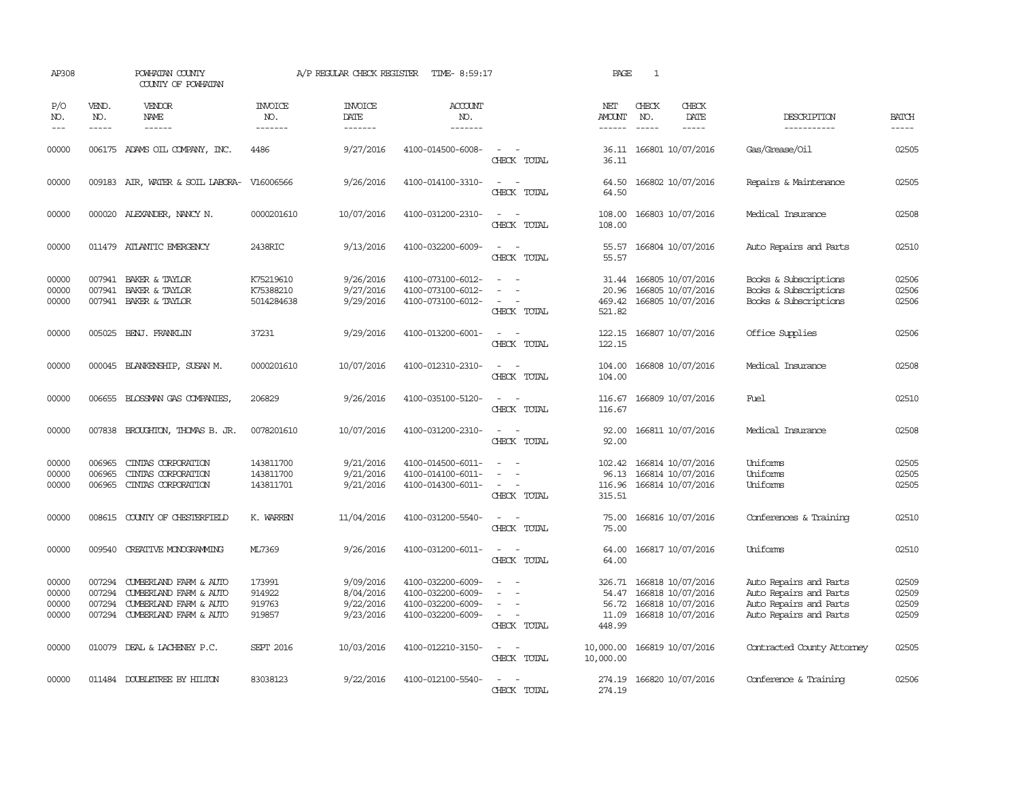| AP308                            |                               | POWHATAN COUNTY<br>COUNTY OF POWHATAN                                                                       |                                      | A/P REGULAR CHECK REGISTER                       | TIME- 8:59:17                                                                    |                                                                     | PAGE                                        | 1                             |                                                                                  |                                                                                                      |                                  |
|----------------------------------|-------------------------------|-------------------------------------------------------------------------------------------------------------|--------------------------------------|--------------------------------------------------|----------------------------------------------------------------------------------|---------------------------------------------------------------------|---------------------------------------------|-------------------------------|----------------------------------------------------------------------------------|------------------------------------------------------------------------------------------------------|----------------------------------|
| P/O<br>NO.<br>$---$              | VEND.<br>NO.<br>$\frac{1}{2}$ | <b>VENDOR</b><br>NAME<br>$- - - - - -$                                                                      | <b>INVOICE</b><br>NO.<br>--------    | <b>INVOICE</b><br>DATE<br>-------                | <b>ACCOUNT</b><br>NO.<br>-------                                                 |                                                                     | NET<br>AMOUNT<br>$- - - - - -$              | CHECK<br>NO.<br>$\frac{1}{2}$ | CHECK<br>DATE<br>$- - - - -$                                                     | DESCRIPTION<br>-----------                                                                           | <b>BATCH</b><br>$- - - - -$      |
| 00000                            |                               | 006175 ADAMS OIL COMPANY, INC.                                                                              | 4486                                 | 9/27/2016                                        | 4100-014500-6008-                                                                | $\sim$ 100 $\mu$<br>CHECK TOTAL                                     | 36.11                                       |                               | 36.11 166801 10/07/2016                                                          | Gas/Grease/Oil                                                                                       | 02505                            |
| 00000                            |                               | 009183 AIR, WATER & SOIL LABORA- V16006566                                                                  |                                      | 9/26/2016                                        | 4100-014100-3310-                                                                | $\sim$<br>$\overline{\phantom{a}}$<br>CHECK TOTAL                   | 64.50<br>64.50                              |                               | 166802 10/07/2016                                                                | Repairs & Maintenance                                                                                | 02505                            |
| 00000                            |                               | 000020 ALEXANDER, NANCY N.                                                                                  | 0000201610                           | 10/07/2016                                       | 4100-031200-2310-                                                                | $\sim$ $\sim$<br>CHECK TOTAL                                        | 108.00<br>108.00                            |                               | 166803 10/07/2016                                                                | Medical Insurance                                                                                    | 02508                            |
| 00000                            |                               | 011479 ATLANTIC EMERGENCY                                                                                   | 2438RIC                              | 9/13/2016                                        | 4100-032200-6009-                                                                | $\sim$ $\sim$<br>CHECK TOTAL                                        | 55.57<br>55.57                              |                               | 166804 10/07/2016                                                                | Auto Repairs and Parts                                                                               | 02510                            |
| 00000<br>00000<br>00000          | 007941                        | BAKER & TAYLOR<br>007941 BAKER & TAYLOR<br>007941 BAKER & TAYLOR                                            | K75219610<br>K75388210<br>5014284638 | 9/26/2016<br>9/27/2016<br>9/29/2016              | 4100-073100-6012-<br>4100-073100-6012-<br>4100-073100-6012-                      | $\equiv$<br>CHECK TOTAL                                             | 31.44<br>20.96<br>469.42<br>521.82          |                               | 166805 10/07/2016<br>166805 10/07/2016<br>166805 10/07/2016                      | Books & Subscriptions<br>Books & Subscriptions<br>Books & Subscriptions                              | 02506<br>02506<br>02506          |
| 00000                            |                               | 005025 BENJ. FRANKLIN                                                                                       | 37231                                | 9/29/2016                                        | 4100-013200-6001-                                                                | $ -$<br>CHECK TOTAL                                                 | 122.15<br>122.15                            |                               | 166807 10/07/2016                                                                | Office Supplies                                                                                      | 02506                            |
| 00000                            |                               | 000045 BLANKENSHIP, SUSAN M.                                                                                | 0000201610                           | 10/07/2016                                       | 4100-012310-2310-                                                                | $\sim$<br>$\overline{\phantom{a}}$<br>CHECK TOTAL                   | 104.00<br>104.00                            |                               | 166808 10/07/2016                                                                | Medical Insurance                                                                                    | 02508                            |
| 00000                            |                               | 006655 BLOSSMAN GAS COMPANIES,                                                                              | 206829                               | 9/26/2016                                        | 4100-035100-5120-                                                                | CHECK TOTAL                                                         | 116.67<br>116.67                            |                               | 166809 10/07/2016                                                                | Fuel                                                                                                 | 02510                            |
| 00000                            | 007838                        | BROUGHTON, THOMAS B. JR.                                                                                    | 0078201610                           | 10/07/2016                                       | 4100-031200-2310-                                                                | $\sim$<br>$\sim$<br>CHECK TOTAL                                     | 92.00<br>92.00                              |                               | 166811 10/07/2016                                                                | Medical Insurance                                                                                    | 02508                            |
| 00000<br>00000<br>00000          | 006965<br>006965<br>006965    | CINIAS CORPORATION<br>CINIAS CORPORATION<br>CINIAS CORPORATION                                              | 143811700<br>143811700<br>143811701  | 9/21/2016<br>9/21/2016<br>9/21/2016              | 4100-014500-6011-<br>4100-014100-6011-<br>4100-014300-6011-                      | $\overline{\phantom{a}}$<br>$\overline{\phantom{a}}$<br>CHECK TOTAL | 102.42<br>96.13<br>116.96<br>315.51         |                               | 166814 10/07/2016<br>166814 10/07/2016<br>166814 10/07/2016                      | Uniforms<br>Uniforms<br>Uniforms                                                                     | 02505<br>02505<br>02505          |
| 00000                            |                               | 008615 COUNTY OF CHESTERFIELD                                                                               | K. WARREN                            | 11/04/2016                                       | 4100-031200-5540-                                                                | CHECK TOTAL                                                         | 75.00<br>75.00                              |                               | 166816 10/07/2016                                                                | Conferences & Training                                                                               | 02510                            |
| 00000                            | 009540                        | <b>CREATIVE MONOGRAMMING</b>                                                                                | ML7369                               | 9/26/2016                                        | 4100-031200-6011-                                                                | $\overline{\phantom{a}}$<br>$\sim$<br>CHECK TOTAL                   | 64.00<br>64.00                              |                               | 166817 10/07/2016                                                                | Uniforms                                                                                             | 02510                            |
| 00000<br>00000<br>00000<br>00000 | 007294<br>007294<br>007294    | CUMBERLAND FARM & AUTO<br>CUMBERLAND FARM & AUTO<br>CUMBERLAND FARM & AUTO<br>007294 CUMBERLAND FARM & AUTO | 173991<br>914922<br>919763<br>919857 | 9/09/2016<br>8/04/2016<br>9/22/2016<br>9/23/2016 | 4100-032200-6009-<br>4100-032200-6009-<br>4100-032200-6009-<br>4100-032200-6009- | $\equiv$<br>$\overline{\phantom{a}}$<br>CHECK TOTAL                 | 326.71<br>54.47<br>56.72<br>11.09<br>448.99 |                               | 166818 10/07/2016<br>166818 10/07/2016<br>166818 10/07/2016<br>166818 10/07/2016 | Auto Repairs and Parts<br>Auto Repairs and Parts<br>Auto Repairs and Parts<br>Auto Repairs and Parts | 02509<br>02509<br>02509<br>02509 |
| 00000                            |                               | 010079 DEAL & LACHENEY P.C.                                                                                 | <b>SEPT 2016</b>                     | 10/03/2016                                       | 4100-012210-3150-                                                                | $ -$<br>CHECK TOTAL                                                 | 10,000.00<br>10,000.00                      |                               | 166819 10/07/2016                                                                | Contracted County Attomey                                                                            | 02505                            |
| 00000                            |                               | 011484 DOUBLETREE BY HILTON                                                                                 | 83038123                             | 9/22/2016                                        | 4100-012100-5540-                                                                | $ -$<br>CHECK TOTAL                                                 | 274.19<br>274.19                            |                               | 166820 10/07/2016                                                                | Conference & Training                                                                                | 02506                            |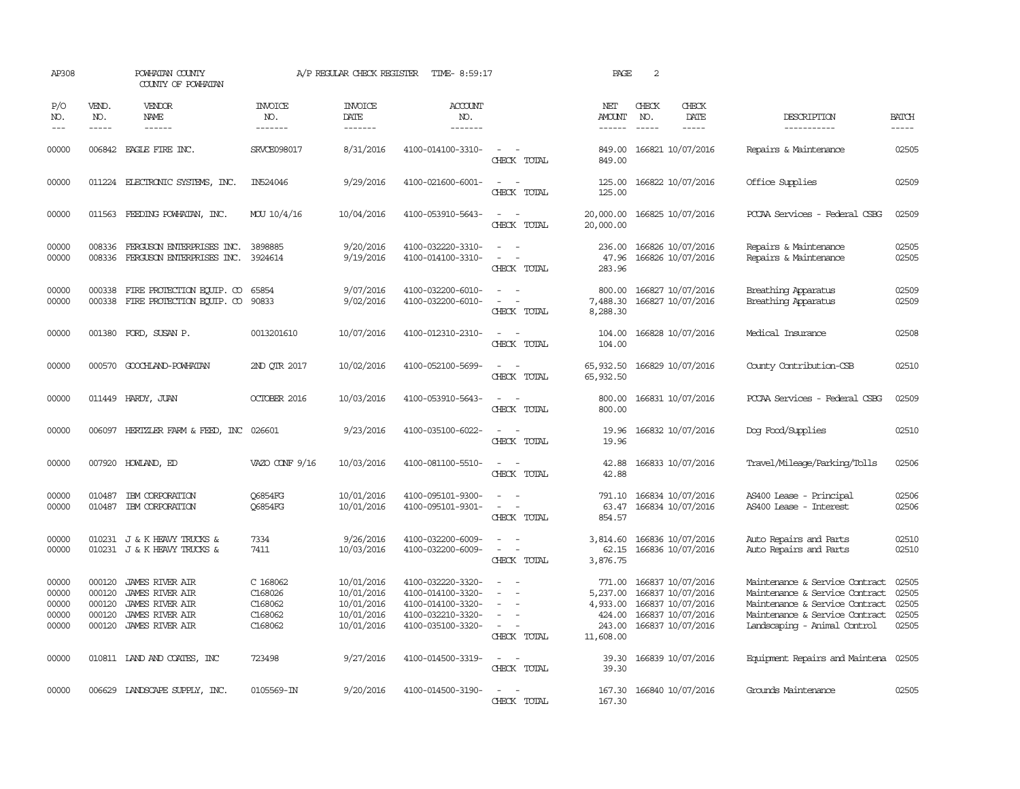| AP308                                     |                                      | POWHATAN COUNTY<br>COUNTY OF POWHATAN                                                                     |                                                      | A/P REGULAR CHECK REGISTER                                         | TIME- 8:59:17                                                                                         |                                                                                                                             | PAGE                                                            | 2                                                                                                     |                              |                                                                                                                                                                      |                                           |
|-------------------------------------------|--------------------------------------|-----------------------------------------------------------------------------------------------------------|------------------------------------------------------|--------------------------------------------------------------------|-------------------------------------------------------------------------------------------------------|-----------------------------------------------------------------------------------------------------------------------------|-----------------------------------------------------------------|-------------------------------------------------------------------------------------------------------|------------------------------|----------------------------------------------------------------------------------------------------------------------------------------------------------------------|-------------------------------------------|
| P/O<br>NO.<br>$---$                       | VEND.<br>NO.<br>$- - - - -$          | VENDOR<br><b>NAME</b><br>------                                                                           | <b>INVOICE</b><br>NO.<br>-------                     | <b>INVOICE</b><br><b>DATE</b><br>-------                           | <b>ACCOUNT</b><br>NO.<br>-------                                                                      |                                                                                                                             | NET<br>AMOUNT<br>------                                         | CHECK<br>NO.<br>$- - - - -$                                                                           | CHECK<br>DATE<br>$- - - - -$ | DESCRIPTION<br>-----------                                                                                                                                           | <b>BATCH</b><br>$- - - - -$               |
| 00000                                     |                                      | 006842 EAGLE FIRE INC.                                                                                    | SRVCE098017                                          | 8/31/2016                                                          | 4100-014100-3310-                                                                                     | $\sim$ $ \sim$<br>CHECK TOTAL                                                                                               | 849.00<br>849.00                                                | 166821 10/07/2016                                                                                     |                              | Repairs & Maintenance                                                                                                                                                | 02505                                     |
| 00000                                     |                                      | 011224 ELECTRONIC SYSTEMS, INC.                                                                           | IN524046                                             | 9/29/2016                                                          | 4100-021600-6001-                                                                                     | $ -$<br>CHECK TOTAL                                                                                                         | 125.00<br>125.00                                                | 166822 10/07/2016                                                                                     |                              | Office Supplies                                                                                                                                                      | 02509                                     |
| 00000                                     |                                      | 011563 FEEDING POWHATAN, INC.                                                                             | MOU 10/4/16                                          | 10/04/2016                                                         | 4100-053910-5643-                                                                                     | $\sim$ 100 $\sim$<br>CHECK TOTAL                                                                                            | 20,000.00<br>20,000.00                                          | 166825 10/07/2016                                                                                     |                              | PCCAA Services - Federal CSBG                                                                                                                                        | 02509                                     |
| 00000<br>00000                            | 008336<br>008336                     | FERGUSON ENTERPRISES INC.<br>FERGUSON ENTERPRISES INC.                                                    | 3898885<br>3924614                                   | 9/20/2016<br>9/19/2016                                             | 4100-032220-3310-<br>4100-014100-3310-                                                                | CHECK TOTAL                                                                                                                 | 236.00<br>47.96<br>283.96                                       | 166826 10/07/2016<br>166826 10/07/2016                                                                |                              | Repairs & Maintenance<br>Repairs & Maintenance                                                                                                                       | 02505<br>02505                            |
| 00000<br>00000                            |                                      | 000338 FIRE PROTECTION EQUIP. CO 65854<br>000338 FIRE PROTECTION EQUIP. CO 90833                          |                                                      | 9/07/2016<br>9/02/2016                                             | 4100-032200-6010-<br>4100-032200-6010-                                                                | $\sim$<br>$\sim$ 100 $\mu$<br>CHECK TOTAL                                                                                   | 800.00<br>7,488.30<br>8,288.30                                  | 166827 10/07/2016<br>166827 10/07/2016                                                                |                              | Breathing Apparatus<br>Breathing Apparatus                                                                                                                           | 02509<br>02509                            |
| 00000                                     |                                      | 001380 FORD, SUSAN P.                                                                                     | 0013201610                                           | 10/07/2016                                                         | 4100-012310-2310-                                                                                     | $\sim$ $ \sim$<br>CHECK TOTAL                                                                                               | 104.00<br>104.00                                                | 166828 10/07/2016                                                                                     |                              | Medical Insurance                                                                                                                                                    | 02508                                     |
| 00000                                     |                                      | 000570 GOOCHLAND-POWHATAN                                                                                 | 2ND OTR 2017                                         | 10/02/2016                                                         | 4100-052100-5699-                                                                                     | $\sim$<br>CHECK TOTAL                                                                                                       | 65,932.50<br>65,932.50                                          | 166829 10/07/2016                                                                                     |                              | County Contribution-CSB                                                                                                                                              | 02510                                     |
| 00000                                     |                                      | 011449 HARDY, JUAN                                                                                        | <b>OCTOBER 2016</b>                                  | 10/03/2016                                                         | 4100-053910-5643-                                                                                     | $\sim$<br>CHECK TOTAL                                                                                                       | 800.00<br>800.00                                                | 166831 10/07/2016                                                                                     |                              | PCCAA Services - Federal CSBG                                                                                                                                        | 02509                                     |
| 00000                                     |                                      | 006097 HERTZLER FARM & FEED, INC 026601                                                                   |                                                      | 9/23/2016                                                          | 4100-035100-6022-                                                                                     | $\frac{1}{2} \left( \frac{1}{2} \right) \left( \frac{1}{2} \right) = \frac{1}{2} \left( \frac{1}{2} \right)$<br>CHECK TOTAL | 19.96<br>19.96                                                  | 166832 10/07/2016                                                                                     |                              | Dog Food/Supplies                                                                                                                                                    | 02510                                     |
| 00000                                     |                                      | 007920 HOWLAND, ED                                                                                        | VAZO CONF 9/16                                       | 10/03/2016                                                         | 4100-081100-5510-                                                                                     | $\sim$ $-$<br>CHECK TOTAL                                                                                                   | 42.88<br>42.88                                                  | 166833 10/07/2016                                                                                     |                              | Travel/Mileage/Parking/Tolls                                                                                                                                         | 02506                                     |
| 00000<br>00000                            | 010487                               | IBM CORPORATION<br>010487 IBM CORPORATION                                                                 | Q6854FG<br>Q6854FG                                   | 10/01/2016<br>10/01/2016                                           | 4100-095101-9300-<br>4100-095101-9301-                                                                | $\equiv$<br>$\sim$<br>CHECK TOTAL                                                                                           | 791.10<br>63.47<br>854.57                                       | 166834 10/07/2016<br>166834 10/07/2016                                                                |                              | AS400 Lease - Principal<br>AS400 Lease - Interest                                                                                                                    | 02506<br>02506                            |
| 00000<br>00000                            |                                      | 010231 J & K HEAVY TRUCKS &<br>010231 J & K HEAVY TRUCKS &                                                | 7334<br>7411                                         | 9/26/2016<br>10/03/2016                                            | 4100-032200-6009-<br>4100-032200-6009-                                                                | $\sim$ $\sim$<br>$\sim$<br>CHECK TOTAL                                                                                      | 3,814.60<br>62.15<br>3,876.75                                   | 166836 10/07/2016<br>166836 10/07/2016                                                                |                              | Auto Repairs and Parts<br>Auto Repairs and Parts                                                                                                                     | 02510<br>02510                            |
| 00000<br>00000<br>00000<br>00000<br>00000 | 000120<br>000120<br>000120<br>000120 | JAMES RIVER AIR<br>JAMES RIVER AIR<br><b>JAMES RIVER AIR</b><br>JAMES RIVER AIR<br>000120 JAMES RIVER AIR | C 168062<br>C168026<br>C168062<br>C168062<br>C168062 | 10/01/2016<br>10/01/2016<br>10/01/2016<br>10/01/2016<br>10/01/2016 | 4100-032220-3320-<br>4100-014100-3320-<br>4100-014100-3320-<br>4100-032210-3320-<br>4100-035100-3320- | $\equiv$<br>$\equiv$<br>$\overline{\phantom{a}}$<br>$\sim$<br>CHECK TOTAL                                                   | 771.00<br>5,237.00<br>4,933.00<br>424.00<br>243.00<br>11,608.00 | 166837 10/07/2016<br>166837 10/07/2016<br>166837 10/07/2016<br>166837 10/07/2016<br>166837 10/07/2016 |                              | Maintenance & Service Contract<br>Maintenance & Service Contract<br>Maintenance & Service Contract<br>Maintenance & Service Contract<br>Landscaping - Animal Control | 02505<br>02505<br>02505<br>02505<br>02505 |
| 00000                                     |                                      | 010811 LAND AND COATES, INC                                                                               | 723498                                               | 9/27/2016                                                          | 4100-014500-3319-                                                                                     | $\frac{1}{2} \left( \frac{1}{2} \right) \left( \frac{1}{2} \right) = \frac{1}{2} \left( \frac{1}{2} \right)$<br>CHECK TOTAL | 39.30<br>39.30                                                  | 166839 10/07/2016                                                                                     |                              | Equipment Repairs and Maintena                                                                                                                                       | 02505                                     |
| 00000                                     |                                      | 006629 LANDSCAPE SUPPLY, INC.                                                                             | 0105569-IN                                           | 9/20/2016                                                          | 4100-014500-3190-                                                                                     | $\sim$<br>CHECK TOTAL                                                                                                       | 167.30<br>167.30                                                | 166840 10/07/2016                                                                                     |                              | Grounds Maintenance                                                                                                                                                  | 02505                                     |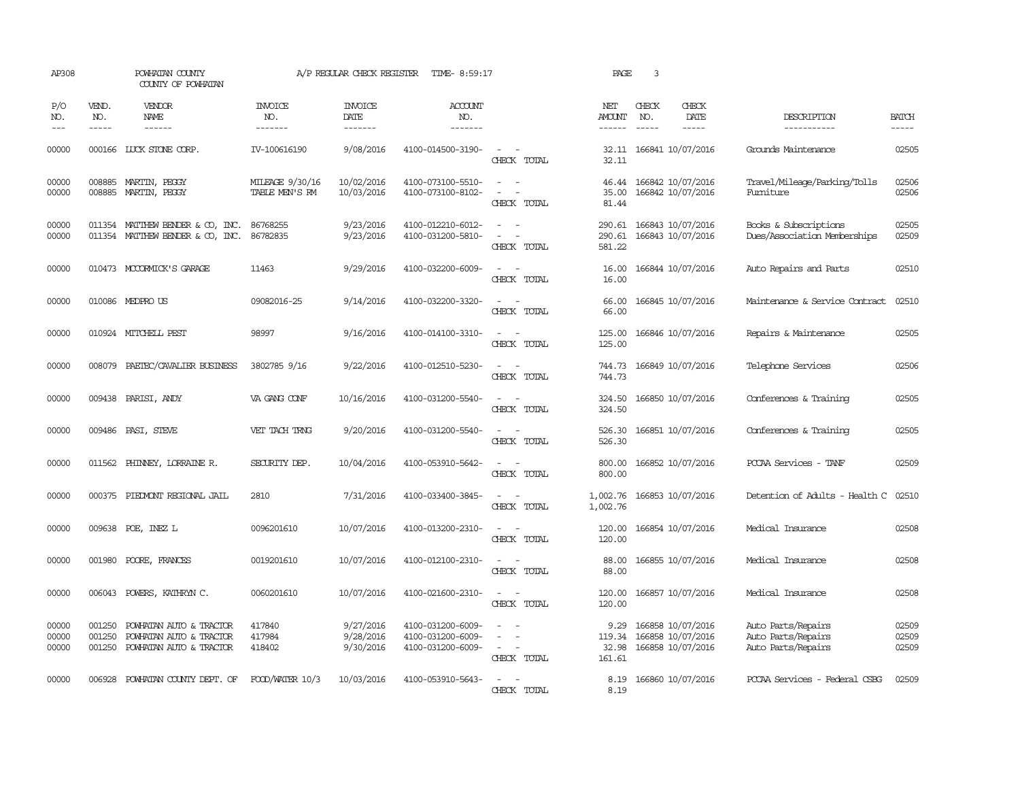| AP308                       |                             | POWHATAN COUNTY<br>COUNTY OF POWHATAN                                         |                                   | A/P REGULAR CHECK REGISTER          | TIME- 8:59:17                                               |                                                                                                                             | PAGE                              | 3                           |                                                             |                                                                |                         |
|-----------------------------|-----------------------------|-------------------------------------------------------------------------------|-----------------------------------|-------------------------------------|-------------------------------------------------------------|-----------------------------------------------------------------------------------------------------------------------------|-----------------------------------|-----------------------------|-------------------------------------------------------------|----------------------------------------------------------------|-------------------------|
| P/O<br>NO.<br>$\frac{1}{2}$ | VEND.<br>NO.<br>$- - - - -$ | <b>VENDOR</b><br>NAME<br>$- - - - - -$                                        | <b>INVOICE</b><br>NO.<br>-------  | <b>INVOICE</b><br>DATE<br>-------   | <b>ACCOUNT</b><br>NO.<br>-------                            |                                                                                                                             | NET<br>AMOUNT<br>$- - - - - -$    | CHECK<br>NO.<br>$- - - - -$ | CHECK<br>DATE<br>-----                                      | DESCRIPTION<br>-----------                                     | <b>BATCH</b><br>-----   |
| 00000                       |                             | 000166 LUCK STONE CORP.                                                       | IV-100616190                      | 9/08/2016                           | 4100-014500-3190-                                           | $\sim$<br>CHECK TOTAL                                                                                                       | 32.11<br>32.11                    |                             | 166841 10/07/2016                                           | Grounds Maintenance                                            | 02505                   |
| 00000<br>00000              | 008885<br>008885            | MARTIN, PEGGY<br>MARTIN, PEGGY                                                | MILEAGE 9/30/16<br>TABLE MEN'S RM | 10/02/2016<br>10/03/2016            | 4100-073100-5510-<br>4100-073100-8102-                      | $\overline{\phantom{a}}$<br>$\sim$<br>CHECK TOTAL                                                                           | 35.00<br>81.44                    |                             | 46.44 166842 10/07/2016<br>166842 10/07/2016                | Travel/Mileage/Parking/Tolls<br>Furniture                      | 02506<br>02506          |
| 00000<br>00000              |                             | 011354 MATTHEW BENDER & CO, INC.<br>011354 MATTHEW BENDER & CO, INC.          | 86768255<br>86782835              | 9/23/2016<br>9/23/2016              | 4100-012210-6012-<br>4100-031200-5810-                      | CHECK TOTAL                                                                                                                 | 290.61<br>290.61<br>581.22        |                             | 166843 10/07/2016<br>166843 10/07/2016                      | Books & Subscriptions<br>Dues/Association Memberships          | 02505<br>02509          |
| 00000                       |                             | 010473 MCCORMICK'S GARAGE                                                     | 11463                             | 9/29/2016                           | 4100-032200-6009-                                           | CHECK TOTAL                                                                                                                 | 16.00<br>16.00                    |                             | 166844 10/07/2016                                           | Auto Repairs and Parts                                         | 02510                   |
| 00000                       |                             | 010086 MEDPROUS                                                               | 09082016-25                       | 9/14/2016                           | 4100-032200-3320-                                           | CHECK TOTAL                                                                                                                 | 66.00<br>66.00                    |                             | 166845 10/07/2016                                           | Maintenance & Service Contract                                 | 02510                   |
| 00000                       |                             | 010924 MITCHELL PEST                                                          | 98997                             | 9/16/2016                           | 4100-014100-3310-                                           | CHECK TOTAL                                                                                                                 | 125.00<br>125.00                  |                             | 166846 10/07/2016                                           | Repairs & Maintenance                                          | 02505                   |
| 00000                       | 008079                      | PAETEC/CAVALIER BUSINESS                                                      | 3802785 9/16                      | 9/22/2016                           | 4100-012510-5230-                                           | $\equiv$<br>CHECK TOTAL                                                                                                     | 744.73<br>744.73                  |                             | 166849 10/07/2016                                           | Telephone Services                                             | 02506                   |
| 00000                       |                             | 009438 PARISI, ANDY                                                           | VA GANG CONF                      | 10/16/2016                          | 4100-031200-5540-                                           | CHECK TOTAL                                                                                                                 | 324.50<br>324.50                  |                             | 166850 10/07/2016                                           | Conferences & Training                                         | 02505                   |
| 00000                       |                             | 009486 PASI, STEVE                                                            | VET TACH TRNG                     | 9/20/2016                           | 4100-031200-5540-                                           | $\sim$ $\sim$<br>CHECK TOTAL                                                                                                | 526.30<br>526.30                  |                             | 166851 10/07/2016                                           | Conferences & Training                                         | 02505                   |
| 00000                       |                             | 011562 PHINNEY, LORRAINE R.                                                   | SECURITY DEP.                     | 10/04/2016                          | 4100-053910-5642-                                           | $\sim$ $\sim$<br>CHECK TOTAL                                                                                                | 800.00<br>800.00                  |                             | 166852 10/07/2016                                           | PCCAA Services - TANF                                          | 02509                   |
| 00000                       |                             | 000375 PIEDMONT REGIONAL JAIL                                                 | 2810                              | 7/31/2016                           | 4100-033400-3845-                                           | $\frac{1}{2} \left( \frac{1}{2} \right) \left( \frac{1}{2} \right) = \frac{1}{2} \left( \frac{1}{2} \right)$<br>CHECK TOTAL | 1,002.76<br>1,002.76              |                             | 166853 10/07/2016                                           | Detention of Adults - Health C                                 | 02510                   |
| 00000                       |                             | 009638 POE, INEZ L                                                            | 0096201610                        | 10/07/2016                          | 4100-013200-2310-                                           | $\sim$<br>$\sim$<br>CHECK TOTAL                                                                                             | 120.00<br>120.00                  |                             | 166854 10/07/2016                                           | Medical Insurance                                              | 02508                   |
| 00000                       |                             | 001980 POORE, FRANCES                                                         | 0019201610                        | 10/07/2016                          | 4100-012100-2310-                                           | $\overline{\phantom{a}}$<br>$\sim$<br>CHECK TOTAL                                                                           | 88.00<br>88.00                    |                             | 166855 10/07/2016                                           | Medical Insurance                                              | 02508                   |
| 00000                       |                             | 006043 POWERS, KATHRYN C.                                                     | 0060201610                        | 10/07/2016                          | 4100-021600-2310-                                           | $\sim$<br>CHECK TOTAL                                                                                                       | 120.00<br>120.00                  |                             | 166857 10/07/2016                                           | Medical Insurance                                              | 02508                   |
| 00000<br>00000<br>00000     | 001250<br>001250<br>001250  | POWHATAN AUTO & TRACTOR<br>POWHATAN AUTO & TRACTOR<br>POWHATAN AUTO & TRACTOR | 417840<br>417984<br>418402        | 9/27/2016<br>9/28/2016<br>9/30/2016 | 4100-031200-6009-<br>4100-031200-6009-<br>4100-031200-6009- | $\equiv$<br>$\equiv$<br>$\sim$ $-$<br>CHECK TOTAL                                                                           | 9.29<br>119.34<br>32.98<br>161.61 |                             | 166858 10/07/2016<br>166858 10/07/2016<br>166858 10/07/2016 | Auto Parts/Repairs<br>Auto Parts/Repairs<br>Auto Parts/Repairs | 02509<br>02509<br>02509 |
| 00000                       |                             | 006928 POWHATAN COUNTY DEPT. OF                                               | FOOD/WATER 10/3                   | 10/03/2016                          | 4100-053910-5643-                                           | $\sim$<br>CHECK TOTAL                                                                                                       | 8.19<br>8.19                      |                             | 166860 10/07/2016                                           | PCCAA Services - Federal CSBG                                  | 02509                   |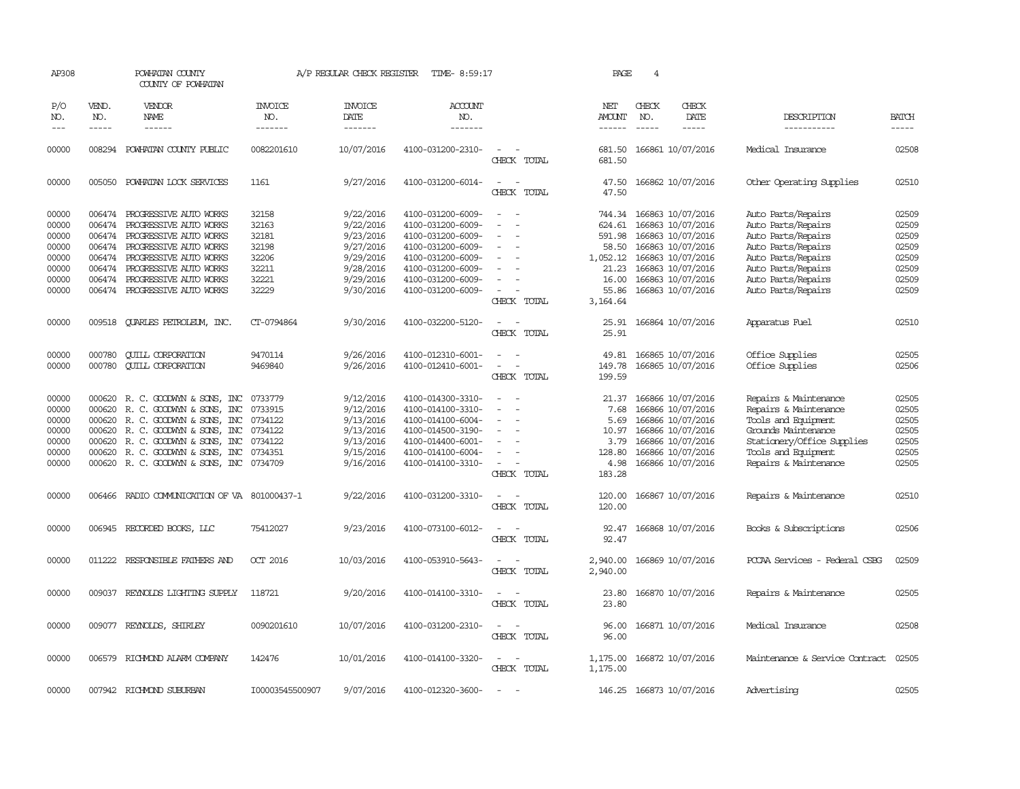| AP308                 |                       | POWHATAN COUNTY<br>COUNTY OF POWHATAN        |                           | A/P REGULAR CHECK REGISTER               | TIME- 8:59:17                    |                                                   | PAGE                                  | $\overline{4}$              |                               |                                |                       |
|-----------------------|-----------------------|----------------------------------------------|---------------------------|------------------------------------------|----------------------------------|---------------------------------------------------|---------------------------------------|-----------------------------|-------------------------------|--------------------------------|-----------------------|
| P/O<br>NO.<br>$- - -$ | VEND.<br>NO.<br>----- | VENDOR<br><b>NAME</b><br>------              | INVOICE<br>NO.<br>------- | <b>INVOICE</b><br><b>DATE</b><br>------- | <b>ACCOUNT</b><br>NO.<br>------- |                                                   | NET<br><b>AMOUNT</b><br>$- - - - - -$ | CHECK<br>NO.<br>$- - - - -$ | CHECK<br><b>DATE</b><br>----- | DESCRIPTION<br>-----------     | <b>BATCH</b><br>----- |
| 00000                 |                       | 008294 POWHATAN COUNTY PUBLIC                | 0082201610                | 10/07/2016                               | 4100-031200-2310-                | CHECK TOTAL                                       | 681.50<br>681.50                      |                             | 166861 10/07/2016             | Medical Insurance              | 02508                 |
| 00000                 | 005050                | POWHATAN LOCK SERVICES                       | 1161                      | 9/27/2016                                | 4100-031200-6014-                | $\overline{\phantom{a}}$<br>CHECK TOTAL           | 47.50<br>47.50                        |                             | 166862 10/07/2016             | Other Operating Supplies       | 02510                 |
| 00000                 |                       | 006474 PROGRESSIVE AUTO WORKS                | 32158                     | 9/22/2016                                | 4100-031200-6009-                | $\sim$<br>$\sim$                                  | 744.34                                |                             | 166863 10/07/2016             | Auto Parts/Repairs             | 02509                 |
| 00000                 | 006474                | PROGRESSIVE AUTO WORKS                       | 32163                     | 9/22/2016                                | 4100-031200-6009-                |                                                   | 624.61                                |                             | 166863 10/07/2016             | Auto Parts/Repairs             | 02509                 |
| 00000                 |                       | 006474 PROGRESSIVE AUIO WORKS                | 32181                     | 9/23/2016                                | 4100-031200-6009-                |                                                   | 591.98                                |                             | 166863 10/07/2016             | Auto Parts/Repairs             | 02509                 |
| 00000                 |                       | 006474 PROGRESSIVE AUIO WORKS                | 32198                     | 9/27/2016                                | 4100-031200-6009-                | $\overline{\phantom{a}}$                          | 58.50                                 |                             | 166863 10/07/2016             | Auto Parts/Repairs             | 02509                 |
| 00000                 |                       | 006474 PROGRESSIVE AUIO WORKS                | 32206                     | 9/29/2016                                | 4100-031200-6009-                |                                                   | 1,052.12                              |                             | 166863 10/07/2016             | Auto Parts/Repairs             | 02509                 |
| 00000                 |                       | 006474 PROGRESSIVE AUTO WORKS                | 32211                     | 9/28/2016                                | 4100-031200-6009-                |                                                   | 21.23                                 |                             | 166863 10/07/2016             | Auto Parts/Repairs             | 02509                 |
| 00000                 |                       | 006474 PROGRESSIVE AUTO WORKS                | 32221                     | 9/29/2016                                | 4100-031200-6009-                |                                                   | 16.00                                 |                             | 166863 10/07/2016             | Auto Parts/Repairs             | 02509                 |
| 00000                 |                       | 006474 PROGRESSIVE AUTO WORKS                | 32229                     | 9/30/2016                                | 4100-031200-6009-                | $\sim$                                            | 55.86                                 |                             | 166863 10/07/2016             | Auto Parts/Repairs             | 02509                 |
|                       |                       |                                              |                           |                                          |                                  | CHECK TOTAL                                       | 3, 164.64                             |                             |                               |                                |                       |
| 00000                 |                       | 009518 CUARLES PETROLEUM, INC.               | CT-0794864                | 9/30/2016                                | 4100-032200-5120-                | $\sim$                                            | 25.91                                 |                             | 166864 10/07/2016             | Apparatus Fuel                 | 02510                 |
|                       |                       |                                              |                           |                                          |                                  | CHECK TOTAL                                       | 25.91                                 |                             |                               |                                |                       |
| 00000                 | 000780                | <b>QUILL CORPORATION</b>                     | 9470114                   | 9/26/2016                                | 4100-012310-6001-                | $\sim$<br>$\sim$                                  | 49.81                                 |                             | 166865 10/07/2016             | Office Supplies                | 02505                 |
| 00000                 | 000780                | <b>QUILL CORPORATION</b>                     | 9469840                   | 9/26/2016                                | 4100-012410-6001-                | $\sim$<br>$\sim$                                  | 149.78                                |                             | 166865 10/07/2016             | Office Supplies                | 02506                 |
|                       |                       |                                              |                           |                                          |                                  | CHECK TOTAL                                       | 199.59                                |                             |                               |                                |                       |
| 00000                 |                       | 000620 R. C. GOODWYN & SONS, INC             | 0733779                   | 9/12/2016                                | 4100-014300-3310-                | $\overline{\phantom{a}}$<br>$\sim$                |                                       |                             | 21.37 166866 10/07/2016       | Repairs & Maintenance          | 02505                 |
| 00000                 | 000620                | R. C. GOODWYN & SONS, INC                    | 0733915                   | 9/12/2016                                | 4100-014100-3310-                |                                                   | 7.68                                  |                             | 166866 10/07/2016             | Repairs & Maintenance          | 02505                 |
| 00000                 |                       | 000620 R. C. GOODWYN & SONS, INC             | 0734122                   | 9/13/2016                                | 4100-014100-6004-                |                                                   | 5.69                                  |                             | 166866 10/07/2016             | Tools and Equipment            | 02505                 |
| 00000                 | 000620                | R. C. GOODWYN & SONS, INC                    | 0734122                   | 9/13/2016                                | 4100-014500-3190-                |                                                   | 10.97                                 |                             | 166866 10/07/2016             | Grounds Maintenance            | 02505                 |
| 00000                 | 000620                | R. C. GOODWYN & SONS, INC                    | 0734122                   | 9/13/2016                                | 4100-014400-6001-                | $\overline{\phantom{a}}$                          | 3.79                                  |                             | 166866 10/07/2016             | Stationery/Office Supplies     | 02505                 |
| 00000                 | 000620                | R. C. GOODWYN & SONS, INC                    | 0734351                   | 9/15/2016                                | 4100-014100-6004-                | $\overline{\phantom{a}}$                          | 128.80                                |                             | 166866 10/07/2016             | Tools and Equipment            | 02505                 |
| 00000                 |                       | 000620 R. C. GOODWYN & SONS, INC 0734709     |                           | 9/16/2016                                | 4100-014100-3310-                | $\overline{\phantom{a}}$                          | 4.98                                  |                             | 166866 10/07/2016             | Repairs & Maintenance          | 02505                 |
|                       |                       |                                              |                           |                                          |                                  | CHECK TOTAL                                       | 183.28                                |                             |                               |                                |                       |
| 00000                 |                       | 006466 RADIO COMMUNICATION OF VA 801000437-1 |                           | 9/22/2016                                | 4100-031200-3310-                | $\sim$<br>CHECK TOTAL                             | 120.00                                |                             | 120.00 166867 10/07/2016      | Repairs & Maintenance          | 02510                 |
| 00000                 |                       | 006945 RECORDED BOOKS, LLC                   | 75412027                  | 9/23/2016                                | 4100-073100-6012-                |                                                   | 92.47                                 |                             | 166868 10/07/2016             | Books & Subscriptions          | 02506                 |
|                       |                       |                                              |                           |                                          |                                  | CHECK TOTAL                                       | 92.47                                 |                             |                               |                                |                       |
| 00000                 |                       | 011222 RESPONSIBLE FAIHERS AND               | OCT 2016                  | 10/03/2016                               | 4100-053910-5643-                | CHECK TOTAL                                       | 2,940.00<br>2,940.00                  |                             | 166869 10/07/2016             | PCCAA Services - Federal CSBG  | 02509                 |
| 00000                 |                       | 009037 REYNOLDS LIGHTING SUPPLY              | 118721                    | 9/20/2016                                | 4100-014100-3310-                | $\overline{\phantom{a}}$<br>$\sim$<br>CHECK TOTAL | 23.80<br>23.80                        |                             | 166870 10/07/2016             | Repairs & Maintenance          | 02505                 |
| 00000                 |                       | 009077 REYNOLDS, SHIRLEY                     | 0090201610                | 10/07/2016                               | 4100-031200-2310-                | $\sim$<br>$\overline{\phantom{a}}$<br>CHECK TOTAL | 96.00<br>96.00                        |                             | 166871 10/07/2016             | Medical Insurance              | 02508                 |
| 00000                 |                       | 006579 RICHMOND ALARM COMPANY                | 142476                    | 10/01/2016                               | 4100-014100-3320-                | $\overline{\phantom{a}}$<br>CHECK TOTAL           | 1,175.00<br>1,175.00                  |                             | 166872 10/07/2016             | Maintenance & Service Contract | 02505                 |
| 00000                 |                       | 007942 RICHMOND SUBURBAN                     | I00003545500907           | 9/07/2016                                | 4100-012320-3600-                |                                                   |                                       |                             | 146.25 166873 10/07/2016      | Advertising                    | 02505                 |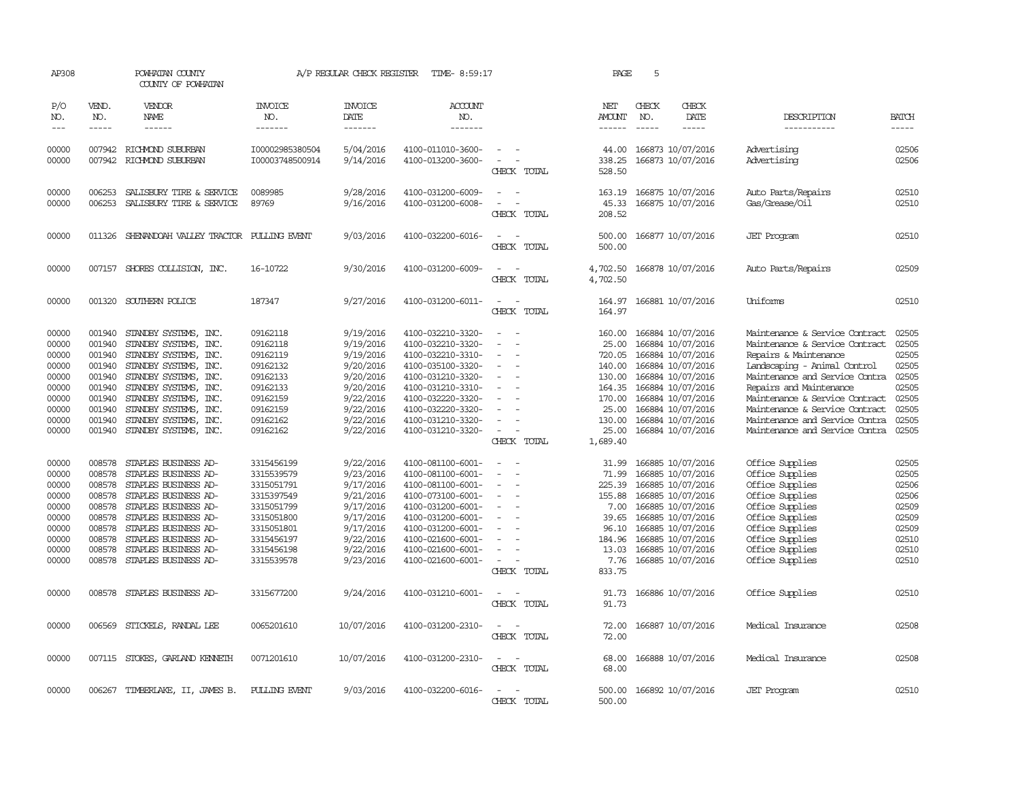| AP308                                                                                  |                                                                                                  | POWHATAN COUNTY<br>COUNTY OF POWHATAN                                                                                                                                                                                                                  |                                                                                                                                          | A/P REGULAR CHECK REGISTER                                                                                                     | TIME- 8:59:17                                                                                                                                                                                                  |                                                                                                                                                   | PAGE                                                                                                      | 5                                                                                                                                                                                                              |                                                                                                                                                                                                                                                                                                                                |                                                                                        |
|----------------------------------------------------------------------------------------|--------------------------------------------------------------------------------------------------|--------------------------------------------------------------------------------------------------------------------------------------------------------------------------------------------------------------------------------------------------------|------------------------------------------------------------------------------------------------------------------------------------------|--------------------------------------------------------------------------------------------------------------------------------|----------------------------------------------------------------------------------------------------------------------------------------------------------------------------------------------------------------|---------------------------------------------------------------------------------------------------------------------------------------------------|-----------------------------------------------------------------------------------------------------------|----------------------------------------------------------------------------------------------------------------------------------------------------------------------------------------------------------------|--------------------------------------------------------------------------------------------------------------------------------------------------------------------------------------------------------------------------------------------------------------------------------------------------------------------------------|----------------------------------------------------------------------------------------|
| P/O<br>NO.<br>$---$                                                                    | VEND.<br>NO.<br>$- - - - -$                                                                      | VENDOR<br>NAME<br>$- - - - - -$                                                                                                                                                                                                                        | <b>INVOICE</b><br>NO.<br>-------                                                                                                         | <b>INVOICE</b><br>DATE<br>--------                                                                                             | <b>ACCOUNT</b><br>NO.<br>-------                                                                                                                                                                               |                                                                                                                                                   | NET<br>AMOUNT<br>$- - - - - -$                                                                            | CHECK<br>CHECK<br>DATE<br>NO.<br>$- - - - -$<br>$- - - - -$                                                                                                                                                    | DESCRIPTION<br>-----------                                                                                                                                                                                                                                                                                                     | <b>BATCH</b><br>-----                                                                  |
|                                                                                        |                                                                                                  |                                                                                                                                                                                                                                                        |                                                                                                                                          |                                                                                                                                |                                                                                                                                                                                                                |                                                                                                                                                   |                                                                                                           |                                                                                                                                                                                                                |                                                                                                                                                                                                                                                                                                                                |                                                                                        |
| 00000<br>00000                                                                         | 007942                                                                                           | 007942 RICHMOND SUBURBAN<br>RICHMOND SUBURBAN                                                                                                                                                                                                          | I00002985380504<br>I00003748500914                                                                                                       | 5/04/2016<br>9/14/2016                                                                                                         | 4100-011010-3600-<br>4100-013200-3600-                                                                                                                                                                         | $\overline{\phantom{a}}$<br>$\overline{\phantom{a}}$<br>CHECK TOTAL                                                                               | 44.00<br>338.25<br>528.50                                                                                 | 166873 10/07/2016<br>166873 10/07/2016                                                                                                                                                                         | Advertising<br>Advertising                                                                                                                                                                                                                                                                                                     | 02506<br>02506                                                                         |
| 00000<br>00000                                                                         | 006253<br>006253                                                                                 | SALISBURY TIRE & SERVICE<br>SALISBURY TIRE & SERVICE                                                                                                                                                                                                   | 0089985<br>89769                                                                                                                         | 9/28/2016<br>9/16/2016                                                                                                         | 4100-031200-6009-<br>4100-031200-6008-                                                                                                                                                                         | CHECK TOTAL                                                                                                                                       | 163.19<br>45.33<br>208.52                                                                                 | 166875 10/07/2016<br>166875 10/07/2016                                                                                                                                                                         | Auto Parts/Repairs<br>Gas/Grease/Oil                                                                                                                                                                                                                                                                                           | 02510<br>02510                                                                         |
| 00000                                                                                  | 011326                                                                                           | SHENANDOAH VALLEY TRACTOR PULLING EVENT                                                                                                                                                                                                                |                                                                                                                                          | 9/03/2016                                                                                                                      | 4100-032200-6016-                                                                                                                                                                                              | $\overline{a}$<br>CHECK TOTAL                                                                                                                     | 500.00<br>500.00                                                                                          | 166877 10/07/2016                                                                                                                                                                                              | <b>JET</b> Program                                                                                                                                                                                                                                                                                                             | 02510                                                                                  |
| 00000                                                                                  |                                                                                                  | 007157 SHORES COLLISION, INC.                                                                                                                                                                                                                          | 16-10722                                                                                                                                 | 9/30/2016                                                                                                                      | 4100-031200-6009-                                                                                                                                                                                              | $\sim$<br>CHECK TOTAL                                                                                                                             | 4,702.50<br>4,702.50                                                                                      | 166878 10/07/2016                                                                                                                                                                                              | Auto Parts/Repairs                                                                                                                                                                                                                                                                                                             | 02509                                                                                  |
| 00000                                                                                  |                                                                                                  | 001320 SOUTHERN POLICE                                                                                                                                                                                                                                 | 187347                                                                                                                                   | 9/27/2016                                                                                                                      | 4100-031200-6011-                                                                                                                                                                                              | CHECK TOTAL                                                                                                                                       | 164.97                                                                                                    | 164.97 166881 10/07/2016                                                                                                                                                                                       | Uniforms                                                                                                                                                                                                                                                                                                                       | 02510                                                                                  |
| 00000<br>00000<br>00000<br>00000<br>00000<br>00000<br>00000<br>00000<br>00000<br>00000 | 001940<br>001940<br>001940<br>001940<br>001940<br>001940<br>001940<br>001940<br>001940<br>001940 | STANDBY SYSTEMS, INC.<br>STANDBY SYSTEMS, INC.<br>STANDBY SYSTEMS, INC.<br>STANDBY SYSTEMS, INC.<br>STANDBY SYSTEMS, INC.<br>STANDBY SYSTEMS, INC.<br>STANDBY SYSTEMS, INC.<br>STANDBY SYSTEMS, INC.<br>STANDBY SYSTEMS, INC.<br>STANDBY SYSTEMS, INC. | 09162118<br>09162118<br>09162119<br>09162132<br>09162133<br>09162133<br>09162159<br>09162159<br>09162162<br>09162162                     | 9/19/2016<br>9/19/2016<br>9/19/2016<br>9/20/2016<br>9/20/2016<br>9/20/2016<br>9/22/2016<br>9/22/2016<br>9/22/2016<br>9/22/2016 | 4100-032210-3320-<br>4100-032210-3320-<br>4100-032210-3310-<br>4100-035100-3320-<br>4100-031210-3320-<br>4100-031210-3310-<br>4100-032220-3320-<br>4100-032220-3320-<br>4100-031210-3320-<br>4100-031210-3320- | $\sim$<br>$\sim$<br>$\overline{\phantom{a}}$<br>$\equiv$<br>$\sim$<br>CHECK TOTAL                                                                 | 160.00<br>25.00<br>720.05<br>140.00<br>130.00<br>164.35<br>170.00<br>25.00<br>130.00<br>25.00<br>1,689.40 | 166884 10/07/2016<br>166884 10/07/2016<br>166884 10/07/2016<br>166884 10/07/2016<br>166884 10/07/2016<br>166884 10/07/2016<br>166884 10/07/2016<br>166884 10/07/2016<br>166884 10/07/2016<br>166884 10/07/2016 | Maintenance & Service Contract<br>Maintenance & Service Contract<br>Repairs & Maintenance<br>Landscaping - Animal Control<br>Maintenance and Service Contra<br>Repairs and Maintenance<br>Maintenance & Service Contract<br>Maintenance & Service Contract<br>Maintenance and Service Contra<br>Maintenance and Service Contra | 02505<br>02505<br>02505<br>02505<br>02505<br>02505<br>02505<br>02505<br>02505<br>02505 |
| 00000<br>00000<br>00000<br>00000<br>00000<br>00000<br>00000<br>00000<br>00000<br>00000 | 008578<br>008578<br>008578<br>008578<br>008578<br>008578<br>008578<br>008578<br>008578           | STAPLES BUSINESS AD-<br>STAPLES BUSINESS AD-<br>STAPLES BUSINESS AD-<br>STAPLES BUSINESS AD-<br>STAPLES BUSINESS AD-<br>STAPLES BUSINESS AD-<br>STAPLES BUSINESS AD-<br>008578 STAPLES BUSINESS AD-<br>STAPLES BUSINESS AD-<br>STAPLES BUSINESS AD-    | 3315456199<br>3315539579<br>3315051791<br>3315397549<br>3315051799<br>3315051800<br>3315051801<br>3315456197<br>3315456198<br>3315539578 | 9/22/2016<br>9/23/2016<br>9/17/2016<br>9/21/2016<br>9/17/2016<br>9/17/2016<br>9/17/2016<br>9/22/2016<br>9/22/2016<br>9/23/2016 | 4100-081100-6001-<br>4100-081100-6001-<br>4100-081100-6001-<br>4100-073100-6001-<br>4100-031200-6001-<br>4100-031200-6001-<br>4100-031200-6001-<br>4100-021600-6001-<br>4100-021600-6001-<br>4100-021600-6001- | $\overline{\phantom{a}}$<br>$\overline{\phantom{a}}$<br>$\overline{\phantom{a}}$<br>$\overline{\phantom{a}}$<br>$\equiv$<br>$\sim$<br>CHECK TOTAL | 31.99<br>71.99<br>225.39<br>155.88<br>7.00<br>39.65<br>96.10<br>184.96<br>13.03<br>7.76<br>833.75         | 166885 10/07/2016<br>166885 10/07/2016<br>166885 10/07/2016<br>166885 10/07/2016<br>166885 10/07/2016<br>166885 10/07/2016<br>166885 10/07/2016<br>166885 10/07/2016<br>166885 10/07/2016<br>166885 10/07/2016 | Office Supplies<br>Office Supplies<br>Office Supplies<br>Office Supplies<br>Office Supplies<br>Office Supplies<br>Office Supplies<br>Office Supplies<br>Office Supplies<br>Office Supplies                                                                                                                                     | 02505<br>02505<br>02506<br>02506<br>02509<br>02509<br>02509<br>02510<br>02510<br>02510 |
| 00000                                                                                  | 008578                                                                                           | STAPLES BUSINESS AD-                                                                                                                                                                                                                                   | 3315677200                                                                                                                               | 9/24/2016                                                                                                                      | 4100-031210-6001-                                                                                                                                                                                              | CHECK TOTAL                                                                                                                                       | 91.73<br>91.73                                                                                            | 166886 10/07/2016                                                                                                                                                                                              | Office Supplies                                                                                                                                                                                                                                                                                                                | 02510                                                                                  |
| 00000                                                                                  | 006569                                                                                           | STICKELS, RANDAL LEE                                                                                                                                                                                                                                   | 0065201610                                                                                                                               | 10/07/2016                                                                                                                     | 4100-031200-2310-                                                                                                                                                                                              | $\equiv$<br>CHECK TOTAL                                                                                                                           | 72.00<br>72.00                                                                                            | 166887 10/07/2016                                                                                                                                                                                              | Medical Insurance                                                                                                                                                                                                                                                                                                              | 02508                                                                                  |
| 00000                                                                                  |                                                                                                  | 007115 STOKES, GARLAND KENNETH                                                                                                                                                                                                                         | 0071201610                                                                                                                               | 10/07/2016                                                                                                                     | 4100-031200-2310-                                                                                                                                                                                              | CHECK TOTAL                                                                                                                                       | 68.00<br>68.00                                                                                            | 166888 10/07/2016                                                                                                                                                                                              | Medical Insurance                                                                                                                                                                                                                                                                                                              | 02508                                                                                  |
| 00000                                                                                  |                                                                                                  | 006267 TIMBERLAKE, II, JAMES B.                                                                                                                                                                                                                        | PULLING EVENT                                                                                                                            | 9/03/2016                                                                                                                      | 4100-032200-6016-                                                                                                                                                                                              | $\sim$<br><b>CHECK</b><br>TOTAL                                                                                                                   | 500.00<br>500.00                                                                                          | 166892 10/07/2016                                                                                                                                                                                              | <b>JET</b> Program                                                                                                                                                                                                                                                                                                             | 02510                                                                                  |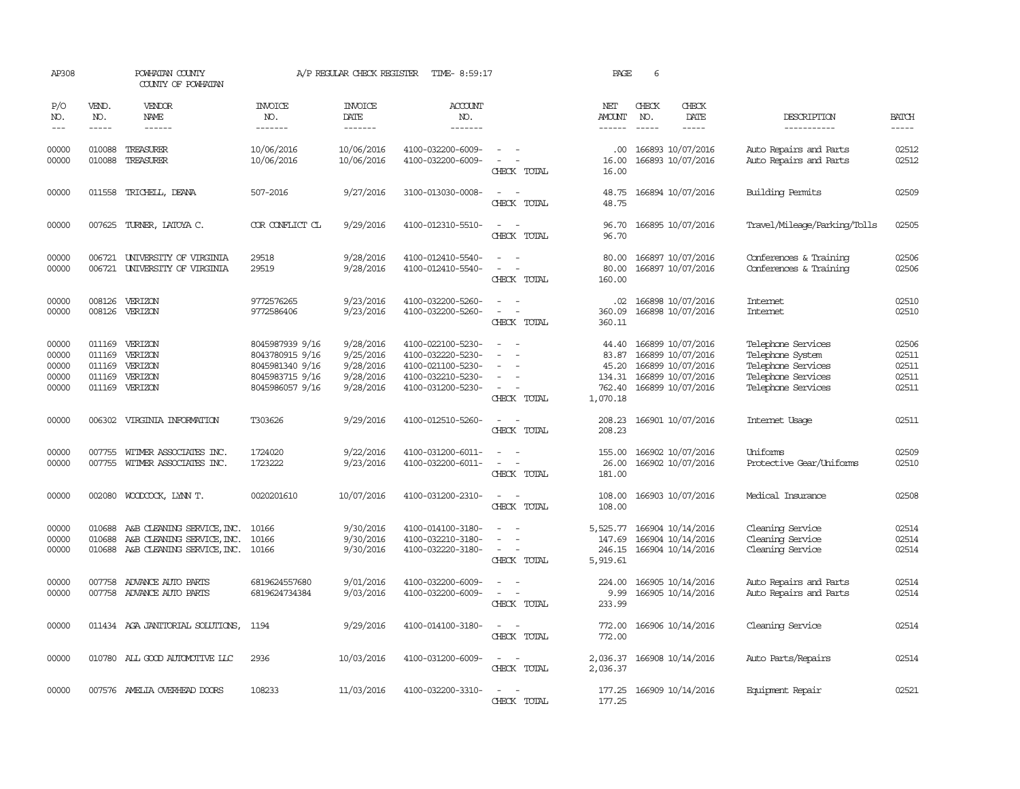| AP308                                     |                                                                                                                                                                                                                                                                                                                                                                                                                                                                         | POWHATAN COUNTY<br>COUNTY OF POWHATAN                                                               |                                                                                             | A/P REGULAR CHECK REGISTER                                    | TIME- 8:59:17                                                                                         |                                         | PAGE                                                    | 6                           |                                                                                                                                                                                                                                                                                                                                                                                                                                                                                             |                                                                                                          |                                           |
|-------------------------------------------|-------------------------------------------------------------------------------------------------------------------------------------------------------------------------------------------------------------------------------------------------------------------------------------------------------------------------------------------------------------------------------------------------------------------------------------------------------------------------|-----------------------------------------------------------------------------------------------------|---------------------------------------------------------------------------------------------|---------------------------------------------------------------|-------------------------------------------------------------------------------------------------------|-----------------------------------------|---------------------------------------------------------|-----------------------------|---------------------------------------------------------------------------------------------------------------------------------------------------------------------------------------------------------------------------------------------------------------------------------------------------------------------------------------------------------------------------------------------------------------------------------------------------------------------------------------------|----------------------------------------------------------------------------------------------------------|-------------------------------------------|
| P/O<br>NO.<br>$\qquad \qquad -$           | VEND.<br>NO.<br>$\begin{tabular}{ccccc} \multicolumn{2}{c }{\multicolumn{2}{c }{\multicolumn{2}{c }{\multicolumn{2}{c}}{\hspace{-2.2cm}}}} \multicolumn{2}{c }{\multicolumn{2}{c }{\hspace{-2.2cm}}\hline} \multicolumn{2}{c }{\hspace{-2.2cm}}\hline \multicolumn{2}{c }{\hspace{-2.2cm}}\hline \multicolumn{2}{c }{\hspace{-2.2cm}}\hline \multicolumn{2}{c }{\hspace{-2.2cm}}\hline \multicolumn{2}{c }{\hspace{-2.2cm}}\hline \multicolumn{2}{c }{\hspace{-2.2cm}}$ | VENDOR<br>NAME                                                                                      | <b>INVOICE</b><br>NO.<br>-------                                                            | <b>INVOICE</b><br>DATE<br>-------                             | <b>ACCOUNT</b><br>NO.<br>-------                                                                      |                                         | NET<br>AMOUNT                                           | CHECK<br>NO.<br>$- - - - -$ | CHECK<br>DATE<br>$\frac{1}{2} \left( \frac{1}{2} \right) \left( \frac{1}{2} \right) \left( \frac{1}{2} \right) \left( \frac{1}{2} \right) \left( \frac{1}{2} \right) \left( \frac{1}{2} \right) \left( \frac{1}{2} \right) \left( \frac{1}{2} \right) \left( \frac{1}{2} \right) \left( \frac{1}{2} \right) \left( \frac{1}{2} \right) \left( \frac{1}{2} \right) \left( \frac{1}{2} \right) \left( \frac{1}{2} \right) \left( \frac{1}{2} \right) \left( \frac{1}{2} \right) \left( \frac$ | DESCRIPTION<br>-----------                                                                               | <b>BATCH</b><br>-----                     |
| 00000<br>00000                            | 010088<br>010088                                                                                                                                                                                                                                                                                                                                                                                                                                                        | TREASURER<br>TREASURER                                                                              | 10/06/2016<br>10/06/2016                                                                    | 10/06/2016<br>10/06/2016                                      | 4100-032200-6009-<br>4100-032200-6009-                                                                | CHECK TOTAL                             | .00<br>16.00<br>16.00                                   |                             | 166893 10/07/2016<br>166893 10/07/2016                                                                                                                                                                                                                                                                                                                                                                                                                                                      | Auto Repairs and Parts<br>Auto Repairs and Parts                                                         | 02512<br>02512                            |
| 00000                                     | 011558                                                                                                                                                                                                                                                                                                                                                                                                                                                                  | TRICHELL, DEANA                                                                                     | 507-2016                                                                                    | 9/27/2016                                                     | 3100-013030-0008-                                                                                     | CHECK TOTAL                             | 48.75<br>48.75                                          |                             | 166894 10/07/2016                                                                                                                                                                                                                                                                                                                                                                                                                                                                           | Building Permits                                                                                         | 02509                                     |
| 00000                                     |                                                                                                                                                                                                                                                                                                                                                                                                                                                                         | 007625 TURNER, LATOYA C.                                                                            | COR CONFLICT CL                                                                             | 9/29/2016                                                     | 4100-012310-5510-                                                                                     | $\equiv$<br>CHECK TOTAL                 | 96.70<br>96.70                                          |                             | 166895 10/07/2016                                                                                                                                                                                                                                                                                                                                                                                                                                                                           | Travel/Mileage/Parking/Tolls                                                                             | 02505                                     |
| 00000<br>00000                            | 006721<br>006721                                                                                                                                                                                                                                                                                                                                                                                                                                                        | UNIVERSITY OF VIRGINIA<br>UNIVERSITY OF VIRGINIA                                                    | 29518<br>29519                                                                              | 9/28/2016<br>9/28/2016                                        | 4100-012410-5540-<br>4100-012410-5540-                                                                | $\overline{\phantom{a}}$<br>CHECK TOTAL | 80.00<br>80.00<br>160.00                                |                             | 166897 10/07/2016<br>166897 10/07/2016                                                                                                                                                                                                                                                                                                                                                                                                                                                      | Conferences & Training<br>Conferences & Training                                                         | 02506<br>02506                            |
| 00000<br>00000                            |                                                                                                                                                                                                                                                                                                                                                                                                                                                                         | 008126 VERIZON<br>008126 VERIZON                                                                    | 9772576265<br>9772586406                                                                    | 9/23/2016<br>9/23/2016                                        | 4100-032200-5260-<br>4100-032200-5260-                                                                | CHECK TOTAL                             | .02<br>360.09<br>360.11                                 |                             | 166898 10/07/2016<br>166898 10/07/2016                                                                                                                                                                                                                                                                                                                                                                                                                                                      | Internet<br>Internet                                                                                     | 02510<br>02510                            |
| 00000<br>00000<br>00000<br>00000<br>00000 | 011169<br>011169<br>011169                                                                                                                                                                                                                                                                                                                                                                                                                                              | 011169 VERIZON<br>VERIZON<br>VERIZON<br>VERIZON<br>011169 VERIZON                                   | 8045987939 9/16<br>8043780915 9/16<br>8045981340 9/16<br>8045983715 9/16<br>8045986057 9/16 | 9/28/2016<br>9/25/2016<br>9/28/2016<br>9/28/2016<br>9/28/2016 | 4100-022100-5230-<br>4100-032220-5230-<br>4100-021100-5230-<br>4100-032210-5230-<br>4100-031200-5230- | $\sim$<br>CHECK TOTAL                   | 44.40<br>83.87<br>45.20<br>134.31<br>762.40<br>1,070.18 |                             | 166899 10/07/2016<br>166899 10/07/2016<br>166899 10/07/2016<br>166899 10/07/2016<br>166899 10/07/2016                                                                                                                                                                                                                                                                                                                                                                                       | Telephone Services<br>Telephone System<br>Telephone Services<br>Telephone Services<br>Telephone Services | 02506<br>02511<br>02511<br>02511<br>02511 |
| 00000                                     |                                                                                                                                                                                                                                                                                                                                                                                                                                                                         | 006302 VIRGINIA INFORMATION                                                                         | T303626                                                                                     | 9/29/2016                                                     | 4100-012510-5260-                                                                                     | $\equiv$<br>CHECK TOTAL                 | 208.23                                                  |                             | 208.23 166901 10/07/2016                                                                                                                                                                                                                                                                                                                                                                                                                                                                    | Internet Usage                                                                                           | 02511                                     |
| 00000<br>00000                            |                                                                                                                                                                                                                                                                                                                                                                                                                                                                         | 007755 WITMER ASSOCIATES INC.<br>007755 WITMER ASSOCIATES INC.                                      | 1724020<br>1723222                                                                          | 9/22/2016<br>9/23/2016                                        | 4100-031200-6011-<br>4100-032200-6011-                                                                | $\equiv$<br>CHECK TOTAL                 | 155.00<br>26.00<br>181.00                               |                             | 166902 10/07/2016<br>166902 10/07/2016                                                                                                                                                                                                                                                                                                                                                                                                                                                      | Uniforms<br>Protective Gear/Uniforms                                                                     | 02509<br>02510                            |
| 00000                                     |                                                                                                                                                                                                                                                                                                                                                                                                                                                                         | 002080 WOODCOCK, LYNN T.                                                                            | 0020201610                                                                                  | 10/07/2016                                                    | 4100-031200-2310-                                                                                     | $\sim$ 100 $\mu$<br>CHECK TOTAL         | 108.00<br>108.00                                        |                             | 166903 10/07/2016                                                                                                                                                                                                                                                                                                                                                                                                                                                                           | Medical Insurance                                                                                        | 02508                                     |
| 00000<br>00000<br>00000                   | 010688<br>010688                                                                                                                                                                                                                                                                                                                                                                                                                                                        | A&B CLEANING SERVICE, INC.<br>A&B CLEANING SERVICE, INC.<br>010688 A&B CLEANING SERVICE, INC. 10166 | 10166<br>10166                                                                              | 9/30/2016<br>9/30/2016<br>9/30/2016                           | 4100-014100-3180-<br>4100-032210-3180-<br>4100-032220-3180-                                           | $\equiv$<br>$\equiv$<br>CHECK TOTAL     | 5,525.77<br>147.69<br>246.15<br>5,919.61                |                             | 166904 10/14/2016<br>166904 10/14/2016<br>166904 10/14/2016                                                                                                                                                                                                                                                                                                                                                                                                                                 | Cleaning Service<br>Cleaning Service<br>Cleaning Service                                                 | 02514<br>02514<br>02514                   |
| 00000<br>00000                            | 007758                                                                                                                                                                                                                                                                                                                                                                                                                                                                  | ADVANCE AUTO PARTS<br>007758 ADVANCE AUTO PARTS                                                     | 6819624557680<br>6819624734384                                                              | 9/01/2016<br>9/03/2016                                        | 4100-032200-6009-<br>4100-032200-6009-                                                                | $\sim$<br>$\sim$<br>CHECK TOTAL         | 224.00<br>9.99<br>233.99                                |                             | 166905 10/14/2016<br>166905 10/14/2016                                                                                                                                                                                                                                                                                                                                                                                                                                                      | Auto Repairs and Parts<br>Auto Repairs and Parts                                                         | 02514<br>02514                            |
| 00000                                     |                                                                                                                                                                                                                                                                                                                                                                                                                                                                         | 011434 AGA JANITORIAL SOLUTIONS,                                                                    | 1194                                                                                        | 9/29/2016                                                     | 4100-014100-3180-                                                                                     | $\sim$<br>CHECK TOTAL                   | 772.00<br>772.00                                        |                             | 166906 10/14/2016                                                                                                                                                                                                                                                                                                                                                                                                                                                                           | Cleaning Service                                                                                         | 02514                                     |
| 00000                                     |                                                                                                                                                                                                                                                                                                                                                                                                                                                                         | 010780 ALL GOOD AUTOMOTTVE LLC                                                                      | 2936                                                                                        | 10/03/2016                                                    | 4100-031200-6009-                                                                                     | CHECK TOTAL                             | 2,036.37                                                |                             | 2,036.37 166908 10/14/2016                                                                                                                                                                                                                                                                                                                                                                                                                                                                  | Auto Parts/Repairs                                                                                       | 02514                                     |
| 00000                                     |                                                                                                                                                                                                                                                                                                                                                                                                                                                                         | 007576 AMELIA OVERHEAD DOORS                                                                        | 108233                                                                                      | 11/03/2016                                                    | 4100-032200-3310-                                                                                     | CHECK TOTAL                             | 177.25                                                  |                             | 177.25 166909 10/14/2016                                                                                                                                                                                                                                                                                                                                                                                                                                                                    | Equipment Repair                                                                                         | 02521                                     |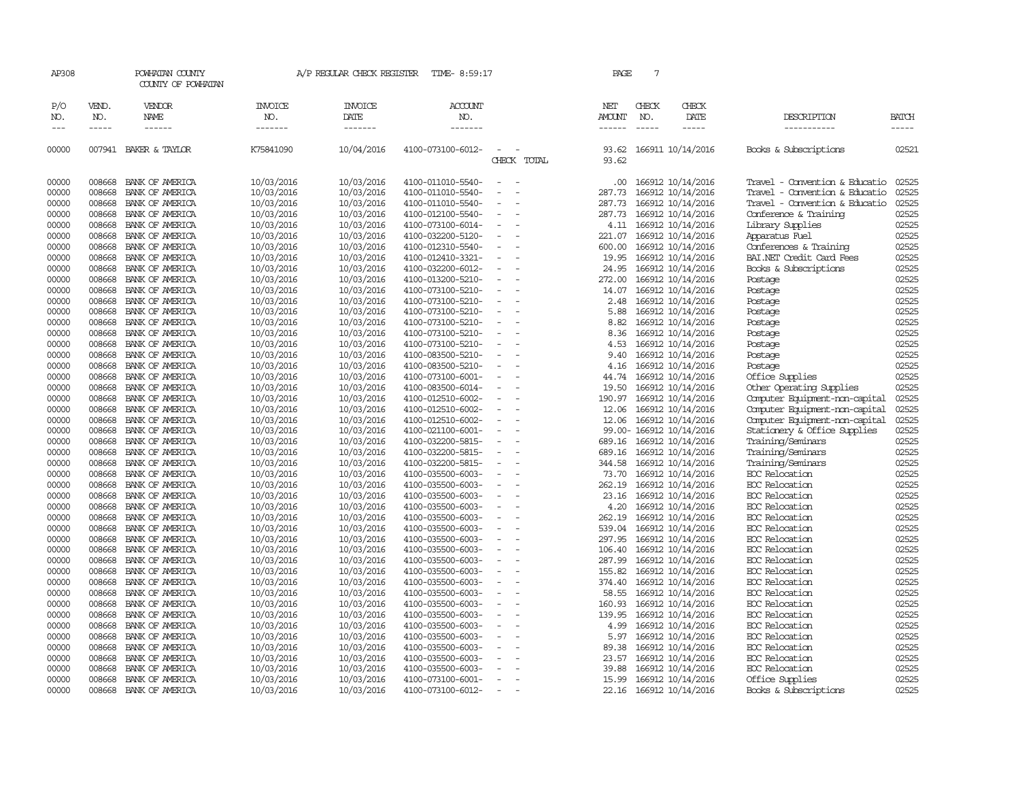| AP308               |                       | POWHATAN COUNTY<br>COUNTY OF POWHATAN  |                                  | A/P REGULAR CHECK REGISTER        | TIME- 8:59:17                    |                                                      | PAGE                                  | 7            |                          |                                |                       |
|---------------------|-----------------------|----------------------------------------|----------------------------------|-----------------------------------|----------------------------------|------------------------------------------------------|---------------------------------------|--------------|--------------------------|--------------------------------|-----------------------|
| P/O<br>NO.<br>$---$ | VEND.<br>NO.<br>----- | VENDOR<br><b>NAME</b><br>$- - - - - -$ | <b>INVOICE</b><br>NO.<br>------- | <b>INVOICE</b><br>DATE<br>------- | <b>ACCOUNT</b><br>NO.<br>------- |                                                      | NET<br><b>AMOUNT</b><br>$- - - - - -$ | CHECK<br>NO. | CHECK<br>DATE<br>-----   | DESCRIPTION<br>-----------     | <b>BATCH</b><br>----- |
| 00000               |                       | 007941 BAKER & TAYLOR                  | K75841090                        | 10/04/2016                        | 4100-073100-6012-                | CHECK TOTAL                                          | 93.62                                 |              | 93.62 166911 10/14/2016  | Books & Subscriptions          | 02521                 |
| 00000               | 008668                | BANK OF AMERICA                        | 10/03/2016                       | 10/03/2016                        | 4100-011010-5540-                | $\equiv$<br>$\sim$                                   | .00                                   |              | 166912 10/14/2016        | Travel - Convention & Educatio | 02525                 |
| 00000               | 008668                | BANK OF AMERICA                        | 10/03/2016                       | 10/03/2016                        | 4100-011010-5540-                |                                                      | 287.73                                |              | 166912 10/14/2016        | Travel - Convention & Educatio | 02525                 |
| 00000               | 008668                | BANK OF AMERICA                        | 10/03/2016                       | 10/03/2016                        | 4100-011010-5540-                |                                                      | 287.73                                |              | 166912 10/14/2016        | Travel - Convention & Educatio | 02525                 |
| 00000               | 008668                | BANK OF AMERICA                        | 10/03/2016                       | 10/03/2016                        | 4100-012100-5540-                | $\sim$<br>$\overline{\phantom{a}}$                   | 287.73                                |              | 166912 10/14/2016        | Conference & Training          | 02525                 |
| 00000               | 008668                | BANK OF AMERICA                        | 10/03/2016                       | 10/03/2016                        | 4100-073100-6014-                | $\overline{\phantom{a}}$                             | 4.11                                  |              | 166912 10/14/2016        | Library Supplies               | 02525                 |
| 00000               | 008668                | BANK OF AMERICA                        | 10/03/2016                       | 10/03/2016                        | 4100-032200-5120-                |                                                      | 221.07                                |              | 166912 10/14/2016        | Apparatus Fuel                 | 02525                 |
| 00000               | 008668                | BANK OF AMERICA                        | 10/03/2016                       | 10/03/2016                        | 4100-012310-5540-                | $\equiv$<br>$\overline{\phantom{a}}$                 | 600.00                                |              | 166912 10/14/2016        | Conferences & Training         | 02525                 |
| 00000               | 008668                | BANK OF AMERICA                        | 10/03/2016                       | 10/03/2016                        | 4100-012410-3321-                | $\overline{\phantom{a}}$                             | 19.95                                 |              | 166912 10/14/2016        | BAI.NET Credit Card Fees       | 02525                 |
| 00000               | 008668                | BANK OF AMERICA                        | 10/03/2016                       | 10/03/2016                        | 4100-032200-6012-                |                                                      | 24.95                                 |              | 166912 10/14/2016        | Books & Subscriptions          | 02525                 |
| 00000               | 008668                | BANK OF AMERICA                        | 10/03/2016                       | 10/03/2016                        | 4100-013200-5210-                |                                                      | 272.00                                |              | 166912 10/14/2016        | Postage                        | 02525                 |
| 00000               | 008668                | BANK OF AMERICA                        | 10/03/2016                       | 10/03/2016                        | 4100-073100-5210-                | $\sim$<br>$\overline{\phantom{a}}$                   | 14.07                                 |              | 166912 10/14/2016        | Postage                        | 02525                 |
| 00000               | 008668                | BANK OF AMERICA                        | 10/03/2016                       | 10/03/2016                        | 4100-073100-5210-                | $\equiv$                                             | 2.48                                  |              | 166912 10/14/2016        | Postage                        | 02525                 |
| 00000               | 008668                | BANK OF AMERICA                        | 10/03/2016                       | 10/03/2016                        | 4100-073100-5210-                |                                                      | 5.88                                  |              | 166912 10/14/2016        | Postage                        | 02525                 |
| 00000               | 008668                | BANK OF AMERICA                        | 10/03/2016                       | 10/03/2016                        | 4100-073100-5210-                | $\equiv$<br>$\overline{\phantom{a}}$                 | 8.82                                  |              | 166912 10/14/2016        | Postage                        | 02525                 |
| 00000               | 008668                | BANK OF AMERICA                        | 10/03/2016                       | 10/03/2016                        | 4100-073100-5210-                | $\overline{\phantom{a}}$                             | 8.36                                  |              | 166912 10/14/2016        | Postage                        | 02525                 |
| 00000               | 008668                | BANK OF AMERICA                        | 10/03/2016                       | 10/03/2016                        | 4100-073100-5210-                |                                                      | 4.53                                  |              | 166912 10/14/2016        | Postage                        | 02525                 |
| 00000               | 008668                | BANK OF AMERICA                        | 10/03/2016                       | 10/03/2016                        | 4100-083500-5210-                |                                                      | 9.40                                  |              | 166912 10/14/2016        | Postage                        | 02525                 |
| 00000               | 008668                | BANK OF AMERICA                        | 10/03/2016                       | 10/03/2016                        | 4100-083500-5210-                | $\sim$<br>$\overline{a}$                             | 4.16                                  |              | 166912 10/14/2016        | Postage                        | 02525                 |
| 00000               | 008668                | BANK OF AMERICA                        | 10/03/2016                       | 10/03/2016                        | 4100-073100-6001-                |                                                      | 44.74                                 |              | 166912 10/14/2016        | Office Supplies                | 02525                 |
| 00000               | 008668                | BANK OF AMERICA                        | 10/03/2016                       | 10/03/2016                        | 4100-083500-6014-                |                                                      | 19.50                                 |              | 166912 10/14/2016        | Other Operating Supplies       | 02525                 |
| 00000               | 008668                | BANK OF AMERICA                        | 10/03/2016                       | 10/03/2016                        | 4100-012510-6002-                | $\equiv$                                             | 190.97                                |              | 166912 10/14/2016        | Computer Equipment-non-capital | 02525                 |
| 00000               | 008668                | BANK OF AMERICA                        | 10/03/2016                       | 10/03/2016                        | 4100-012510-6002-                | $\overline{\phantom{a}}$                             | 12.06                                 |              | 166912 10/14/2016        | Computer Equipment-non-capital | 02525                 |
| 00000               | 008668                | BANK OF AMERICA                        | 10/03/2016                       | 10/03/2016                        | 4100-012510-6002-                | $\equiv$                                             | 12.06                                 |              | 166912 10/14/2016        | Computer Equipment-non-capital | 02525                 |
| 00000               | 008668                | BANK OF AMERICA                        | 10/03/2016                       | 10/03/2016                        | 4100-021100-6001-                |                                                      |                                       |              | 99.00- 166912 10/14/2016 | Stationery & Office Supplies   | 02525                 |
| 00000               | 008668                | BANK OF AMERICA                        | 10/03/2016                       | 10/03/2016                        | 4100-032200-5815-                | $\sim$<br>$\overline{\phantom{a}}$                   |                                       |              | 689.16 166912 10/14/2016 | Training/Seminars              | 02525                 |
| 00000               | 008668                | BANK OF AMERICA                        | 10/03/2016                       | 10/03/2016                        | 4100-032200-5815-                |                                                      | 689.16                                |              | 166912 10/14/2016        | Training/Seminars              | 02525                 |
| 00000               | 008668                | BANK OF AMERICA                        | 10/03/2016                       | 10/03/2016                        | 4100-032200-5815-                |                                                      | 344.58                                |              | 166912 10/14/2016        | Training/Seminars              | 02525                 |
| 00000               | 008668                | BANK OF AMERICA                        | 10/03/2016                       | 10/03/2016                        | 4100-035500-6003-                | $\overline{\phantom{a}}$<br>$\overline{\phantom{a}}$ | 73.70                                 |              | 166912 10/14/2016        | EOC Relocation                 | 02525                 |
| 00000               | 008668                | BANK OF AMERICA                        | 10/03/2016                       | 10/03/2016                        | 4100-035500-6003-                | $\overline{\phantom{a}}$                             | 262.19                                |              | 166912 10/14/2016        | EOC Relocation                 | 02525                 |
| 00000               | 008668                | BANK OF AMERICA                        | 10/03/2016                       | 10/03/2016                        | 4100-035500-6003-                |                                                      | 23.16                                 |              | 166912 10/14/2016        | EOC Relocation                 | 02525                 |
| 00000               | 008668                | BANK OF AMERICA                        | 10/03/2016                       | 10/03/2016                        | 4100-035500-6003-                |                                                      | 4.20                                  |              | 166912 10/14/2016        | EOC Relocation                 | 02525                 |
| 00000               | 008668                | BANK OF AMERICA                        | 10/03/2016                       | 10/03/2016                        | 4100-035500-6003-                | $\sim$<br>$\overline{\phantom{a}}$                   | 262.19                                |              | 166912 10/14/2016        | EOC Relocation                 | 02525                 |
| 00000               | 008668                | BANK OF AMERICA                        | 10/03/2016                       | 10/03/2016                        | 4100-035500-6003-                |                                                      | 539.04                                |              | 166912 10/14/2016        | EOC Relocation                 | 02525                 |
| 00000               | 008668                | BANK OF AMERICA                        | 10/03/2016                       | 10/03/2016                        | 4100-035500-6003-                | $\overline{\phantom{a}}$                             | 297.95                                |              | 166912 10/14/2016        | EOC Relocation                 | 02525                 |
| 00000               | 008668                | BANK OF AMERICA                        | 10/03/2016                       | 10/03/2016                        | 4100-035500-6003-                | $\overline{\phantom{a}}$                             | 106.40                                |              | 166912 10/14/2016        | EOC Relocation                 | 02525                 |
| 00000               | 008668                | BANK OF AMERICA                        | 10/03/2016                       | 10/03/2016                        | 4100-035500-6003-                | $\overline{\phantom{a}}$                             | 287.99                                |              | 166912 10/14/2016        | EOC Relocation                 | 02525                 |
| 00000               | 008668                | BANK OF AMERICA                        | 10/03/2016                       | 10/03/2016                        | 4100-035500-6003-                |                                                      | 155.82                                |              | 166912 10/14/2016        | EOC Relocation                 | 02525                 |
| 00000               | 008668                | BANK OF AMERICA                        | 10/03/2016                       | 10/03/2016                        | 4100-035500-6003-                | $\equiv$                                             | 374.40                                |              | 166912 10/14/2016        | EOC Relocation                 | 02525                 |
| 00000               | 008668                | BANK OF AMERICA                        | 10/03/2016                       | 10/03/2016                        | 4100-035500-6003-                | $\sim$<br>$\overline{\phantom{a}}$                   | 58.55                                 |              | 166912 10/14/2016        | EOC Relocation                 | 02525                 |
| 00000               | 008668                | BANK OF AMERICA                        | 10/03/2016                       | 10/03/2016                        | 4100-035500-6003-                |                                                      | 160.93                                |              | 166912 10/14/2016        | EOC Relocation                 | 02525                 |
| 00000               | 008668                | BANK OF AMERICA                        | 10/03/2016                       | 10/03/2016                        | 4100-035500-6003-                |                                                      | 139.95                                |              | 166912 10/14/2016        | EOC Relocation                 | 02525                 |
| 00000               | 008668                | BANK OF AMERICA                        | 10/03/2016                       | 10/03/2016                        | 4100-035500-6003-                | $\overline{\phantom{a}}$                             | 4.99                                  |              | 166912 10/14/2016        | EOC Relocation                 | 02525                 |
| 00000               | 008668                | BANK OF AMERICA                        | 10/03/2016                       | 10/03/2016                        | 4100-035500-6003-                |                                                      | 5.97                                  |              | 166912 10/14/2016        | EOC Relocation                 | 02525                 |
| 00000               | 008668                | BANK OF AMERICA                        | 10/03/2016                       | 10/03/2016                        | 4100-035500-6003-                |                                                      | 89.38                                 |              | 166912 10/14/2016        | EOC Relocation                 | 02525                 |
| 00000               | 008668                | BANK OF AMERICA                        | 10/03/2016                       | 10/03/2016                        | 4100-035500-6003-                |                                                      | 23.57                                 |              | 166912 10/14/2016        | EOC Relocation                 | 02525                 |
| 00000               | 008668                | BANK OF AMERICA                        | 10/03/2016                       | 10/03/2016                        | 4100-035500-6003-                | $\overline{\phantom{a}}$                             | 39.88                                 |              | 166912 10/14/2016        | EOC Relocation                 | 02525                 |
| 00000               | 008668                | BANK OF AMERICA                        | 10/03/2016                       | 10/03/2016                        | 4100-073100-6001-                | $\equiv$                                             | 15.99                                 |              | 166912 10/14/2016        | Office Supplies                | 02525                 |
| 00000               | 008668                | BANK OF AMERICA                        | 10/03/2016                       | 10/03/2016                        | 4100-073100-6012-                | $\overline{\phantom{a}}$                             |                                       |              | 22.16 166912 10/14/2016  | Books & Subscriptions          | 02525                 |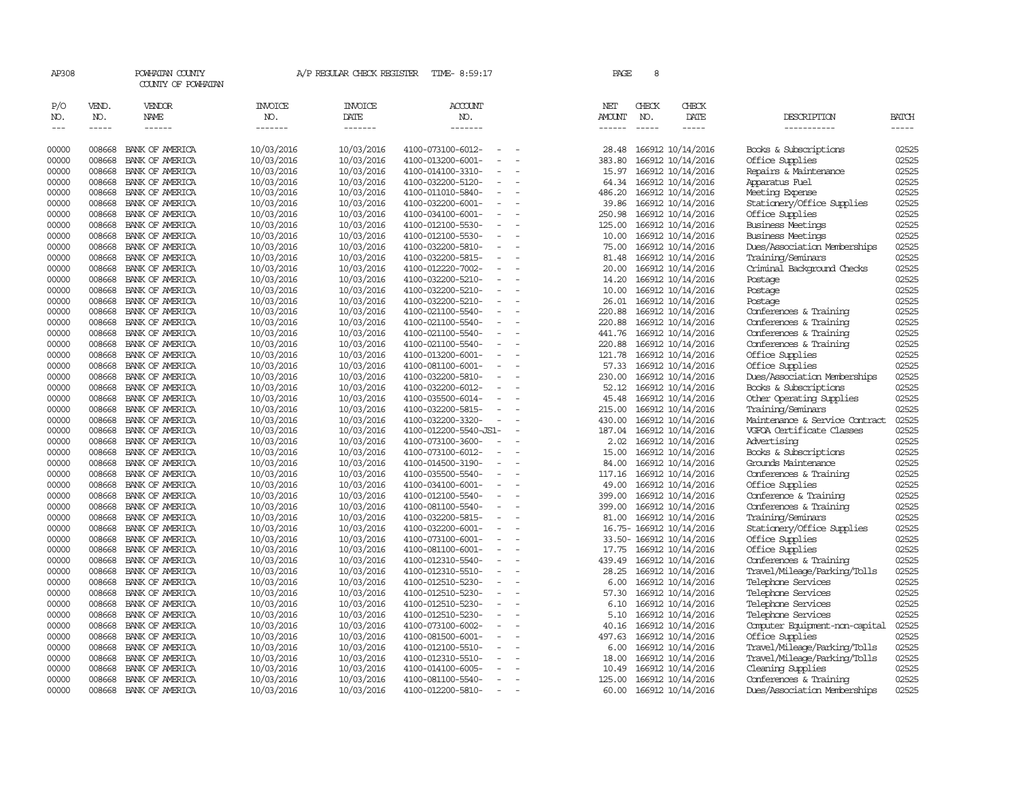| AP308                |                  | POWHATAN COUNTY<br>COUNTY OF POWHATAN |                          | A/P REGULAR CHECK REGISTER | TIME- 8:59:17                                                      | PAGE             |              | 8 |                                        |                                                             |                |
|----------------------|------------------|---------------------------------------|--------------------------|----------------------------|--------------------------------------------------------------------|------------------|--------------|---|----------------------------------------|-------------------------------------------------------------|----------------|
| P/O<br>NO.           | VEND.<br>NO.     | VENDOR<br>NAME                        | <b>INVOICE</b><br>NO.    | <b>INVOICE</b><br>DATE     | ACCOUNT<br>NO.                                                     | NET<br>AMOUNT    | CHECK<br>NO. |   | CHECK<br>DATE                          | DESCRIPTION                                                 | BATCH          |
| $\sim$ $\sim$ $\sim$ | -----            | $- - - - - -$                         | -------                  | -------                    | -------                                                            | $- - - - - -$    |              |   | -----                                  | -----------                                                 | -----          |
| 00000                | 008668           | BANK OF AMERICA                       | 10/03/2016               | 10/03/2016                 | 4100-073100-6012-<br>$\sim$                                        | 28.48            |              |   | 166912 10/14/2016                      | Books & Subscriptions                                       | 02525          |
| 00000                | 008668           | BANK OF AMERICA                       | 10/03/2016               | 10/03/2016                 | 4100-013200-6001-                                                  | 383.80           |              |   | 166912 10/14/2016                      | Office Supplies                                             | 02525          |
| 00000                | 008668           | BANK OF AMERICA                       | 10/03/2016               | 10/03/2016                 | 4100-014100-3310-<br>$\equiv$                                      | 15.97            |              |   | 166912 10/14/2016                      | Repairs & Maintenance                                       | 02525          |
| 00000                | 008668           | BANK OF AMERICA                       | 10/03/2016               | 10/03/2016                 | 4100-032200-5120-<br>$\overline{\phantom{a}}$                      | 64.34            |              |   | 166912 10/14/2016                      | Apparatus Fuel                                              | 02525          |
| 00000                | 008668           | BANK OF AMERICA                       | 10/03/2016               | 10/03/2016                 | 4100-011010-5840-<br>$\equiv$                                      | 486.20           |              |   | 166912 10/14/2016                      | Meeting Expense                                             | 02525          |
| 00000                | 008668           | BANK OF AMERICA                       | 10/03/2016               | 10/03/2016                 | 4100-032200-6001-                                                  | 39.86            |              |   | 166912 10/14/2016                      | Stationery/Office Supplies                                  | 02525          |
| 00000                | 008668           | BANK OF AMERICA                       | 10/03/2016               | 10/03/2016                 | 4100-034100-6001-<br>$\equiv$                                      | 250.98           |              |   | 166912 10/14/2016                      | Office Supplies                                             | 02525          |
| 00000                | 008668           | BANK OF AMERICA                       | 10/03/2016               | 10/03/2016                 | 4100-012100-5530-<br>$\equiv$                                      | 125.00           |              |   | 166912 10/14/2016                      | <b>Business Meetings</b>                                    | 02525          |
| 00000                | 008668           | BANK OF AMERICA                       | 10/03/2016               | 10/03/2016                 | 4100-012100-5530-<br>$\sim$                                        | 10.00            |              |   | 166912 10/14/2016                      | <b>Business Meetings</b>                                    | 02525          |
| 00000                | 008668           | BANK OF AMERICA                       | 10/03/2016               | 10/03/2016                 | 4100-032200-5810-<br>$\equiv$                                      | 75.00            |              |   | 166912 10/14/2016                      | Dues/Association Memberships                                | 02525          |
| 00000                | 008668           | BANK OF AMERICA                       | 10/03/2016               | 10/03/2016                 | 4100-032200-5815-<br>$\equiv$                                      | 81.48            |              |   | 166912 10/14/2016                      | Training/Seminars                                           | 02525          |
| 00000                | 008668           | BANK OF AMERICA                       | 10/03/2016               | 10/03/2016                 | 4100-012220-7002-<br>$\overline{\phantom{a}}$                      | 20.00            |              |   | 166912 10/14/2016                      | Criminal Background Checks                                  | 02525          |
| 00000                | 008668           | BANK OF AMERICA                       | 10/03/2016               | 10/03/2016                 | 4100-032200-5210-                                                  | 14.20            |              |   | 166912 10/14/2016                      | Postage                                                     | 02525          |
| 00000                | 008668           | BANK OF AMERICA                       | 10/03/2016               | 10/03/2016                 | 4100-032200-5210-<br>$\equiv$                                      | 10.00            |              |   | 166912 10/14/2016                      | Postage                                                     | 02525          |
| 00000                | 008668           | BANK OF AMERICA                       | 10/03/2016               | 10/03/2016                 | 4100-032200-5210-<br>$\overline{\phantom{a}}$                      | 26.01            |              |   | 166912 10/14/2016                      | Postage                                                     | 02525          |
| 00000                | 008668           | BANK OF AMERICA                       | 10/03/2016               | 10/03/2016                 | 4100-021100-5540-<br>$\sim$                                        | 220.88           |              |   | 166912 10/14/2016                      | Conferences & Training                                      | 02525          |
| 00000                | 008668           | BANK OF AMERICA                       | 10/03/2016               | 10/03/2016                 | 4100-021100-5540-<br>$\equiv$                                      | 220.88           |              |   | 166912 10/14/2016                      | Conferences & Training                                      | 02525          |
| 00000                | 008668           | BANK OF AMERICA                       | 10/03/2016               | 10/03/2016                 | 4100-021100-5540-<br>$\overline{\phantom{a}}$                      | 441.76           |              |   | 166912 10/14/2016                      | Conferences & Training                                      | 02525          |
| 00000                | 008668           | BANK OF AMERICA                       | 10/03/2016               | 10/03/2016                 | 4100-021100-5540-<br>$\overline{\phantom{a}}$                      | 220.88           |              |   | 166912 10/14/2016                      | Conferences & Training                                      | 02525          |
| 00000                | 008668           | BANK OF AMERICA                       | 10/03/2016               | 10/03/2016                 | 4100-013200-6001-                                                  | 121.78           |              |   | 166912 10/14/2016                      | Office Supplies                                             | 02525          |
| 00000                | 008668           | BANK OF AMERICA                       | 10/03/2016               | 10/03/2016                 | 4100-081100-6001-<br>$\overline{\phantom{a}}$                      | 57.33            |              |   | 166912 10/14/2016                      | Office Supplies                                             | 02525          |
| 00000                | 008668           | BANK OF AMERICA                       | 10/03/2016               | 10/03/2016                 | 4100-032200-5810-<br>$\overline{\phantom{a}}$                      | 230.00           |              |   | 166912 10/14/2016                      | Dues/Association Memberships                                | 02525          |
| 00000                | 008668           | BANK OF AMERICA                       | 10/03/2016               | 10/03/2016                 | 4100-032200-6012-<br>$\equiv$                                      | 52.12            |              |   | 166912 10/14/2016                      | Books & Subscriptions                                       | 02525          |
| 00000                | 008668           | BANK OF AMERICA                       | 10/03/2016               | 10/03/2016                 | 4100-035500-6014-<br>$\overline{\phantom{a}}$                      | 45.48            |              |   | 166912 10/14/2016                      | Other Operating Supplies                                    | 02525<br>02525 |
| 00000                | 008668           | BANK OF AMERICA                       | 10/03/2016               | 10/03/2016                 | 4100-032200-5815-<br>$\overline{\phantom{a}}$                      | 215.00           |              |   | 166912 10/14/2016                      | Training/Seminars                                           |                |
| 00000<br>00000       | 008668<br>008668 | BANK OF AMERICA<br>BANK OF AMERICA    | 10/03/2016               | 10/03/2016<br>10/03/2016   | 4100-032200-3320-<br>$\overline{\phantom{a}}$                      | 430.00<br>187.04 |              |   | 166912 10/14/2016                      | Maintenance & Service Contract<br>VGFOA Certificate Classes | 02525<br>02525 |
| 00000                | 008668           | BANK OF AMERICA                       | 10/03/2016               |                            | 4100-012200-5540-JS1-<br>$\overline{\phantom{a}}$                  |                  |              |   | 166912 10/14/2016                      | Advertising                                                 | 02525          |
| 00000                | 008668           | BANK OF AMERICA                       | 10/03/2016<br>10/03/2016 | 10/03/2016<br>10/03/2016   | 4100-073100-3600-<br>4100-073100-6012-<br>$\overline{\phantom{a}}$ | 2.02<br>15.00    |              |   | 166912 10/14/2016<br>166912 10/14/2016 | Books & Subscriptions                                       | 02525          |
| 00000                | 008668           | BANK OF AMERICA                       | 10/03/2016               | 10/03/2016                 | 4100-014500-3190-<br>$\overline{\phantom{a}}$                      | 84.00            |              |   | 166912 10/14/2016                      | Grounds Maintenance                                         | 02525          |
| 00000                | 008668           | BANK OF AMERICA                       | 10/03/2016               | 10/03/2016                 | 4100-035500-5540-<br>$\equiv$                                      | 117.16           |              |   | 166912 10/14/2016                      | Conferences & Training                                      | 02525          |
| 00000                | 008668           | BANK OF AMERICA                       | 10/03/2016               | 10/03/2016                 | 4100-034100-6001-<br>$\overline{\phantom{a}}$                      | 49.00            |              |   | 166912 10/14/2016                      | Office Supplies                                             | 02525          |
| 00000                | 008668           | BANK OF AMERICA                       | 10/03/2016               | 10/03/2016                 | 4100-012100-5540-<br>$\equiv$                                      | 399.00           |              |   | 166912 10/14/2016                      | Conference & Training                                       | 02525          |
| 00000                | 008668           | BANK OF AMERICA                       | 10/03/2016               | 10/03/2016                 | 4100-081100-5540-<br>$\overline{\phantom{a}}$                      | 399.00           |              |   | 166912 10/14/2016                      | Conferences & Training                                      | 02525          |
| 00000                | 008668           | BANK OF AMERICA                       | 10/03/2016               | 10/03/2016                 | 4100-032200-5815-<br>$\overline{\phantom{a}}$                      | 81.00            |              |   | 166912 10/14/2016                      | Training/Seminars                                           | 02525          |
| 00000                | 008668           | BANK OF AMERICA                       | 10/03/2016               | 10/03/2016                 | 4100-032200-6001-<br>$\overline{\phantom{a}}$                      |                  |              |   | 16.75-166912 10/14/2016                | Stationery/Office Supplies                                  | 02525          |
| 00000                | 008668           | BANK OF AMERICA                       | 10/03/2016               | 10/03/2016                 | 4100-073100-6001-<br>$\overline{\phantom{a}}$                      |                  |              |   | 33.50- 166912 10/14/2016               | Office Supplies                                             | 02525          |
| 00000                | 008668           | BANK OF AMERICA                       | 10/03/2016               | 10/03/2016                 | 4100-081100-6001-                                                  | 17.75            |              |   | 166912 10/14/2016                      | Office Supplies                                             | 02525          |
| 00000                | 008668           | BANK OF AMERICA                       | 10/03/2016               | 10/03/2016                 | 4100-012310-5540-<br>$\equiv$                                      | 439.49           |              |   | 166912 10/14/2016                      | Conferences & Training                                      | 02525          |
| 00000                | 008668           | BANK OF AMERICA                       | 10/03/2016               | 10/03/2016                 | 4100-012310-5510-<br>$\overline{\phantom{a}}$                      | 28.25            |              |   | 166912 10/14/2016                      | Travel/Mileage/Parking/Tolls                                | 02525          |
| 00000                | 008668           | BANK OF AMERICA                       | 10/03/2016               | 10/03/2016                 | 4100-012510-5230-                                                  | 6.00             |              |   | 166912 10/14/2016                      | Telephone Services                                          | 02525          |
| 00000                | 008668           | BANK OF AMERICA                       | 10/03/2016               | 10/03/2016                 | 4100-012510-5230-<br>$\overline{\phantom{a}}$                      | 57.30            |              |   | 166912 10/14/2016                      | Telephone Services                                          | 02525          |
| 00000                | 008668           | BANK OF AMERICA                       | 10/03/2016               | 10/03/2016                 | 4100-012510-5230-<br>$\sim$                                        | 6.10             |              |   | 166912 10/14/2016                      | Telephone Services                                          | 02525          |
| 00000                | 008668           | BANK OF AMERICA                       | 10/03/2016               | 10/03/2016                 | 4100-012510-5230-<br>$\overline{\phantom{a}}$                      | 5.10             |              |   | 166912 10/14/2016                      | Telephone Services                                          | 02525          |
| 00000                | 008668           | BANK OF AMERICA                       | 10/03/2016               | 10/03/2016                 | 4100-073100-6002-                                                  | 40.16            |              |   | 166912 10/14/2016                      | Computer Equipment-non-capital                              | 02525          |
| 00000                | 008668           | BANK OF AMERICA                       | 10/03/2016               | 10/03/2016                 | 4100-081500-6001-<br>$\overline{\phantom{a}}$                      | 497.63           |              |   | 166912 10/14/2016                      | Office Supplies                                             | 02525          |
| 00000                | 008668           | BANK OF AMERICA                       | 10/03/2016               | 10/03/2016                 | 4100-012100-5510-<br>$\sim$                                        | 6.00             |              |   | 166912 10/14/2016                      | Travel/Mileage/Parking/Tolls                                | 02525          |
| 00000                | 008668           | BANK OF AMERICA                       | 10/03/2016               | 10/03/2016                 | 4100-012310-5510-                                                  | 18.00            |              |   | 166912 10/14/2016                      | Travel/Mileage/Parking/Tolls                                | 02525          |
| 00000                | 008668           | BANK OF AMERICA                       | 10/03/2016               | 10/03/2016                 | 4100-014100-6005-<br>$\equiv$                                      | 10.49            |              |   | 166912 10/14/2016                      | Cleaning Supplies                                           | 02525          |
| 00000                | 008668           | BANK OF AMERICA                       | 10/03/2016               | 10/03/2016                 | 4100-081100-5540-<br>$\equiv$                                      | 125.00           |              |   | 166912 10/14/2016                      | Conferences & Training                                      | 02525          |
| 00000                | 008668           | BANK OF AMERICA                       | 10/03/2016               | 10/03/2016                 | 4100-012200-5810-<br>$\sim$                                        | 60.00            |              |   | 166912 10/14/2016                      | Dues/Association Memberships                                | 02525          |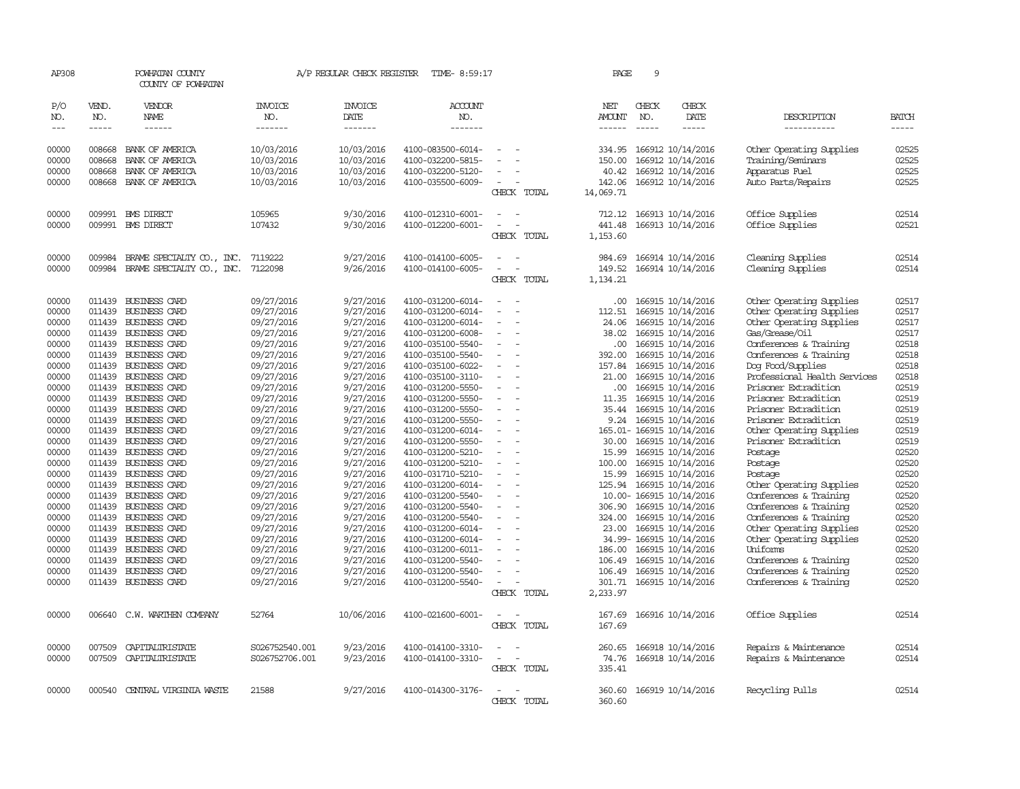| AP308          |                  | POWHATAN COUNTY<br>COUNTY OF POWHATAN        |                          | A/P REGULAR CHECK REGISTER | TIME- 8:59:17                          |                                         | PAGE                 | 9             |                                               |                                                    |                |
|----------------|------------------|----------------------------------------------|--------------------------|----------------------------|----------------------------------------|-----------------------------------------|----------------------|---------------|-----------------------------------------------|----------------------------------------------------|----------------|
| P/O<br>NO.     | VEND.<br>NO.     | <b>VENDOR</b><br><b>NAME</b>                 | <b>INVOICE</b><br>NO.    | <b>INVOICE</b><br>DATE     | <b>ACCOUNT</b><br>NO.                  |                                         | NET<br><b>AMOUNT</b> | CHECK<br>NO.  | CHECK<br>DATE                                 | DESCRIPTION                                        | <b>BATCH</b>   |
| $\frac{1}{2}$  | $- - - - -$      | ------                                       | -------                  | -------                    | -------                                |                                         | $- - - - - -$        | $\frac{1}{2}$ | $- - - - -$                                   | -----------                                        | -----          |
| 00000<br>00000 | 008668<br>008668 | BANK OF AMERICA<br>BANK OF AMERICA           | 10/03/2016<br>10/03/2016 | 10/03/2016<br>10/03/2016   | 4100-083500-6014-<br>4100-032200-5815- | $\overline{\phantom{a}}$                | 334.95<br>150.00     |               | 166912 10/14/2016<br>166912 10/14/2016        | Other Operating Supplies<br>Training/Seminars      | 02525<br>02525 |
| 00000          | 008668           | BANK OF AMERICA                              | 10/03/2016               | 10/03/2016                 | 4100-032200-5120-                      |                                         | 40.42                |               | 166912 10/14/2016                             | Apparatus Fuel                                     | 02525          |
| 00000          |                  | 008668 BANK OF AMERICA                       | 10/03/2016               | 10/03/2016                 | 4100-035500-6009-                      | $\overline{\phantom{a}}$<br>CHECK TOTAL | 142.06<br>14,069.71  |               | 166912 10/14/2016                             | Auto Parts/Repairs                                 | 02525          |
| 00000          | 009991           | <b>EMS DIRECT</b>                            | 105965                   | 9/30/2016                  | 4100-012310-6001-                      |                                         | 712.12               |               | 166913 10/14/2016                             | Office Supplies                                    | 02514          |
| 00000          |                  | 009991 BMS DIRECT                            | 107432                   | 9/30/2016                  | 4100-012200-6001-                      |                                         | 441.48               |               | 166913 10/14/2016                             | Office Supplies                                    | 02521          |
|                |                  |                                              |                          |                            |                                        | CHECK TOTAL                             | 1,153.60             |               |                                               |                                                    |                |
| 00000          | 009984           | BRAME SPECIALITY CO., INC.                   | 7119222                  | 9/27/2016                  | 4100-014100-6005-                      |                                         | 984.69               |               | 166914 10/14/2016                             | Cleaning Supplies                                  | 02514          |
| 00000          |                  | 009984 BRAME SPECIALTY CO., INC.             | 7122098                  | 9/26/2016                  | 4100-014100-6005-                      | $\overline{\phantom{a}}$                | 149.52               |               | 166914 10/14/2016                             | Cleaning Supplies                                  | 02514          |
|                |                  |                                              |                          |                            |                                        | CHECK TOTAL                             | 1,134.21             |               |                                               |                                                    |                |
| 00000          |                  | 011439 BUSINESS CARD                         | 09/27/2016               | 9/27/2016                  | 4100-031200-6014-                      |                                         | .00                  |               | 166915 10/14/2016                             | Other Operating Supplies                           | 02517          |
| 00000          | 011439           | BUSINESS CARD                                | 09/27/2016               | 9/27/2016                  | 4100-031200-6014-                      |                                         | 112.51               |               | 166915 10/14/2016                             | Other Operating Supplies                           | 02517          |
| 00000          |                  | 011439 BUSINESS CARD                         | 09/27/2016               | 9/27/2016                  | 4100-031200-6014-                      |                                         | 24.06                |               | 166915 10/14/2016                             | Other Operating Supplies                           | 02517          |
| 00000          |                  | 011439 BUSINESS CARD                         | 09/27/2016               | 9/27/2016                  | 4100-031200-6008-                      |                                         | 38.02                |               | 166915 10/14/2016                             | Gas/Grease/Oil                                     | 02517          |
| 00000          |                  | 011439 BUSINESS CARD                         | 09/27/2016               | 9/27/2016                  | 4100-035100-5540-                      | $\overline{\phantom{a}}$                | .00                  |               | 166915 10/14/2016                             | Conferences & Training                             | 02518          |
| 00000          |                  | 011439 BUSINESS CARD                         | 09/27/2016               | 9/27/2016                  | 4100-035100-5540-                      | $\overline{\phantom{a}}$                | 392.00               |               | 166915 10/14/2016                             | Conferences & Training                             | 02518          |
| 00000          |                  | 011439 BUSINESS CARD                         | 09/27/2016               | 9/27/2016                  | 4100-035100-6022-                      |                                         | 157.84               |               | 166915 10/14/2016                             | Dog Food/Supplies                                  | 02518          |
| 00000          |                  | 011439 BUSINESS CARD                         | 09/27/2016               | 9/27/2016                  | 4100-035100-3110-                      |                                         | 21.00                |               | 166915 10/14/2016                             | Professional Health Services                       | 02518          |
| 00000          |                  | 011439 BUSINESS CARD                         | 09/27/2016               | 9/27/2016                  | 4100-031200-5550-                      | $\overline{\phantom{a}}$                | .00.                 |               | 166915 10/14/2016                             | Prisoner Extradition                               | 02519          |
| 00000          | 011439           | <b>BUSINESS CARD</b>                         | 09/27/2016               | 9/27/2016                  | 4100-031200-5550-                      | $\equiv$                                | 11.35                |               | 166915 10/14/2016                             | Prisoner Extradition                               | 02519          |
| 00000          |                  | 011439 BUSINESS CARD                         | 09/27/2016               | 9/27/2016                  | 4100-031200-5550-                      |                                         | 35.44                |               | 166915 10/14/2016                             | Prisoner Extradition                               | 02519          |
| 00000          |                  | 011439 BUSINESS CARD                         | 09/27/2016               | 9/27/2016                  | 4100-031200-5550-                      |                                         |                      |               | 9.24 166915 10/14/2016                        | Prisoner Extradition                               | 02519          |
| 00000          |                  | 011439 BUSINESS CARD                         | 09/27/2016               | 9/27/2016                  | 4100-031200-6014-                      |                                         |                      |               | 165.01- 166915 10/14/2016                     | Other Operating Supplies                           | 02519          |
| 00000          |                  | 011439 BUSINESS CARD                         | 09/27/2016               | 9/27/2016                  | 4100-031200-5550-                      | $\overline{\phantom{a}}$                | 30.00                |               | 166915 10/14/2016                             | Prisoner Extradition                               | 02519          |
| 00000          |                  | 011439 BUSINESS CARD<br>011439 BUSINESS CARD | 09/27/2016               | 9/27/2016<br>9/27/2016     | 4100-031200-5210-<br>4100-031200-5210- | $\overline{\phantom{a}}$                | 15.99                |               | 166915 10/14/2016<br>166915 10/14/2016        | Postage                                            | 02520<br>02520 |
| 00000          |                  |                                              | 09/27/2016               |                            |                                        | $\sim$                                  | 100.00               |               |                                               | Postage                                            |                |
| 00000<br>00000 |                  | 011439 BUSINESS CARD<br>011439 BUSINESS CARD | 09/27/2016<br>09/27/2016 | 9/27/2016<br>9/27/2016     | 4100-031710-5210-<br>4100-031200-6014- |                                         | 15.99                |               | 166915 10/14/2016<br>125.94 166915 10/14/2016 | Postage                                            | 02520<br>02520 |
|                | 011439           | <b>BUSINESS CARD</b>                         | 09/27/2016               | 9/27/2016                  | 4100-031200-5540-                      |                                         |                      |               | 10.00- 166915 10/14/2016                      | Other Operating Supplies<br>Conferences & Training | 02520          |
| 00000<br>00000 |                  | 011439 BUSINESS CARD                         | 09/27/2016               | 9/27/2016                  | 4100-031200-5540-                      | $\overline{\phantom{a}}$                | 306.90               |               | 166915 10/14/2016                             | Conferences & Training                             | 02520          |
| 00000          | 011439           | <b>BUSINESS CARD</b>                         | 09/27/2016               | 9/27/2016                  | 4100-031200-5540-                      |                                         | 324.00               |               | 166915 10/14/2016                             | Conferences & Training                             | 02520          |
| 00000          |                  | 011439 BUSINESS CARD                         | 09/27/2016               | 9/27/2016                  | 4100-031200-6014-                      |                                         | 23.00                |               | 166915 10/14/2016                             | Other Operating Supplies                           | 02520          |
| 00000          |                  | 011439 BUSINESS CARD                         | 09/27/2016               | 9/27/2016                  | 4100-031200-6014-                      | $\overline{\phantom{a}}$                |                      |               | 34.99- 166915 10/14/2016                      | Other Operating Supplies                           | 02520          |
| 00000          |                  | 011439 BUSINESS CARD                         | 09/27/2016               | 9/27/2016                  | 4100-031200-6011-                      |                                         | 186.00               |               | 166915 10/14/2016                             | Uniforms                                           | 02520          |
| 00000          |                  | 011439 BUSINESS CARD                         | 09/27/2016               | 9/27/2016                  | 4100-031200-5540-                      |                                         | 106.49               |               | 166915 10/14/2016                             | Conferences & Training                             | 02520          |
| 00000          | 011439           | <b>BUSINESS CARD</b>                         | 09/27/2016               | 9/27/2016                  | 4100-031200-5540-                      |                                         | 106.49               |               | 166915 10/14/2016                             | Conferences & Training                             | 02520          |
| 00000          |                  | 011439 BUSINESS CARD                         | 09/27/2016               | 9/27/2016                  | 4100-031200-5540-                      | $\sim$                                  |                      |               | 301.71 166915 10/14/2016                      | Conferences & Training                             | 02520          |
|                |                  |                                              |                          |                            |                                        | CHECK TOTAL                             | 2,233.97             |               |                                               |                                                    |                |
| 00000          |                  | 006640 C.W. WARTHEN COMPANY                  | 52764                    | 10/06/2016                 | 4100-021600-6001-                      |                                         | 167.69               |               | 166916 10/14/2016                             | Office Supplies                                    | 02514          |
|                |                  |                                              |                          |                            |                                        | CHECK TOTAL                             | 167.69               |               |                                               |                                                    |                |
| 00000          | 007509           | CAPITALIRISTATE                              | S026752540.001           | 9/23/2016                  | 4100-014100-3310-                      |                                         | 260.65               |               | 166918 10/14/2016                             | Repairs & Maintenance                              | 02514          |
| 00000          | 007509           | CAPITALIRISTATE                              | S026752706.001           | 9/23/2016                  | 4100-014100-3310-                      | $\sim$<br>$\overline{\phantom{a}}$      | 74.76                |               | 166918 10/14/2016                             | Repairs & Maintenance                              | 02514          |
|                |                  |                                              |                          |                            |                                        | CHECK TOTAL                             | 335.41               |               |                                               |                                                    |                |
| 00000          |                  | 000540 CENTRAL VIRGINIA WASTE                | 21588                    | 9/27/2016                  | 4100-014300-3176-                      |                                         |                      |               | 360.60 166919 10/14/2016                      | Recycling Pulls                                    | 02514          |
|                |                  |                                              |                          |                            |                                        | <b>CHECK</b><br>TOTAL.                  | 360.60               |               |                                               |                                                    |                |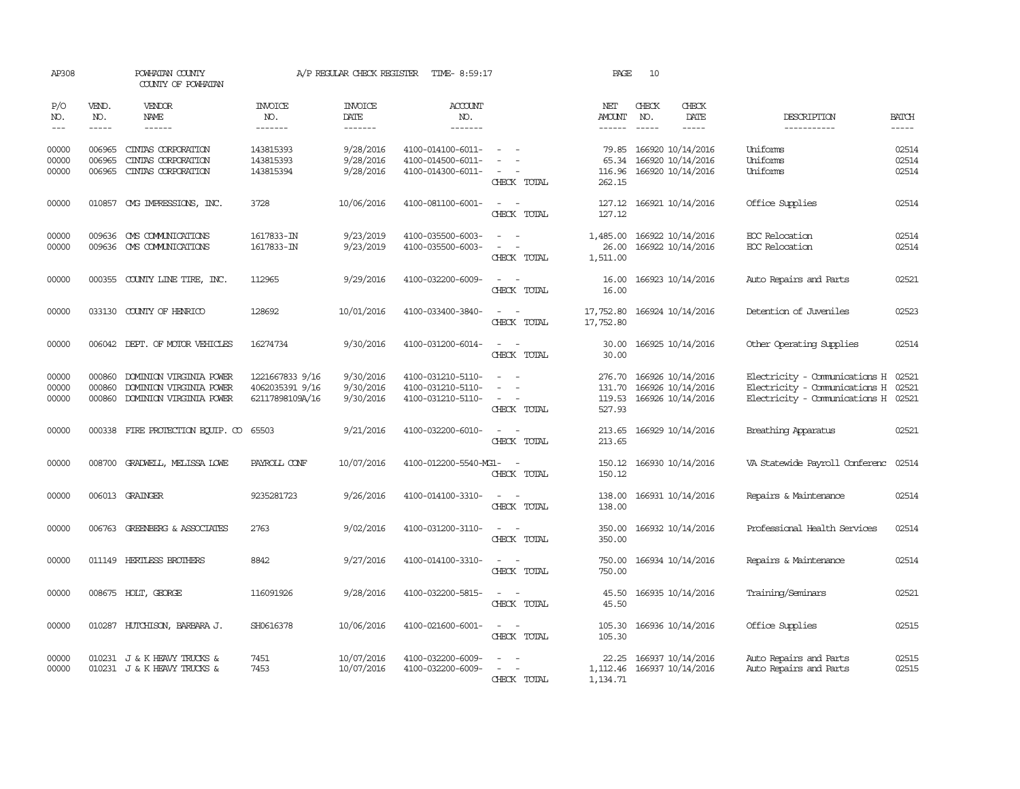| AP308                   |                            | POWHATAN COUNTY<br>COUNTY OF POWHATAN                                         |                                                       | A/P REGULAR CHECK REGISTER               | TIME- 8:59:17                                               |                                                                       | PAGE                                  | 10                          |                                                             |                                                                                                 |                             |
|-------------------------|----------------------------|-------------------------------------------------------------------------------|-------------------------------------------------------|------------------------------------------|-------------------------------------------------------------|-----------------------------------------------------------------------|---------------------------------------|-----------------------------|-------------------------------------------------------------|-------------------------------------------------------------------------------------------------|-----------------------------|
| P/O<br>NO.<br>$---$     | VEND.<br>NO.               | <b>VENDOR</b><br>NAME<br>$- - - - - -$                                        | <b>INVOICE</b><br>NO.<br>-------                      | <b>INVOICE</b><br><b>DATE</b><br>------- | <b>ACCOUNT</b><br>NO.<br>-------                            |                                                                       | NET<br><b>AMOUNT</b><br>$- - - - - -$ | CHECK<br>NO.<br>$- - - - -$ | CHECK<br>DATE<br>-----                                      | DESCRIPTION<br>-----------                                                                      | <b>BATCH</b><br>$- - - - -$ |
| 00000<br>00000<br>00000 | 006965<br>006965<br>006965 | CINIAS CORPORATION<br>CINIAS CORPORATION<br>CINIAS CORPORATION                | 143815393<br>143815393<br>143815394                   | 9/28/2016<br>9/28/2016<br>9/28/2016      | 4100-014100-6011-<br>4100-014500-6011-<br>4100-014300-6011- | $\overline{\phantom{a}}$<br>CHECK TOTAL                               | 79.85<br>65.34<br>116.96<br>262.15    |                             | 166920 10/14/2016<br>166920 10/14/2016<br>166920 10/14/2016 | Uniforms<br>Uniforms<br>Uniforms                                                                | 02514<br>02514<br>02514     |
| 00000                   |                            | 010857 CMG IMPRESSIONS, INC.                                                  | 3728                                                  | 10/06/2016                               | 4100-081100-6001-                                           | $\sim$<br>$\sim$<br>CHECK TOTAL                                       | 127.12<br>127.12                      |                             | 166921 10/14/2016                                           | Office Supplies                                                                                 | 02514                       |
| 00000<br>00000          | 009636                     | CMS COMMUNICATIONS<br>009636 CMS COMMUNICATIONS                               | 1617833-IN<br>1617833-IN                              | 9/23/2019<br>9/23/2019                   | 4100-035500-6003-<br>4100-035500-6003-                      | $\sim$<br>$\overline{\phantom{a}}$<br>CHECK TOTAL                     | 1,485.00<br>26.00<br>1,511.00         |                             | 166922 10/14/2016<br>166922 10/14/2016                      | EOC Relocation<br>EOC Relocation                                                                | 02514<br>02514              |
| 00000                   |                            | 000355 COUNTY LINE TIRE, INC.                                                 | 112965                                                | 9/29/2016                                | 4100-032200-6009-                                           | CHECK TOTAL                                                           | 16.00<br>16.00                        |                             | 166923 10/14/2016                                           | Auto Repairs and Parts                                                                          | 02521                       |
| 00000                   |                            | 033130 COUNTY OF HENRICO                                                      | 128692                                                | 10/01/2016                               | 4100-033400-3840-                                           | $\sim$<br>$\sim$<br>CHECK TOTAL                                       | 17,752.80<br>17,752.80                |                             | 166924 10/14/2016                                           | Detention of Juveniles                                                                          | 02523                       |
| 00000                   |                            | 006042 DEPT. OF MOTOR VEHICLES                                                | 16274734                                              | 9/30/2016                                | 4100-031200-6014-                                           | $\sim$ $\sim$<br>CHECK TOTAL                                          | 30.00<br>30.00                        |                             | 166925 10/14/2016                                           | Other Operating Supplies                                                                        | 02514                       |
| 00000<br>00000<br>00000 | 000860<br>000860<br>000860 | DOMINION VIRGINIA POWER<br>DOMINION VIRGINIA POWER<br>DOMINION VIRGINIA POWER | 1221667833 9/16<br>4062035391 9/16<br>62117898109A/16 | 9/30/2016<br>9/30/2016<br>9/30/2016      | 4100-031210-5110-<br>4100-031210-5110-<br>4100-031210-5110- | $\equiv$<br>$\overline{a}$<br>$\overline{\phantom{a}}$<br>CHECK TOTAL | 276.70<br>131.70<br>119.53<br>527.93  |                             | 166926 10/14/2016<br>166926 10/14/2016<br>166926 10/14/2016 | Electricity - Comunications H<br>Electricity - Comunications H<br>Electricity - Comunications H | 02521<br>02521<br>02521     |
| 00000                   |                            | 000338 FIRE PROTECTION EQUIP. CO                                              | 65503                                                 | 9/21/2016                                | 4100-032200-6010-                                           | CHECK TOTAL                                                           | 213.65<br>213.65                      |                             | 166929 10/14/2016                                           | Breathing Apparatus                                                                             | 02521                       |
| 00000                   | 008700                     | GRADWEIL, MELISSA LOWE                                                        | PAYROLL CONF                                          | 10/07/2016                               | 4100-012200-5540-MG1-                                       | $\overline{\phantom{a}}$<br>CHECK TOTAL                               | 150.12<br>150.12                      |                             | 166930 10/14/2016                                           | VA Statewide Payroll Conferenc                                                                  | 02514                       |
| 00000                   |                            | 006013 GRAINGER                                                               | 9235281723                                            | 9/26/2016                                | 4100-014100-3310-                                           | $\sim$<br>CHECK TOTAL                                                 | 138.00<br>138.00                      |                             | 166931 10/14/2016                                           | Repairs & Maintenance                                                                           | 02514                       |
| 00000                   |                            | 006763 GREENBERG & ASSOCIATES                                                 | 2763                                                  | 9/02/2016                                | 4100-031200-3110-                                           | CHECK TOTAL                                                           | 350.00<br>350.00                      |                             | 166932 10/14/2016                                           | Professional Health Services                                                                    | 02514                       |
| 00000                   |                            | 011149 HERTLESS BROTHERS                                                      | 8842                                                  | 9/27/2016                                | 4100-014100-3310-                                           | $\sim$ $\sim$<br>CHECK TOTAL                                          | 750.00<br>750.00                      |                             | 166934 10/14/2016                                           | Repairs & Maintenance                                                                           | 02514                       |
| 00000                   |                            | 008675 HOLT, GEORGE                                                           | 116091926                                             | 9/28/2016                                | 4100-032200-5815-                                           | $\sim$ $ \sim$<br>CHECK TOTAL                                         | 45.50<br>45.50                        |                             | 166935 10/14/2016                                           | Training/Seminars                                                                               | 02521                       |
| 00000                   |                            | 010287 HUTCHISON, BARBARA J.                                                  | SH0616378                                             | 10/06/2016                               | 4100-021600-6001-                                           | $\overline{\phantom{a}}$<br>$\sim$<br>CHECK TOTAL                     | 105.30<br>105.30                      |                             | 166936 10/14/2016                                           | Office Supplies                                                                                 | 02515                       |
| 00000<br>00000          |                            | 010231 J & K HEAVY TRUCKS &<br>010231 J & K HEAVY TRUCKS &                    | 7451<br>7453                                          | 10/07/2016<br>10/07/2016                 | 4100-032200-6009-<br>4100-032200-6009-                      | CHECK TOTAL                                                           | 22.25<br>1,112.46<br>1,134.71         |                             | 166937 10/14/2016<br>166937 10/14/2016                      | Auto Repairs and Parts<br>Auto Repairs and Parts                                                | 02515<br>02515              |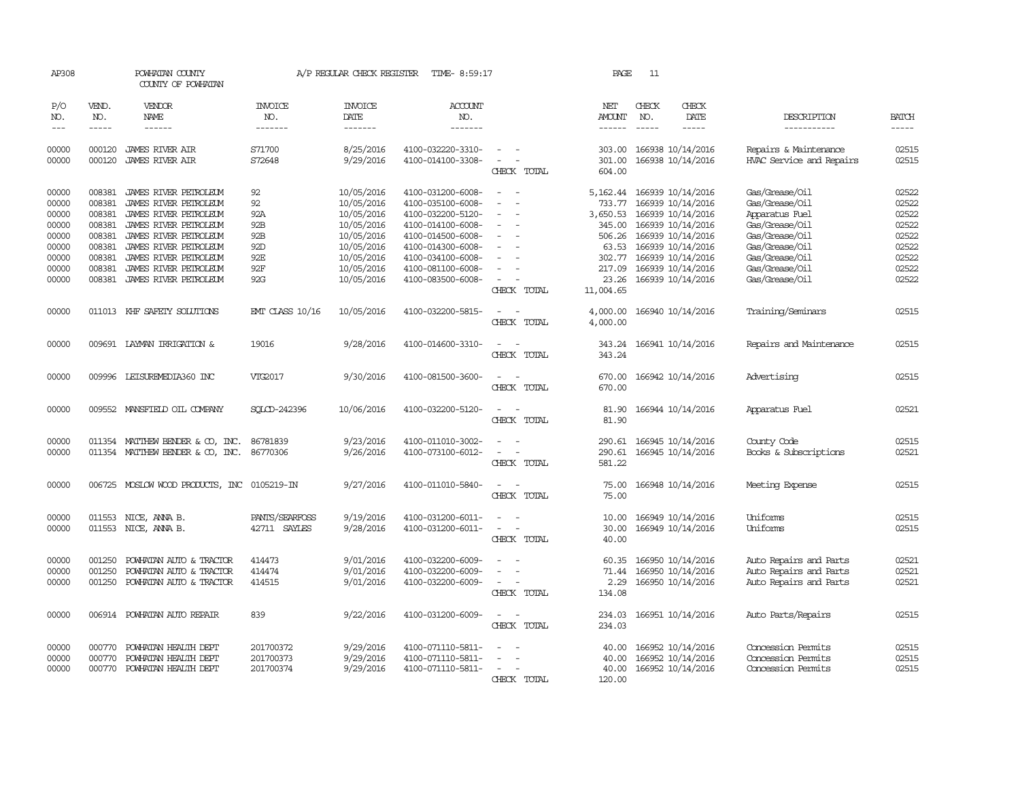| AP308                                     |                                                | POWHATAN COUNTY<br>COUNTY OF POWHATAN                                                                                     |                                     | A/P REGULAR CHECK REGISTER                                         | TIME- 8:59:17                                                                                         |                                                                     | PAGE                                               | 11                          |                                                                                                       |                                                                                        |                                           |
|-------------------------------------------|------------------------------------------------|---------------------------------------------------------------------------------------------------------------------------|-------------------------------------|--------------------------------------------------------------------|-------------------------------------------------------------------------------------------------------|---------------------------------------------------------------------|----------------------------------------------------|-----------------------------|-------------------------------------------------------------------------------------------------------|----------------------------------------------------------------------------------------|-------------------------------------------|
| P/O<br>NO.<br>$---$                       | VEND.<br>NO.<br>$- - - - -$                    | VENDOR<br>NAME<br>------                                                                                                  | <b>INVOICE</b><br>NO.<br>-------    | <b>INVOICE</b><br>DATE<br>-------                                  | ACCOUNT<br>NO.<br>-------                                                                             |                                                                     | NET<br>AMOUNT<br>------                            | CHECK<br>NO.<br>$- - - - -$ | CHECK<br>DATE<br>-----                                                                                | DESCRIPTION<br>-----------                                                             | <b>BATCH</b><br>-----                     |
| 00000<br>00000                            | 000120<br>000120                               | JAMES RIVER AIR<br><b>JAMES RIVER AIR</b>                                                                                 | S71700<br>S72648                    | 8/25/2016<br>9/29/2016                                             | 4100-032220-3310-<br>4100-014100-3308-                                                                | $\overline{\phantom{a}}$<br>CHECK TOTAL                             | 303.00<br>301.00<br>604.00                         |                             | 166938 10/14/2016<br>166938 10/14/2016                                                                | Repairs & Maintenance<br>HVAC Service and Repairs                                      | 02515<br>02515                            |
| 00000<br>00000<br>00000<br>00000<br>00000 | 008381<br>008381<br>008381<br>008381<br>008381 | JAMES RIVER PETROLEUM<br>JAMES RIVER PEIROLEUM<br>JAMES RIVER PETROLEUM<br>JAMES RIVER PETROLEUM<br>JAMES RIVER PETROLEUM | 92<br>92<br>92A<br>92B<br>92B       | 10/05/2016<br>10/05/2016<br>10/05/2016<br>10/05/2016<br>10/05/2016 | 4100-031200-6008-<br>4100-035100-6008-<br>4100-032200-5120-<br>4100-014100-6008-<br>4100-014500-6008- |                                                                     | 5,162.44<br>733.77<br>3,650.53<br>345.00<br>506.26 |                             | 166939 10/14/2016<br>166939 10/14/2016<br>166939 10/14/2016<br>166939 10/14/2016<br>166939 10/14/2016 | Gas/Grease/Oil<br>Gas/Grease/Oil<br>Apparatus Fuel<br>Gas/Grease/Oil<br>Gas/Grease/Oil | 02522<br>02522<br>02522<br>02522<br>02522 |
| 00000<br>00000<br>00000<br>00000          | 008381<br>008381<br>008381<br>008381           | JAMES RIVER PETROLEUM<br>JAMES RIVER PETROLEUM<br>JAMES RIVER PETROLEUM<br>JAMES RIVER PETROLEUM                          | 92D<br>92E<br>92F<br>92G            | 10/05/2016<br>10/05/2016<br>10/05/2016<br>10/05/2016               | 4100-014300-6008-<br>4100-034100-6008-<br>4100-081100-6008-<br>4100-083500-6008-                      | $\overline{\phantom{a}}$<br>CHECK TOTAL                             | 63.53<br>302.77<br>217.09<br>23.26<br>11,004.65    |                             | 166939 10/14/2016<br>166939 10/14/2016<br>166939 10/14/2016<br>166939 10/14/2016                      | Gas/Grease/Oil<br>Gas/Grease/Oil<br>Gas/Grease/Oil<br>Gas/Grease/Oil                   | 02522<br>02522<br>02522<br>02522          |
| 00000                                     |                                                | 011013 KHF SAFETY SOLUTIONS                                                                                               | <b>EMT CLASS 10/16</b>              | 10/05/2016                                                         | 4100-032200-5815-                                                                                     | $\equiv$<br>CHECK<br>TOTAL                                          | 4,000.00<br>4,000.00                               |                             | 166940 10/14/2016                                                                                     | Training/Seminars                                                                      | 02515                                     |
| 00000                                     |                                                | 009691 LAYMAN IRRIGATION &                                                                                                | 19016                               | 9/28/2016                                                          | 4100-014600-3310-                                                                                     | $\equiv$<br>CHECK TOTAL                                             | 343.24<br>343.24                                   |                             | 166941 10/14/2016                                                                                     | Repairs and Maintenance                                                                | 02515                                     |
| 00000                                     |                                                | 009996 LEISUREMEDIA360 INC                                                                                                | VIG2017                             | 9/30/2016                                                          | 4100-081500-3600-                                                                                     | $\sim$<br>$\sim$<br>CHECK TOTAL                                     | 670.00<br>670.00                                   |                             | 166942 10/14/2016                                                                                     | Advertising                                                                            | 02515                                     |
| 00000                                     |                                                | 009552 MANSFIELD OIL COMPANY                                                                                              | SOLCD-242396                        | 10/06/2016                                                         | 4100-032200-5120-                                                                                     | CHECK TOTAL                                                         | 81.90<br>81.90                                     |                             | 166944 10/14/2016                                                                                     | Apparatus Fuel                                                                         | 02521                                     |
| 00000<br>00000                            |                                                | 011354 MATTHEW BENDER & CO, INC.<br>011354 MATTHEW BENDER & CO, INC.                                                      | 86781839<br>86770306                | 9/23/2016<br>9/26/2016                                             | 4100-011010-3002-<br>4100-073100-6012-                                                                | $\equiv$<br>$\overline{\phantom{a}}$<br>CHECK TOTAL                 | 290.61<br>290.61<br>581.22                         |                             | 166945 10/14/2016<br>166945 10/14/2016                                                                | County Code<br>Books & Subscriptions                                                   | 02515<br>02521                            |
| 00000                                     |                                                | 006725 MOSLOW WOOD PRODUCTS, INC                                                                                          | 0105219-IN                          | 9/27/2016                                                          | 4100-011010-5840-                                                                                     | CHECK TOTAL                                                         | 75.00<br>75.00                                     |                             | 166948 10/14/2016                                                                                     | Meeting Expense                                                                        | 02515                                     |
| 00000<br>00000                            | 011553                                         | NICE, ANNA B.<br>011553 NICE, ANNA B.                                                                                     | PANTS/SEARFOSS<br>42711 SAYLES      | 9/19/2016<br>9/28/2016                                             | 4100-031200-6011-<br>4100-031200-6011-                                                                | $\overline{\phantom{a}}$<br>CHECK TOTAL                             | 10.00<br>30.00<br>40.00                            |                             | 166949 10/14/2016<br>166949 10/14/2016                                                                | Uniforms<br>Uniforms                                                                   | 02515<br>02515                            |
| 00000<br>00000<br>00000                   | 001250<br>001250<br>001250                     | POWHATAN AUTO & TRACTOR<br>POWHATAN AUTO & TRACTOR<br>POWHATAN AUTO & TRACTOR                                             | 414473<br>414474<br>414515          | 9/01/2016<br>9/01/2016<br>9/01/2016                                | 4100-032200-6009-<br>4100-032200-6009-<br>4100-032200-6009-                                           | $\overline{\phantom{a}}$<br>CHECK TOTAL                             | 60.35<br>71.44<br>2.29<br>134.08                   |                             | 166950 10/14/2016<br>166950 10/14/2016<br>166950 10/14/2016                                           | Auto Repairs and Parts<br>Auto Repairs and Parts<br>Auto Repairs and Parts             | 02521<br>02521<br>02521                   |
| 00000                                     |                                                | 006914 POWHATAN AUTO REPAIR                                                                                               | 839                                 | 9/22/2016                                                          | 4100-031200-6009-                                                                                     | $\equiv$<br>CHECK TOTAL                                             | 234.03<br>234.03                                   |                             | 166951 10/14/2016                                                                                     | Auto Parts/Repairs                                                                     | 02515                                     |
| 00000<br>00000<br>00000                   | 000770<br>000770<br>000770                     | POWHATAN HEALTH DEPT<br>POWHATAN HEALTH DEPT<br>POWHATAN HEALTH DEPT                                                      | 201700372<br>201700373<br>201700374 | 9/29/2016<br>9/29/2016<br>9/29/2016                                | 4100-071110-5811-<br>4100-071110-5811-<br>4100-071110-5811-                                           | $\overline{\phantom{a}}$<br>$\overline{\phantom{a}}$<br>CHECK TOTAL | 40.00<br>40.00<br>40.00<br>120.00                  |                             | 166952 10/14/2016<br>166952 10/14/2016<br>166952 10/14/2016                                           | Concession Permits<br>Concession Permits<br>Concession Permits                         | 02515<br>02515<br>02515                   |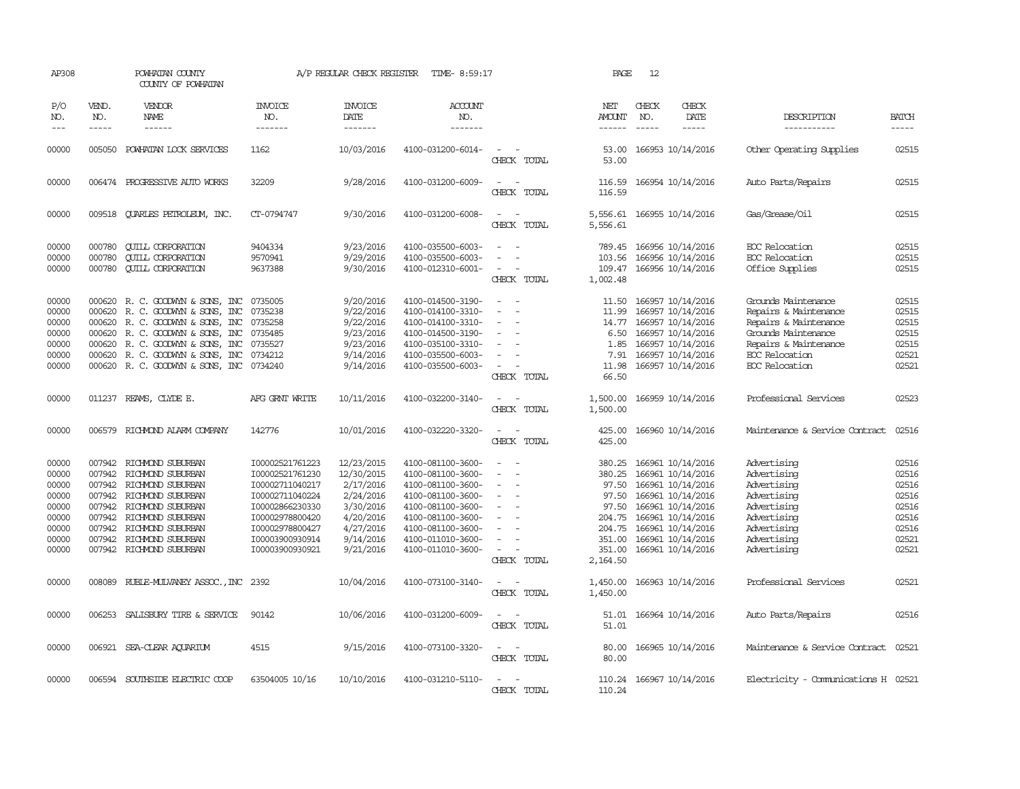| AP308                                                                         |                                      | POWHATAN COUNTY<br>COUNTY OF POWHATAN                                                                                                                                                                                                |                                                                                                                                                                         | A/P REGULAR CHECK REGISTER                                                                                          | TIME- 8:59:17                                                                                                                                                                             |                                                                                                           | PAGE                                                                                            | 12                            |                                                                                                                                                                                           |                                                                                                                                                           |                                                                               |
|-------------------------------------------------------------------------------|--------------------------------------|--------------------------------------------------------------------------------------------------------------------------------------------------------------------------------------------------------------------------------------|-------------------------------------------------------------------------------------------------------------------------------------------------------------------------|---------------------------------------------------------------------------------------------------------------------|-------------------------------------------------------------------------------------------------------------------------------------------------------------------------------------------|-----------------------------------------------------------------------------------------------------------|-------------------------------------------------------------------------------------------------|-------------------------------|-------------------------------------------------------------------------------------------------------------------------------------------------------------------------------------------|-----------------------------------------------------------------------------------------------------------------------------------------------------------|-------------------------------------------------------------------------------|
| P/O<br>NO.<br>$---$                                                           | VEND.<br>NO.<br>$- - - - -$          | <b>VENDOR</b><br>NAME<br>------                                                                                                                                                                                                      | <b>INVOICE</b><br>NO.<br>-------                                                                                                                                        | <b>INVOICE</b><br>DATE<br>-------                                                                                   | <b>ACCOUNT</b><br>NO.<br>-------                                                                                                                                                          |                                                                                                           | NET<br><b>AMOUNT</b><br>$- - - - - -$                                                           | CHECK<br>NO.<br>$\frac{1}{2}$ | CHECK<br>DATE<br>-----                                                                                                                                                                    | DESCRIPTION<br>-----------                                                                                                                                | <b>BATCH</b><br>-----                                                         |
| 00000                                                                         | 005050                               | POWHATAN LOCK SERVICES                                                                                                                                                                                                               | 1162                                                                                                                                                                    | 10/03/2016                                                                                                          | 4100-031200-6014-                                                                                                                                                                         | CHECK TOTAL                                                                                               | 53.00<br>53.00                                                                                  |                               | 166953 10/14/2016                                                                                                                                                                         | Other Operating Supplies                                                                                                                                  | 02515                                                                         |
| 00000                                                                         |                                      | 006474 PROGRESSIVE AUTO WORKS                                                                                                                                                                                                        | 32209                                                                                                                                                                   | 9/28/2016                                                                                                           | 4100-031200-6009-                                                                                                                                                                         | $\sim$<br>CHECK TOTAL                                                                                     | 116.59<br>116.59                                                                                |                               | 166954 10/14/2016                                                                                                                                                                         | Auto Parts/Repairs                                                                                                                                        | 02515                                                                         |
| 00000                                                                         |                                      | 009518 QUARLES PETROLEUM, INC.                                                                                                                                                                                                       | CT-0794747                                                                                                                                                              | 9/30/2016                                                                                                           | 4100-031200-6008-                                                                                                                                                                         | $\sim$<br>$\equiv$<br>CHECK TOTAL                                                                         | 5,556.61<br>5,556.61                                                                            |                               | 166955 10/14/2016                                                                                                                                                                         | Gas/Grease/Oil                                                                                                                                            | 02515                                                                         |
| 00000<br>00000<br>00000                                                       | 000780<br>000780<br>000780           | <b>CUILL CORPORATION</b><br><b>CUILL CORPORATION</b><br><b>QUILL CORPORATION</b>                                                                                                                                                     | 9404334<br>9570941<br>9637388                                                                                                                                           | 9/23/2016<br>9/29/2016<br>9/30/2016                                                                                 | 4100-035500-6003-<br>4100-035500-6003-<br>4100-012310-6001-                                                                                                                               | $\overline{a}$<br>CHECK TOTAL                                                                             | 789.45<br>103.56<br>109.47<br>1,002.48                                                          |                               | 166956 10/14/2016<br>166956 10/14/2016<br>166956 10/14/2016                                                                                                                               | EOC Relocation<br>FOC Relocation<br>Office Supplies                                                                                                       | 02515<br>02515<br>02515                                                       |
| 00000<br>00000<br>00000<br>00000<br>00000<br>00000<br>00000                   | 000620<br>000620<br>000620<br>000620 | 000620 R. C. GOODWYN & SONS, INC<br>R. C. GOODWYN & SONS, INC<br>000620 R. C. GOODWYN & SONS, INC<br>R. C. GOODWYN & SONS, INC<br>R. C. GOODWYN & SONS, INC<br>R. C. GOODWYN & SONS, INC<br>000620 R. C. GOODWYN & SONS, INC 0734240 | 0735005<br>0735238<br>0735258<br>0735485<br>0735527<br>0734212                                                                                                          | 9/20/2016<br>9/22/2016<br>9/22/2016<br>9/23/2016<br>9/23/2016<br>9/14/2016<br>9/14/2016                             | 4100-014500-3190-<br>4100-014100-3310-<br>4100-014100-3310-<br>4100-014500-3190-<br>4100-035100-3310-<br>4100-035500-6003-<br>4100-035500-6003-                                           | $\sim$<br>$\sim$<br>$\equiv$<br>$\equiv$<br>$\overline{\phantom{a}}$<br>CHECK TOTAL                       | 11.50<br>11.99<br>14.77<br>6.50<br>1.85<br>7.91<br>11.98<br>66.50                               |                               | 166957 10/14/2016<br>166957 10/14/2016<br>166957 10/14/2016<br>166957 10/14/2016<br>166957 10/14/2016<br>166957 10/14/2016<br>166957 10/14/2016                                           | Grounds Maintenance<br>Repairs & Maintenance<br>Repairs & Maintenance<br>Grounds Maintenance<br>Repairs & Maintenance<br>EOC Relocation<br>EOC Relocation | 02515<br>02515<br>02515<br>02515<br>02515<br>02521<br>02521                   |
| 00000                                                                         |                                      | 011237 REAMS, CLYDE E.                                                                                                                                                                                                               | AFG GRNT WRITE                                                                                                                                                          | 10/11/2016                                                                                                          | 4100-032200-3140-                                                                                                                                                                         | $\overline{a}$<br>$\sim$<br>CHECK TOTAL                                                                   | 1,500.00<br>1,500.00                                                                            |                               | 166959 10/14/2016                                                                                                                                                                         | Professional Services                                                                                                                                     | 02523                                                                         |
| 00000                                                                         | 006579                               | RICHMOND ALARM COMPANY                                                                                                                                                                                                               | 142776                                                                                                                                                                  | 10/01/2016                                                                                                          | 4100-032220-3320-                                                                                                                                                                         | $\sim$<br>$\overline{\phantom{a}}$<br>CHECK TOTAL                                                         | 425.00<br>425.00                                                                                |                               | 166960 10/14/2016                                                                                                                                                                         | Maintenance & Service Contract                                                                                                                            | 02516                                                                         |
| 00000<br>00000<br>00000<br>00000<br>00000<br>00000<br>00000<br>00000<br>00000 | 007942<br>007942<br>007942           | RICHMOND SUBURBAN<br>RICHMOND SUBURBAN<br>007942 RICHMOND SUBURBAN<br>007942 RICHMOND SUBURBAN<br>007942 RICHMOND SUBURBAN<br>007942 RICHMOND SUBURBAN<br>RICHMOND SUBURBAN<br>007942 RICHMOND SUBURBAN<br>007942 RICHMOND SUBURBAN  | I00002521761223<br>I00002521761230<br>I00002711040217<br>I00002711040224<br>I00002866230330<br>I00002978800420<br>I00002978800427<br>I00003900930914<br>I00003900930921 | 12/23/2015<br>12/30/2015<br>2/17/2016<br>2/24/2016<br>3/30/2016<br>4/20/2016<br>4/27/2016<br>9/14/2016<br>9/21/2016 | 4100-081100-3600-<br>4100-081100-3600-<br>4100-081100-3600-<br>4100-081100-3600-<br>4100-081100-3600-<br>4100-081100-3600-<br>4100-081100-3600-<br>4100-011010-3600-<br>4100-011010-3600- | $\overline{\phantom{a}}$<br>$\overline{\phantom{a}}$<br>$\overline{\phantom{a}}$<br>$\sim$<br>CHECK TOTAL | 380.25<br>380.25<br>97.50<br>97.50<br>97.50<br>204.75<br>204.75<br>351.00<br>351.00<br>2,164.50 |                               | 166961 10/14/2016<br>166961 10/14/2016<br>166961 10/14/2016<br>166961 10/14/2016<br>166961 10/14/2016<br>166961 10/14/2016<br>166961 10/14/2016<br>166961 10/14/2016<br>166961 10/14/2016 | Advertising<br>Advertising<br>Advertising<br>Advertising<br>Advertising<br>Advertising<br>Advertising<br>Advertising<br>Advertising                       | 02516<br>02516<br>02516<br>02516<br>02516<br>02516<br>02516<br>02521<br>02521 |
| 00000                                                                         |                                      | 008089 RUBLE-MULVANEY ASSOC., INC 2392                                                                                                                                                                                               |                                                                                                                                                                         | 10/04/2016                                                                                                          | 4100-073100-3140-                                                                                                                                                                         | CHECK TOTAL                                                                                               | 1,450.00<br>1,450.00                                                                            |                               | 166963 10/14/2016                                                                                                                                                                         | Professional Services                                                                                                                                     | 02521                                                                         |
| 00000                                                                         |                                      | 006253 SALISBURY TIRE & SERVICE                                                                                                                                                                                                      | 90142                                                                                                                                                                   | 10/06/2016                                                                                                          | 4100-031200-6009-                                                                                                                                                                         | $\sim$<br>CHECK TOTAL                                                                                     | 51.01<br>51.01                                                                                  |                               | 166964 10/14/2016                                                                                                                                                                         | Auto Parts/Repairs                                                                                                                                        | 02516                                                                         |
| 00000                                                                         |                                      | 006921 SEA-CLEAR AQUARIUM                                                                                                                                                                                                            | 4515                                                                                                                                                                    | 9/15/2016                                                                                                           | 4100-073100-3320-                                                                                                                                                                         | $ -$<br>CHECK TOTAL                                                                                       | 80.00<br>80.00                                                                                  |                               | 166965 10/14/2016                                                                                                                                                                         | Maintenance & Service Contract                                                                                                                            | 02521                                                                         |
| 00000                                                                         | 006594                               | SOUTHSIDE ELECTRIC COOP                                                                                                                                                                                                              | 63504005 10/16                                                                                                                                                          | 10/10/2016                                                                                                          | 4100-031210-5110-                                                                                                                                                                         | . —<br>CHECK TOTAL                                                                                        | 110.24<br>110.24                                                                                |                               | 166967 10/14/2016                                                                                                                                                                         | Electricity - Comunications H 02521                                                                                                                       |                                                                               |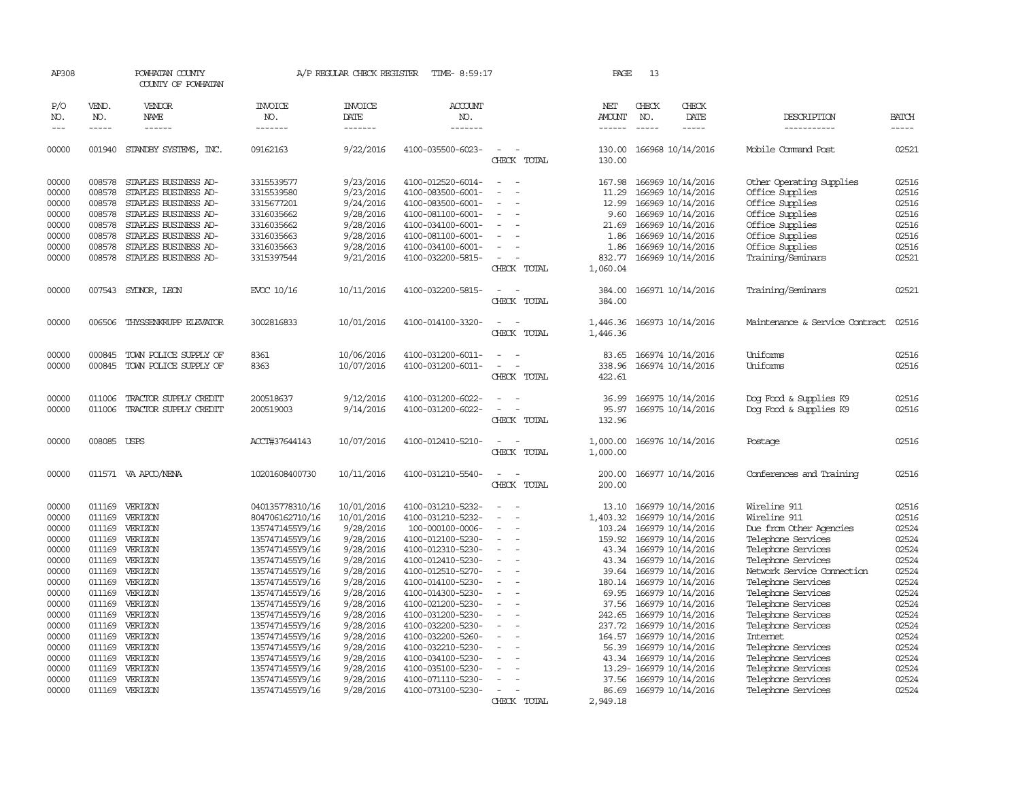| AP308               |                          | POWHATAN COUNTY<br>COUNTY OF POWHATAN |                                    | A/P REGULAR CHECK REGISTER        | TIME- 8:59:17                          |                                                      | PAGE                 | 13                          |                                              |                                          |                             |
|---------------------|--------------------------|---------------------------------------|------------------------------------|-----------------------------------|----------------------------------------|------------------------------------------------------|----------------------|-----------------------------|----------------------------------------------|------------------------------------------|-----------------------------|
| P/O<br>NO.<br>$---$ | VEND.<br>NO.<br>$\cdots$ | VENDOR<br><b>NAME</b><br>------       | <b>INVOICE</b><br>NO.<br>-------   | <b>INVOICE</b><br>DATE<br>------- | <b>ACCOUNT</b><br>NO.<br>-------       |                                                      | NET<br><b>AMOUNT</b> | CHECK<br>NO.<br>$- - - - -$ | CHECK<br>DATE<br>-----                       | DESCRIPTION<br>-----------               | <b>BATCH</b><br>$- - - - -$ |
| 00000               |                          | 001940 STANDBY SYSTEMS, INC.          | 09162163                           | 9/22/2016                         | 4100-035500-6023-                      | $\sim$                                               |                      |                             | 130.00 166968 10/14/2016                     | Mobile Command Post                      | 02521                       |
|                     |                          |                                       |                                    |                                   |                                        | CHECK TOTAL                                          | 130.00               |                             |                                              |                                          |                             |
| 00000               | 008578                   | STAPLES BUSINESS AD-                  | 3315539577                         | 9/23/2016                         | 4100-012520-6014-                      | $\sim$<br>$\overline{\phantom{a}}$                   | 167.98               |                             | 166969 10/14/2016                            | Other Operating Supplies                 | 02516                       |
| 00000               | 008578                   | STAPLES BUSINESS AD-                  | 3315539580                         | 9/23/2016                         | 4100-083500-6001-                      | $\sim$<br>$\overline{\phantom{a}}$                   | 11.29                |                             | 166969 10/14/2016                            | Office Supplies                          | 02516                       |
| 00000               | 008578                   | STAPLES BUSINESS AD-                  | 3315677201                         | 9/24/2016                         | 4100-083500-6001-                      | $\overline{\phantom{a}}$                             | 12.99                |                             | 166969 10/14/2016                            | Office Supplies                          | 02516                       |
| 00000               |                          | 008578 STAPLES BUSINESS AD-           | 3316035662                         | 9/28/2016                         | 4100-081100-6001-                      |                                                      | 9.60                 |                             | 166969 10/14/2016                            | Office Supplies                          | 02516                       |
| 00000               | 008578                   | STAPLES BUSINESS AD-                  | 3316035662                         | 9/28/2016                         | 4100-034100-6001-                      | $\overline{\phantom{a}}$                             | 21.69                |                             | 166969 10/14/2016                            | Office Supplies                          | 02516                       |
| 00000               | 008578                   | STAPLES BUSINESS AD-                  | 3316035663                         | 9/28/2016                         | 4100-081100-6001-                      | $\overline{\phantom{a}}$                             | 1.86                 |                             | 166969 10/14/2016                            | Office Supplies                          | 02516                       |
| 00000               | 008578                   | STAPLES BUSINESS AD-                  | 3316035663                         | 9/28/2016                         | 4100-034100-6001-                      |                                                      | 1.86                 |                             | 166969 10/14/2016                            | Office Supplies                          | 02516                       |
| 00000               | 008578                   | STAPLES BUSINESS AD-                  | 3315397544                         | 9/21/2016                         | 4100-032200-5815-                      |                                                      | 832.77               |                             | 166969 10/14/2016                            | Training/Seminars                        | 02521                       |
|                     |                          |                                       |                                    |                                   |                                        | CHECK TOTAL                                          | 1,060.04             |                             |                                              |                                          |                             |
| 00000               |                          | 007543 SYDNOR, LEON                   | EVCC 10/16                         | 10/11/2016                        | 4100-032200-5815-                      |                                                      | 384.00               |                             | 166971 10/14/2016                            | Training/Seminars                        | 02521                       |
|                     |                          |                                       |                                    |                                   |                                        | CHECK TOTAL                                          | 384.00               |                             |                                              |                                          |                             |
| 00000               | 006506                   | THYSSENKRUPP ELEVATOR                 | 3002816833                         | 10/01/2016                        | 4100-014100-3320-                      |                                                      | 1,446.36             |                             | 166973 10/14/2016                            | Maintenance & Service Contract           | 02516                       |
|                     |                          |                                       |                                    |                                   |                                        | CHECK TOTAL                                          | 1,446.36             |                             |                                              |                                          |                             |
| 00000               | 000845                   | TOWN POLICE SUPPLY OF                 | 8361                               | 10/06/2016                        | 4100-031200-6011-                      | $\sim$<br>$\sim$                                     | 83.65                |                             | 166974 10/14/2016                            | Uniforms                                 | 02516                       |
| 00000               | 000845                   | TOWN POLICE SUPPLY OF                 | 8363                               | 10/07/2016                        | 4100-031200-6011-                      | $\overline{\phantom{a}}$<br>$\overline{\phantom{a}}$ | 338.96               |                             | 166974 10/14/2016                            | Uniforms                                 | 02516                       |
|                     |                          |                                       |                                    |                                   |                                        | CHECK TOTAL                                          | 422.61               |                             |                                              |                                          |                             |
| 00000               | 011006                   | TRACTOR SUPPLY CREDIT                 | 200518637                          | 9/12/2016                         | 4100-031200-6022-                      | $\overline{\phantom{a}}$                             | 36.99                |                             | 166975 10/14/2016                            | Dog Food & Supplies K9                   | 02516                       |
| 00000               | 011006                   | TRACTOR SUPPLY CREDIT                 | 200519003                          | 9/14/2016                         | 4100-031200-6022-                      | $\overline{\phantom{a}}$                             | 95.97                |                             | 166975 10/14/2016                            | Dog Food & Supplies K9                   | 02516                       |
|                     |                          |                                       |                                    |                                   |                                        | CHECK TOTAL                                          | 132.96               |                             |                                              |                                          |                             |
| 00000               | 008085 USPS              |                                       | ACCT#37644143                      | 10/07/2016                        | 4100-012410-5210-                      | $\overline{\phantom{a}}$<br>÷.                       | 1,000.00             |                             | 166976 10/14/2016                            | Postage                                  | 02516                       |
|                     |                          |                                       |                                    |                                   |                                        | CHECK TOTAL                                          | 1,000.00             |                             |                                              |                                          |                             |
| 00000               |                          | 011571 VA APCO/NENA                   | 10201608400730                     | 10/11/2016                        | 4100-031210-5540-                      | $\sim$<br>$\sim$                                     |                      |                             | 200.00 166977 10/14/2016                     | Conferences and Training                 | 02516                       |
|                     |                          |                                       |                                    |                                   |                                        | CHECK TOTAL                                          | 200.00               |                             |                                              |                                          |                             |
| 00000               | 011169                   | VERIZON                               | 040135778310/16                    | 10/01/2016                        | 4100-031210-5232-                      | $\sim$                                               | 13.10                |                             | 166979 10/14/2016                            | Wireline 911                             | 02516                       |
| 00000               |                          | 011169 VERIZON                        | 804706162710/16                    | 10/01/2016                        | 4100-031210-5232-                      | $\overline{\phantom{a}}$<br>$\overline{\phantom{a}}$ | 1,403.32             |                             | 166979 10/14/2016                            | Wireline 911                             | 02516                       |
| 00000               | 011169                   | VERIZON                               | 1357471455Y9/16                    | 9/28/2016                         | 100-000100-0006-                       | $\overline{\phantom{a}}$                             | 103.24               |                             | 166979 10/14/2016                            | Due from Other Agencies                  | 02524                       |
| 00000               |                          | 011169 VERIZON                        | 1357471455Y9/16                    | 9/28/2016                         | 4100-012100-5230-                      |                                                      | 159.92               |                             | 166979 10/14/2016                            | Telephone Services                       | 02524                       |
| 00000               | 011169                   | VERIZON                               | 1357471455Y9/16                    | 9/28/2016                         | 4100-012310-5230-                      | $\overline{\phantom{a}}$                             | 43.34                |                             | 166979 10/14/2016                            | Telephone Services                       | 02524                       |
| 00000               |                          | 011169 VERIZON<br>VERIZON             | 1357471455Y9/16                    | 9/28/2016                         | 4100-012410-5230-                      | $\sim$<br>$\sim$                                     | 43.34                |                             | 166979 10/14/2016                            | Telephone Services                       | 02524<br>02524              |
| 00000               | 011169                   |                                       | 1357471455Y9/16                    | 9/28/2016                         | 4100-012510-5270-                      |                                                      | 39.64                |                             | 166979 10/14/2016                            | Network Service Connection               | 02524                       |
| 00000<br>00000      | 011169                   | VERIZON<br>011169 VERIZON             | 1357471455Y9/16<br>1357471455Y9/16 | 9/28/2016<br>9/28/2016            | 4100-014100-5230-<br>4100-014300-5230- | $\overline{\phantom{a}}$                             | 180.14               |                             | 166979 10/14/2016<br>69.95 166979 10/14/2016 | Telephone Services<br>Telephone Services | 02524                       |
| 00000               |                          | 011169 VERIZON                        | 1357471455Y9/16                    | 9/28/2016                         | 4100-021200-5230-                      |                                                      |                      |                             | 37.56 166979 10/14/2016                      | Telephone Services                       | 02524                       |
| 00000               |                          | 011169 VERIZON                        | 1357471455Y9/16                    | 9/28/2016                         | 4100-031200-5230-                      | $\overline{\phantom{a}}$                             | 242.65               |                             | 166979 10/14/2016                            | Telephone Services                       | 02524                       |
| 00000               |                          | 011169 VERIZON                        | 1357471455Y9/16                    | 9/28/2016                         | 4100-032200-5230-                      |                                                      | 237.72               |                             | 166979 10/14/2016                            | Telephone Services                       | 02524                       |
| 00000               |                          | 011169 VERIZON                        | 1357471455Y9/16                    | 9/28/2016                         | 4100-032200-5260-                      | $\sim$                                               | 164.57               |                             | 166979 10/14/2016                            | <b>Internet</b>                          | 02524                       |
| 00000               |                          | 011169 VERIZON                        | 1357471455Y9/16                    | 9/28/2016                         | 4100-032210-5230-                      |                                                      | 56.39                |                             | 166979 10/14/2016                            | Telephone Services                       | 02524                       |
| 00000               |                          | 011169 VERIZON                        | 1357471455Y9/16                    | 9/28/2016                         | 4100-034100-5230-                      |                                                      |                      |                             | 43.34 166979 10/14/2016                      | Telephone Services                       | 02524                       |
| 00000               | 011169                   | VERIZON                               | 1357471455Y9/16                    | 9/28/2016                         | 4100-035100-5230-                      |                                                      |                      |                             | 13.29- 166979 10/14/2016                     | Telephone Services                       | 02524                       |
| 00000               |                          | 011169 VERIZON                        | 1357471455Y9/16                    | 9/28/2016                         | 4100-071110-5230-                      | $\sim$                                               |                      |                             | 37.56 166979 10/14/2016                      | Telephone Services                       | 02524                       |
| 00000               |                          | 011169 VERIZON                        | 1357471455Y9/16                    | 9/28/2016                         | 4100-073100-5230-                      | $\overline{\phantom{a}}$<br>$\overline{\phantom{a}}$ | 86.69                |                             | 166979 10/14/2016                            | Telephone Services                       | 02524                       |
|                     |                          |                                       |                                    |                                   |                                        | CHECK TOTAL                                          | 2,949.18             |                             |                                              |                                          |                             |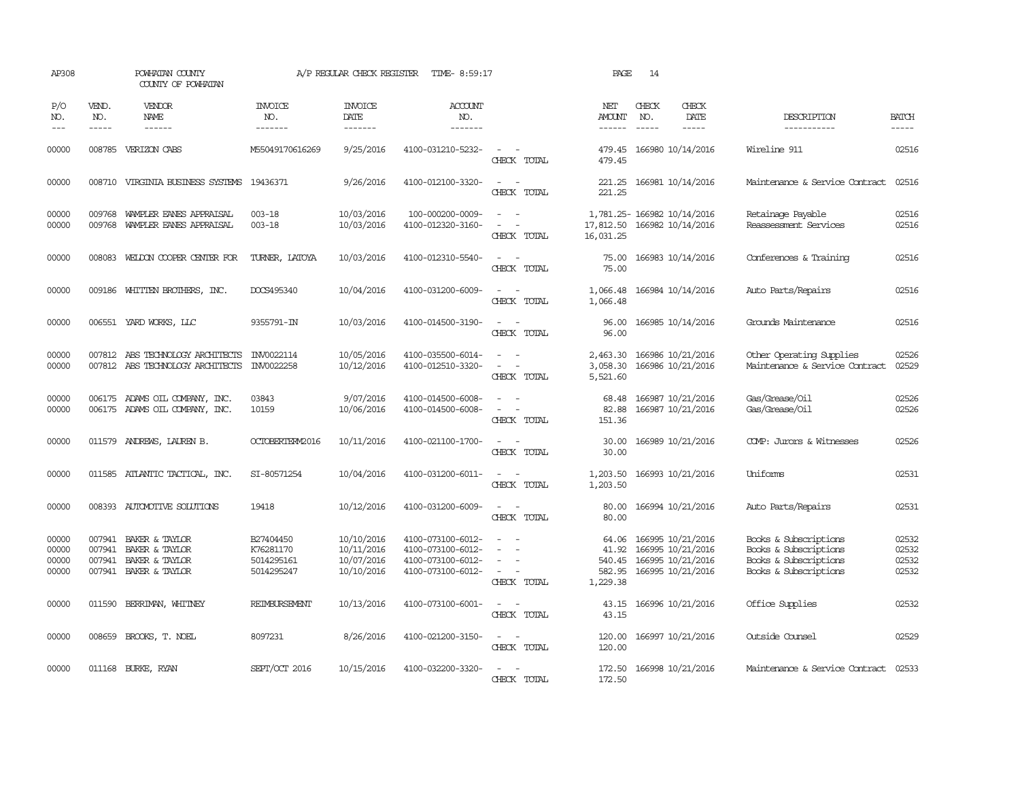| AP308                            |                             | POWHATAN COUNTY<br>COUNTY OF POWHATAN                                                         |                                                    | A/P REGULAR CHECK REGISTER                           | TIME- 8:59:17                                                                    |                                                                                                                             | PAGE                                  | 14           |                                                                                         |                                                                                                  |                                  |
|----------------------------------|-----------------------------|-----------------------------------------------------------------------------------------------|----------------------------------------------------|------------------------------------------------------|----------------------------------------------------------------------------------|-----------------------------------------------------------------------------------------------------------------------------|---------------------------------------|--------------|-----------------------------------------------------------------------------------------|--------------------------------------------------------------------------------------------------|----------------------------------|
| P/O<br>NO.<br>$---$              | VEND.<br>NO.<br>$- - - - -$ | VENDOR<br><b>NAME</b><br>$- - - - - -$                                                        | <b>INVOICE</b><br>NO.<br>-------                   | <b>INVOICE</b><br>DATE<br>-------                    | <b>ACCOUNT</b><br>NO.<br>-------                                                 |                                                                                                                             | NET<br><b>AMOUNT</b><br>$- - - - - -$ | CHECK<br>NO. | CHECK<br>DATE<br>$- - - - -$                                                            | DESCRIPTION<br>-----------                                                                       | <b>BATCH</b><br>-----            |
| 00000                            |                             | 008785 VERIZON CABS                                                                           | M55049170616269                                    | 9/25/2016                                            | 4100-031210-5232-                                                                | $\sim$<br>CHECK TOTAL                                                                                                       | 479.45<br>479.45                      |              | 166980 10/14/2016                                                                       | Wireline 911                                                                                     | 02516                            |
| 00000                            |                             | 008710 VIRGINIA BUSINESS SYSTEMS 19436371                                                     |                                                    | 9/26/2016                                            | 4100-012100-3320-                                                                | $\sim$ $\sim$<br>CHECK TOTAL                                                                                                | 221.25<br>221.25                      |              | 166981 10/14/2016                                                                       | Maintenance & Service Contract                                                                   | 02516                            |
| 00000<br>00000                   | 009768                      | 009768 WAMPLER EANES APPRAISAL<br>WAMPLER EANES APPRAISAL                                     | $003 - 18$<br>$003 - 18$                           | 10/03/2016<br>10/03/2016                             | 100-000200-0009-<br>4100-012320-3160-                                            | $\sim$ $ \sim$<br>$\sim$<br>CHECK TOTAL                                                                                     | 17,812.50<br>16,031.25                |              | 1,781.25-166982 10/14/2016<br>166982 10/14/2016                                         | Retainage Payable<br>Reassessment Services                                                       | 02516<br>02516                   |
| 00000                            | 008083                      | WELDON COOPER CENTER FOR                                                                      | TURNER, LATOYA                                     | 10/03/2016                                           | 4100-012310-5540-                                                                | $\overline{\phantom{a}}$<br>CHECK TOTAL                                                                                     | 75.00<br>75.00                        |              | 166983 10/14/2016                                                                       | Conferences & Training                                                                           | 02516                            |
| 00000                            |                             | 009186 WHITTEN BROTHERS, INC.                                                                 | DOCS495340                                         | 10/04/2016                                           | 4100-031200-6009-                                                                | $\sim$<br>CHECK TOTAL                                                                                                       | 1,066.48<br>1,066.48                  |              | 166984 10/14/2016                                                                       | Auto Parts/Repairs                                                                               | 02516                            |
| 00000                            |                             | 006551 YARD WORKS, LLC                                                                        | 9355791-IN                                         | 10/03/2016                                           | 4100-014500-3190-                                                                | $\frac{1}{2} \left( \frac{1}{2} \right) \left( \frac{1}{2} \right) = \frac{1}{2} \left( \frac{1}{2} \right)$<br>CHECK TOTAL | 96.00<br>96.00                        |              | 166985 10/14/2016                                                                       | Grounds Maintenance                                                                              | 02516                            |
| 00000<br>00000                   |                             | 007812 ABS TECHNOLOGY ARCHITECTS<br>007812 ABS TECHNOLOGY ARCHITECTS                          | INV0022114<br>INV0022258                           | 10/05/2016<br>10/12/2016                             | 4100-035500-6014-<br>4100-012510-3320-                                           | $\sim$<br>CHECK TOTAL                                                                                                       | 2,463.30<br>3,058.30<br>5,521.60      |              | 166986 10/21/2016<br>166986 10/21/2016                                                  | Other Operating Supplies<br>Maintenance & Service Contract                                       | 02526<br>02529                   |
| 00000<br>00000                   |                             | 006175 ADAMS OIL COMPANY, INC.<br>006175 ADAMS OIL COMPANY, INC.                              | 03843<br>10159                                     | 9/07/2016<br>10/06/2016                              | 4100-014500-6008-<br>4100-014500-6008-                                           | $\omega_{\rm{max}}$ and $\omega_{\rm{max}}$<br>$\sim$ $ -$<br>CHECK TOTAL                                                   | 68.48<br>82.88<br>151.36              |              | 166987 10/21/2016<br>166987 10/21/2016                                                  | Gas/Grease/Oil<br>Gas/Grease/Oil                                                                 | 02526<br>02526                   |
| 00000                            |                             | 011579 ANDREWS, LAUREN B.                                                                     | OCTOBERTERM2016                                    | 10/11/2016                                           | 4100-021100-1700-                                                                | $\overline{\phantom{a}}$<br>CHECK TOTAL                                                                                     | 30.00<br>30.00                        |              | 166989 10/21/2016                                                                       | COMP: Jurors & Witnesses                                                                         | 02526                            |
| 00000                            |                             | 011585 ATLANTIC TACTICAL, INC.                                                                | SI-80571254                                        | 10/04/2016                                           | 4100-031200-6011-                                                                | $\sim$<br>$\sim$<br>CHECK TOTAL                                                                                             | 1,203.50<br>1,203.50                  |              | 166993 10/21/2016                                                                       | Uniforms                                                                                         | 02531                            |
| 00000                            |                             | 008393 AUTOMOTTVE SOLUTIONS                                                                   | 19418                                              | 10/12/2016                                           | 4100-031200-6009-                                                                | $\sim$<br>CHECK TOTAL                                                                                                       | 80.00<br>80.00                        |              | 166994 10/21/2016                                                                       | Auto Parts/Repairs                                                                               | 02531                            |
| 00000<br>00000<br>00000<br>00000 | 007941<br>007941            | 007941 BAKER & TAYLOR<br><b>BAKER &amp; TAYLOR</b><br>BAKER & TAYLOR<br>007941 BAKER & TAYLOR | B27404450<br>K76281170<br>5014295161<br>5014295247 | 10/10/2016<br>10/11/2016<br>10/07/2016<br>10/10/2016 | 4100-073100-6012-<br>4100-073100-6012-<br>4100-073100-6012-<br>4100-073100-6012- | $\equiv$<br>$\sim$<br>CHECK TOTAL                                                                                           | 64.06<br>41.92<br>540.45<br>1,229.38  |              | 166995 10/21/2016<br>166995 10/21/2016<br>166995 10/21/2016<br>582.95 166995 10/21/2016 | Books & Subscriptions<br>Books & Subscriptions<br>Books & Subscriptions<br>Books & Subscriptions | 02532<br>02532<br>02532<br>02532 |
| 00000                            |                             | 011590 BERRIMAN, WHITNEY                                                                      | <b>REIMBURSEMENT</b>                               | 10/13/2016                                           | 4100-073100-6001-                                                                | $\frac{1}{2} \left( \frac{1}{2} \right) \left( \frac{1}{2} \right) = \frac{1}{2} \left( \frac{1}{2} \right)$<br>CHECK TOTAL | 43.15<br>43.15                        |              | 166996 10/21/2016                                                                       | Office Supplies                                                                                  | 02532                            |
| 00000                            |                             | 008659 BROOKS, T. NOEL                                                                        | 8097231                                            | 8/26/2016                                            | 4100-021200-3150-                                                                | $\sim$ $ \sim$<br>CHECK TOTAL                                                                                               | 120.00<br>120.00                      |              | 166997 10/21/2016                                                                       | Outside Counsel                                                                                  | 02529                            |
| 00000                            |                             | 011168 BURKE, RYAN                                                                            | SEPT/OCT 2016                                      | 10/15/2016                                           | 4100-032200-3320-                                                                | CHECK TOTAL                                                                                                                 | 172.50                                |              | 172.50 166998 10/21/2016                                                                | Maintenance & Service Contract 02533                                                             |                                  |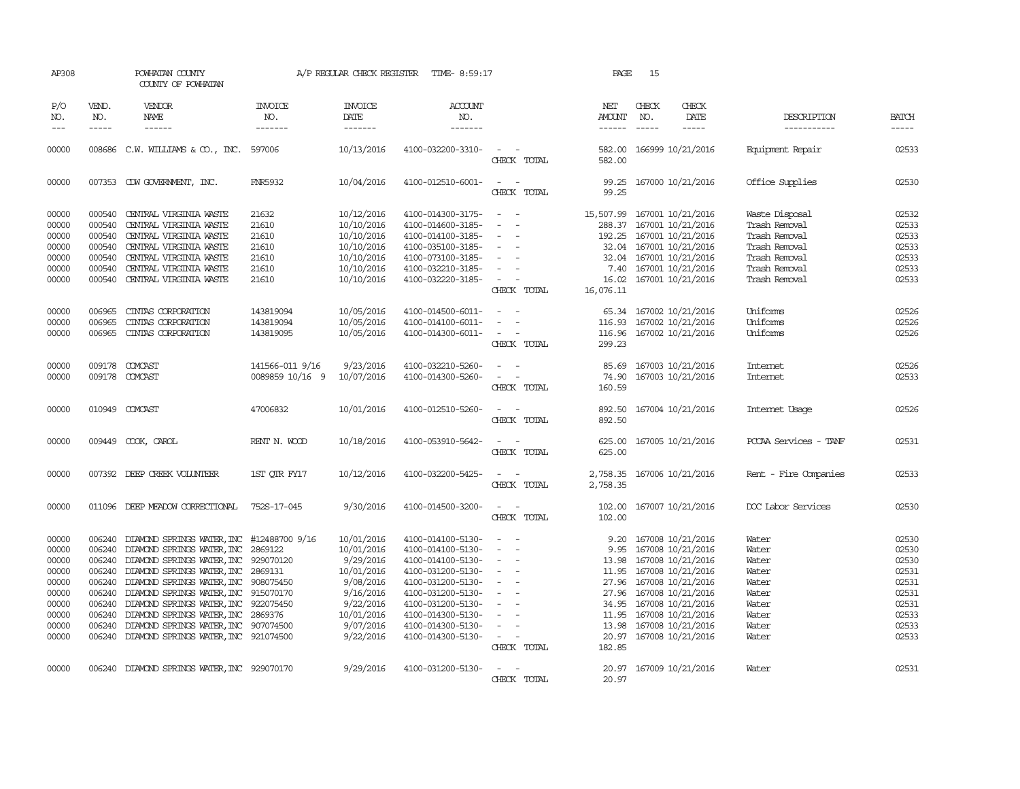| AP308                       |                          | POWHATAN COUNTY<br>COUNTY OF POWHATAN       |                           | A/P REGULAR CHECK REGISTER                | TIME- 8:59:17                    |                                                      | PAGE                           | 15           |                             |                            |                             |
|-----------------------------|--------------------------|---------------------------------------------|---------------------------|-------------------------------------------|----------------------------------|------------------------------------------------------|--------------------------------|--------------|-----------------------------|----------------------------|-----------------------------|
| P/O<br>NO.<br>$\frac{1}{2}$ | VEND.<br>NO.<br>$\cdots$ | VENDOR<br>NAME<br>$- - - - - -$             | INVOICE<br>NO.<br>------- | <b>INVOICE</b><br>DATE<br>$- - - - - - -$ | <b>ACCOUNT</b><br>NO.<br>------- |                                                      | NET<br>AMOUNT<br>$- - - - - -$ | CHECK<br>NO. | CHECK<br>DATE               | DESCRIPTION<br>----------- | <b>BATCH</b><br>$- - - - -$ |
|                             |                          |                                             |                           |                                           |                                  |                                                      |                                |              |                             |                            |                             |
| 00000                       |                          | 008686 C.W. WILLIAMS & CO., INC. 597006     |                           | 10/13/2016                                | 4100-032200-3310-                | CHECK TOTAL                                          | 582.00<br>582.00               |              | 166999 10/21/2016           | Equipment Repair           | 02533                       |
| 00000                       |                          | 007353 CDW GOVERNMENT, INC.                 | <b>FNR5932</b>            | 10/04/2016                                | 4100-012510-6001-                | $\sim$<br>$\sim$<br>CHECK TOTAL                      | 99.25<br>99.25                 |              | 167000 10/21/2016           | Office Supplies            | 02530                       |
| 00000                       |                          | 000540 CENTRAL VIRGINIA WASTE               | 21632                     | 10/12/2016                                | 4100-014300-3175-                | $\sim$<br>$\sim$                                     |                                |              | 15,507.99 167001 10/21/2016 | Waste Disposal             | 02532                       |
| 00000                       | 000540                   | CENTRAL VIRGINIA WASTE                      | 21610                     | 10/10/2016                                | 4100-014600-3185-                |                                                      |                                |              | 288.37 167001 10/21/2016    | Trash Removal              | 02533                       |
| 00000                       |                          | 000540 CENTRAL VIRGINIA WASTE               | 21610                     | 10/10/2016                                | 4100-014100-3185-                | $\sim$<br>$\overline{\phantom{a}}$                   |                                |              | 192.25 167001 10/21/2016    | Trash Removal              | 02533                       |
| 00000                       |                          | 000540 CENTRAL VIRGINIA WASTE               | 21610                     | 10/10/2016                                | 4100-035100-3185-                | $\sim$                                               |                                |              | 32.04 167001 10/21/2016     | Trash Removal              | 02533                       |
| 00000                       |                          | 000540 CENTRAL VIRGINIA WASTE               | 21610                     | 10/10/2016                                | 4100-073100-3185-                | $\overline{\phantom{a}}$                             |                                |              | 32.04 167001 10/21/2016     | Trash Removal              | 02533                       |
| 00000                       |                          | 000540 CENTRAL VIRGINIA WASTE               | 21610                     | 10/10/2016                                | 4100-032210-3185-                | $\overline{\phantom{a}}$                             |                                |              | 7.40 167001 10/21/2016      | Trash Removal              | 02533                       |
| 00000                       | 000540                   | CENTRAL VIRGINIA WASTE                      | 21610                     | 10/10/2016                                | 4100-032220-3185-                | $\sim$<br>CHECK TOTAL                                | 16.02<br>16,076.11             |              | 167001 10/21/2016           | Trash Removal              | 02533                       |
|                             |                          |                                             |                           |                                           |                                  |                                                      |                                |              |                             |                            |                             |
| 00000                       | 006965                   | CINIAS CORPORATION                          | 143819094                 | 10/05/2016                                | 4100-014500-6011-                | $\sim$<br>$\sim$                                     |                                |              | 65.34 167002 10/21/2016     | Uniforms                   | 02526                       |
| 00000                       | 006965                   | CINIAS CORPORATION                          | 143819094                 | 10/05/2016                                | 4100-014100-6011-                | $\equiv$                                             |                                |              | 116.93 167002 10/21/2016    | Uniforms                   | 02526                       |
| 00000                       |                          | 006965 CINIAS CORPORATION                   | 143819095                 | 10/05/2016                                | 4100-014300-6011-                | $\sim$                                               | 116.96                         |              | 167002 10/21/2016           | Uniforms                   | 02526                       |
|                             |                          |                                             |                           |                                           |                                  | CHECK TOTAL                                          | 299.23                         |              |                             |                            |                             |
| 00000                       | 009178                   | COMCAST                                     | 141566-011 9/16           | 9/23/2016                                 | 4100-032210-5260-                | $\overline{\phantom{a}}$                             | 85.69                          |              | 167003 10/21/2016           | Internet                   | 02526                       |
| 00000                       |                          | 009178 COMCAST                              | 0089859 10/16 9           | 10/07/2016                                | 4100-014300-5260-                | $\sim$<br>$\overline{\phantom{a}}$                   | 74.90                          |              | 167003 10/21/2016           | Internet                   | 02533                       |
|                             |                          |                                             |                           |                                           |                                  | CHECK TOTAL                                          | 160.59                         |              |                             |                            |                             |
| 00000                       |                          | 010949 COMCAST                              | 47006832                  | 10/01/2016                                | 4100-012510-5260-                | $\sim$<br>$\sim$                                     |                                |              | 892.50 167004 10/21/2016    | Internet Usage             | 02526                       |
|                             |                          |                                             |                           |                                           |                                  | CHECK TOTAL                                          | 892.50                         |              |                             |                            |                             |
| 00000                       |                          | 009449 COOK, CAROL                          | RENT N. WOOD              | 10/18/2016                                | 4100-053910-5642-                | $\sim$<br>$\sim$                                     |                                |              | 625.00 167005 10/21/2016    | PCCAA Services - TANF      | 02531                       |
|                             |                          |                                             |                           |                                           |                                  | CHECK TOTAL                                          | 625.00                         |              |                             |                            |                             |
| 00000                       |                          | 007392 DEEP CREEK VOLUNTEER                 | 1ST QTR FY17              | 10/12/2016                                | 4100-032200-5425-                | $\sim$                                               |                                |              | 2,758.35 167006 10/21/2016  | Rent - Fire Companies      | 02533                       |
|                             |                          |                                             |                           |                                           |                                  | CHECK TOTAL                                          | 2,758.35                       |              |                             |                            |                             |
| 00000                       |                          | 011096 DEEP MEADOW CORRECTIONAL             | 752S-17-045               | 9/30/2016                                 | 4100-014500-3200-                | $\overline{\phantom{a}}$<br>$\overline{\phantom{a}}$ |                                |              | 102.00 167007 10/21/2016    | DOC Labor Services         | 02530                       |
|                             |                          |                                             |                           |                                           |                                  | CHECK TOTAL                                          | 102.00                         |              |                             |                            |                             |
| 00000                       | 006240                   | DIAMOND SPRINGS WATER, INC                  | #12488700 9/16            | 10/01/2016                                | 4100-014100-5130-                | $\sim$<br>$\sim$                                     | 9.20                           |              | 167008 10/21/2016           | Water                      | 02530                       |
| 00000                       |                          | 006240 DIAMOND SPRINGS WATER, INC           | 2869122                   | 10/01/2016                                | 4100-014100-5130-                | $\sim$<br>$\overline{\phantom{a}}$                   | 9.95                           |              | 167008 10/21/2016           | Water                      | 02530                       |
| 00000                       |                          | 006240 DIAMOND SPRINGS WATER, INC           | 929070120                 | 9/29/2016                                 | 4100-014100-5130-                | $\sim$                                               |                                |              | 13.98 167008 10/21/2016     | Water                      | 02530                       |
| 00000                       |                          | 006240 DIAMOND SPRINGS WATER, INC           | 2869131                   | 10/01/2016                                | 4100-031200-5130-                | $\sim$                                               |                                |              | 11.95 167008 10/21/2016     | Water                      | 02531                       |
| 00000                       |                          | 006240 DIAMOND SPRINGS WATER, INC 908075450 |                           | 9/08/2016                                 | 4100-031200-5130-                | $\sim$                                               |                                |              | 27.96 167008 10/21/2016     | Water                      | 02531                       |
| 00000                       |                          | 006240 DIAMOND SPRINGS WATER, INC           | 915070170                 | 9/16/2016                                 | 4100-031200-5130-                | $\sim$                                               |                                |              | 27.96 167008 10/21/2016     | Water                      | 02531                       |
| 00000                       |                          | 006240 DIAMOND SPRINGS WATER, INC           | 922075450                 | 9/22/2016                                 | 4100-031200-5130-                | $\overline{\phantom{a}}$                             |                                |              | 34.95 167008 10/21/2016     | Water                      | 02531                       |
| 00000                       |                          | 006240 DIAMOND SPRINGS WATER, INC 2869376   |                           | 10/01/2016                                | 4100-014300-5130-                | $\sim$<br>$\overline{\phantom{a}}$                   |                                |              | 11.95 167008 10/21/2016     | Water                      | 02533                       |
| 00000                       |                          | 006240 DIAMOND SPRINGS WATER, INC 907074500 |                           | 9/07/2016                                 | 4100-014300-5130-                | $\overline{\phantom{a}}$                             |                                |              | 13.98 167008 10/21/2016     | Water                      | 02533                       |
| 00000                       |                          | 006240 DIAMOND SPRINGS WATER, INC 921074500 |                           | 9/22/2016                                 | 4100-014300-5130-                | $\sim$ 100 $\sim$                                    |                                |              | 20.97 167008 10/21/2016     | Water                      | 02533                       |
|                             |                          |                                             |                           |                                           |                                  | CHECK TOTAL                                          | 182.85                         |              |                             |                            |                             |
| 00000                       |                          | 006240 DIAMOND SPRINGS WATER, INC 929070170 |                           | 9/29/2016                                 | 4100-031200-5130-                |                                                      |                                |              | 20.97 167009 10/21/2016     | Water                      | 02531                       |
|                             |                          |                                             |                           |                                           |                                  | CHECK TOTAL                                          | 20.97                          |              |                             |                            |                             |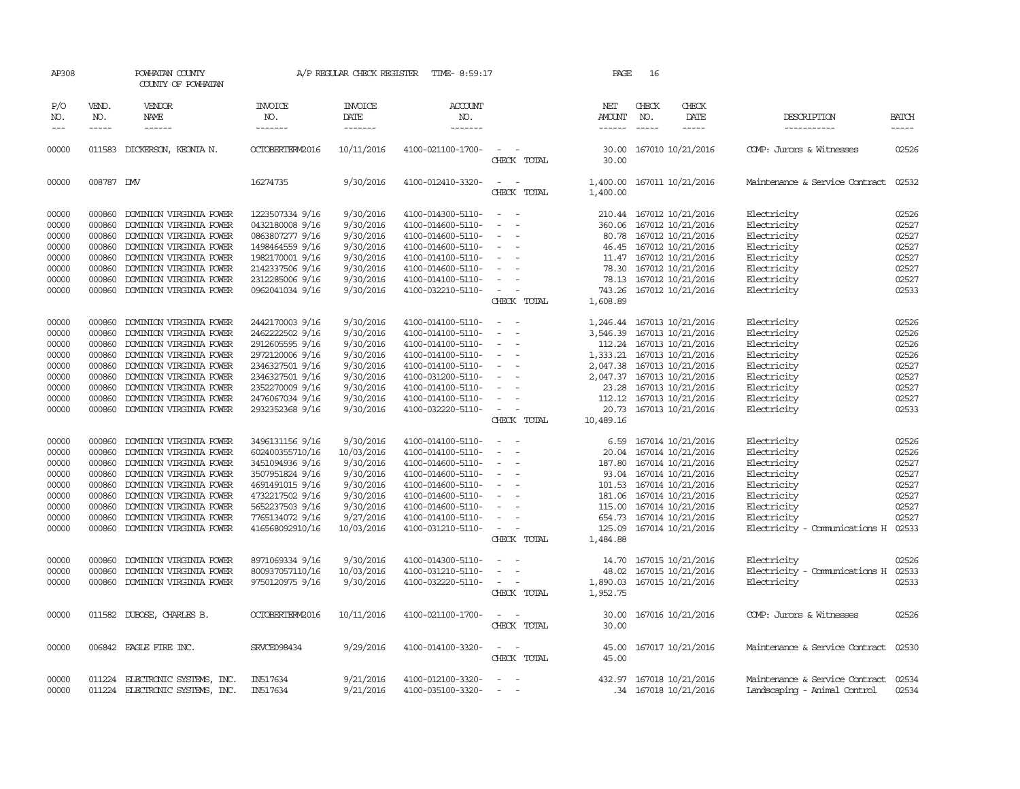| AP308                                                                                                                                                          |                                                                                                                                                                                                                                                                                                                                                                                                                                                                                                     | POWHATAN COUNTY<br>COUNTY OF POWHATAN                                                                                                                                                                                                                                                                                                                                                                                                                                                              |                                                                                                                                                                                                                                                                                                                                                    |                                                                                                                                                                                                                                          | A/P REGULAR CHECK REGISTER TIME-8:59:17                                                                                                                                                                                                                                                                                                                                                |                                                                                                                                                                                                                                                                                                                                                                                                                       | PAGE                                                                                                  | 16                            |                                                                                                                                                                                                                                                                                                                                                                                                                                                                  |                                                                                                                                                                                                                                                                                              |                                                                                                                                                                |
|----------------------------------------------------------------------------------------------------------------------------------------------------------------|-----------------------------------------------------------------------------------------------------------------------------------------------------------------------------------------------------------------------------------------------------------------------------------------------------------------------------------------------------------------------------------------------------------------------------------------------------------------------------------------------------|----------------------------------------------------------------------------------------------------------------------------------------------------------------------------------------------------------------------------------------------------------------------------------------------------------------------------------------------------------------------------------------------------------------------------------------------------------------------------------------------------|----------------------------------------------------------------------------------------------------------------------------------------------------------------------------------------------------------------------------------------------------------------------------------------------------------------------------------------------------|------------------------------------------------------------------------------------------------------------------------------------------------------------------------------------------------------------------------------------------|----------------------------------------------------------------------------------------------------------------------------------------------------------------------------------------------------------------------------------------------------------------------------------------------------------------------------------------------------------------------------------------|-----------------------------------------------------------------------------------------------------------------------------------------------------------------------------------------------------------------------------------------------------------------------------------------------------------------------------------------------------------------------------------------------------------------------|-------------------------------------------------------------------------------------------------------|-------------------------------|------------------------------------------------------------------------------------------------------------------------------------------------------------------------------------------------------------------------------------------------------------------------------------------------------------------------------------------------------------------------------------------------------------------------------------------------------------------|----------------------------------------------------------------------------------------------------------------------------------------------------------------------------------------------------------------------------------------------------------------------------------------------|----------------------------------------------------------------------------------------------------------------------------------------------------------------|
| P/O<br>NO.<br>$\qquad \qquad - -$                                                                                                                              | VEND.<br>NO.<br>$\begin{tabular}{ccccc} \multicolumn{2}{c}{} & \multicolumn{2}{c}{} & \multicolumn{2}{c}{} & \multicolumn{2}{c}{} & \multicolumn{2}{c}{} & \multicolumn{2}{c}{} & \multicolumn{2}{c}{} & \multicolumn{2}{c}{} & \multicolumn{2}{c}{} & \multicolumn{2}{c}{} & \multicolumn{2}{c}{} & \multicolumn{2}{c}{} & \multicolumn{2}{c}{} & \multicolumn{2}{c}{} & \multicolumn{2}{c}{} & \multicolumn{2}{c}{} & \multicolumn{2}{c}{} & \multicolumn{2}{c}{} & \multicolumn{2}{c}{} & \mult$ | VENDOR<br>NAME<br>------                                                                                                                                                                                                                                                                                                                                                                                                                                                                           | INVOICE<br>NO.<br>-------                                                                                                                                                                                                                                                                                                                          | INVOICE<br>DATE<br>-------                                                                                                                                                                                                               | <b>ACCOUNT</b><br>NO.<br>-------                                                                                                                                                                                                                                                                                                                                                       |                                                                                                                                                                                                                                                                                                                                                                                                                       | NET<br>AMOUNT<br>------                                                                               | CHECK<br>NO.<br>$\frac{1}{2}$ | CHECK<br>DATE<br>$- - - - -$                                                                                                                                                                                                                                                                                                                                                                                                                                     | DESCRIPTION<br>-----------                                                                                                                                                                                                                                                                   | <b>BATCH</b><br>-----                                                                                                                                          |
|                                                                                                                                                                |                                                                                                                                                                                                                                                                                                                                                                                                                                                                                                     |                                                                                                                                                                                                                                                                                                                                                                                                                                                                                                    |                                                                                                                                                                                                                                                                                                                                                    |                                                                                                                                                                                                                                          |                                                                                                                                                                                                                                                                                                                                                                                        |                                                                                                                                                                                                                                                                                                                                                                                                                       |                                                                                                       |                               |                                                                                                                                                                                                                                                                                                                                                                                                                                                                  |                                                                                                                                                                                                                                                                                              |                                                                                                                                                                |
| 00000                                                                                                                                                          |                                                                                                                                                                                                                                                                                                                                                                                                                                                                                                     | 011583 DICKERSON, KEONIA N.                                                                                                                                                                                                                                                                                                                                                                                                                                                                        | OCTOBERTERM2016                                                                                                                                                                                                                                                                                                                                    | 10/11/2016                                                                                                                                                                                                                               | 4100-021100-1700-                                                                                                                                                                                                                                                                                                                                                                      | $\sim$ 10 $\pm$<br>CHECK TOTAL                                                                                                                                                                                                                                                                                                                                                                                        | 30.00                                                                                                 |                               | 30.00 167010 10/21/2016                                                                                                                                                                                                                                                                                                                                                                                                                                          | COMP: Jurors & Witnesses                                                                                                                                                                                                                                                                     | 02526                                                                                                                                                          |
| 00000                                                                                                                                                          | 008787 DW                                                                                                                                                                                                                                                                                                                                                                                                                                                                                           |                                                                                                                                                                                                                                                                                                                                                                                                                                                                                                    | 16274735                                                                                                                                                                                                                                                                                                                                           | 9/30/2016                                                                                                                                                                                                                                | 4100-012410-3320-                                                                                                                                                                                                                                                                                                                                                                      | $\sim$<br>$\sim$<br>CHECK TOTAL                                                                                                                                                                                                                                                                                                                                                                                       | 1,400.00<br>1,400.00                                                                                  |                               | 167011 10/21/2016                                                                                                                                                                                                                                                                                                                                                                                                                                                | Maintenance & Service Contract                                                                                                                                                                                                                                                               | 02532                                                                                                                                                          |
| 00000<br>00000<br>00000<br>00000<br>00000<br>00000<br>00000<br>00000                                                                                           | 000860<br>000860<br>000860<br>000860<br>000860<br>000860<br>000860<br>000860                                                                                                                                                                                                                                                                                                                                                                                                                        | DOMINION VIRGINIA POWER<br>DOMINION VIRGINIA POWER<br>DOMINION VIRGINIA POWER<br>DOMINION VIRGINIA POWER<br>DOMINION VIRGINIA POWER<br>DOMINION VIRGINIA POWER<br>DOMINION VIRGINIA POWER<br>DOMINION VIRGINIA POWER                                                                                                                                                                                                                                                                               | 1223507334 9/16<br>0432180008 9/16<br>0863807277 9/16<br>1498464559 9/16<br>1982170001 9/16<br>2142337506 9/16<br>2312285006 9/16<br>0962041034 9/16                                                                                                                                                                                               | 9/30/2016<br>9/30/2016<br>9/30/2016<br>9/30/2016<br>9/30/2016<br>9/30/2016<br>9/30/2016<br>9/30/2016                                                                                                                                     | 4100-014300-5110-<br>4100-014600-5110-<br>4100-014600-5110-<br>4100-014600-5110-<br>4100-014100-5110-<br>4100-014600-5110-<br>4100-014100-5110-<br>4100-032210-5110-                                                                                                                                                                                                                   | $\sim$<br>$\overline{\phantom{a}}$<br>$\overline{\phantom{a}}$<br>$\overline{\phantom{a}}$<br>$\equiv$<br>$\sim$<br>$\sim$<br>$\overline{\phantom{a}}$                                                                                                                                                                                                                                                                |                                                                                                       |                               | 210.44 167012 10/21/2016<br>360.06 167012 10/21/2016<br>80.78 167012 10/21/2016<br>46.45 167012 10/21/2016<br>11.47 167012 10/21/2016<br>78.30 167012 10/21/2016<br>78.13 167012 10/21/2016<br>743.26 167012 10/21/2016                                                                                                                                                                                                                                          | Electricity<br>Electricity<br>Electricity<br>Electricity<br>Electricity<br>Electricity<br>Electricity<br>Electricity                                                                                                                                                                         | 02526<br>02527<br>02527<br>02527<br>02527<br>02527<br>02527<br>02533                                                                                           |
|                                                                                                                                                                |                                                                                                                                                                                                                                                                                                                                                                                                                                                                                                     |                                                                                                                                                                                                                                                                                                                                                                                                                                                                                                    |                                                                                                                                                                                                                                                                                                                                                    |                                                                                                                                                                                                                                          |                                                                                                                                                                                                                                                                                                                                                                                        | CHECK TOTAL                                                                                                                                                                                                                                                                                                                                                                                                           | 1,608.89                                                                                              |                               |                                                                                                                                                                                                                                                                                                                                                                                                                                                                  |                                                                                                                                                                                                                                                                                              |                                                                                                                                                                |
| 00000<br>00000<br>00000<br>00000<br>00000<br>00000<br>00000<br>00000<br>00000<br>00000<br>00000<br>00000<br>00000<br>00000<br>00000<br>00000<br>00000<br>00000 | 000860<br>000860<br>000860<br>000860<br>000860<br>000860<br>000860<br>000860<br>000860<br>000860<br>000860<br>000860<br>000860<br>000860<br>000860<br>000860<br>000860<br>000860                                                                                                                                                                                                                                                                                                                    | DOMINION VIRGINIA POWER<br>DOMINION VIRGINIA POWER<br>DOMINION VIRGINIA POWER<br>DOMINION VIRGINIA POWER<br>DOMINION VIRGINIA POWER<br>DOMINION VIRGINIA POWER<br>DOMINION VIRGINIA POWER<br>DOMINION VIRGINIA POWER<br>DOMINION VIRGINIA POWER<br>DOMINION VIRGINIA POWER<br>DOMINION VIRGINIA POWER<br>DOMINION VIRGINIA POWER<br>DOMINION VIRGINIA POWER<br>DOMINION VIRGINIA POWER<br>DOMINION VIRGINIA POWER<br>DOMINION VIRGINIA POWER<br>DOMINION VIRGINIA POWER<br>DOMINION VIRGINIA POWER | 2442170003 9/16<br>2462222502 9/16<br>2912605595 9/16<br>2972120006 9/16<br>2346327501 9/16<br>2346327501 9/16<br>2352270009 9/16<br>2476067034 9/16<br>2932352368 9/16<br>3496131156 9/16<br>602400355710/16<br>3451094936 9/16<br>3507951824 9/16<br>4691491015 9/16<br>4732217502 9/16<br>5652237503 9/16<br>7765134072 9/16<br>416568092910/16 | 9/30/2016<br>9/30/2016<br>9/30/2016<br>9/30/2016<br>9/30/2016<br>9/30/2016<br>9/30/2016<br>9/30/2016<br>9/30/2016<br>9/30/2016<br>10/03/2016<br>9/30/2016<br>9/30/2016<br>9/30/2016<br>9/30/2016<br>9/30/2016<br>9/27/2016<br>10/03/2016 | 4100-014100-5110-<br>4100-014100-5110-<br>4100-014100-5110-<br>4100-014100-5110-<br>4100-014100-5110-<br>4100-031200-5110-<br>4100-014100-5110-<br>4100-014100-5110-<br>4100-032220-5110-<br>4100-014100-5110-<br>4100-014100-5110-<br>4100-014600-5110-<br>4100-014600-5110-<br>4100-014600-5110-<br>4100-014600-5110-<br>4100-014600-5110-<br>4100-014100-5110-<br>4100-031210-5110- | $\sim$<br>$\sim$<br>$\overline{\phantom{a}}$<br>$\overline{\phantom{a}}$<br>$\overline{\phantom{a}}$<br>$\sim$<br>$\overline{\phantom{a}}$<br>$\overline{\phantom{a}}$<br>$\overline{\phantom{a}}$<br>CHECK TOTAL<br>$\omega_{\rm{max}}$ and $\omega_{\rm{max}}$<br>$\sim$<br>$\overline{\phantom{a}}$<br>$\overline{\phantom{a}}$<br>$\sim$<br>$\sim$<br>$\sim$<br>$\sim$<br>$\overline{\phantom{a}}$<br>CHECK TOTAL | 1,246.44<br>1,333.21<br>112.12<br>20.73<br>10,489.16<br>6.59<br>20.04<br>115.00<br>125.09<br>1,484.88 |                               | 167013 10/21/2016<br>3,546.39 167013 10/21/2016<br>112.24 167013 10/21/2016<br>167013 10/21/2016<br>2,047.38 167013 10/21/2016<br>2,047.37 167013 10/21/2016<br>23.28 167013 10/21/2016<br>167013 10/21/2016<br>167013 10/21/2016<br>167014 10/21/2016<br>167014 10/21/2016<br>187.80 167014 10/21/2016<br>93.04 167014 10/21/2016<br>101.53 167014 10/21/2016<br>181.06 167014 10/21/2016<br>167014 10/21/2016<br>654.73 167014 10/21/2016<br>167014 10/21/2016 | Electricity<br>Electricity<br>Electricity<br>Electricity<br>Electricity<br>Electricity<br>Electricity<br>Electricity<br>Electricity<br>Electricity<br>Electricity<br>Electricity<br>Electricity<br>Electricity<br>Electricity<br>Electricity<br>Electricity<br>Electricity - Comunications H | 02526<br>02526<br>02526<br>02526<br>02527<br>02527<br>02527<br>02527<br>02533<br>02526<br>02526<br>02527<br>02527<br>02527<br>02527<br>02527<br>02527<br>02533 |
| 00000<br>00000<br>00000                                                                                                                                        | 000860<br>000860<br>000860                                                                                                                                                                                                                                                                                                                                                                                                                                                                          | DOMINION VIRGINIA POWER<br>DOMINION VIRGINIA POWER<br>DOMINION VIRGINIA POWER                                                                                                                                                                                                                                                                                                                                                                                                                      | 8971069334 9/16<br>800937057110/16<br>9750120975 9/16                                                                                                                                                                                                                                                                                              | 9/30/2016<br>10/03/2016<br>9/30/2016                                                                                                                                                                                                     | 4100-014300-5110-<br>4100-031210-5110-<br>4100-032220-5110-                                                                                                                                                                                                                                                                                                                            | $\sim$<br>$\equiv$<br>$\overline{\phantom{a}}$<br>$\overline{\phantom{a}}$<br>CHECK TOTAL                                                                                                                                                                                                                                                                                                                             | 14.70<br>48.02<br>1,890.03<br>1,952.75                                                                |                               | 167015 10/21/2016<br>167015 10/21/2016<br>167015 10/21/2016                                                                                                                                                                                                                                                                                                                                                                                                      | Electricity<br>Electricity - Comunications H<br>Electricity                                                                                                                                                                                                                                  | 02526<br>02533<br>02533                                                                                                                                        |
| 00000                                                                                                                                                          |                                                                                                                                                                                                                                                                                                                                                                                                                                                                                                     | 011582 DUBOSE, CHARLES B.                                                                                                                                                                                                                                                                                                                                                                                                                                                                          | OCTOBERTERM2016                                                                                                                                                                                                                                                                                                                                    | 10/11/2016                                                                                                                                                                                                                               | 4100-021100-1700-                                                                                                                                                                                                                                                                                                                                                                      | $\frac{1}{2} \left( \frac{1}{2} \right) \left( \frac{1}{2} \right) = \frac{1}{2} \left( \frac{1}{2} \right)$<br>CHECK TOTAL                                                                                                                                                                                                                                                                                           | 30.00<br>30.00                                                                                        |                               | 167016 10/21/2016                                                                                                                                                                                                                                                                                                                                                                                                                                                | COMP: Jurors & Witnesses                                                                                                                                                                                                                                                                     | 02526                                                                                                                                                          |
| 00000                                                                                                                                                          |                                                                                                                                                                                                                                                                                                                                                                                                                                                                                                     | 006842 EAGLE FIRE INC.                                                                                                                                                                                                                                                                                                                                                                                                                                                                             | SRVCE098434                                                                                                                                                                                                                                                                                                                                        | 9/29/2016                                                                                                                                                                                                                                | 4100-014100-3320-                                                                                                                                                                                                                                                                                                                                                                      | $\sim$<br>$\sim$<br>CHECK TOTAL                                                                                                                                                                                                                                                                                                                                                                                       | 45.00<br>45.00                                                                                        |                               | 167017 10/21/2016                                                                                                                                                                                                                                                                                                                                                                                                                                                | Maintenance & Service Contract 02530                                                                                                                                                                                                                                                         |                                                                                                                                                                |
| 00000<br>00000                                                                                                                                                 | 011224                                                                                                                                                                                                                                                                                                                                                                                                                                                                                              | 011224 ELECTRONIC SYSTEMS, INC.<br>ELECTRONIC SYSTEMS, INC.                                                                                                                                                                                                                                                                                                                                                                                                                                        | IN517634<br>IN517634                                                                                                                                                                                                                                                                                                                               | 9/21/2016<br>9/21/2016                                                                                                                                                                                                                   | 4100-012100-3320-<br>4100-035100-3320-                                                                                                                                                                                                                                                                                                                                                 | $\sim$<br>$\sim$                                                                                                                                                                                                                                                                                                                                                                                                      |                                                                                                       |                               | 432.97 167018 10/21/2016<br>.34 167018 10/21/2016                                                                                                                                                                                                                                                                                                                                                                                                                | Maintenance & Service Contract<br>Landscaping - Animal Control                                                                                                                                                                                                                               | 02534<br>02534                                                                                                                                                 |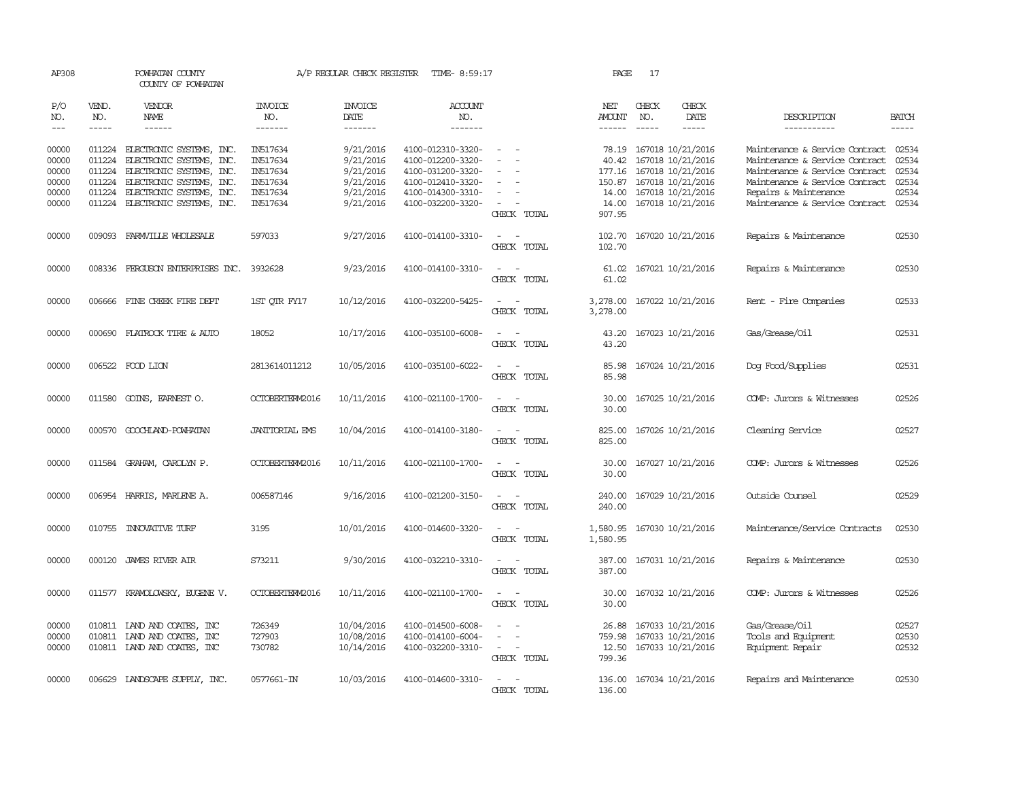| AP308                   |                       | POWHATAN COUNTY<br>COUNTY OF POWHATAN                                                     |                                  | A/P REGULAR CHECK REGISTER               | TIME- 8:59:17                                               |                                         | PAGE                               | 17           |                                                             |                                                           |                             |
|-------------------------|-----------------------|-------------------------------------------------------------------------------------------|----------------------------------|------------------------------------------|-------------------------------------------------------------|-----------------------------------------|------------------------------------|--------------|-------------------------------------------------------------|-----------------------------------------------------------|-----------------------------|
| P/O<br>NO.<br>$---$     | VEND.<br>NO.<br>----- | VENDOR<br><b>NAME</b><br>------                                                           | <b>INVOICE</b><br>NO.<br>------- | <b>INVOICE</b><br><b>DATE</b><br>------- | <b>ACCOUNT</b><br>NO.<br>-------                            |                                         | NET<br><b>AMOUNT</b><br>------     | CHECK<br>NO. | CHECK<br>DATE<br>-----                                      | DESCRIPTION<br>-----------                                | <b>BATCH</b><br>$- - - - -$ |
|                         |                       |                                                                                           |                                  |                                          |                                                             |                                         |                                    |              |                                                             |                                                           |                             |
| 00000                   |                       | 011224 ELECTRONIC SYSTEMS, INC.                                                           | IN517634                         | 9/21/2016                                | 4100-012310-3320-                                           | $\sim$                                  |                                    |              | 78.19 167018 10/21/2016                                     | Maintenance & Service Contract                            | 02534                       |
| 00000                   | 011224                | ELECTRONIC SYSTEMS, INC.                                                                  | IN517634                         | 9/21/2016                                | 4100-012200-3320-                                           |                                         | 40.42                              |              | 167018 10/21/2016                                           | Maintenance & Service Contract                            | 02534                       |
| 00000                   | 011224                | ELECTRONIC SYSTEMS, INC.                                                                  | IN517634                         | 9/21/2016                                | 4100-031200-3320-                                           |                                         | 177.16                             |              | 167018 10/21/2016                                           | Maintenance & Service Contract                            | 02534                       |
| 00000                   | 011224                | ELECTRONIC SYSTEMS, INC.                                                                  | IN517634                         | 9/21/2016                                | 4100-012410-3320-                                           |                                         | 150.87                             |              | 167018 10/21/2016                                           | Maintenance & Service Contract                            | 02534                       |
| 00000                   | 011224                | ELECTRONIC SYSTEMS, INC.<br>011224 ELECTRONIC SYSTEMS, INC.                               | IN517634<br>IN517634             | 9/21/2016<br>9/21/2016                   | 4100-014300-3310-                                           | $\overline{\phantom{a}}$                | 14.00                              |              | 167018 10/21/2016                                           | Repairs & Maintenance<br>Maintenance & Service Contract   | 02534<br>02534              |
| 00000                   |                       |                                                                                           |                                  |                                          | 4100-032200-3320-                                           | CHECK TOTAL                             | 14.00<br>907.95                    |              | 167018 10/21/2016                                           |                                                           |                             |
| 00000                   |                       | 009093 FARMVILLE WHOLESALE                                                                | 597033                           | 9/27/2016                                | 4100-014100-3310-                                           | CHECK TOTAL                             | 102.70<br>102.70                   |              | 167020 10/21/2016                                           | Repairs & Maintenance                                     | 02530                       |
| 00000                   |                       | 008336 FERGUSON ENTERPRISES INC.                                                          | 3932628                          | 9/23/2016                                | 4100-014100-3310-                                           | $\equiv$<br>CHECK TOTAL                 | 61.02<br>61.02                     |              | 167021 10/21/2016                                           | Repairs & Maintenance                                     | 02530                       |
|                         |                       |                                                                                           |                                  |                                          |                                                             |                                         |                                    |              |                                                             |                                                           |                             |
| 00000                   |                       | 006666 FINE CREEK FIRE DEPT                                                               | 1ST QTR FY17                     | 10/12/2016                               | 4100-032200-5425-                                           | CHECK TOTAL                             | 3,278.00<br>3,278.00               |              | 167022 10/21/2016                                           | Rent - Fire Companies                                     | 02533                       |
| 00000                   |                       | 000690 FLATROCK TIRE & AUTO                                                               | 18052                            | 10/17/2016                               | 4100-035100-6008-                                           |                                         | 43.20                              |              | 167023 10/21/2016                                           | Gas/Grease/Oil                                            | 02531                       |
|                         |                       |                                                                                           |                                  |                                          |                                                             | CHECK TOTAL                             | 43.20                              |              |                                                             |                                                           |                             |
| 00000                   |                       | 006522 FOOD LION                                                                          | 2813614011212                    | 10/05/2016                               | 4100-035100-6022-                                           | $\sim$<br>CHECK TOTAL                   | 85.98<br>85.98                     |              | 167024 10/21/2016                                           | Dog Food/Supplies                                         | 02531                       |
| 00000                   | 011580                | GOINS, EARNEST O.                                                                         | OCTOBERTERM2016                  | 10/11/2016                               | 4100-021100-1700-                                           | $\sim$<br>CHECK TOTAL                   | 30.00<br>30.00                     |              | 167025 10/21/2016                                           | COMP: Jurors & Witnesses                                  | 02526                       |
| 00000                   | 000570                | GOOCHLAND-POWHATAN                                                                        | <b>JANITORIAL EMS</b>            | 10/04/2016                               | 4100-014100-3180-                                           | $\overline{\phantom{a}}$<br>$\sim$      | 825.00                             |              | 167026 10/21/2016                                           | Cleaning Service                                          | 02527                       |
|                         |                       |                                                                                           |                                  |                                          |                                                             | CHECK TOTAL                             | 825.00                             |              |                                                             |                                                           |                             |
| 00000                   |                       | 011584 GRAHAM, CAROLYN P.                                                                 | OCTOBERTERM2016                  | 10/11/2016                               | 4100-021100-1700-                                           | CHECK TOTAL                             | 30.00<br>30.00                     |              | 167027 10/21/2016                                           | COMP: Jurors & Witnesses                                  | 02526                       |
| 00000                   |                       | 006954 HARRIS, MARLENE A.                                                                 | 006587146                        | 9/16/2016                                | 4100-021200-3150-                                           | $\equiv$<br>$\sim$<br>CHECK TOTAL       | 240.00<br>240.00                   |              | 167029 10/21/2016                                           | Outside Counsel                                           | 02529                       |
| 00000                   |                       | 010755 INNOVATIVE TURF                                                                    | 3195                             | 10/01/2016                               | 4100-014600-3320-                                           | CHECK TOTAL                             | 1,580.95<br>1,580.95               |              | 167030 10/21/2016                                           | Maintenance/Service Contracts                             | 02530                       |
| 00000                   | 000120                | <b>JAMES RIVER AIR</b>                                                                    | S73211                           | 9/30/2016                                | 4100-032210-3310-                                           | CHECK TOTAL                             | 387.00<br>387.00                   |              | 167031 10/21/2016                                           | Repairs & Maintenance                                     | 02530                       |
| 00000                   |                       | 011577 KRAMOLOWSKY, EUGENE V.                                                             | OCTOBERTERM2016                  | 10/11/2016                               | 4100-021100-1700-                                           | CHECK TOTAL                             | 30.00<br>30.00                     |              | 167032 10/21/2016                                           | COMP: Jurors & Witnesses                                  | 02526                       |
| 00000<br>00000<br>00000 |                       | 010811 LAND AND COATES, INC<br>010811 IAND AND COATES, INC<br>010811 IAND AND COATES, INC | 726349<br>727903<br>730782       | 10/04/2016<br>10/08/2016<br>10/14/2016   | 4100-014500-6008-<br>4100-014100-6004-<br>4100-032200-3310- | $\overline{\phantom{a}}$<br>CHECK TOTAL | 26.88<br>759.98<br>12.50<br>799.36 |              | 167033 10/21/2016<br>167033 10/21/2016<br>167033 10/21/2016 | Gas/Grease/Oil<br>Tools and Equipment<br>Equipment Repair | 02527<br>02530<br>02532     |
| 00000                   |                       | 006629 LANDSCAPE SUPPLY, INC.                                                             | 0577661-IN                       | 10/03/2016                               | 4100-014600-3310-                                           | $\overline{\phantom{a}}$<br>CHECK TOTAL | 136.00<br>136.00                   |              | 167034 10/21/2016                                           | Repairs and Maintenance                                   | 02530                       |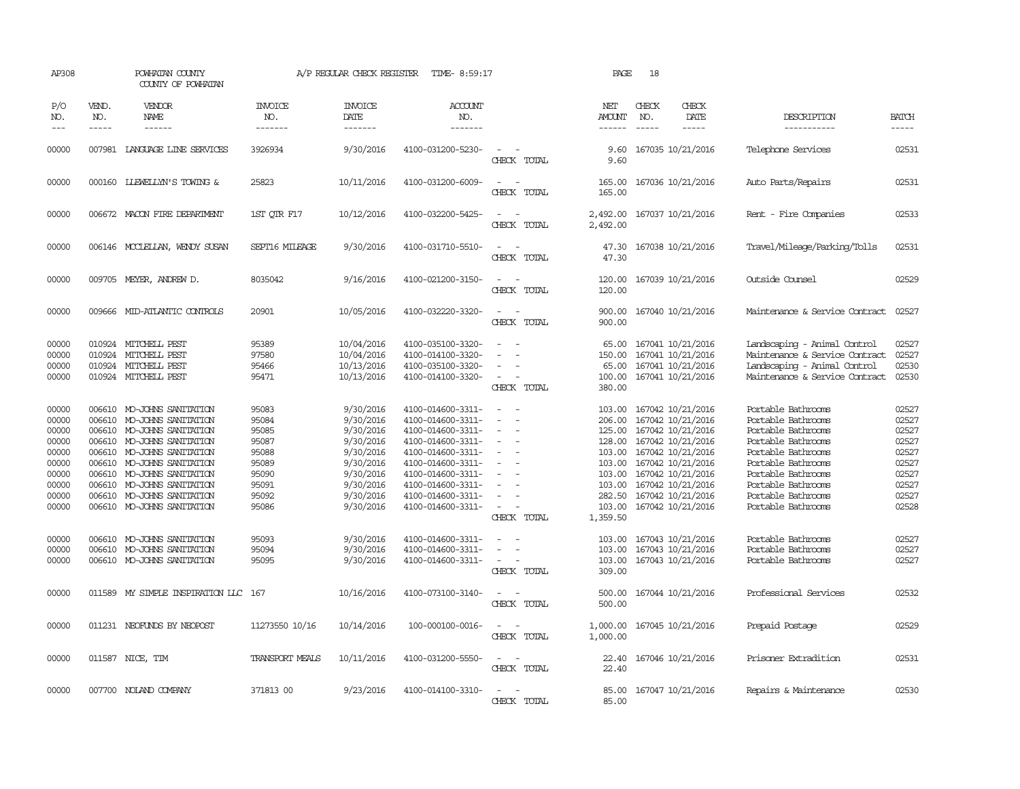| AP308                                                                                  |                                                | POWHATAN COUNTY<br>COUNTY OF POWHATAN                                                                                                                                                                                                                                 |                                                                                        | A/P REGULAR CHECK REGISTER                                                                                                     | TIME- 8:59:17                                                                                                                                                                                                  |                                                                               | PAGE                                                                                               | 18                          |                                                                                                                                                                                                                       |                                                                                                                                                                                                                          |                                                                                        |
|----------------------------------------------------------------------------------------|------------------------------------------------|-----------------------------------------------------------------------------------------------------------------------------------------------------------------------------------------------------------------------------------------------------------------------|----------------------------------------------------------------------------------------|--------------------------------------------------------------------------------------------------------------------------------|----------------------------------------------------------------------------------------------------------------------------------------------------------------------------------------------------------------|-------------------------------------------------------------------------------|----------------------------------------------------------------------------------------------------|-----------------------------|-----------------------------------------------------------------------------------------------------------------------------------------------------------------------------------------------------------------------|--------------------------------------------------------------------------------------------------------------------------------------------------------------------------------------------------------------------------|----------------------------------------------------------------------------------------|
| P/O<br>NO.<br>$\frac{1}{2}$                                                            | VEND.<br>NO.<br>$- - - - -$                    | <b>VENDOR</b><br><b>NAME</b><br>------                                                                                                                                                                                                                                | <b>INVOICE</b><br>NO.<br>-------                                                       | <b>INVOICE</b><br>DATE<br>-------                                                                                              | ACCOUNT<br>NO.<br>-------                                                                                                                                                                                      |                                                                               | NET<br>AMOUNT<br>$- - - - - -$                                                                     | CHECK<br>NO.<br>$- - - - -$ | CHECK<br>DATE<br>-----                                                                                                                                                                                                | DESCRIPTION<br>-----------                                                                                                                                                                                               | <b>BATCH</b><br>-----                                                                  |
| 00000                                                                                  |                                                | 007981 LANGUAGE LINE SERVICES                                                                                                                                                                                                                                         | 3926934                                                                                | 9/30/2016                                                                                                                      | 4100-031200-5230-                                                                                                                                                                                              | CHECK TOTAL                                                                   | 9.60                                                                                               |                             | 9.60 167035 10/21/2016                                                                                                                                                                                                | Telephone Services                                                                                                                                                                                                       | 02531                                                                                  |
| 00000                                                                                  |                                                | 000160 LIEWELLYN'S TOWING &                                                                                                                                                                                                                                           | 25823                                                                                  | 10/11/2016                                                                                                                     | 4100-031200-6009-                                                                                                                                                                                              | CHECK TOTAL                                                                   | 165.00<br>165.00                                                                                   |                             | 167036 10/21/2016                                                                                                                                                                                                     | Auto Parts/Repairs                                                                                                                                                                                                       | 02531                                                                                  |
| 00000                                                                                  |                                                | 006672 MACON FIRE DEPARTMENT                                                                                                                                                                                                                                          | 1ST OTR F17                                                                            | 10/12/2016                                                                                                                     | 4100-032200-5425-                                                                                                                                                                                              | CHECK TOTAL                                                                   | 2,492.00<br>2,492.00                                                                               |                             | 167037 10/21/2016                                                                                                                                                                                                     | Rent - Fire Companies                                                                                                                                                                                                    | 02533                                                                                  |
| 00000                                                                                  |                                                | 006146 MCCLELLAN, WENDY SUSAN                                                                                                                                                                                                                                         | SEPT16 MILEAGE                                                                         | 9/30/2016                                                                                                                      | 4100-031710-5510-                                                                                                                                                                                              | $\overline{\phantom{a}}$<br>CHECK TOTAL                                       | 47.30<br>47.30                                                                                     |                             | 167038 10/21/2016                                                                                                                                                                                                     | Travel/Mileage/Parking/Tolls                                                                                                                                                                                             | 02531                                                                                  |
| 00000                                                                                  |                                                | 009705 MEYER, ANDREW D.                                                                                                                                                                                                                                               | 8035042                                                                                | 9/16/2016                                                                                                                      | 4100-021200-3150-                                                                                                                                                                                              | $\overline{\phantom{a}}$<br>CHECK TOTAL                                       | 120.00<br>120.00                                                                                   |                             | 167039 10/21/2016                                                                                                                                                                                                     | Outside Counsel                                                                                                                                                                                                          | 02529                                                                                  |
| 00000                                                                                  |                                                | 009666 MID-ATLANTIC CONTROLS                                                                                                                                                                                                                                          | 20901                                                                                  | 10/05/2016                                                                                                                     | 4100-032220-3320-                                                                                                                                                                                              | CHECK TOTAL                                                                   | 900.00<br>900.00                                                                                   |                             | 167040 10/21/2016                                                                                                                                                                                                     | Maintenance & Service Contract                                                                                                                                                                                           | 02527                                                                                  |
| 00000<br>00000<br>00000<br>00000                                                       | 010924<br>010924                               | MITCHELL PEST<br>MITCHELL PEST<br>010924 MITCHELL PEST<br>010924 MITCHELL PEST                                                                                                                                                                                        | 95389<br>97580<br>95466<br>95471                                                       | 10/04/2016<br>10/04/2016<br>10/13/2016<br>10/13/2016                                                                           | 4100-035100-3320-<br>4100-014100-3320-<br>4100-035100-3320-<br>4100-014100-3320-                                                                                                                               | CHECK TOTAL                                                                   | 65.00<br>150.00<br>65.00<br>100.00<br>380.00                                                       |                             | 167041 10/21/2016<br>167041 10/21/2016<br>167041 10/21/2016<br>167041 10/21/2016                                                                                                                                      | Landscaping - Animal Control<br>Maintenance & Service Contract<br>Landscaping - Animal Control<br>Maintenance & Service Contract                                                                                         | 02527<br>02527<br>02530<br>02530                                                       |
| 00000<br>00000<br>00000<br>00000<br>00000<br>00000<br>00000<br>00000<br>00000<br>00000 | 006610<br>006610<br>006610<br>006610<br>006610 | 006610 MO-JOHNS SANITATION<br>MO-JOHNS SANITATION<br>MO-JOHNS SANITATION<br>006610 MO-JOHNS SANITATION<br>MO-JOHNS SANITATION<br>006610 MO-JOHNS SANITATION<br>MO-JOHNS SANITATION<br>006610 MO-JOHNS SANITATION<br>MO-JOHNS SANITATION<br>006610 MO-JOHNS SANITATION | 95083<br>95084<br>95085<br>95087<br>95088<br>95089<br>95090<br>95091<br>95092<br>95086 | 9/30/2016<br>9/30/2016<br>9/30/2016<br>9/30/2016<br>9/30/2016<br>9/30/2016<br>9/30/2016<br>9/30/2016<br>9/30/2016<br>9/30/2016 | 4100-014600-3311-<br>4100-014600-3311-<br>4100-014600-3311-<br>4100-014600-3311-<br>4100-014600-3311-<br>4100-014600-3311-<br>4100-014600-3311-<br>4100-014600-3311-<br>4100-014600-3311-<br>4100-014600-3311- | $\sim$<br>$\overline{\phantom{a}}$<br>$\overline{\phantom{a}}$<br>CHECK TOTAL | 103.00<br>206.00<br>125.00<br>103.00<br>103.00<br>103.00<br>103.00<br>282.50<br>103.00<br>1,359.50 |                             | 167042 10/21/2016<br>167042 10/21/2016<br>167042 10/21/2016<br>128.00 167042 10/21/2016<br>167042 10/21/2016<br>167042 10/21/2016<br>167042 10/21/2016<br>167042 10/21/2016<br>167042 10/21/2016<br>167042 10/21/2016 | Portable Bathrooms<br>Portable Bathrooms<br>Portable Bathrooms<br>Portable Bathrooms<br>Portable Bathrooms<br>Portable Bathrooms<br>Portable Bathrooms<br>Portable Bathrooms<br>Portable Bathrooms<br>Portable Bathrooms | 02527<br>02527<br>02527<br>02527<br>02527<br>02527<br>02527<br>02527<br>02527<br>02528 |
| 00000<br>00000<br>00000                                                                | 006610<br>006610                               | MO-JOHNS SANITATION<br>MO-JOHNS SANITATION<br>006610 MO-JOHNS SANITATION                                                                                                                                                                                              | 95093<br>95094<br>95095                                                                | 9/30/2016<br>9/30/2016<br>9/30/2016                                                                                            | 4100-014600-3311-<br>4100-014600-3311-<br>4100-014600-3311-                                                                                                                                                    | $\equiv$<br>CHECK TOTAL                                                       | 103.00<br>103.00<br>103.00<br>309.00                                                               |                             | 167043 10/21/2016<br>167043 10/21/2016<br>167043 10/21/2016                                                                                                                                                           | Portable Bathrooms<br>Portable Bathrooms<br>Portable Bathrooms                                                                                                                                                           | 02527<br>02527<br>02527                                                                |
| 00000                                                                                  |                                                | 011589 MY SIMPLE INSPIRATION LLC 167                                                                                                                                                                                                                                  |                                                                                        | 10/16/2016                                                                                                                     | 4100-073100-3140-                                                                                                                                                                                              | $\sim$<br>CHECK TOTAL                                                         | 500.00<br>500.00                                                                                   |                             | 167044 10/21/2016                                                                                                                                                                                                     | Professional Services                                                                                                                                                                                                    | 02532                                                                                  |
| 00000                                                                                  |                                                | 011231 NEOFUNDS BY NEOPOST                                                                                                                                                                                                                                            | 11273550 10/16                                                                         | 10/14/2016                                                                                                                     | 100-000100-0016-                                                                                                                                                                                               | CHECK TOTAL                                                                   | 1,000.00<br>1,000.00                                                                               |                             | 167045 10/21/2016                                                                                                                                                                                                     | Prepaid Postage                                                                                                                                                                                                          | 02529                                                                                  |
| 00000                                                                                  |                                                | 011587 NICE, TIM                                                                                                                                                                                                                                                      | TRANSPORT MEALS                                                                        | 10/11/2016                                                                                                                     | 4100-031200-5550-                                                                                                                                                                                              | $\sim$<br>CHECK TOTAL                                                         | 22.40<br>22.40                                                                                     |                             | 167046 10/21/2016                                                                                                                                                                                                     | Prisoner Extradition                                                                                                                                                                                                     | 02531                                                                                  |
| 00000                                                                                  |                                                | 007700 NOLAND COMPANY                                                                                                                                                                                                                                                 | 371813 00                                                                              | 9/23/2016                                                                                                                      | 4100-014100-3310-                                                                                                                                                                                              | CHECK TOTAL                                                                   | 85.00<br>85.00                                                                                     |                             | 167047 10/21/2016                                                                                                                                                                                                     | Repairs & Maintenance                                                                                                                                                                                                    | 02530                                                                                  |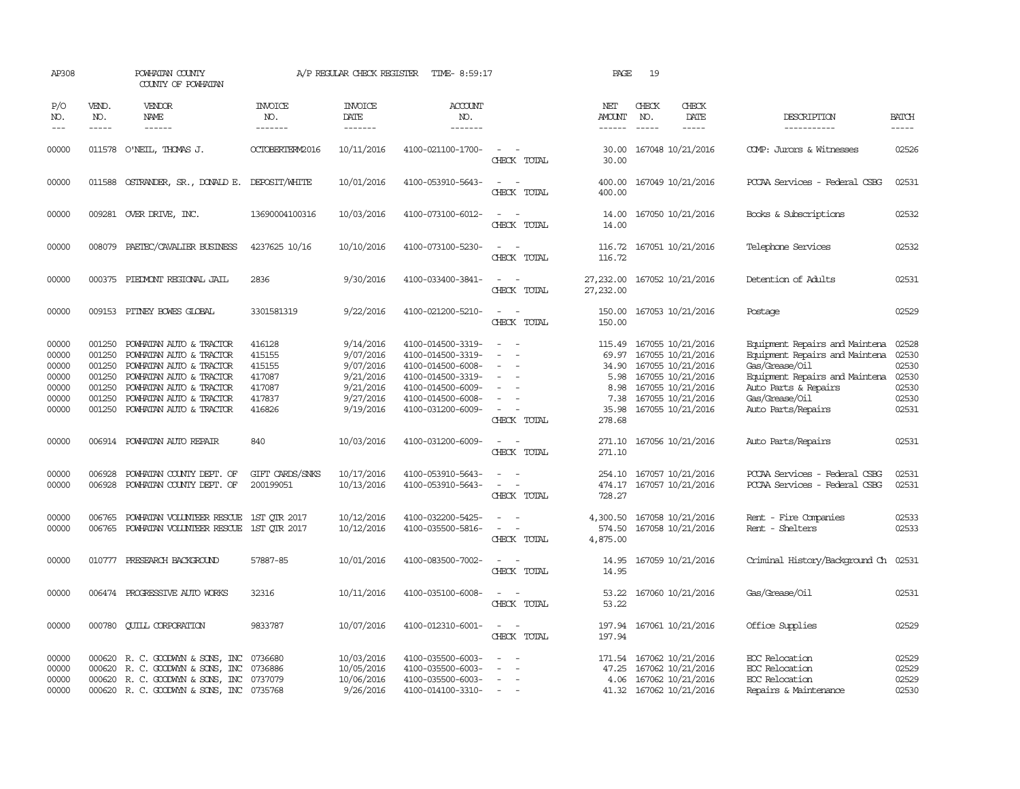| AP308                                                       |                                                          | POWHATAN COUNTY<br>COUNTY OF POWHATAN                                                                                                                                                            | A/P REGULAR CHECK REGISTER<br>TIME- 8:59:17                        |                                                                                         |                                                                                                                                                 |                                                                                                                             | PAGE                                                       | 19                            |                                                                                                                                                       |                                                                                                                                                                                      |                                                             |
|-------------------------------------------------------------|----------------------------------------------------------|--------------------------------------------------------------------------------------------------------------------------------------------------------------------------------------------------|--------------------------------------------------------------------|-----------------------------------------------------------------------------------------|-------------------------------------------------------------------------------------------------------------------------------------------------|-----------------------------------------------------------------------------------------------------------------------------|------------------------------------------------------------|-------------------------------|-------------------------------------------------------------------------------------------------------------------------------------------------------|--------------------------------------------------------------------------------------------------------------------------------------------------------------------------------------|-------------------------------------------------------------|
| P/O<br>NO.<br>$---$                                         | VEND.<br>NO.<br>$- - - - -$                              | <b>VENDOR</b><br>NAME<br>------                                                                                                                                                                  | <b>INVOICE</b><br>NO.<br>-------                                   | <b>INVOICE</b><br>DATE<br>-------                                                       | <b>ACCOUNT</b><br>NO.<br>-------                                                                                                                |                                                                                                                             | NET<br>AMOUNT<br>------                                    | CHECK<br>NO.<br>$\frac{1}{2}$ | CHECK<br>DATE<br>$- - - - -$                                                                                                                          | DESCRIPTION<br>-----------                                                                                                                                                           | <b>BATCH</b><br>$- - - - -$                                 |
| 00000                                                       |                                                          | 011578 O'NEIL, THOMAS J.                                                                                                                                                                         | OCTOBERTERM2016                                                    | 10/11/2016                                                                              | 4100-021100-1700-                                                                                                                               | $\sim$<br>CHECK TOTAL                                                                                                       | 30.00<br>30.00                                             |                               | 167048 10/21/2016                                                                                                                                     | COMP: Jurors & Witnesses                                                                                                                                                             | 02526                                                       |
| 00000                                                       |                                                          | 011588 OSTRANDER, SR., DONALD E. DEPOSIT/WHITE                                                                                                                                                   |                                                                    | 10/01/2016                                                                              | 4100-053910-5643-                                                                                                                               | $\sim$ 10 $\,$<br>CHECK TOTAL                                                                                               | 400.00<br>400.00                                           |                               | 167049 10/21/2016                                                                                                                                     | PCCAA Services - Federal CSBG                                                                                                                                                        | 02531                                                       |
| 00000                                                       |                                                          | 009281 OVER DRIVE, INC.                                                                                                                                                                          | 13690004100316                                                     | 10/03/2016                                                                              | 4100-073100-6012-                                                                                                                               | $\frac{1}{2} \left( \frac{1}{2} \right) \left( \frac{1}{2} \right) = \frac{1}{2} \left( \frac{1}{2} \right)$<br>CHECK TOTAL | 14.00<br>14.00                                             |                               | 167050 10/21/2016                                                                                                                                     | Books & Subscriptions                                                                                                                                                                | 02532                                                       |
| 00000                                                       |                                                          | 008079 PAETEC/CAVALIER BUSINESS                                                                                                                                                                  | 4237625 10/16                                                      | 10/10/2016                                                                              | 4100-073100-5230-                                                                                                                               | $\sim$ $ \sim$<br>CHECK TOTAL                                                                                               | 116.72                                                     |                               | 116.72 167051 10/21/2016                                                                                                                              | Telephone Services                                                                                                                                                                   | 02532                                                       |
| 00000                                                       |                                                          | 000375 PIEDMONT REGIONAL JAIL                                                                                                                                                                    | 2836                                                               | 9/30/2016                                                                               | 4100-033400-3841-                                                                                                                               | $\sim$ 100 $\sim$<br>CHECK TOTAL                                                                                            | 27,232.00<br>27,232.00                                     |                               | 167052 10/21/2016                                                                                                                                     | Detention of Adults                                                                                                                                                                  | 02531                                                       |
| 00000                                                       |                                                          | 009153 PITNEY BOWES GLOBAL                                                                                                                                                                       | 3301581319                                                         | 9/22/2016                                                                               | 4100-021200-5210-                                                                                                                               | $\sim$<br>CHECK TOTAL                                                                                                       | 150.00<br>150.00                                           |                               | 167053 10/21/2016                                                                                                                                     | Postage                                                                                                                                                                              | 02529                                                       |
| 00000<br>00000<br>00000<br>00000<br>00000<br>00000<br>00000 | 001250<br>001250<br>001250<br>001250<br>001250<br>001250 | POWHATAN AUTO & TRACTOR<br>POWHATAN AUTO & TRACTOR<br>POWHATAN AUTO & TRACTOR<br>POWHATAN AUTO & TRACTOR<br>POWHATAN AUTO & TRACTOR<br>POWHATAN AUTO & TRACTOR<br>001250 POWHATAN AUTO & TRACTOR | 416128<br>415155<br>415155<br>417087<br>417087<br>417837<br>416826 | 9/14/2016<br>9/07/2016<br>9/07/2016<br>9/21/2016<br>9/21/2016<br>9/27/2016<br>9/19/2016 | 4100-014500-3319-<br>4100-014500-3319-<br>4100-014500-6008-<br>4100-014500-3319-<br>4100-014500-6009-<br>4100-014500-6008-<br>4100-031200-6009- | $\overline{\phantom{a}}$<br>$\equiv$<br>$\sim$<br>CHECK TOTAL                                                               | 115.49<br>34.90<br>5.98<br>8.98<br>7.38<br>35.98<br>278.68 |                               | 167055 10/21/2016<br>69.97 167055 10/21/2016<br>167055 10/21/2016<br>167055 10/21/2016<br>167055 10/21/2016<br>167055 10/21/2016<br>167055 10/21/2016 | Equipment Repairs and Maintena<br>Equipment Repairs and Maintena<br>Gas/Grease/Oil<br>Equipment Repairs and Maintena<br>Auto Parts & Repairs<br>Gas/Grease/Oil<br>Auto Parts/Repairs | 02528<br>02530<br>02530<br>02530<br>02530<br>02530<br>02531 |
| 00000                                                       |                                                          | 006914 POWHATAN AUTO REPAIR                                                                                                                                                                      | 840                                                                | 10/03/2016                                                                              | 4100-031200-6009-                                                                                                                               | $\sim$<br>CHECK TOTAL                                                                                                       | 271.10                                                     |                               | 271.10 167056 10/21/2016                                                                                                                              | Auto Parts/Repairs                                                                                                                                                                   | 02531                                                       |
| 00000<br>00000                                              | 006928<br>006928                                         | POWHATAN COUNTY DEPT. OF<br>POWHATAN COUNTY DEPT. OF                                                                                                                                             | GIFT CARDS/SNKS<br>200199051                                       | 10/17/2016<br>10/13/2016                                                                | 4100-053910-5643-<br>4100-053910-5643-                                                                                                          | $\equiv$<br>CHECK TOTAL                                                                                                     | 254.10<br>474.17<br>728.27                                 |                               | 167057 10/21/2016<br>167057 10/21/2016                                                                                                                | PCCAA Services - Federal CSBG<br>PCCAA Services - Federal CSBG                                                                                                                       | 02531<br>02531                                              |
| 00000<br>00000                                              | 006765<br>006765                                         | POWHATAN VOLUNTEER RESCUE 1ST QTR 2017<br>POWHATAN VOLUNTEER RESCUE 1ST OTR 2017                                                                                                                 |                                                                    | 10/12/2016<br>10/12/2016                                                                | 4100-032200-5425-<br>4100-035500-5816-                                                                                                          | $\sim$<br>$\equiv$<br>CHECK TOTAL                                                                                           | 4,300.50<br>574.50<br>4,875.00                             |                               | 167058 10/21/2016<br>167058 10/21/2016                                                                                                                | Rent - Fire Companies<br>Rent - Shelters                                                                                                                                             | 02533<br>02533                                              |
| 00000                                                       |                                                          | 010777 PRESEARCH BACKGROUND                                                                                                                                                                      | 57887-85                                                           | 10/01/2016                                                                              | 4100-083500-7002-                                                                                                                               | $\sim$<br>CHECK TOTAL                                                                                                       | 14.95<br>14.95                                             |                               | 167059 10/21/2016                                                                                                                                     | Criminal History/Background Ch 02531                                                                                                                                                 |                                                             |
| 00000                                                       |                                                          | 006474 PROGRESSIVE AUTO WORKS                                                                                                                                                                    | 32316                                                              | 10/11/2016                                                                              | 4100-035100-6008-                                                                                                                               | $\sim$<br>CHECK TOTAL                                                                                                       | 53.22<br>53.22                                             |                               | 167060 10/21/2016                                                                                                                                     | Gas/Grease/Oil                                                                                                                                                                       | 02531                                                       |
| 00000                                                       |                                                          | 000780 CUILL CORPORATION                                                                                                                                                                         | 9833787                                                            | 10/07/2016                                                                              | 4100-012310-6001-                                                                                                                               | $\sim$ $ \sim$<br>CHECK TOTAL                                                                                               | 197.94                                                     |                               | 197.94 167061 10/21/2016                                                                                                                              | Office Supplies                                                                                                                                                                      | 02529                                                       |
| 00000<br>00000<br>00000<br>00000                            | 000620<br>000620                                         | R. C. GOODWYN & SONS, INC<br>R. C. GOODWYN & SONS, INC<br>000620 R. C. GOODWYN & SONS, INC<br>000620 R. C. GOODWYN & SONS, INC 0735768                                                           | 0736680<br>0736886<br>0737079                                      | 10/03/2016<br>10/05/2016<br>10/06/2016<br>9/26/2016                                     | 4100-035500-6003-<br>4100-035500-6003-<br>4100-035500-6003-<br>4100-014100-3310-                                                                | $\equiv$<br>$\sim$<br>$\sim$                                                                                                | 171.54<br>47.25                                            |                               | 167062 10/21/2016<br>167062 10/21/2016<br>4.06 167062 10/21/2016<br>41.32 167062 10/21/2016                                                           | EOC Relocation<br>EOC Relocation<br>EOC Relocation<br>Repairs & Maintenance                                                                                                          | 02529<br>02529<br>02529<br>02530                            |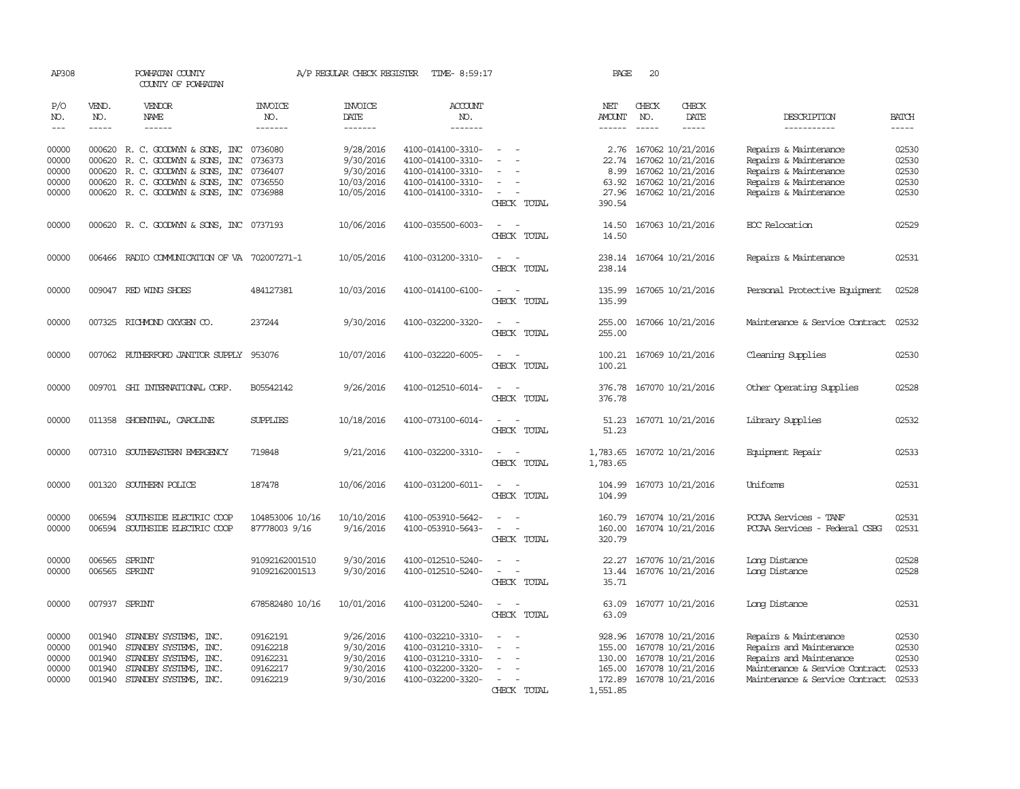| AP308                                     |                                                | POWHATAN COUNTY<br>COUNTY OF POWHATAN                                                                                     |                                                          | A/P REGULAR CHECK REGISTER                                    | TIME- 8:59:17                                                                                         |                                                     | PAGE                                             | 20           |                                                                                                              |                                                                                                                                                 |                                           |
|-------------------------------------------|------------------------------------------------|---------------------------------------------------------------------------------------------------------------------------|----------------------------------------------------------|---------------------------------------------------------------|-------------------------------------------------------------------------------------------------------|-----------------------------------------------------|--------------------------------------------------|--------------|--------------------------------------------------------------------------------------------------------------|-------------------------------------------------------------------------------------------------------------------------------------------------|-------------------------------------------|
| P/O<br>NO.<br>$---$                       | VEND.<br>NO.<br>$- - - - -$                    | <b>VENDOR</b><br>NAME<br>------                                                                                           | <b>INVOICE</b><br>NO.<br>-------                         | <b>INVOICE</b><br><b>DATE</b><br>-------                      | <b>ACCOUNT</b><br>NO.<br>-------                                                                      |                                                     | NET<br>AMOUNT<br>$- - - - - -$                   | CHECK<br>NO. | CHECK<br>DATE<br>-----                                                                                       | DESCRIPTION<br>-----------                                                                                                                      | <b>BATCH</b><br>-----                     |
| 00000<br>00000                            | 000620                                         | 000620 R. C. GOODWYN & SONS, INC 0736080<br>R. C. GOODWYN & SONS, INC                                                     | 0736373                                                  | 9/28/2016<br>9/30/2016                                        | 4100-014100-3310-<br>4100-014100-3310-                                                                | $\equiv$                                            | 22.74                                            |              | 2.76 167062 10/21/2016<br>167062 10/21/2016                                                                  | Repairs & Maintenance<br>Repairs & Maintenance                                                                                                  | 02530<br>02530                            |
| 00000                                     | 000620                                         | R. C. GOODWYN & SONS, INC                                                                                                 | 0736407                                                  | 9/30/2016                                                     | 4100-014100-3310-                                                                                     |                                                     | 8.99                                             |              | 167062 10/21/2016                                                                                            | Repairs & Maintenance                                                                                                                           | 02530                                     |
| 00000                                     | 000620                                         | R. C. GOODWYN & SONS, INC                                                                                                 | 0736550                                                  | 10/03/2016                                                    | 4100-014100-3310-                                                                                     | $\overline{\phantom{a}}$                            | 63.92                                            |              | 167062 10/21/2016                                                                                            | Repairs & Maintenance                                                                                                                           | 02530                                     |
| 00000                                     |                                                | 000620 R. C. GOODWYN & SONS, INC 0736988                                                                                  |                                                          | 10/05/2016                                                    | 4100-014100-3310-                                                                                     | $\overline{\phantom{a}}$<br>CHECK TOTAL             | 27.96<br>390.54                                  |              | 167062 10/21/2016                                                                                            | Repairs & Maintenance                                                                                                                           | 02530                                     |
| 00000                                     |                                                | 000620 R. C. GOODWYN & SONS, INC 0737193                                                                                  |                                                          | 10/06/2016                                                    | 4100-035500-6003-                                                                                     | CHECK TOTAL                                         | 14.50<br>14.50                                   |              | 167063 10/21/2016                                                                                            | EOC Relocation                                                                                                                                  | 02529                                     |
| 00000                                     |                                                | 006466 RADIO COMMUNICATION OF VA 702007271-1                                                                              |                                                          | 10/05/2016                                                    | 4100-031200-3310-                                                                                     | $\sim$<br>CHECK TOTAL                               | 238.14<br>238.14                                 |              | 167064 10/21/2016                                                                                            | Repairs & Maintenance                                                                                                                           | 02531                                     |
| 00000                                     |                                                | 009047 RED WING SHOES                                                                                                     | 484127381                                                | 10/03/2016                                                    | 4100-014100-6100-                                                                                     | $\sim$<br>CHECK TOTAL                               | 135.99<br>135.99                                 |              | 167065 10/21/2016                                                                                            | Personal Protective Equipment                                                                                                                   | 02528                                     |
| 00000                                     |                                                | 007325 RICHMOND OXYGEN CO.                                                                                                | 237244                                                   | 9/30/2016                                                     | 4100-032200-3320-                                                                                     | CHECK TOTAL                                         | 255.00<br>255.00                                 |              | 167066 10/21/2016                                                                                            | Maintenance & Service Contract                                                                                                                  | 02532                                     |
| 00000                                     |                                                | 007062 RUTHERFORD JANITOR SUPPLY                                                                                          | 953076                                                   | 10/07/2016                                                    | 4100-032220-6005-                                                                                     | CHECK TOTAL                                         | 100.21<br>100.21                                 |              | 167069 10/21/2016                                                                                            | Cleaning Supplies                                                                                                                               | 02530                                     |
| 00000                                     |                                                | 009701 SHI INTERNATIONAL CORP.                                                                                            | B05542142                                                | 9/26/2016                                                     | 4100-012510-6014-                                                                                     | CHECK TOTAL                                         | 376.78<br>376.78                                 |              | 167070 10/21/2016                                                                                            | Other Operating Supplies                                                                                                                        | 02528                                     |
| 00000                                     |                                                | 011358 SHOENTHAL, CAROLINE                                                                                                | <b>SUPPLIES</b>                                          | 10/18/2016                                                    | 4100-073100-6014-                                                                                     | CHECK TOTAL                                         | 51.23                                            |              | 51.23 167071 10/21/2016                                                                                      | Library Supplies                                                                                                                                | 02532                                     |
| 00000                                     |                                                | 007310 SOUTHEASTERN EMERGENCY                                                                                             | 719848                                                   | 9/21/2016                                                     | 4100-032200-3310-                                                                                     | $\sim$<br>$\sim$<br>CHECK TOTAL                     | 1,783.65 167072 10/21/2016<br>1,783.65           |              |                                                                                                              | Equipment Repair                                                                                                                                | 02533                                     |
| 00000                                     |                                                | 001320 SOUTHERN POLICE                                                                                                    | 187478                                                   | 10/06/2016                                                    | 4100-031200-6011-                                                                                     | $\sim$<br>CHECK TOTAL                               | 104.99<br>104.99                                 |              | 167073 10/21/2016                                                                                            | Uniforms                                                                                                                                        | 02531                                     |
| 00000<br>00000                            | 006594                                         | SOUTHSIDE ELECTRIC COOP<br>006594 SOUTHSIDE ELECTRIC COOP                                                                 | 104853006 10/16<br>87778003 9/16                         | 10/10/2016<br>9/16/2016                                       | 4100-053910-5642-<br>4100-053910-5643-                                                                | $\sim$<br>$\overline{\phantom{a}}$<br>CHECK TOTAL   | 160.00<br>320.79                                 |              | 160.79 167074 10/21/2016<br>167074 10/21/2016                                                                | PCCAA Services - TANF<br>PCCAA Services - Federal CSBG                                                                                          | 02531<br>02531                            |
| 00000<br>00000                            | 006565<br>006565 SPRINT                        | SPRINT                                                                                                                    | 91092162001510<br>91092162001513                         | 9/30/2016<br>9/30/2016                                        | 4100-012510-5240-<br>4100-012510-5240-                                                                | $\equiv$<br>$\overline{\phantom{a}}$<br>CHECK TOTAL | 22.27<br>35.71                                   |              | 167076 10/21/2016<br>13.44 167076 10/21/2016                                                                 | Long Distance<br>Long Distance                                                                                                                  | 02528<br>02528                            |
| 00000                                     | 007937 SPRINT                                  |                                                                                                                           | 678582480 10/16                                          | 10/01/2016                                                    | 4100-031200-5240-                                                                                     | $\sim$<br>$\sim$<br>CHECK TOTAL                     | 63.09<br>63.09                                   |              | 167077 10/21/2016                                                                                            | Long Distance                                                                                                                                   | 02531                                     |
| 00000<br>00000<br>00000<br>00000<br>00000 | 001940<br>001940<br>001940<br>001940<br>001940 | STANDBY SYSTEMS, INC.<br>STANDBY SYSTEMS, INC.<br>STANDBY SYSTEMS, INC.<br>STANDBY SYSTEMS, INC.<br>STANDBY SYSTEMS, INC. | 09162191<br>09162218<br>09162231<br>09162217<br>09162219 | 9/26/2016<br>9/30/2016<br>9/30/2016<br>9/30/2016<br>9/30/2016 | 4100-032210-3310-<br>4100-031210-3310-<br>4100-031210-3310-<br>4100-032200-3320-<br>4100-032200-3320- | $\sim$<br>$\overline{\phantom{a}}$<br>CHECK TOTAL   | 928.96<br>155.00<br>130.00<br>165.00<br>1,551.85 |              | 167078 10/21/2016<br>167078 10/21/2016<br>167078 10/21/2016<br>167078 10/21/2016<br>172.89 167078 10/21/2016 | Repairs & Maintenance<br>Repairs and Maintenance<br>Repairs and Maintenance<br>Maintenance & Service Contract<br>Maintenance & Service Contract | 02530<br>02530<br>02530<br>02533<br>02533 |
|                                           |                                                |                                                                                                                           |                                                          |                                                               |                                                                                                       |                                                     |                                                  |              |                                                                                                              |                                                                                                                                                 |                                           |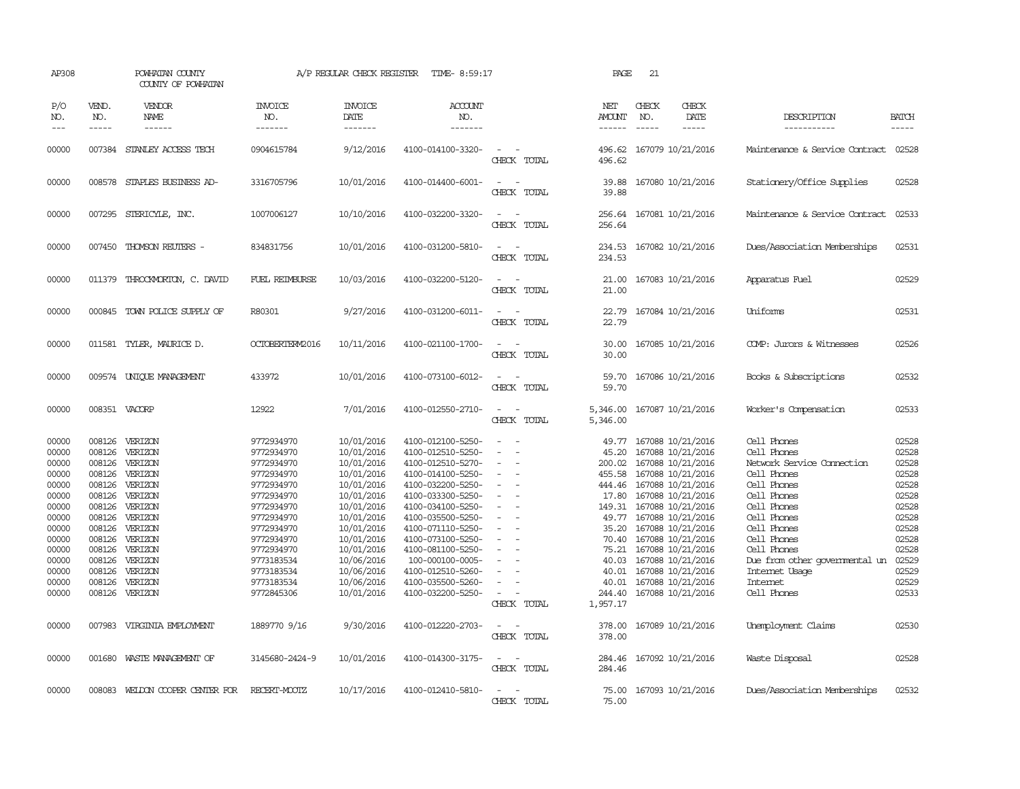| AP308                                                                                                                               |                                      | POWHATAN COUNTY<br>COUNTY OF POWHATAN                                                                                                                                                                                                          |                                                                                                                                                                                                                | A/P REGULAR CHECK REGISTER                                                                                                                                                                                     | TIME- 8:59:17                                                                                                                                                                                                                                                                                                          |                                                   | PAGE                                                                                                                             | 21                            |                                                                                                                                                                                                                                                                                                                                       |                                                                                                                                                                                                                                                                |                                                                                                                                     |
|-------------------------------------------------------------------------------------------------------------------------------------|--------------------------------------|------------------------------------------------------------------------------------------------------------------------------------------------------------------------------------------------------------------------------------------------|----------------------------------------------------------------------------------------------------------------------------------------------------------------------------------------------------------------|----------------------------------------------------------------------------------------------------------------------------------------------------------------------------------------------------------------|------------------------------------------------------------------------------------------------------------------------------------------------------------------------------------------------------------------------------------------------------------------------------------------------------------------------|---------------------------------------------------|----------------------------------------------------------------------------------------------------------------------------------|-------------------------------|---------------------------------------------------------------------------------------------------------------------------------------------------------------------------------------------------------------------------------------------------------------------------------------------------------------------------------------|----------------------------------------------------------------------------------------------------------------------------------------------------------------------------------------------------------------------------------------------------------------|-------------------------------------------------------------------------------------------------------------------------------------|
| P/O<br>NO.<br>$---$                                                                                                                 | VEND.<br>NO.<br>$\frac{1}{2}$        | <b>VENDOR</b><br>NAME                                                                                                                                                                                                                          | <b>INVOICE</b><br>NO.<br>-------                                                                                                                                                                               | <b>INVOICE</b><br>DATE<br>-------                                                                                                                                                                              | <b>ACCOUNT</b><br>NO.<br>-------                                                                                                                                                                                                                                                                                       |                                                   | NET<br>AMOUNT<br>------                                                                                                          | CHECK<br>NO.<br>$\frac{1}{2}$ | CHECK<br>DATE<br>$- - - - -$                                                                                                                                                                                                                                                                                                          | DESCRIPTION<br>-----------                                                                                                                                                                                                                                     | <b>BATCH</b><br>$- - - - -$                                                                                                         |
| 00000                                                                                                                               |                                      | 007384 STANLEY ACCESS TECH                                                                                                                                                                                                                     | 0904615784                                                                                                                                                                                                     | 9/12/2016                                                                                                                                                                                                      | 4100-014100-3320-                                                                                                                                                                                                                                                                                                      | $\sim$<br>CHECK TOTAL                             | 496.62                                                                                                                           |                               | 496.62 167079 10/21/2016                                                                                                                                                                                                                                                                                                              | Maintenance & Service Contract                                                                                                                                                                                                                                 | 02528                                                                                                                               |
| 00000                                                                                                                               |                                      | 008578 STAPLES BUSINESS AD-                                                                                                                                                                                                                    | 3316705796                                                                                                                                                                                                     | 10/01/2016                                                                                                                                                                                                     | 4100-014400-6001-                                                                                                                                                                                                                                                                                                      | $\overline{\phantom{a}}$<br>$\sim$<br>CHECK TOTAL | 39.88<br>39.88                                                                                                                   |                               | 167080 10/21/2016                                                                                                                                                                                                                                                                                                                     | Stationery/Office Supplies                                                                                                                                                                                                                                     | 02528                                                                                                                               |
| 00000                                                                                                                               |                                      | 007295 STERICYLE, INC.                                                                                                                                                                                                                         | 1007006127                                                                                                                                                                                                     | 10/10/2016                                                                                                                                                                                                     | 4100-032200-3320-                                                                                                                                                                                                                                                                                                      | $\sim$<br>CHECK TOTAL                             | 256.64                                                                                                                           |                               | 256.64 167081 10/21/2016                                                                                                                                                                                                                                                                                                              | Maintenance & Service Contract                                                                                                                                                                                                                                 | 02533                                                                                                                               |
| 00000                                                                                                                               |                                      | 007450 THOMSON REUTERS -                                                                                                                                                                                                                       | 834831756                                                                                                                                                                                                      | 10/01/2016                                                                                                                                                                                                     | 4100-031200-5810-                                                                                                                                                                                                                                                                                                      | CHECK TOTAL                                       | 234.53                                                                                                                           |                               | 234.53 167082 10/21/2016                                                                                                                                                                                                                                                                                                              | Dues/Association Memberships                                                                                                                                                                                                                                   | 02531                                                                                                                               |
| 00000                                                                                                                               | 011379                               | THROCKMORION, C. DAVID                                                                                                                                                                                                                         | FUEL REIMBURSE                                                                                                                                                                                                 | 10/03/2016                                                                                                                                                                                                     | 4100-032200-5120-                                                                                                                                                                                                                                                                                                      | $\sim$<br>CHECK TOTAL                             | 21.00<br>21.00                                                                                                                   |                               | 167083 10/21/2016                                                                                                                                                                                                                                                                                                                     | Apparatus Fuel                                                                                                                                                                                                                                                 | 02529                                                                                                                               |
| 00000                                                                                                                               |                                      | 000845 TOWN POLICE SUPPLY OF                                                                                                                                                                                                                   | R80301                                                                                                                                                                                                         | 9/27/2016                                                                                                                                                                                                      | 4100-031200-6011-                                                                                                                                                                                                                                                                                                      | $\sim$<br>CHECK TOTAL                             | 22.79<br>22.79                                                                                                                   |                               | 167084 10/21/2016                                                                                                                                                                                                                                                                                                                     | Uniforms                                                                                                                                                                                                                                                       | 02531                                                                                                                               |
| 00000                                                                                                                               |                                      | 011581 TYLER, MAURICE D.                                                                                                                                                                                                                       | OCTOBERTERM2016                                                                                                                                                                                                | 10/11/2016                                                                                                                                                                                                     | 4100-021100-1700-                                                                                                                                                                                                                                                                                                      | CHECK TOTAL                                       | 30.00<br>30.00                                                                                                                   |                               | 167085 10/21/2016                                                                                                                                                                                                                                                                                                                     | COMP: Jurors & Witnesses                                                                                                                                                                                                                                       | 02526                                                                                                                               |
| 00000                                                                                                                               |                                      | 009574 UNIQUE MANAGEMENT                                                                                                                                                                                                                       | 433972                                                                                                                                                                                                         | 10/01/2016                                                                                                                                                                                                     | 4100-073100-6012-                                                                                                                                                                                                                                                                                                      | CHECK TOTAL                                       | 59.70<br>59.70                                                                                                                   |                               | 167086 10/21/2016                                                                                                                                                                                                                                                                                                                     | Books & Subscriptions                                                                                                                                                                                                                                          | 02532                                                                                                                               |
| 00000                                                                                                                               |                                      | 008351 VACORP                                                                                                                                                                                                                                  | 12922                                                                                                                                                                                                          | 7/01/2016                                                                                                                                                                                                      | 4100-012550-2710-                                                                                                                                                                                                                                                                                                      | $ -$<br>CHECK TOTAL                               | 5,346.00<br>5,346.00                                                                                                             |                               | 167087 10/21/2016                                                                                                                                                                                                                                                                                                                     | Worker's Compensation                                                                                                                                                                                                                                          | 02533                                                                                                                               |
| 00000<br>00000<br>00000<br>00000<br>00000<br>00000<br>00000<br>00000<br>00000<br>00000<br>00000<br>00000<br>00000<br>00000<br>00000 | 008126<br>008126<br>008126<br>008126 | 008126 VERIZON<br>008126 VERIZON<br>008126 VERIZON<br>008126 VERIZON<br>008126 VERIZON<br>008126 VERIZON<br>008126 VERIZON<br>008126 VERIZON<br>008126 VERIZON<br>008126 VERIZON<br>008126 VERIZON<br>VERIZON<br>VERIZON<br>VERIZON<br>VERIZON | 9772934970<br>9772934970<br>9772934970<br>9772934970<br>9772934970<br>9772934970<br>9772934970<br>9772934970<br>9772934970<br>9772934970<br>9772934970<br>9773183534<br>9773183534<br>9773183534<br>9772845306 | 10/01/2016<br>10/01/2016<br>10/01/2016<br>10/01/2016<br>10/01/2016<br>10/01/2016<br>10/01/2016<br>10/01/2016<br>10/01/2016<br>10/01/2016<br>10/01/2016<br>10/06/2016<br>10/06/2016<br>10/06/2016<br>10/01/2016 | 4100-012100-5250-<br>4100-012510-5250-<br>4100-012510-5270-<br>4100-014100-5250-<br>4100-032200-5250-<br>4100-033300-5250-<br>4100-034100-5250-<br>4100-035500-5250-<br>4100-071110-5250-<br>4100-073100-5250-<br>4100-081100-5250-<br>100-000100-0005-<br>4100-012510-5260-<br>4100-035500-5260-<br>4100-032200-5250- | $\equiv$<br>$\sim$<br>CHECK TOTAL                 | 49.77<br>45.20<br>455.58<br>444.46<br>17.80<br>49.77<br>35.20<br>70.40<br>75.21<br>40.03<br>40.01<br>40.01<br>244.40<br>1,957.17 |                               | 167088 10/21/2016<br>167088 10/21/2016<br>200.02 167088 10/21/2016<br>167088 10/21/2016<br>167088 10/21/2016<br>167088 10/21/2016<br>149.31 167088 10/21/2016<br>167088 10/21/2016<br>167088 10/21/2016<br>167088 10/21/2016<br>167088 10/21/2016<br>167088 10/21/2016<br>167088 10/21/2016<br>167088 10/21/2016<br>167088 10/21/2016 | Cell Phones<br>Cell Phones<br>Network Service Cornection<br>Cell Phones<br>Cell Phones<br>Cell Phones<br>Cell Phones<br>Cell Phones<br>Cell Phones<br>Cell Phones<br>Cell Phones<br>Due from other governmental un<br>Internet Usage<br>Intemet<br>Cell Phones | 02528<br>02528<br>02528<br>02528<br>02528<br>02528<br>02528<br>02528<br>02528<br>02528<br>02528<br>02529<br>02529<br>02529<br>02533 |
| 00000                                                                                                                               |                                      | 007983 VIRGINIA EMPLOYMENT                                                                                                                                                                                                                     | 1889770 9/16                                                                                                                                                                                                   | 9/30/2016                                                                                                                                                                                                      | 4100-012220-2703-                                                                                                                                                                                                                                                                                                      | CHECK TOTAL                                       | 378.00<br>378.00                                                                                                                 |                               | 167089 10/21/2016                                                                                                                                                                                                                                                                                                                     | Unemployment Claims                                                                                                                                                                                                                                            | 02530                                                                                                                               |
| 00000                                                                                                                               |                                      | 001680 WASTE MANAGEMENT OF                                                                                                                                                                                                                     | 3145680-2424-9                                                                                                                                                                                                 | 10/01/2016                                                                                                                                                                                                     | 4100-014300-3175-                                                                                                                                                                                                                                                                                                      | CHECK TOTAL                                       | 284.46<br>284.46                                                                                                                 |                               | 167092 10/21/2016                                                                                                                                                                                                                                                                                                                     | Waste Disposal                                                                                                                                                                                                                                                 | 02528                                                                                                                               |
| 00000                                                                                                                               |                                      | 008083 WELDON COOPER CENTER FOR                                                                                                                                                                                                                | RECERT-MOOTZ                                                                                                                                                                                                   | 10/17/2016                                                                                                                                                                                                     | 4100-012410-5810-                                                                                                                                                                                                                                                                                                      | CHECK TOTAL                                       | 75.00<br>75.00                                                                                                                   |                               | 167093 10/21/2016                                                                                                                                                                                                                                                                                                                     | Dues/Association Memberships                                                                                                                                                                                                                                   | 02532                                                                                                                               |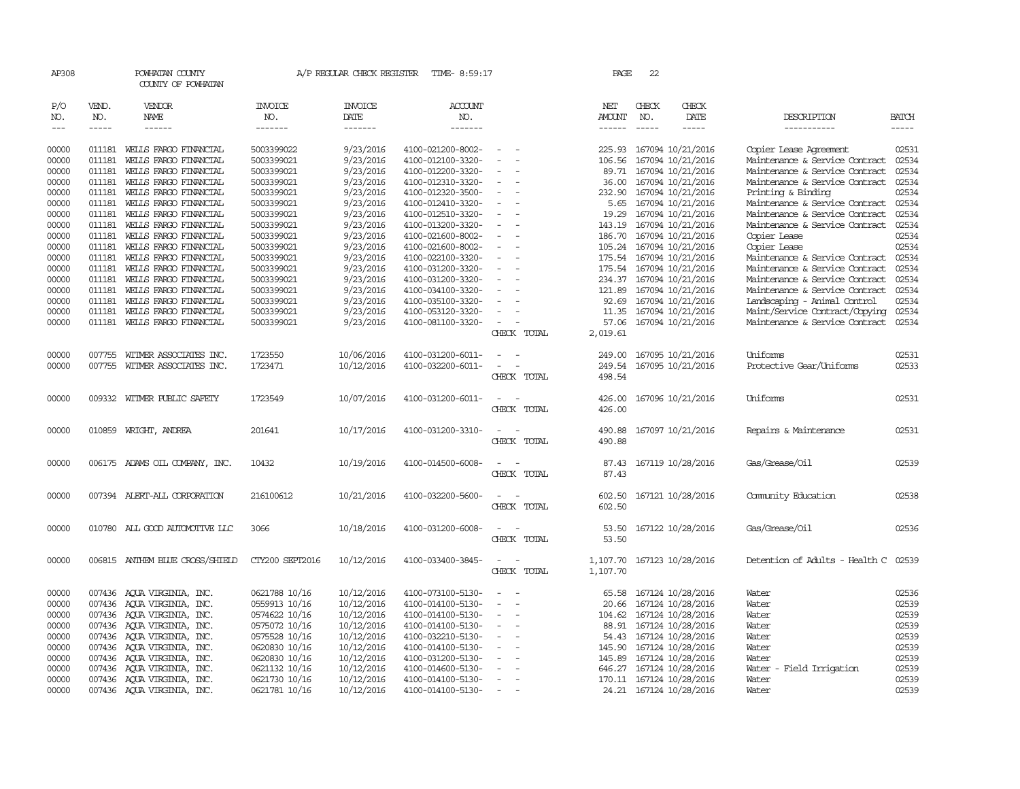| AP308               |              | POWHATAN COUNTY<br>COUNTY OF POWHATAN |                       | A/P REGULAR CHECK REGISTER | TIME- 8:59:17         |                                                             |             | PAGE          | 22           |                                                                                                                                                                                                                                                                                                                                                                                                                                                                                     |                                      |              |
|---------------------|--------------|---------------------------------------|-----------------------|----------------------------|-----------------------|-------------------------------------------------------------|-------------|---------------|--------------|-------------------------------------------------------------------------------------------------------------------------------------------------------------------------------------------------------------------------------------------------------------------------------------------------------------------------------------------------------------------------------------------------------------------------------------------------------------------------------------|--------------------------------------|--------------|
| P/O<br>NO.          | VEND.<br>NO. | VENDOR<br>NAME                        | <b>INVOICE</b><br>NO. | INVOICE<br>DATE            | <b>ACCOUNT</b><br>NO. |                                                             |             | NET<br>AMOUNT | CHECK<br>NO. | CHECK<br>DATE                                                                                                                                                                                                                                                                                                                                                                                                                                                                       | DESCRIPTION                          | <b>BATCH</b> |
| $\qquad \qquad - -$ | $\cdots$     | $- - - - - -$                         | -------               | -------                    | -------               |                                                             |             |               | $- - - - -$  | $\begin{tabular}{ccccc} \multicolumn{2}{c}{} & \multicolumn{2}{c}{} & \multicolumn{2}{c}{} & \multicolumn{2}{c}{} & \multicolumn{2}{c}{} & \multicolumn{2}{c}{} & \multicolumn{2}{c}{} & \multicolumn{2}{c}{} & \multicolumn{2}{c}{} & \multicolumn{2}{c}{} & \multicolumn{2}{c}{} & \multicolumn{2}{c}{} & \multicolumn{2}{c}{} & \multicolumn{2}{c}{} & \multicolumn{2}{c}{} & \multicolumn{2}{c}{} & \multicolumn{2}{c}{} & \multicolumn{2}{c}{} & \multicolumn{2}{c}{} & \mult$ | -----------                          | $- - - - -$  |
| 00000               |              | 011181 WELLS FARGO FINANCIAL          | 5003399022            | 9/23/2016                  | 4100-021200-8002-     | $\sim$<br>$\overline{\phantom{a}}$                          |             |               |              | 225.93 167094 10/21/2016                                                                                                                                                                                                                                                                                                                                                                                                                                                            | Copier Lease Agreement               | 02531        |
| 00000               | 011181       | WEILS FARGO FINANCIAL                 | 5003399021            | 9/23/2016                  | 4100-012100-3320-     | $\sim$                                                      |             | 106.56        |              | 167094 10/21/2016                                                                                                                                                                                                                                                                                                                                                                                                                                                                   | Maintenance & Service Contract       | 02534        |
| 00000               | 011181       | WELLS FARGO FINANCIAL                 | 5003399021            | 9/23/2016                  | 4100-012200-3320-     |                                                             |             | 89.71         |              | 167094 10/21/2016                                                                                                                                                                                                                                                                                                                                                                                                                                                                   | Maintenance & Service Contract       | 02534        |
| 00000               | 011181       | WELLS FARGO FINANCIAL                 | 5003399021            | 9/23/2016                  | 4100-012310-3320-     | $\overline{\phantom{a}}$                                    |             | 36.00         |              | 167094 10/21/2016                                                                                                                                                                                                                                                                                                                                                                                                                                                                   | Maintenance & Service Contract       | 02534        |
| 00000               | 011181       | WELLS FARGO FINANCIAL                 | 5003399021            | 9/23/2016                  | 4100-012320-3500-     | $\overline{\phantom{a}}$                                    |             |               |              | 232.90 167094 10/21/2016                                                                                                                                                                                                                                                                                                                                                                                                                                                            | Printing & Binding                   | 02534        |
| 00000               | 011181       | WELLS FARGO FINANCIAL                 | 5003399021            | 9/23/2016                  | 4100-012410-3320-     | $\overline{\phantom{a}}$                                    |             | 5.65          |              | 167094 10/21/2016                                                                                                                                                                                                                                                                                                                                                                                                                                                                   | Maintenance & Service Contract       | 02534        |
| 00000               | 011181       | WELLS FARGO FINANCIAL                 | 5003399021            | 9/23/2016                  | 4100-012510-3320-     |                                                             |             | 19.29         |              | 167094 10/21/2016                                                                                                                                                                                                                                                                                                                                                                                                                                                                   | Maintenance & Service Contract       | 02534        |
| 00000               |              | 011181 WELLS FARGO FINANCIAL          | 5003399021            | 9/23/2016                  | 4100-013200-3320-     | $\sim$<br>$\overline{a}$                                    |             |               |              | 143.19 167094 10/21/2016                                                                                                                                                                                                                                                                                                                                                                                                                                                            | Maintenance & Service Contract       | 02534        |
| 00000               |              | 011181 WELLS FARGO FINANCIAL          | 5003399021            | 9/23/2016                  | 4100-021600-8002-     | $\overline{\phantom{a}}$                                    |             | 186.70        |              | 167094 10/21/2016                                                                                                                                                                                                                                                                                                                                                                                                                                                                   | Copier Lease                         | 02534        |
| 00000               | 011181       | WELLS FARGO FINANCIAL                 | 5003399021            | 9/23/2016                  | 4100-021600-8002-     |                                                             |             |               |              | 105.24 167094 10/21/2016                                                                                                                                                                                                                                                                                                                                                                                                                                                            | Copier Lease                         | 02534        |
| 00000               | 011181       | WELLS FARGO FINANCIAL                 | 5003399021            | 9/23/2016                  | 4100-022100-3320-     | $\equiv$<br>$\overline{\phantom{a}}$                        |             |               |              | 175.54 167094 10/21/2016                                                                                                                                                                                                                                                                                                                                                                                                                                                            | Maintenance & Service Contract       | 02534        |
| 00000               | 011181       | WELLS FARGO FINANCIAL                 | 5003399021            | 9/23/2016                  | 4100-031200-3320-     | $\equiv$                                                    |             |               |              | 175.54 167094 10/21/2016                                                                                                                                                                                                                                                                                                                                                                                                                                                            | Maintenance & Service Contract       | 02534        |
| 00000               |              | 011181 WELLS FARGO FINANCIAL          | 5003399021            | 9/23/2016                  | 4100-031200-3320-     |                                                             |             |               |              | 234.37 167094 10/21/2016                                                                                                                                                                                                                                                                                                                                                                                                                                                            | Maintenance & Service Contract       | 02534        |
| 00000               |              | 011181 WELLS FARGO FINANCIAL          | 5003399021            | 9/23/2016                  | 4100-034100-3320-     | $\overline{\phantom{a}}$                                    |             | 121.89        |              | 167094 10/21/2016                                                                                                                                                                                                                                                                                                                                                                                                                                                                   | Maintenance & Service Contract       | 02534        |
| 00000               |              | 011181 WELLS FARGO FINANCIAL          | 5003399021            | 9/23/2016                  | 4100-035100-3320-     | $\overline{\phantom{a}}$                                    |             |               |              | 92.69 167094 10/21/2016                                                                                                                                                                                                                                                                                                                                                                                                                                                             | Landscaping - Animal Control         | 02534        |
| 00000               | 011181       | WELLS FARGO FINANCIAL                 | 5003399021            | 9/23/2016                  | 4100-053120-3320-     |                                                             |             |               |              | 11.35 167094 10/21/2016                                                                                                                                                                                                                                                                                                                                                                                                                                                             | Maint/Service Contract/Copying       | 02534        |
| 00000               |              | 011181 WELLS FARGO FINANCIAL          | 5003399021            | 9/23/2016                  | 4100-081100-3320-     |                                                             |             | 57.06         |              | 167094 10/21/2016                                                                                                                                                                                                                                                                                                                                                                                                                                                                   | Maintenance & Service Contract       | 02534        |
|                     |              |                                       |                       |                            |                       |                                                             | CHECK TOTAL | 2,019.61      |              |                                                                                                                                                                                                                                                                                                                                                                                                                                                                                     |                                      |              |
| 00000               |              | 007755 WITMER ASSOCIATES INC.         | 1723550               | 10/06/2016                 | 4100-031200-6011-     |                                                             |             |               |              | 249.00 167095 10/21/2016                                                                                                                                                                                                                                                                                                                                                                                                                                                            | Uniforms                             | 02531        |
| 00000               |              | 007755 WITMER ASSOCIATES INC.         | 1723471               | 10/12/2016                 | 4100-032200-6011-     | $\sim$<br>$\overline{\phantom{a}}$                          |             | 249.54        |              | 167095 10/21/2016                                                                                                                                                                                                                                                                                                                                                                                                                                                                   | Protective Gear/Uniforms             | 02533        |
|                     |              |                                       |                       |                            |                       |                                                             | CHECK TOTAL | 498.54        |              |                                                                                                                                                                                                                                                                                                                                                                                                                                                                                     |                                      |              |
| 00000               |              | 009332 WITMER PUBLIC SAFETY           | 1723549               | 10/07/2016                 | 4100-031200-6011-     | $\sim$ $ \sim$                                              |             | 426.00        |              | 167096 10/21/2016                                                                                                                                                                                                                                                                                                                                                                                                                                                                   | Uniforms                             | 02531        |
|                     |              |                                       |                       |                            |                       |                                                             | CHECK TOTAL | 426.00        |              |                                                                                                                                                                                                                                                                                                                                                                                                                                                                                     |                                      |              |
|                     |              |                                       |                       |                            |                       |                                                             |             |               |              |                                                                                                                                                                                                                                                                                                                                                                                                                                                                                     |                                      |              |
| 00000               |              | 010859 WRIGHT, ANDREA                 | 201641                | 10/17/2016                 | 4100-031200-3310-     | $\sim$<br>$\overline{a}$                                    |             | 490.88        |              | 167097 10/21/2016                                                                                                                                                                                                                                                                                                                                                                                                                                                                   | Repairs & Maintenance                | 02531        |
|                     |              |                                       |                       |                            |                       |                                                             | CHECK TOTAL | 490.88        |              |                                                                                                                                                                                                                                                                                                                                                                                                                                                                                     |                                      |              |
| 00000               |              | 006175 ADAMS OIL COMPANY, INC.        | 10432                 | 10/19/2016                 | 4100-014500-6008-     | $\sim$                                                      |             |               |              | 87.43 167119 10/28/2016                                                                                                                                                                                                                                                                                                                                                                                                                                                             | Gas/Grease/Oil                       | 02539        |
|                     |              |                                       |                       |                            |                       |                                                             | CHECK TOTAL | 87.43         |              |                                                                                                                                                                                                                                                                                                                                                                                                                                                                                     |                                      |              |
|                     |              |                                       |                       |                            |                       |                                                             |             |               |              |                                                                                                                                                                                                                                                                                                                                                                                                                                                                                     |                                      |              |
| 00000               |              | 007394 ALERT-ALL CORPORATION          | 216100612             | 10/21/2016                 | 4100-032200-5600-     |                                                             |             | 602.50        |              | 167121 10/28/2016                                                                                                                                                                                                                                                                                                                                                                                                                                                                   | Community Education                  | 02538        |
|                     |              |                                       |                       |                            |                       |                                                             | CHECK TOTAL | 602.50        |              |                                                                                                                                                                                                                                                                                                                                                                                                                                                                                     |                                      |              |
| 00000               |              | 010780 ALL GOOD AUTOMOTTVE LLC        | 3066                  | 10/18/2016                 | 4100-031200-6008-     |                                                             |             | 53.50         |              | 167122 10/28/2016                                                                                                                                                                                                                                                                                                                                                                                                                                                                   | Gas/Grease/Oil                       | 02536        |
|                     |              |                                       |                       |                            |                       |                                                             | CHECK TOTAL | 53.50         |              |                                                                                                                                                                                                                                                                                                                                                                                                                                                                                     |                                      |              |
| 00000               |              | 006815 ANTHEM BLUE CROSS/SHIELD       | CTY200 SEPT2016       | 10/12/2016                 | 4100-033400-3845-     |                                                             |             | 1,107.70      |              | 167123 10/28/2016                                                                                                                                                                                                                                                                                                                                                                                                                                                                   | Detention of Adults - Health C 02539 |              |
|                     |              |                                       |                       |                            |                       |                                                             | CHECK TOTAL | 1,107.70      |              |                                                                                                                                                                                                                                                                                                                                                                                                                                                                                     |                                      |              |
|                     |              |                                       |                       |                            |                       |                                                             |             |               |              |                                                                                                                                                                                                                                                                                                                                                                                                                                                                                     |                                      |              |
| 00000               |              | 007436 AQUA VIRGINIA, INC.            | 0621788 10/16         | 10/12/2016                 | 4100-073100-5130-     | $\sim$<br>$\sim$                                            |             | 65.58         |              | 167124 10/28/2016                                                                                                                                                                                                                                                                                                                                                                                                                                                                   | Water                                | 02536        |
| 00000               |              | 007436 AOUA VIRGINIA, INC.            | 0559913 10/16         | 10/12/2016                 | 4100-014100-5130-     | $\hspace{0.1mm}-\hspace{0.1mm}$<br>$\overline{\phantom{a}}$ |             | 20.66         |              | 167124 10/28/2016                                                                                                                                                                                                                                                                                                                                                                                                                                                                   | Water                                | 02539        |
| 00000               |              | 007436 AQUA VIRGINIA, INC.            | 0574622 10/16         | 10/12/2016                 | 4100-014100-5130-     | $\overline{\phantom{a}}$                                    |             |               |              | 104.62 167124 10/28/2016                                                                                                                                                                                                                                                                                                                                                                                                                                                            | Water                                | 02539        |
| 00000               |              | 007436 AQUA VIRGINIA, INC.            | 0575072 10/16         | 10/12/2016                 | 4100-014100-5130-     | $\overline{\phantom{a}}$                                    |             |               |              | 88.91 167124 10/28/2016                                                                                                                                                                                                                                                                                                                                                                                                                                                             | Water                                | 02539        |
| 00000               |              | 007436 AQUA VIRGINIA, INC.            | 0575528 10/16         | 10/12/2016                 | 4100-032210-5130-     | $\sim$                                                      |             |               |              | 54.43 167124 10/28/2016                                                                                                                                                                                                                                                                                                                                                                                                                                                             | Water                                | 02539        |
| 00000               |              | 007436 AQUA VIRGINIA, INC.            | 0620830 10/16         | 10/12/2016                 | 4100-014100-5130-     | $\hspace{0.1mm}-\hspace{0.1mm}$                             |             |               |              | 145.90 167124 10/28/2016                                                                                                                                                                                                                                                                                                                                                                                                                                                            | Water                                | 02539        |
| 00000               |              | 007436 AQUA VIRGINIA, INC.            | 0620830 10/16         | 10/12/2016                 | 4100-031200-5130-     | $\sim$                                                      |             | 145.89        |              | 167124 10/28/2016                                                                                                                                                                                                                                                                                                                                                                                                                                                                   | Water                                | 02539        |
| 00000               |              | 007436 AQUA VIRGINIA, INC.            | 0621132 10/16         | 10/12/2016                 | 4100-014600-5130-     | $\sim$                                                      |             |               |              | 646.27 167124 10/28/2016                                                                                                                                                                                                                                                                                                                                                                                                                                                            | Water - Field Irrigation             | 02539        |
| 00000               |              | 007436 AQUA VIRGINIA, INC.            | 0621730 10/16         | 10/12/2016                 | 4100-014100-5130-     | $\overline{\phantom{a}}$                                    |             |               |              | 170.11 167124 10/28/2016                                                                                                                                                                                                                                                                                                                                                                                                                                                            | Water                                | 02539        |
| 00000               |              | 007436 AQUA VIRGINIA, INC.            | 0621781 10/16         | 10/12/2016                 | 4100-014100-5130-     |                                                             |             |               |              | 24.21 167124 10/28/2016                                                                                                                                                                                                                                                                                                                                                                                                                                                             | Water                                | 02539        |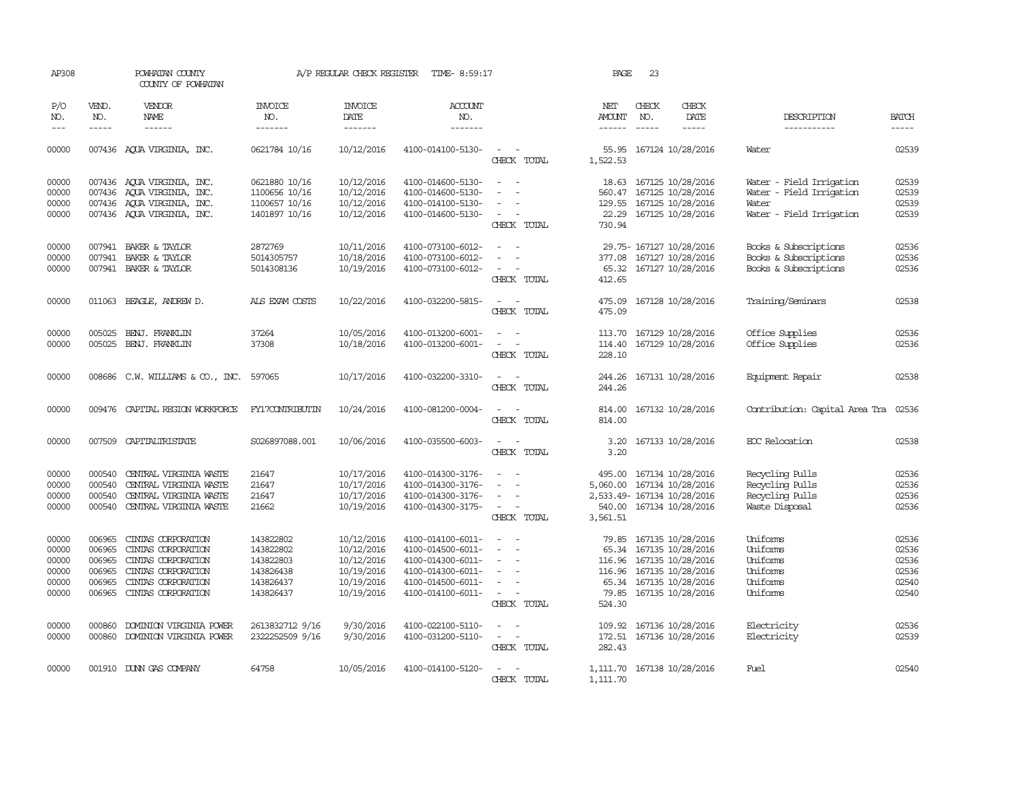| AP308                                              |                                                          | POWHATAN COUNTY<br>COUNTY OF POWHATAN                                                                                            |                                                                            | A/P REGULAR CHECK REGISTER                                                       | TIME- 8:59:17                                                                                                              |                                                                                                                                                                                                                       | PAGE                                | 23                            |                                                                                                                                              |                                                                                           |                                                    |
|----------------------------------------------------|----------------------------------------------------------|----------------------------------------------------------------------------------------------------------------------------------|----------------------------------------------------------------------------|----------------------------------------------------------------------------------|----------------------------------------------------------------------------------------------------------------------------|-----------------------------------------------------------------------------------------------------------------------------------------------------------------------------------------------------------------------|-------------------------------------|-------------------------------|----------------------------------------------------------------------------------------------------------------------------------------------|-------------------------------------------------------------------------------------------|----------------------------------------------------|
| P/O<br>NO.<br>$---$                                | VEND.<br>NO.                                             | VENDOR<br><b>NAME</b><br>$- - - - - -$                                                                                           | INVOICE<br>NO.<br>-------                                                  | <b>INVOICE</b><br>DATE<br>-------                                                | <b>ACCOUNT</b><br>NO.<br>-------                                                                                           |                                                                                                                                                                                                                       | NET<br><b>AMOUNT</b><br>------      | CHECK<br>NO.<br>$\frac{1}{2}$ | CHECK<br>DATE<br>$- - - - -$                                                                                                                 | DESCRIPTION<br>-----------                                                                | <b>BATCH</b>                                       |
| 00000                                              |                                                          | 007436 AQUA VIRGINIA, INC.                                                                                                       | 0621784 10/16                                                              | 10/12/2016                                                                       | 4100-014100-5130-                                                                                                          | CHECK TOTAL                                                                                                                                                                                                           | 55.95<br>1,522.53                   |                               | 167124 10/28/2016                                                                                                                            | Water                                                                                     | 02539                                              |
| 00000<br>00000<br>00000<br>00000                   |                                                          | 007436 AOUA VIRGINIA, INC.<br>007436 AOUA VIRGINIA, INC.<br>007436 AQUA VIRGINIA, INC.<br>007436 AQUA VIRGINIA, INC.             | 0621880 10/16<br>1100656 10/16<br>1100657 10/16<br>1401897 10/16           | 10/12/2016<br>10/12/2016<br>10/12/2016<br>10/12/2016                             | 4100-014600-5130-<br>4100-014600-5130-<br>4100-014100-5130-<br>4100-014600-5130-                                           | $\equiv$<br>$\sim$<br>CHECK TOTAL                                                                                                                                                                                     | 18.63<br>129.55<br>22.29<br>730.94  |                               | 167125 10/28/2016<br>560.47 167125 10/28/2016<br>167125 10/28/2016<br>167125 10/28/2016                                                      | Water - Field Irrigation<br>Water - Field Irrigation<br>Water<br>Water - Field Irrigation | 02539<br>02539<br>02539<br>02539                   |
| 00000<br>00000<br>00000                            |                                                          | 007941 BAKER & TAYLOR<br>007941 BAKER & TAYLOR<br>007941 BAKER & TAYLOR                                                          | 2872769<br>5014305757<br>5014308136                                        | 10/11/2016<br>10/18/2016<br>10/19/2016                                           | 4100-073100-6012-<br>4100-073100-6012-<br>4100-073100-6012-                                                                | $\overline{\phantom{a}}$<br>CHECK TOTAL                                                                                                                                                                               | 65.32<br>412.65                     |                               | 29.75- 167127 10/28/2016<br>377.08 167127 10/28/2016<br>167127 10/28/2016                                                                    | Books & Subscriptions<br>Books & Subscriptions<br>Books & Subscriptions                   | 02536<br>02536<br>02536                            |
| 00000                                              |                                                          | 011063 BEAGLE, ANDREW D.                                                                                                         | ALS EXAM COSTS                                                             | 10/22/2016                                                                       | 4100-032200-5815-                                                                                                          | $\sim$ $\sim$<br>CHECK TOTAL                                                                                                                                                                                          | 475.09<br>475.09                    |                               | 167128 10/28/2016                                                                                                                            | Training/Seminars                                                                         | 02538                                              |
| 00000<br>00000                                     | 005025                                                   | BENJ. FRANKLIN<br>005025 BENJ. FRANKLIN                                                                                          | 37264<br>37308                                                             | 10/05/2016<br>10/18/2016                                                         | 4100-013200-6001-<br>4100-013200-6001-                                                                                     | $\equiv$<br>$\overline{\phantom{a}}$<br>$\sim$<br>$\overline{\phantom{a}}$<br>CHECK TOTAL                                                                                                                             | 113.70<br>114.40<br>228.10          |                               | 167129 10/28/2016<br>167129 10/28/2016                                                                                                       | Office Supplies<br>Office Supplies                                                        | 02536<br>02536                                     |
| 00000                                              |                                                          | 008686 C.W. WILLIAMS & CO., INC.                                                                                                 | 597065                                                                     | 10/17/2016                                                                       | 4100-032200-3310-                                                                                                          | $\omega_{\rm{max}}$ and $\omega_{\rm{max}}$<br>CHECK TOTAL                                                                                                                                                            | 244.26<br>244.26                    |                               | 167131 10/28/2016                                                                                                                            | Equipment Repair                                                                          | 02538                                              |
| 00000                                              |                                                          | 009476 CAPITAL REGION WORKFORCE                                                                                                  | FY17CONTRIBUTIN                                                            | 10/24/2016                                                                       | 4100-081200-0004-                                                                                                          | $\sim$<br>$\overline{\phantom{a}}$<br>CHECK TOTAL                                                                                                                                                                     | 814.00<br>814.00                    |                               | 167132 10/28/2016                                                                                                                            | Contribution: Capital Area Tra                                                            | 02536                                              |
| 00000                                              |                                                          | 007509 CAPITALIRISTATE                                                                                                           | S026897088.001                                                             | 10/06/2016                                                                       | 4100-035500-6003-                                                                                                          | $\equiv$<br>$\sim$<br>CHECK TOTAL                                                                                                                                                                                     | 3.20<br>3.20                        |                               | 167133 10/28/2016                                                                                                                            | EOC Relocation                                                                            | 02538                                              |
| 00000<br>00000<br>00000<br>00000                   | 000540<br>000540<br>000540                               | CENTRAL VIRGINIA WASTE<br>CENTRAL VIRGINIA WASTE<br>CENTRAL VIRGINIA WASTE<br>000540 CENTRAL VIRGINIA WASTE                      | 21647<br>21647<br>21647<br>21662                                           | 10/17/2016<br>10/17/2016<br>10/17/2016<br>10/19/2016                             | 4100-014300-3176-<br>4100-014300-3176-<br>4100-014300-3176-<br>4100-014300-3175-                                           | $\overline{\phantom{a}}$<br>$\overline{\phantom{a}}$<br>$\sim$<br>$\overline{\phantom{a}}$<br>CHECK TOTAL                                                                                                             | 495.00<br>5,060.00<br>3,561.51      |                               | 167134 10/28/2016<br>167134 10/28/2016<br>2,533.49- 167134 10/28/2016<br>540.00 167134 10/28/2016                                            | Recycling Pulls<br>Recycling Pulls<br>Recycling Pulls<br>Waste Disposal                   | 02536<br>02536<br>02536<br>02536                   |
| 00000<br>00000<br>00000<br>00000<br>00000<br>00000 | 006965<br>006965<br>006965<br>006965<br>006965<br>006965 | CINIAS CORPORATION<br>CINIAS CORPORATION<br>CINIAS CORPORATION<br>CINIAS CORPORATION<br>CINIAS CORPORATION<br>CINIAS CORPORATION | 143822802<br>143822802<br>143822803<br>143826438<br>143826437<br>143826437 | 10/12/2016<br>10/12/2016<br>10/12/2016<br>10/19/2016<br>10/19/2016<br>10/19/2016 | 4100-014100-6011-<br>4100-014500-6011-<br>4100-014300-6011-<br>4100-014300-6011-<br>4100-014500-6011-<br>4100-014100-6011- | $\equiv$<br>$\overline{\phantom{a}}$<br>$\sim$<br>$\overline{\phantom{a}}$<br>$\equiv$<br>$\overline{\phantom{a}}$<br>$\overline{\phantom{a}}$<br>$\overline{\phantom{a}}$<br>$\overline{\phantom{a}}$<br>CHECK TOTAL | 116.96<br>116.96<br>79.85<br>524.30 |                               | 79.85 167135 10/28/2016<br>65.34 167135 10/28/2016<br>167135 10/28/2016<br>167135 10/28/2016<br>65.34 167135 10/28/2016<br>167135 10/28/2016 | Uniforms<br>Uniforms<br>Uniforms<br>Uniforms<br>Uniforms<br>Uniforms                      | 02536<br>02536<br>02536<br>02536<br>02540<br>02540 |
| 00000<br>00000                                     | 000860                                                   | DOMINION VIRGINIA POWER<br>000860 DOMINION VIRGINIA POWER                                                                        | 2613832712 9/16<br>2322252509 9/16                                         | 9/30/2016<br>9/30/2016                                                           | 4100-022100-5110-<br>4100-031200-5110-                                                                                     | $\omega_{\rm{max}}$ and $\omega_{\rm{max}}$<br>CHECK TOTAL                                                                                                                                                            | 109.92<br>282.43                    |                               | 167136 10/28/2016<br>172.51 167136 10/28/2016                                                                                                | Electricity<br>Electricity                                                                | 02536<br>02539                                     |
| 00000                                              |                                                          | 001910 DUNN GAS COMPANY                                                                                                          | 64758                                                                      | 10/05/2016                                                                       | 4100-014100-5120-                                                                                                          | $\overline{\phantom{a}}$<br>$\sim$<br>CHECK TOTAL                                                                                                                                                                     | 1,111.70                            |                               | 1,111.70 167138 10/28/2016                                                                                                                   | Fuel                                                                                      | 02540                                              |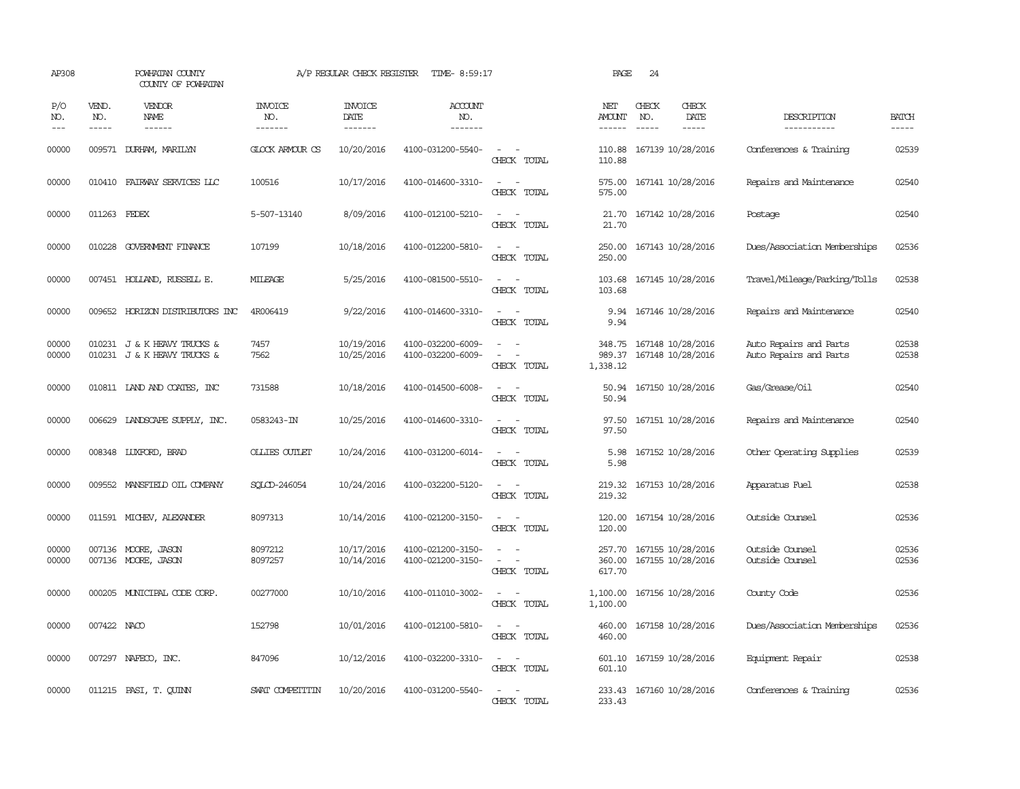| AP308               |                               | POWHATAN COUNTY<br>COUNTY OF POWHATAN                      |                                  | A/P REGULAR CHECK REGISTER        | TIME- 8:59:17                          |                                                                     | PAGE                           | 24                            |                                        |                                                  |                             |
|---------------------|-------------------------------|------------------------------------------------------------|----------------------------------|-----------------------------------|----------------------------------------|---------------------------------------------------------------------|--------------------------------|-------------------------------|----------------------------------------|--------------------------------------------------|-----------------------------|
| P/O<br>NO.<br>$---$ | VEND.<br>NO.<br>$\frac{1}{2}$ | VENDOR<br>NAME                                             | <b>INVOICE</b><br>NO.<br>------- | <b>INVOICE</b><br>DATE<br>------- | ACCOUNT<br>NO.<br>-------              |                                                                     | NET<br>AMOUNT<br>$- - - - - -$ | CHECK<br>NO.<br>$\frac{1}{2}$ | CHECK<br>DATE<br>$- - - - -$           | DESCRIPTION<br>-----------                       | <b>BATCH</b><br>$- - - - -$ |
| 00000               |                               | 009571 DURHAM, MARILYN                                     | GLOCK ARMOUR CS                  | 10/20/2016                        | 4100-031200-5540-                      | $ -$<br>CHECK TOTAL                                                 | 110.88                         |                               | 110.88 167139 10/28/2016               | Conferences & Training                           | 02539                       |
| 00000               |                               | 010410 FAIRWAY SERVICES LLC                                | 100516                           | 10/17/2016                        | 4100-014600-3310-                      | $\sim$<br>$\overline{\phantom{a}}$<br>CHECK TOTAL                   | 575.00<br>575.00               |                               | 167141 10/28/2016                      | Repairs and Maintenance                          | 02540                       |
| 00000               | 011263 FEDEX                  |                                                            | 5-507-13140                      | 8/09/2016                         | 4100-012100-5210-                      | $\sim$<br>CHECK TOTAL                                               | 21.70<br>21.70                 |                               | 167142 10/28/2016                      | Postage                                          | 02540                       |
| 00000               |                               | 010228 GOVERNMENT FINANCE                                  | 107199                           | 10/18/2016                        | 4100-012200-5810-                      | $\overline{\phantom{a}}$<br>CHECK TOTAL                             | 250.00<br>250.00               |                               | 167143 10/28/2016                      | Dues/Association Memberships                     | 02536                       |
| 00000               |                               | 007451 HOLLAND, RUSSELL E.                                 | MILFAGE                          | 5/25/2016                         | 4100-081500-5510-                      | $\overline{\phantom{a}}$<br>$\overline{\phantom{a}}$<br>CHECK TOTAL | 103.68<br>103.68               |                               | 167145 10/28/2016                      | Travel/Mileage/Parking/Tolls                     | 02538                       |
| 00000               |                               | 009652 HORIZON DISTRIBUTORS INC                            | 4R006419                         | 9/22/2016                         | 4100-014600-3310-                      | $\overline{\phantom{a}}$<br>CHECK TOTAL                             | 9.94<br>9.94                   |                               | 167146 10/28/2016                      | Repairs and Maintenance                          | 02540                       |
| 00000<br>00000      |                               | 010231 J & K HEAVY TRUCKS &<br>010231 J & K HEAVY TRUCKS & | 7457<br>7562                     | 10/19/2016<br>10/25/2016          | 4100-032200-6009-<br>4100-032200-6009- | CHECK TOTAL                                                         | 348.75<br>989.37<br>1,338.12   |                               | 167148 10/28/2016<br>167148 10/28/2016 | Auto Repairs and Parts<br>Auto Repairs and Parts | 02538<br>02538              |
| 00000               |                               | 010811 IAND AND COATES, INC                                | 731588                           | 10/18/2016                        | 4100-014500-6008-                      | $\sim$<br>$\sim$<br>CHECK TOTAL                                     | 50.94<br>50.94                 |                               | 167150 10/28/2016                      | Gas/Grease/Oil                                   | 02540                       |
| 00000               |                               | 006629 LANDSCAPE SUPPLY, INC.                              | 0583243-IN                       | 10/25/2016                        | 4100-014600-3310-                      | $\equiv$<br>$\sim$<br>CHECK TOTAL                                   | 97.50<br>97.50                 |                               | 167151 10/28/2016                      | Repairs and Maintenance                          | 02540                       |
| 00000               |                               | 008348 LUXFORD, BRAD                                       | <b>OLLIES CUTLET</b>             | 10/24/2016                        | 4100-031200-6014-                      | CHECK TOTAL                                                         | 5.98<br>5.98                   |                               | 167152 10/28/2016                      | Other Operating Supplies                         | 02539                       |
| 00000               |                               | 009552 MANSFIELD OIL COMPANY                               | SQLCD-246054                     | 10/24/2016                        | 4100-032200-5120-                      | $\overline{\phantom{a}}$<br>CHECK TOTAL                             | 219.32                         |                               | 219.32 167153 10/28/2016               | Apparatus Fuel                                   | 02538                       |
| 00000               |                               | 011591 MICHEV, ALEXANDER                                   | 8097313                          | 10/14/2016                        | 4100-021200-3150-                      | $\sim$<br>$\overline{\phantom{a}}$<br>CHECK TOTAL                   | 120.00<br>120.00               |                               | 167154 10/28/2016                      | Outside Counsel                                  | 02536                       |
| 00000<br>00000      | 007136                        | 007136 MOORE, JASON<br>MOORE, JASON                        | 8097212<br>8097257               | 10/17/2016<br>10/14/2016          | 4100-021200-3150-<br>4100-021200-3150- | CHECK TOTAL                                                         | 257.70<br>360.00<br>617.70     |                               | 167155 10/28/2016<br>167155 10/28/2016 | Outside Counsel<br>Outside Counsel               | 02536<br>02536              |
| 00000               | 000205                        | MUNICIPAL CODE CORP.                                       | 00277000                         | 10/10/2016                        | 4100-011010-3002-                      | CHECK TOTAL                                                         | 1,100.00<br>1,100.00           |                               | 167156 10/28/2016                      | County Code                                      | 02536                       |
| 00000               | 007422 NACO                   |                                                            | 152798                           | 10/01/2016                        | 4100-012100-5810-                      | CHECK TOTAL                                                         | 460.00<br>460.00               |                               | 167158 10/28/2016                      | Dues/Association Memberships                     | 02536                       |
| 00000               |                               | 007297 NAFECO, INC.                                        | 847096                           | 10/12/2016                        | 4100-032200-3310-                      | $\sim$<br>CHECK TOTAL                                               | 601.10<br>601.10               |                               | 167159 10/28/2016                      | Equipment Repair                                 | 02538                       |
| 00000               |                               | 011215 PASI, T. QUINN                                      | SWAT COMPETITIN                  | 10/20/2016                        | 4100-031200-5540-                      | CHECK TOTAL                                                         | 233.43                         |                               | 233.43 167160 10/28/2016               | Conferences & Training                           | 02536                       |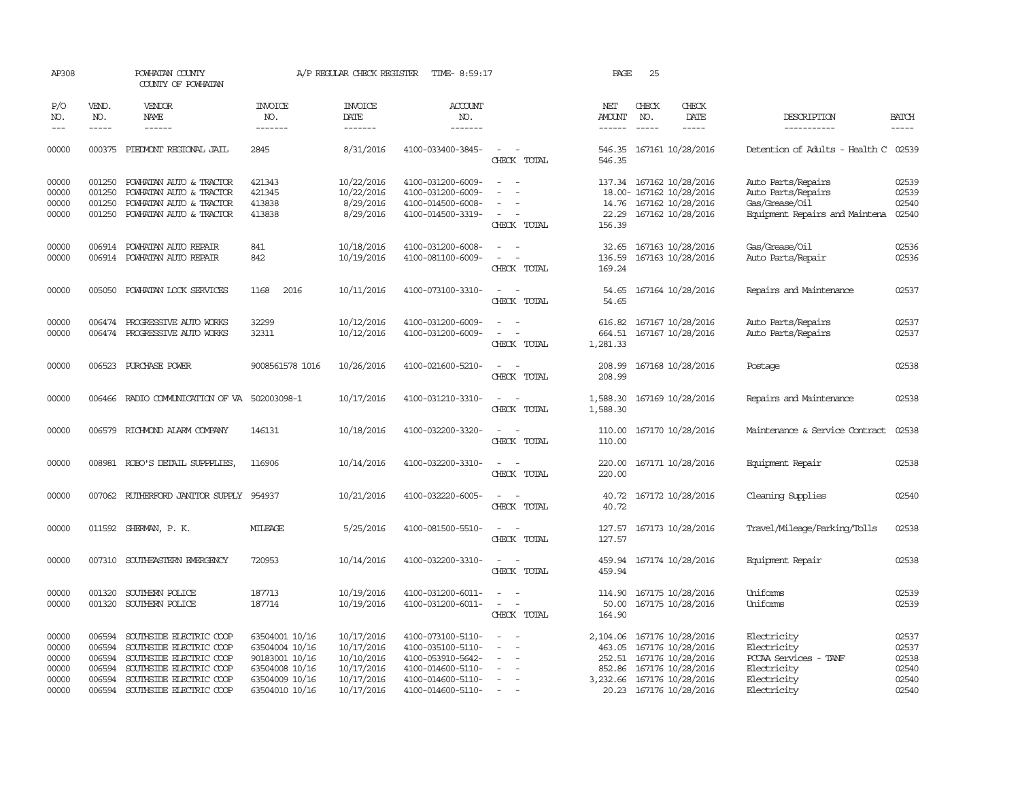| AP308                                              |                                                          | POWHATAN COUNTY<br>COUNTY OF POWHATAN                                                                                                                          |                                                                                                          | A/P REGULAR CHECK REGISTER                                                       | TIME- 8:59:17                                                                                                              |                                                                          | PAGE                                   | 25           |                                                                                                                                           |                                                                                                  |                                                    |
|----------------------------------------------------|----------------------------------------------------------|----------------------------------------------------------------------------------------------------------------------------------------------------------------|----------------------------------------------------------------------------------------------------------|----------------------------------------------------------------------------------|----------------------------------------------------------------------------------------------------------------------------|--------------------------------------------------------------------------|----------------------------------------|--------------|-------------------------------------------------------------------------------------------------------------------------------------------|--------------------------------------------------------------------------------------------------|----------------------------------------------------|
| P/O<br>NO.                                         | VEND.<br>NO.                                             | <b>VENDOR</b><br>NAME                                                                                                                                          | <b>INVOICE</b><br>NO.                                                                                    | <b>INVOICE</b><br>DATE                                                           | <b>ACCOUNT</b><br>NO.                                                                                                      |                                                                          | NET<br>AMOUNT                          | CHECK<br>NO. | CHECK<br>DATE                                                                                                                             | DESCRIPTION                                                                                      | <b>BATCH</b>                                       |
| $ -$                                               | $\frac{1}{2}$                                            | ------                                                                                                                                                         | -------                                                                                                  | $- - - - - - -$                                                                  | -------                                                                                                                    |                                                                          | $- - - - - -$                          |              | -----                                                                                                                                     | -----------                                                                                      | -----                                              |
| 00000                                              |                                                          | 000375 PIEDMONT REGIONAL JAIL                                                                                                                                  | 2845                                                                                                     | 8/31/2016                                                                        | 4100-033400-3845-                                                                                                          | $\sim$<br>$\overline{\phantom{a}}$<br>CHECK TOTAL                        | 546.35                                 |              | 546.35 167161 10/28/2016                                                                                                                  | Detention of Adults - Health C 02539                                                             |                                                    |
| 00000<br>00000<br>00000<br>00000                   | 001250<br>001250<br>001250<br>001250                     | POWHATAN AUTO & TRACTOR<br>POWHATAN AUTO & TRACTOR<br>POWHATAN AUTO & TRACTOR<br>POWHATAN AUTO & TRACTOR                                                       | 421343<br>421345<br>413838<br>413838                                                                     | 10/22/2016<br>10/22/2016<br>8/29/2016<br>8/29/2016                               | 4100-031200-6009-<br>4100-031200-6009-<br>4100-014500-6008-<br>4100-014500-3319-                                           | $\sim$<br>$\overline{\phantom{a}}$<br>CHECK TOTAL                        | 22.29<br>156.39                        |              | 137.34 167162 10/28/2016<br>18.00- 167162 10/28/2016<br>14.76 167162 10/28/2016<br>167162 10/28/2016                                      | Auto Parts/Repairs<br>Auto Parts/Repairs<br>Gas/Grease/Oil<br>Equipment Repairs and Maintena     | 02539<br>02539<br>02540<br>02540                   |
| 00000<br>00000                                     | 006914<br>006914                                         | POWHATAN AUTO REPAIR<br>POWHATAN AUTO REPAIR                                                                                                                   | 841<br>842                                                                                               | 10/18/2016<br>10/19/2016                                                         | 4100-031200-6008-<br>4100-081100-6009-                                                                                     | $\overline{\phantom{a}}$<br>$\overline{\phantom{a}}$<br>CHECK TOTAL      | 32.65<br>136.59<br>169.24              |              | 167163 10/28/2016<br>167163 10/28/2016                                                                                                    | Gas/Grease/Oil<br>Auto Parts/Repair                                                              | 02536<br>02536                                     |
| 00000                                              | 005050                                                   | POWHATAN LOCK SERVICES                                                                                                                                         | 1168<br>2016                                                                                             | 10/11/2016                                                                       | 4100-073100-3310-                                                                                                          | $\sim$<br>$\overline{\phantom{a}}$<br>CHECK TOTAL                        | 54.65<br>54.65                         |              | 167164 10/28/2016                                                                                                                         | Repairs and Maintenance                                                                          | 02537                                              |
| 00000<br>00000                                     | 006474                                                   | PROGRESSIVE AUTO WORKS<br>006474 PROGRESSIVE AUTO WORKS                                                                                                        | 32299<br>32311                                                                                           | 10/12/2016<br>10/12/2016                                                         | 4100-031200-6009-<br>4100-031200-6009-                                                                                     | $\equiv$<br>$\overline{\phantom{a}}$<br>CHECK TOTAL                      | 616.82<br>1,281.33                     |              | 167167 10/28/2016<br>664.51 167167 10/28/2016                                                                                             | Auto Parts/Repairs<br>Auto Parts/Repairs                                                         | 02537<br>02537                                     |
| 00000                                              |                                                          | 006523 PURCHASE POWER                                                                                                                                          | 9008561578 1016                                                                                          | 10/26/2016                                                                       | 4100-021600-5210-                                                                                                          | $\sim$<br>$\sim$<br>CHECK TOTAL                                          | 208.99<br>208.99                       |              | 167168 10/28/2016                                                                                                                         | Postage                                                                                          | 02538                                              |
| 00000                                              |                                                          | 006466 RADIO COMMUNICATION OF VA 502003098-1                                                                                                                   |                                                                                                          | 10/17/2016                                                                       | 4100-031210-3310-                                                                                                          | $\sim$ $ \sim$<br>CHECK TOTAL                                            | 1,588.30                               |              | 1,588.30 167169 10/28/2016                                                                                                                | Repairs and Maintenance                                                                          | 02538                                              |
| 00000                                              |                                                          | 006579 RICHMOND ALARM COMPANY                                                                                                                                  | 146131                                                                                                   | 10/18/2016                                                                       | 4100-032200-3320-                                                                                                          | $\sim$<br>CHECK TOTAL                                                    | 110.00<br>110.00                       |              | 167170 10/28/2016                                                                                                                         | Maintenance & Service Contract                                                                   | 02538                                              |
| 00000                                              |                                                          | 008981 ROBO'S DETAIL SUPPPLIES,                                                                                                                                | 116906                                                                                                   | 10/14/2016                                                                       | 4100-032200-3310-                                                                                                          | $\overline{\phantom{a}}$<br>CHECK TOTAL                                  | 220.00<br>220.00                       |              | 167171 10/28/2016                                                                                                                         | Equipment Repair                                                                                 | 02538                                              |
| 00000                                              | 007062                                                   | RUTHERFORD JANITOR SUPPLY                                                                                                                                      | 954937                                                                                                   | 10/21/2016                                                                       | 4100-032220-6005-                                                                                                          | CHECK TOTAL                                                              | 40.72<br>40.72                         |              | 167172 10/28/2016                                                                                                                         | Cleaning Supplies                                                                                | 02540                                              |
| 00000                                              |                                                          | 011592 SHERMAN, P. K.                                                                                                                                          | MILEAGE                                                                                                  | 5/25/2016                                                                        | 4100-081500-5510-                                                                                                          | $\sim$<br>. —<br>CHECK TOTAL                                             | 127.57<br>127.57                       |              | 167173 10/28/2016                                                                                                                         | Travel/Mileage/Parking/Tolls                                                                     | 02538                                              |
| 00000                                              |                                                          | 007310 SOUTHEASTERN EMERGENCY                                                                                                                                  | 720953                                                                                                   | 10/14/2016                                                                       | 4100-032200-3310-                                                                                                          | $\overline{\phantom{a}}$<br>$\overline{\phantom{a}}$<br>CHECK TOTAL      | 459.94<br>459.94                       |              | 167174 10/28/2016                                                                                                                         | Equipment Repair                                                                                 | 02538                                              |
| 00000<br>00000                                     | 001320<br>001320                                         | SOUTHERN POLICE<br>SOUTHERN POLICE                                                                                                                             | 187713<br>187714                                                                                         | 10/19/2016<br>10/19/2016                                                         | 4100-031200-6011-<br>4100-031200-6011-                                                                                     | $\sim$<br>$\overline{\phantom{a}}$<br>$\sim$<br>$\sim$<br>CHECK TOTAL    | 114.90<br>50.00<br>164.90              |              | 167175 10/28/2016<br>167175 10/28/2016                                                                                                    | Uniforms<br>Uniforms                                                                             | 02539<br>02539                                     |
| 00000<br>00000<br>00000<br>00000<br>00000<br>00000 | 006594<br>006594<br>006594<br>006594<br>006594<br>006594 | SOUTHSIDE ELECTRIC COOP<br>SOUTHSIDE ELECTRIC COOP<br>SOUTHSIDE ELECTRIC COOP<br>SOUTHSIDE ELECTRIC COOP<br>SOUTHSIDE ELECTRIC COOP<br>SOUTHSIDE ELECTRIC COOP | 63504001 10/16<br>63504004 10/16<br>90183001 10/16<br>63504008 10/16<br>63504009 10/16<br>63504010 10/16 | 10/17/2016<br>10/17/2016<br>10/10/2016<br>10/17/2016<br>10/17/2016<br>10/17/2016 | 4100-073100-5110-<br>4100-035100-5110-<br>4100-053910-5642-<br>4100-014600-5110-<br>4100-014600-5110-<br>4100-014600-5110- | $\overline{\phantom{a}}$<br>$\sim$<br>$\overline{\phantom{a}}$<br>$\sim$ | 2,104.06<br>463.05<br>252.51<br>852.86 |              | 167176 10/28/2016<br>167176 10/28/2016<br>167176 10/28/2016<br>167176 10/28/2016<br>3,232.66 167176 10/28/2016<br>20.23 167176 10/28/2016 | Electricity<br>Electricity<br>PCCAA Services - TANF<br>Electricity<br>Electricity<br>Electricity | 02537<br>02537<br>02538<br>02540<br>02540<br>02540 |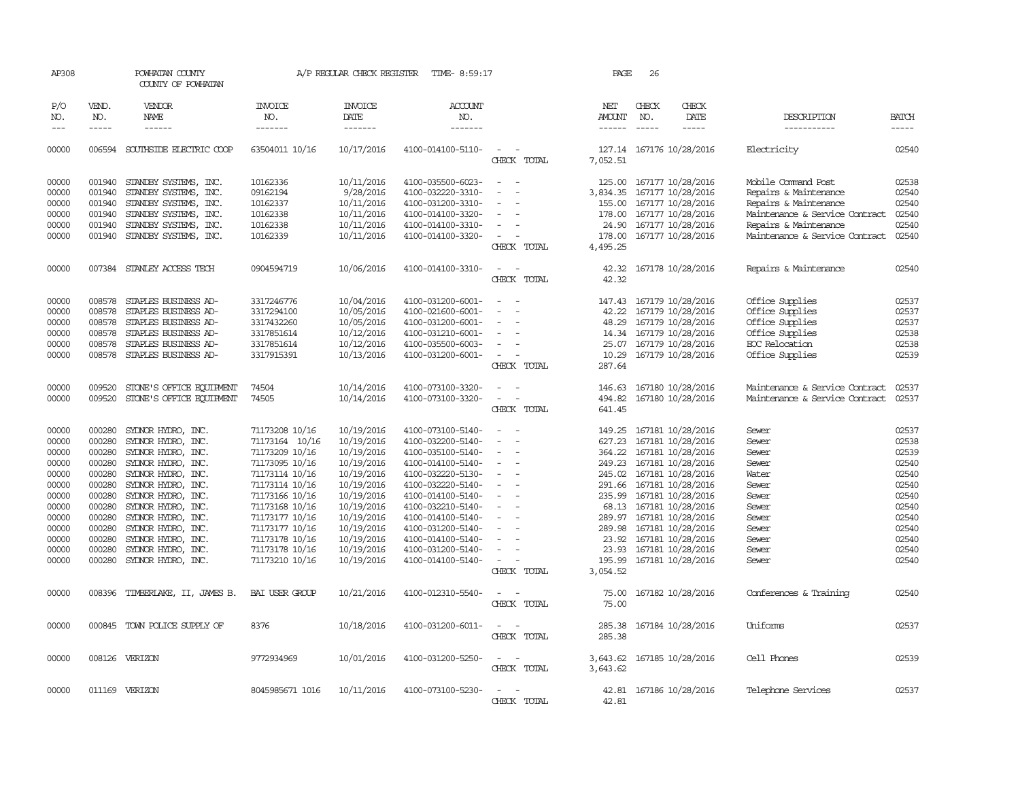| AP308                                                                                                             |                                                                                                            | POWHATAN COUNTY<br>COUNTY OF POWHATAN                                                                                                                                                                                                                                                                    |                                                                                                                                                                                                                                        | A/P REGULAR CHECK REGISTER                                                                                                                                                         | TIME- 8:59:17                                                                                                                                                                                                                                                                 |                                                                                                                                                                                                                 | PAGE                                                                                    | 26           |                                                                                                                                                                                                                                                                                                                |                                                                                                                                                                    |                                                                                                                   |
|-------------------------------------------------------------------------------------------------------------------|------------------------------------------------------------------------------------------------------------|----------------------------------------------------------------------------------------------------------------------------------------------------------------------------------------------------------------------------------------------------------------------------------------------------------|----------------------------------------------------------------------------------------------------------------------------------------------------------------------------------------------------------------------------------------|------------------------------------------------------------------------------------------------------------------------------------------------------------------------------------|-------------------------------------------------------------------------------------------------------------------------------------------------------------------------------------------------------------------------------------------------------------------------------|-----------------------------------------------------------------------------------------------------------------------------------------------------------------------------------------------------------------|-----------------------------------------------------------------------------------------|--------------|----------------------------------------------------------------------------------------------------------------------------------------------------------------------------------------------------------------------------------------------------------------------------------------------------------------|--------------------------------------------------------------------------------------------------------------------------------------------------------------------|-------------------------------------------------------------------------------------------------------------------|
| P/O<br>NO.                                                                                                        | VEND.<br>NO.                                                                                               | <b>VENDOR</b><br>NAME                                                                                                                                                                                                                                                                                    | INVOICE<br>NO.                                                                                                                                                                                                                         | <b>INVOICE</b><br>DATE                                                                                                                                                             | <b>ACCOUNT</b><br>NO.                                                                                                                                                                                                                                                         |                                                                                                                                                                                                                 | NET<br>AMOUNT                                                                           | CHECK<br>NO. | CHECK<br>DATE                                                                                                                                                                                                                                                                                                  | DESCRIPTION                                                                                                                                                        | <b>BATCH</b>                                                                                                      |
| $- - -$                                                                                                           | $- - - - -$                                                                                                | ------                                                                                                                                                                                                                                                                                                   | -------                                                                                                                                                                                                                                | -------                                                                                                                                                                            | -------                                                                                                                                                                                                                                                                       |                                                                                                                                                                                                                 | $- - - - - -$                                                                           | $- - - - -$  | -----                                                                                                                                                                                                                                                                                                          | -----------                                                                                                                                                        | $- - - - -$                                                                                                       |
| 00000                                                                                                             |                                                                                                            | 006594 SOUTHSIDE ELECTRIC COOP                                                                                                                                                                                                                                                                           | 63504011 10/16                                                                                                                                                                                                                         | 10/17/2016                                                                                                                                                                         | 4100-014100-5110-                                                                                                                                                                                                                                                             | $\sim$ 10 $\,$<br>CHECK TOTAL                                                                                                                                                                                   | 7,052.51                                                                                |              | 127.14 167176 10/28/2016                                                                                                                                                                                                                                                                                       | Electricity                                                                                                                                                        | 02540                                                                                                             |
| 00000<br>00000<br>00000<br>00000<br>00000<br>00000                                                                | 001940<br>001940<br>001940                                                                                 | STANDBY SYSTEMS, INC.<br>STANDBY SYSTEMS, INC.<br>STANDBY SYSTEMS, INC.<br>001940 STANDBY SYSTEMS, INC.<br>001940 STANDBY SYSTEMS, INC.<br>001940 STANDBY SYSTEMS, INC.                                                                                                                                  | 10162336<br>09162194<br>10162337<br>10162338<br>10162338<br>10162339                                                                                                                                                                   | 10/11/2016<br>9/28/2016<br>10/11/2016<br>10/11/2016<br>10/11/2016<br>10/11/2016                                                                                                    | 4100-035500-6023-<br>4100-032220-3310-<br>4100-031200-3310-<br>4100-014100-3320-<br>4100-014100-3310-<br>4100-014100-3320-                                                                                                                                                    | $\overline{\phantom{a}}$<br>$\overline{\phantom{a}}$<br>$\overline{\phantom{a}}$<br>$\overline{\phantom{a}}$<br>$\sim$<br>CHECK TOTAL                                                                           | 125.00<br>3,834.35<br>155.00<br>178.00<br>4,495.25                                      |              | 167177 10/28/2016<br>167177 10/28/2016<br>167177 10/28/2016<br>178.00 167177 10/28/2016<br>24.90 167177 10/28/2016<br>167177 10/28/2016                                                                                                                                                                        | Mobile Command Post<br>Repairs & Maintenance<br>Repairs & Maintenance<br>Maintenance & Service Contract<br>Repairs & Maintenance<br>Maintenance & Service Contract | 02538<br>02540<br>02540<br>02540<br>02540<br>02540                                                                |
| 00000                                                                                                             |                                                                                                            | 007384 STANLEY ACCESS TECH                                                                                                                                                                                                                                                                               | 0904594719                                                                                                                                                                                                                             | 10/06/2016                                                                                                                                                                         | 4100-014100-3310-                                                                                                                                                                                                                                                             | $\sim$<br>$\sim$<br>CHECK TOTAL                                                                                                                                                                                 | 42.32                                                                                   |              | 42.32 167178 10/28/2016                                                                                                                                                                                                                                                                                        | Repairs & Maintenance                                                                                                                                              | 02540                                                                                                             |
| 00000<br>00000<br>00000<br>00000<br>00000<br>00000                                                                | 008578<br>008578<br>008578<br>008578<br>008578                                                             | STAPLES BUSINESS AD-<br>STAPLES BUSINESS AD-<br>008578 STAPLES BUSINESS AD-<br>STAPLES BUSINESS AD-<br>STAPLES BUSINESS AD-<br>STAPLES BUSINESS AD-                                                                                                                                                      | 3317246776<br>3317294100<br>3317432260<br>3317851614<br>3317851614<br>3317915391                                                                                                                                                       | 10/04/2016<br>10/05/2016<br>10/05/2016<br>10/12/2016<br>10/12/2016<br>10/13/2016                                                                                                   | 4100-031200-6001-<br>4100-021600-6001-<br>4100-031200-6001-<br>4100-031210-6001-<br>4100-035500-6003-<br>4100-031200-6001-                                                                                                                                                    | $\overline{\phantom{a}}$<br>$\overline{\phantom{a}}$<br>$\overline{\phantom{a}}$<br>$\overline{\phantom{a}}$<br>CHECK TOTAL                                                                                     | 147.43<br>42.22<br>48.29<br>14.34<br>10.29<br>287.64                                    |              | 167179 10/28/2016<br>167179 10/28/2016<br>167179 10/28/2016<br>167179 10/28/2016<br>25.07 167179 10/28/2016<br>167179 10/28/2016                                                                                                                                                                               | Office Supplies<br>Office Supplies<br>Office Supplies<br>Office Supplies<br>EOC Relocation<br>Office Supplies                                                      | 02537<br>02537<br>02537<br>02538<br>02538<br>02539                                                                |
| 00000<br>00000                                                                                                    | 009520<br>009520                                                                                           | STONE'S OFFICE EQUIPMENT<br>STONE'S OFFICE EQUIPMENT                                                                                                                                                                                                                                                     | 74504<br>74505                                                                                                                                                                                                                         | 10/14/2016<br>10/14/2016                                                                                                                                                           | 4100-073100-3320-<br>4100-073100-3320-                                                                                                                                                                                                                                        | $\overline{\phantom{a}}$<br>$\sim$<br>$\overline{\phantom{a}}$<br>$\overline{\phantom{a}}$<br>CHECK TOTAL                                                                                                       | 146.63<br>494.82<br>641.45                                                              |              | 167180 10/28/2016<br>167180 10/28/2016                                                                                                                                                                                                                                                                         | Maintenance & Service Contract<br>Maintenance & Service Contract                                                                                                   | 02537<br>02537                                                                                                    |
| 00000<br>00000<br>00000<br>00000<br>00000<br>00000<br>00000<br>00000<br>00000<br>00000<br>00000<br>00000<br>00000 | 000280<br>000280<br>000280<br>000280<br>000280<br>000280<br>000280<br>000280<br>000280<br>000280<br>000280 | SYDNOR HYDRO, INC.<br>SYDNOR HYDRO, INC.<br>SYDNOR HYDRO, INC.<br>000280 SYDNOR HYDRO, INC.<br>000280 SYDNOR HYDRO, INC.<br>SYDNOR HYDRO, INC.<br>SYDNOR HYDRO, INC.<br>SYDNOR HYDRO, INC.<br>SYLNOR HYDRO, INC.<br>SYDNOR HYDRO, INC.<br>SYLNOR HYDRO, INC.<br>SYDNOR HYDRO, INC.<br>SYLNOR HYDRO, INC. | 71173208 10/16<br>71173164 10/16<br>71173209 10/16<br>71173095 10/16<br>71173114 10/16<br>71173114 10/16<br>71173166 10/16<br>71173168 10/16<br>71173177 10/16<br>71173177 10/16<br>71173178 10/16<br>71173178 10/16<br>71173210 10/16 | 10/19/2016<br>10/19/2016<br>10/19/2016<br>10/19/2016<br>10/19/2016<br>10/19/2016<br>10/19/2016<br>10/19/2016<br>10/19/2016<br>10/19/2016<br>10/19/2016<br>10/19/2016<br>10/19/2016 | 4100-073100-5140-<br>4100-032200-5140-<br>4100-035100-5140-<br>4100-014100-5140-<br>4100-032220-5130-<br>4100-032220-5140-<br>4100-014100-5140-<br>4100-032210-5140-<br>4100-014100-5140-<br>4100-031200-5140-<br>4100-014100-5140-<br>4100-031200-5140-<br>4100-014100-5140- | $\sim$<br>$\overline{\phantom{a}}$<br>$\overline{a}$<br>$\overline{\phantom{a}}$<br>$\overline{\phantom{a}}$<br>$\overline{\phantom{a}}$<br>$\overline{\phantom{a}}$<br>$\overline{\phantom{a}}$<br>CHECK TOTAL | 149.25<br>627.23<br>364.22<br>245.02<br>289.97<br>289.98<br>23.93<br>195.99<br>3,054.52 |              | 167181 10/28/2016<br>167181 10/28/2016<br>167181 10/28/2016<br>249.23 167181 10/28/2016<br>167181 10/28/2016<br>291.66 167181 10/28/2016<br>235.99 167181 10/28/2016<br>68.13 167181 10/28/2016<br>167181 10/28/2016<br>167181 10/28/2016<br>23.92 167181 10/28/2016<br>167181 10/28/2016<br>167181 10/28/2016 | Sewer<br>Sewer<br>Sewer<br>Sewer<br>Water<br>Sewer<br>Sewer<br>Sewer<br>Sewer<br>Sewer<br>Sewer<br>Sewer<br>Sewer                                                  | 02537<br>02538<br>02539<br>02540<br>02540<br>02540<br>02540<br>02540<br>02540<br>02540<br>02540<br>02540<br>02540 |
| 00000                                                                                                             | 008396                                                                                                     | TIMBERLAKE, II, JAMES B.                                                                                                                                                                                                                                                                                 | BAI USER GROUP                                                                                                                                                                                                                         | 10/21/2016                                                                                                                                                                         | 4100-012310-5540-                                                                                                                                                                                                                                                             | CHECK TOTAL                                                                                                                                                                                                     | 75.00<br>75.00                                                                          |              | 167182 10/28/2016                                                                                                                                                                                                                                                                                              | Conferences & Training                                                                                                                                             | 02540                                                                                                             |
| 00000                                                                                                             |                                                                                                            | 000845 TOWN POLICE SUPPLY OF                                                                                                                                                                                                                                                                             | 8376                                                                                                                                                                                                                                   | 10/18/2016                                                                                                                                                                         | 4100-031200-6011-                                                                                                                                                                                                                                                             | $\overline{\phantom{a}}$<br>CHECK TOTAL                                                                                                                                                                         | 285.38<br>285.38                                                                        |              | 167184 10/28/2016                                                                                                                                                                                                                                                                                              | Uniforms                                                                                                                                                           | 02537                                                                                                             |
| 00000                                                                                                             |                                                                                                            | 008126 VERIZON                                                                                                                                                                                                                                                                                           | 9772934969                                                                                                                                                                                                                             | 10/01/2016                                                                                                                                                                         | 4100-031200-5250-                                                                                                                                                                                                                                                             | $\overline{\phantom{a}}$<br>$\overline{\phantom{a}}$<br>CHECK TOTAL                                                                                                                                             | 3,643.62<br>3,643.62                                                                    |              | 167185 10/28/2016                                                                                                                                                                                                                                                                                              | Cell Phones                                                                                                                                                        | 02539                                                                                                             |
| 00000                                                                                                             |                                                                                                            | 011169 VERIZON                                                                                                                                                                                                                                                                                           | 8045985671 1016                                                                                                                                                                                                                        | 10/11/2016                                                                                                                                                                         | 4100-073100-5230-                                                                                                                                                                                                                                                             | $\sim$<br><b>CHECK</b><br><b>TOTAL</b>                                                                                                                                                                          | 42.81                                                                                   |              | 42.81 167186 10/28/2016                                                                                                                                                                                                                                                                                        | Telephone Services                                                                                                                                                 | 02537                                                                                                             |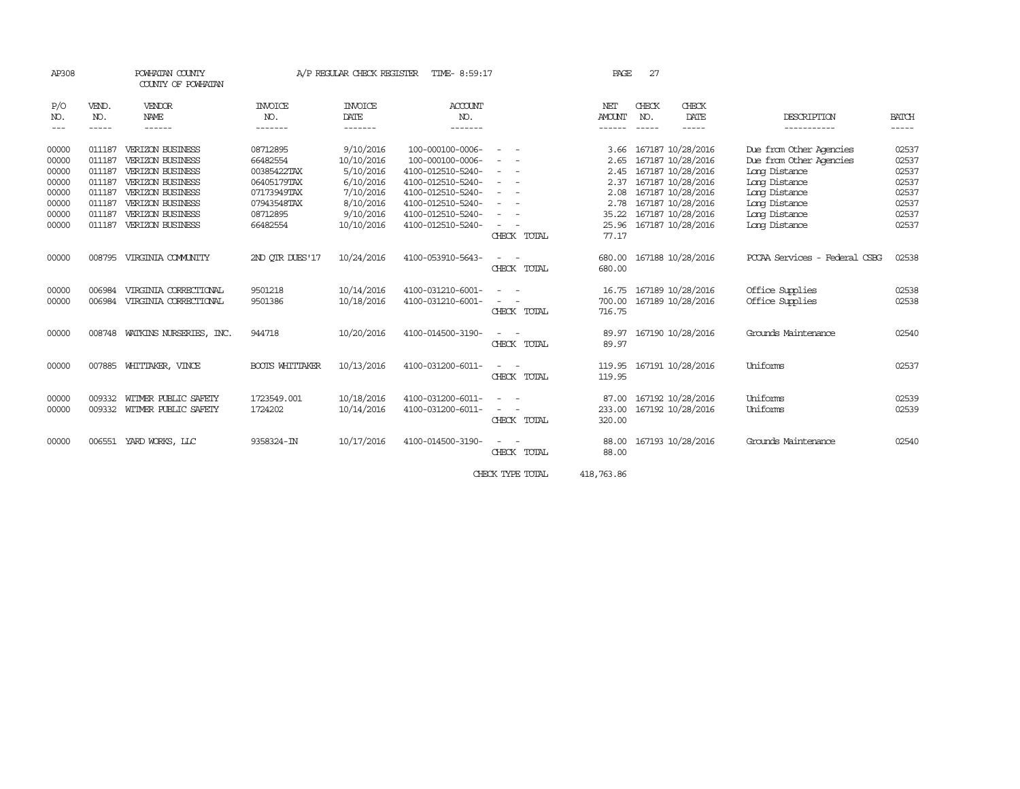| AP308                | COUNTY OF POWHATAN |                                | POWHATAN COUNTY<br>A/P REGULAR CHECK REGISTER<br>TIME- 8:59:17 |                 |                   |                          | PAGE          | 27           |                         |                                  |                       |
|----------------------|--------------------|--------------------------------|----------------------------------------------------------------|-----------------|-------------------|--------------------------|---------------|--------------|-------------------------|----------------------------------|-----------------------|
| P/O                  | VEND.              | VENDOR                         | <b>INVOICE</b>                                                 | <b>INVOICE</b>  | ACCOUNT           |                          | NET           | CHECK        | CHECK                   |                                  |                       |
| NO.<br>$\frac{1}{2}$ | NO.<br>-----       | NAME<br>------                 | NO.<br>-------                                                 | DATE<br>------- | NO.<br>-------    |                          | <b>AMOUNT</b> | NO.<br>----- | DATE<br>-----           | DESCRIPTION<br>-----------       | <b>BATCH</b><br>----- |
|                      |                    |                                |                                                                |                 |                   |                          |               |              |                         |                                  |                       |
| 00000                | 011187             | <b>VERIZON BUSINESS</b>        | 08712895                                                       | 9/10/2016       | 100-000100-0006-  |                          |               |              | 3.66 167187 10/28/2016  | Due from Other Agencies          | 02537                 |
| 00000                | 011187             | VERIZON BUSINESS               | 66482554                                                       | 10/10/2016      | 100-000100-0006-  |                          |               |              | 2.65 167187 10/28/2016  | Due from Other Agencies          | 02537                 |
| 00000                | 011187             | <b>VERIZON BUSINESS</b>        | 00385422TAX                                                    | 5/10/2016       | 4100-012510-5240- |                          |               |              | 2.45 167187 10/28/2016  | Long Distance                    | 02537                 |
| 00000                | 011187             | VERIZON BUSINESS               | 06405179TAX                                                    | 6/10/2016       | 4100-012510-5240- | $\equiv$                 | 2.37          |              | 167187 10/28/2016       | Long Distance                    | 02537                 |
| 00000                | 011187             | VERIZON BUSINESS               | 07173949TAX                                                    | 7/10/2016       | 4100-012510-5240- | $\overline{\phantom{m}}$ | 2.08          |              | 167187 10/28/2016       | Long Distance                    | 02537                 |
| 00000                | 011187             | <b>VERIZON BUSINESS</b>        | 07943548TAX                                                    | 8/10/2016       | 4100-012510-5240- |                          |               |              | 2.78 167187 10/28/2016  | Long Distance                    | 02537                 |
| 00000                | 011187             | <b>VERIZON BUSINESS</b>        | 08712895                                                       | 9/10/2016       | 4100-012510-5240- |                          | 35.22         |              | 167187 10/28/2016       | Long Distance                    | 02537                 |
| 00000                | 011187             | VERIZON BUSINESS               | 66482554                                                       | 10/10/2016      | 4100-012510-5240- |                          | 25.96         |              | 167187 10/28/2016       | Long Distance                    | 02537                 |
|                      |                    |                                |                                                                |                 |                   | CHECK TOTAL              | 77.17         |              |                         |                                  |                       |
| 00000                | 008795             | VIRGINIA COMUNITY              | 2ND OTR DUES'17                                                | 10/24/2016      | 4100-053910-5643- |                          | 680.00        |              | 167188 10/28/2016       | PCCAA Services<br>- Federal CSBG | 02538                 |
|                      |                    |                                |                                                                |                 |                   | CHECK TOTAL              | 680.00        |              |                         |                                  |                       |
|                      |                    |                                |                                                                |                 |                   |                          |               |              |                         |                                  |                       |
| 00000                | 006984             | VIRGINIA CORRECTIONAL          | 9501218                                                        | 10/14/2016      | 4100-031210-6001- |                          | 16.75         |              | 167189 10/28/2016       | Office Supplies                  | 02538                 |
| 00000                | 006984             | VIRGINIA CORRECTIONAL          | 9501386                                                        | 10/18/2016      | 4100-031210-6001- |                          | 700.00        |              | 167189 10/28/2016       | Office Supplies                  | 02538                 |
|                      |                    |                                |                                                                |                 |                   | CHECK TOTAL              | 716.75        |              |                         |                                  |                       |
| 00000                |                    | 008748 WATKINS NURSERIES, INC. | 944718                                                         | 10/20/2016      | 4100-014500-3190- |                          | 89.97         |              | 167190 10/28/2016       | Grounds Maintenance              | 02540                 |
|                      |                    |                                |                                                                |                 |                   | CHECK TOTAL              | 89.97         |              |                         |                                  |                       |
|                      |                    |                                |                                                                |                 |                   |                          |               |              |                         |                                  |                       |
| 00000                | 007885             | WHITTAKER, VINCE               | <b>BOOTS WHITTAKER</b>                                         | 10/13/2016      | 4100-031200-6011- |                          | 119.95        |              | 167191 10/28/2016       | <b>Uniforms</b>                  | 02537                 |
|                      |                    |                                |                                                                |                 |                   | CHECK TOTAL              | 119.95        |              |                         |                                  |                       |
| 00000                | 009332             | WITMER PUBLIC SAFETY           | 1723549.001                                                    | 10/18/2016      | 4100-031200-6011- |                          |               |              | 87.00 167192 10/28/2016 | Uniforms                         | 02539                 |
| 00000                | 009332             | WITMER PUBLIC SAFETY           | 1724202                                                        | 10/14/2016      | 4100-031200-6011- |                          | 233.00        |              | 167192 10/28/2016       | Uniforms                         | 02539                 |
|                      |                    |                                |                                                                |                 |                   | CHECK TOTAL              | 320.00        |              |                         |                                  |                       |
| 00000                |                    | 006551 YARD WORKS, LLC         | 9358324-IN                                                     | 10/17/2016      | 4100-014500-3190- |                          | 88.00         |              | 167193 10/28/2016       | Grounds Maintenance              | 02540                 |
|                      |                    |                                |                                                                |                 |                   | CHECK TOTAL              | 88.00         |              |                         |                                  |                       |
|                      |                    |                                |                                                                |                 |                   |                          |               |              |                         |                                  |                       |
|                      |                    |                                |                                                                |                 |                   | CHECK TYPE TOTAL         | 418,763.86    |              |                         |                                  |                       |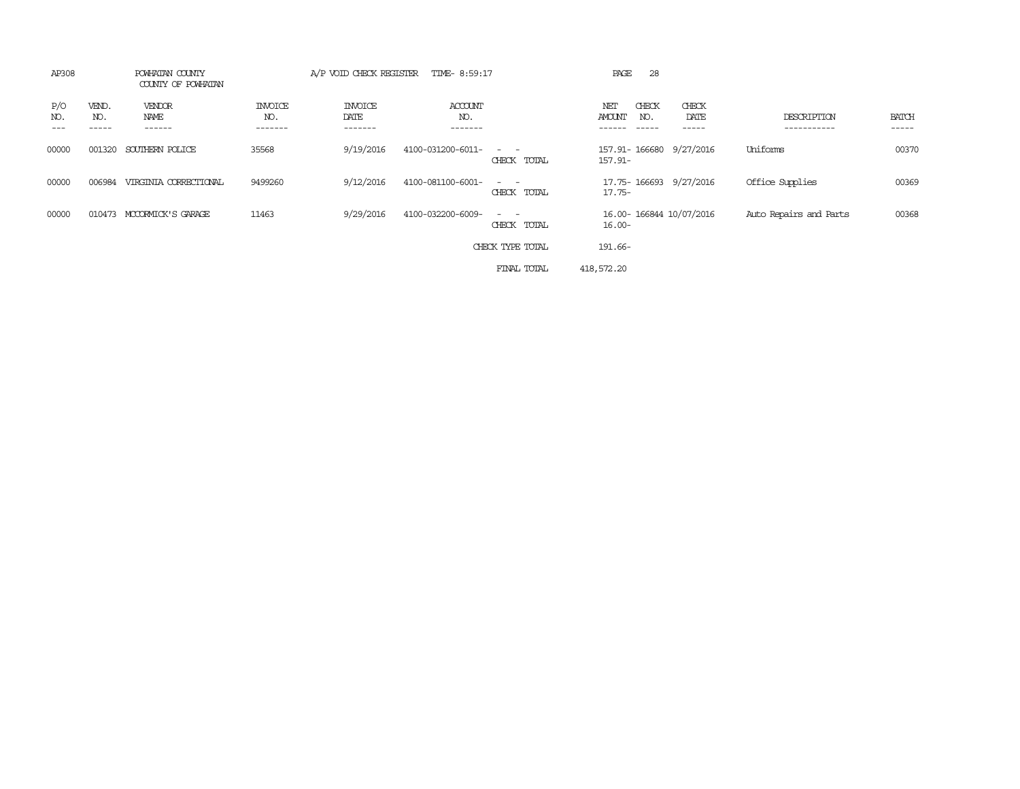| AP308               |                       | POWHATAN COUNTY<br>COUNTY OF POWHATAN |                            | A/P VOID CHECK REGISTER           | TIME- 8:59:17                    |                                                                                                                             | 28<br>PAGE                    |                         |                            |                       |
|---------------------|-----------------------|---------------------------------------|----------------------------|-----------------------------------|----------------------------------|-----------------------------------------------------------------------------------------------------------------------------|-------------------------------|-------------------------|----------------------------|-----------------------|
| P/O<br>NO.<br>$---$ | VEND.<br>NO.<br>----- | VENDOR<br>NAME<br>------              | INVOICE<br>NO.<br>-------- | <b>INVOICE</b><br>DATE<br>------- | <b>ACCOUNT</b><br>NO.<br>------- |                                                                                                                             | CHECK<br>NET<br>AMOUNT<br>NO. | CHECK<br>DATE<br>------ | DESCRIPTION<br>----------- | <b>BATCH</b><br>----- |
| 00000               | 001320                | SOUTHERN POLICE                       | 35568                      | 9/19/2016                         | 4100-031200-6011-                | $\sim$ $\sim$<br>CHECK TOTAL                                                                                                | 157.91-                       | 157.91-166680 9/27/2016 | Uniforms                   | 00370                 |
| 00000               | 006984                | VIRGINIA CORRECTIONAL                 | 9499260                    | 9/12/2016                         | 4100-081100-6001-                | CHECK TOTAL                                                                                                                 | 17.75-                        | 17.75-166693 9/27/2016  | Office Supplies            | 00369                 |
| 00000               | 010473                | MCCORMICK'S GARAGE                    | 11463                      | 9/29/2016                         | 4100-032200-6009-                | $\frac{1}{2} \left( \frac{1}{2} \right) \left( \frac{1}{2} \right) = \frac{1}{2} \left( \frac{1}{2} \right)$<br>CHECK TOTAL | $16.00 -$                     | 16.00-166844 10/07/2016 | Auto Repairs and Parts     | 00368                 |
|                     |                       |                                       |                            |                                   |                                  | CHECK TYPE TOTAL                                                                                                            | 191.66-                       |                         |                            |                       |
|                     |                       |                                       |                            |                                   |                                  | FINAL TOTAL                                                                                                                 | 418,572.20                    |                         |                            |                       |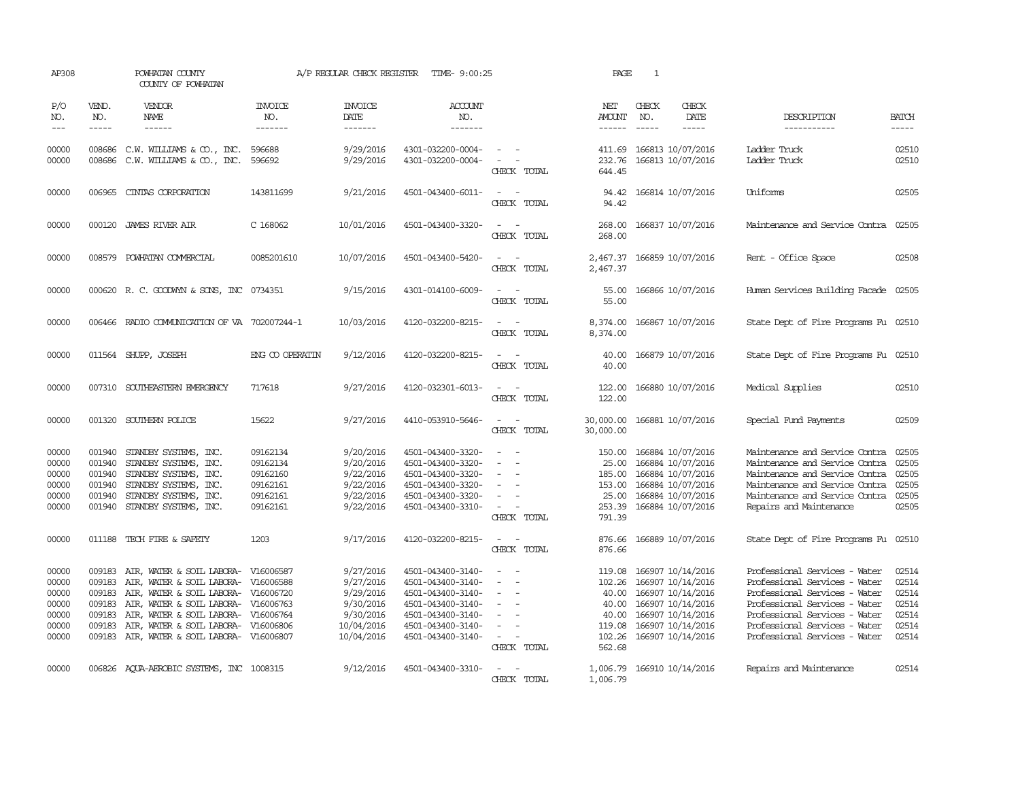| AP308                                                       |                                                          | POWHATAN COUNTY<br>COUNTY OF POWHATAN                                                                                                                                                                                    |                                                                            | A/P REGULAR CHECK REGISTER                                                                | TIME- 9:00:25                                                                                                                                   |                                                                                                                             | PAGE                                                             | 1                                                                                                                                                      |                                                                                                                                                                                                                                     |                                                             |
|-------------------------------------------------------------|----------------------------------------------------------|--------------------------------------------------------------------------------------------------------------------------------------------------------------------------------------------------------------------------|----------------------------------------------------------------------------|-------------------------------------------------------------------------------------------|-------------------------------------------------------------------------------------------------------------------------------------------------|-----------------------------------------------------------------------------------------------------------------------------|------------------------------------------------------------------|--------------------------------------------------------------------------------------------------------------------------------------------------------|-------------------------------------------------------------------------------------------------------------------------------------------------------------------------------------------------------------------------------------|-------------------------------------------------------------|
| P/O<br>NO.<br>$\frac{1}{2}$                                 | VEND.<br>NO.<br>$- - - - -$                              | <b>VENDOR</b><br><b>NAME</b><br>$- - - - - -$                                                                                                                                                                            | <b>INVOICE</b><br>NO.<br>-------                                           | <b>INVOICE</b><br>DATE<br>-------                                                         | <b>ACCOUNT</b><br>NO.<br>-------                                                                                                                |                                                                                                                             | NET<br>AMOUNT<br>------                                          | CHECK<br>CHECK<br>DATE<br>NO.<br>$\frac{1}{2}$<br>$- - - - -$                                                                                          | DESCRIPTION<br>-----------                                                                                                                                                                                                          | <b>BATCH</b><br>-----                                       |
| 00000<br>00000                                              | 008686<br>008686                                         | C.W. WILLIAMS & CO., INC.<br>C.W. WILLIAMS & CO., INC.                                                                                                                                                                   | 596688<br>596692                                                           | 9/29/2016<br>9/29/2016                                                                    | 4301-032200-0004-<br>4301-032200-0004-                                                                                                          | $\sim$ $-$<br>CHECK TOTAL                                                                                                   | 411.69<br>232.76<br>644.45                                       | 166813 10/07/2016<br>166813 10/07/2016                                                                                                                 | Ladder Truck<br>Ladder Truck                                                                                                                                                                                                        | 02510<br>02510                                              |
| 00000                                                       | 006965                                                   | CINIAS CORPORATION                                                                                                                                                                                                       | 143811699                                                                  | 9/21/2016                                                                                 | 4501-043400-6011-                                                                                                                               | $\sim$ 10 $\sim$ 10 $\sim$<br>CHECK TOTAL                                                                                   | 94.42                                                            | 94.42 166814 10/07/2016                                                                                                                                | Uniforms                                                                                                                                                                                                                            | 02505                                                       |
| 00000                                                       |                                                          | 000120 JAMES RIVER AIR                                                                                                                                                                                                   | C 168062                                                                   | 10/01/2016                                                                                | 4501-043400-3320-                                                                                                                               | $\overline{\phantom{a}}$<br>CHECK TOTAL                                                                                     | 268.00<br>268.00                                                 | 166837 10/07/2016                                                                                                                                      | Maintenance and Service Contra                                                                                                                                                                                                      | 02505                                                       |
| 00000                                                       | 008579                                                   | POWHATAN COMMERCIAL                                                                                                                                                                                                      | 0085201610                                                                 | 10/07/2016                                                                                | 4501-043400-5420-                                                                                                                               | $\overline{\phantom{a}}$<br>$\overline{\phantom{a}}$<br>CHECK TOTAL                                                         | 2,467.37<br>2,467.37                                             | 166859 10/07/2016                                                                                                                                      | Rent - Office Space                                                                                                                                                                                                                 | 02508                                                       |
| 00000                                                       |                                                          | 000620 R. C. GOODWYN & SONS, INC 0734351                                                                                                                                                                                 |                                                                            | 9/15/2016                                                                                 | 4301-014100-6009-                                                                                                                               | $\sim$<br>CHECK TOTAL                                                                                                       | 55.00<br>55.00                                                   | 166866 10/07/2016                                                                                                                                      | Human Services Building Facade 02505                                                                                                                                                                                                |                                                             |
| 00000                                                       |                                                          | 006466 RADIO COMMUNICATION OF VA 702007244-1                                                                                                                                                                             |                                                                            | 10/03/2016                                                                                | 4120-032200-8215-                                                                                                                               | CHECK TOTAL                                                                                                                 | 8,374.00<br>8,374.00                                             | 166867 10/07/2016                                                                                                                                      | State Dept of Fire Programs Fu 02510                                                                                                                                                                                                |                                                             |
| 00000                                                       |                                                          | 011564 SHUPP, JOSEPH                                                                                                                                                                                                     | ENG CO OPERATIN                                                            | 9/12/2016                                                                                 | 4120-032200-8215-                                                                                                                               | $\sim$ $\sim$<br>CHECK TOTAL                                                                                                | 40.00<br>40.00                                                   | 166879 10/07/2016                                                                                                                                      | State Dept of Fire Programs Fu 02510                                                                                                                                                                                                |                                                             |
| 00000                                                       |                                                          | 007310 SOUTHEASTERN EMERGENCY                                                                                                                                                                                            | 717618                                                                     | 9/27/2016                                                                                 | 4120-032301-6013-                                                                                                                               | $\frac{1}{2} \left( \frac{1}{2} \right) \left( \frac{1}{2} \right) = \frac{1}{2} \left( \frac{1}{2} \right)$<br>CHECK TOTAL | 122.00<br>122.00                                                 | 166880 10/07/2016                                                                                                                                      | Medical Supplies                                                                                                                                                                                                                    | 02510                                                       |
| 00000                                                       |                                                          | 001320 SOUTHERN POLICE                                                                                                                                                                                                   | 15622                                                                      | 9/27/2016                                                                                 | 4410-053910-5646-                                                                                                                               | CHECK TOTAL                                                                                                                 | 30,000.00<br>30,000.00                                           | 166881 10/07/2016                                                                                                                                      | Special Fund Payments                                                                                                                                                                                                               | 02509                                                       |
| 00000<br>00000<br>00000<br>00000<br>00000<br>00000          | 001940<br>001940<br>001940<br>001940<br>001940<br>001940 | STANDBY SYSTEMS, INC.<br>STANDBY SYSTEMS, INC.<br>STANDBY SYSTEMS, INC.<br>STANDBY SYSTEMS, INC.<br>STANDBY SYSTEMS, INC.<br>STANDBY SYSTEMS, INC.                                                                       | 09162134<br>09162134<br>09162160<br>09162161<br>09162161<br>09162161       | 9/20/2016<br>9/20/2016<br>9/22/2016<br>9/22/2016<br>9/22/2016<br>9/22/2016                | 4501-043400-3320-<br>4501-043400-3320-<br>4501-043400-3320-<br>4501-043400-3320-<br>4501-043400-3320-<br>4501-043400-3310-                      | $\overline{\phantom{a}}$<br>$\overline{\phantom{a}}$<br>$\equiv$<br>$\overline{\phantom{a}}$<br>CHECK TOTAL                 | 150.00<br>25.00<br>185.00<br>153.00<br>25.00<br>253.39<br>791.39 | 166884 10/07/2016<br>166884 10/07/2016<br>166884 10/07/2016<br>166884 10/07/2016<br>166884 10/07/2016<br>166884 10/07/2016                             | Maintenance and Service Contra<br>Maintenance and Service Contra<br>Maintenance and Service Contra<br>Maintenance and Service Contra<br>Maintenance and Service Contra<br>Repairs and Maintenance                                   | 02505<br>02505<br>02505<br>02505<br>02505<br>02505          |
| 00000                                                       |                                                          | 011188 TECH FIRE & SAFETY                                                                                                                                                                                                | 1203                                                                       | 9/17/2016                                                                                 | 4120-032200-8215-                                                                                                                               | $\frac{1}{2} \left( \frac{1}{2} \right) \left( \frac{1}{2} \right) = \frac{1}{2} \left( \frac{1}{2} \right)$<br>CHECK TOTAL | 876.66<br>876.66                                                 | 166889 10/07/2016                                                                                                                                      | State Dept of Fire Programs Fu                                                                                                                                                                                                      | 02510                                                       |
| 00000<br>00000<br>00000<br>00000<br>00000<br>00000<br>00000 | 009183<br>009183<br>009183<br>009183<br>009183<br>009183 | AIR, WATER & SOIL LABORA-<br>AIR, WATER & SOIL LABORA-<br>AIR, WATER & SOIL LABORA-<br>AIR, WATER & SOIL LABORA-<br>AIR, WATER & SOIL LABORA-<br>AIR, WATER & SOIL LABORA-<br>009183 AIR, WATER & SOIL LABORA- V16006807 | V16006587<br>V16006588<br>V16006720<br>V16006763<br>V16006764<br>V16006806 | 9/27/2016<br>9/27/2016<br>9/29/2016<br>9/30/2016<br>9/30/2016<br>10/04/2016<br>10/04/2016 | 4501-043400-3140-<br>4501-043400-3140-<br>4501-043400-3140-<br>4501-043400-3140-<br>4501-043400-3140-<br>4501-043400-3140-<br>4501-043400-3140- | $\equiv$<br>$\sim$<br>CHECK TOTAL                                                                                           | 119.08<br>102.26<br>40.00<br>40.00<br>40.00<br>119.08<br>562.68  | 166907 10/14/2016<br>166907 10/14/2016<br>166907 10/14/2016<br>166907 10/14/2016<br>166907 10/14/2016<br>166907 10/14/2016<br>102.26 166907 10/14/2016 | Professional Services - Water<br>Professional Services - Water<br>Professional Services - Water<br>Professional Services - Water<br>Professional Services - Water<br>Professional Services - Water<br>Professional Services - Water | 02514<br>02514<br>02514<br>02514<br>02514<br>02514<br>02514 |
| 00000                                                       |                                                          | 006826 AQUA-AEROBIC SYSTEMS, INC 1008315                                                                                                                                                                                 |                                                                            | 9/12/2016                                                                                 | 4501-043400-3310-                                                                                                                               | CHECK TOTAL                                                                                                                 | 1,006.79                                                         | 1,006.79 166910 10/14/2016                                                                                                                             | Repairs and Maintenance                                                                                                                                                                                                             | 02514                                                       |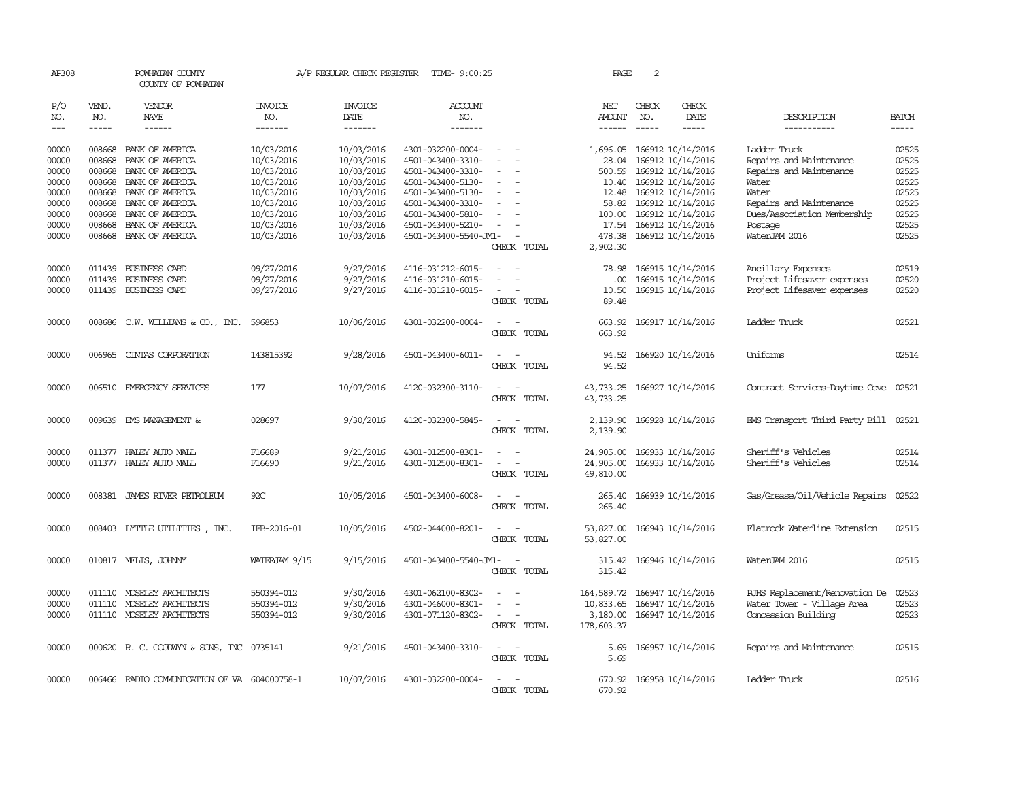| AP308               |                             | POWHATAN COUNTY<br>COUNTY OF POWHATAN                  |                                  |                                   | A/P REGULAR CHECK REGISTER TIME- 9:00:25   |                                                                                                                             | PAGE                                | 2                           |                                        |                                                   |                       |
|---------------------|-----------------------------|--------------------------------------------------------|----------------------------------|-----------------------------------|--------------------------------------------|-----------------------------------------------------------------------------------------------------------------------------|-------------------------------------|-----------------------------|----------------------------------------|---------------------------------------------------|-----------------------|
| P/O<br>NO.<br>$---$ | VEND.<br>NO.<br>$- - - - -$ | <b>VENDOR</b><br>NAME<br>$- - - - - -$                 | <b>INVOICE</b><br>NO.<br>------- | <b>INVOICE</b><br>DATE<br>------- | <b>ACCOUNT</b><br>NO.<br>-------           |                                                                                                                             | NET<br><b>AMOUNT</b><br>------      | CHECK<br>NO.<br>$- - - - -$ | CHECK<br>DATE<br>$- - - - -$           | DESCRIPTION<br>-----------                        | <b>BATCH</b><br>----- |
| 00000<br>00000      | 008668<br>008668            | BANK OF AMERICA<br>BANK OF AMERICA                     | 10/03/2016<br>10/03/2016         | 10/03/2016<br>10/03/2016          | 4301-032200-0004-<br>4501-043400-3310-     |                                                                                                                             | 1,696.05<br>28.04                   |                             | 166912 10/14/2016<br>166912 10/14/2016 | Ladder Truck<br>Repairs and Maintenance           | 02525<br>02525        |
| 00000<br>00000      | 008668<br>008668            | BANK OF AMERICA<br>BANK OF AMERICA                     | 10/03/2016<br>10/03/2016         | 10/03/2016<br>10/03/2016          | 4501-043400-3310-<br>4501-043400-5130-     |                                                                                                                             | 500.59<br>10.40                     |                             | 166912 10/14/2016<br>166912 10/14/2016 | Repairs and Maintenance<br>Water                  | 02525<br>02525        |
| 00000               | 008668                      | BANK OF AMERICA                                        | 10/03/2016                       | 10/03/2016                        | 4501-043400-5130-                          | $\equiv$                                                                                                                    |                                     |                             | 12.48 166912 10/14/2016                | Water                                             | 02525                 |
| 00000               | 008668                      | BANK OF AMERICA                                        | 10/03/2016                       | 10/03/2016                        | 4501-043400-3310-                          |                                                                                                                             | 58.82                               |                             | 166912 10/14/2016                      | Repairs and Maintenance                           | 02525                 |
| 00000               | 008668                      | BANK OF AMERICA                                        | 10/03/2016                       | 10/03/2016                        | 4501-043400-5810-                          |                                                                                                                             | 100.00                              |                             | 166912 10/14/2016                      | Dues/Association Membership                       | 02525                 |
| 00000<br>00000      | 008668                      | BANK OF AMERICA<br>008668 BANK OF AMERICA              | 10/03/2016<br>10/03/2016         | 10/03/2016<br>10/03/2016          | 4501-043400-5210-<br>4501-043400-5540-JM1- | $\equiv$                                                                                                                    | 17.54<br>478.38                     |                             | 166912 10/14/2016<br>166912 10/14/2016 | Postage<br>WaterJAM 2016                          | 02525<br>02525        |
|                     |                             |                                                        |                                  |                                   |                                            | CHECK TOTAL                                                                                                                 | 2,902.30                            |                             |                                        |                                                   |                       |
| 00000               |                             | 011439 BUSINESS CARD                                   | 09/27/2016                       | 9/27/2016                         | 4116-031212-6015-                          | $\sim$<br>$\sim$                                                                                                            | 78.98                               |                             | 166915 10/14/2016                      | Ancillary Expenses                                | 02519                 |
| 00000               | 011439                      | <b>BUSINESS CARD</b>                                   | 09/27/2016                       | 9/27/2016                         | 4116-031210-6015-                          |                                                                                                                             | .00.                                |                             | 166915 10/14/2016                      | Project Lifesaver expenses                        | 02520                 |
| 00000               |                             | 011439 BUSINESS CARD                                   | 09/27/2016                       | 9/27/2016                         | 4116-031210-6015-                          | $\overline{\phantom{a}}$<br>CHECK TOTAL                                                                                     | 10.50<br>89.48                      |                             | 166915 10/14/2016                      | Project Lifesaver expenses                        | 02520                 |
| 00000               |                             | 008686 C.W. WILLIAMS & CO., INC.                       | 596853                           | 10/06/2016                        | 4301-032200-0004-                          | CHECK TOTAL                                                                                                                 | 663.92<br>663.92                    |                             | 166917 10/14/2016                      | Ladder Truck                                      | 02521                 |
| 00000               | 006965                      | CINIAS CORPORATION                                     | 143815392                        | 9/28/2016                         | 4501-043400-6011-                          |                                                                                                                             | 94.52                               |                             | 166920 10/14/2016                      | Uniforms                                          | 02514                 |
|                     |                             |                                                        |                                  |                                   |                                            | CHECK TOTAL                                                                                                                 | 94.52                               |                             |                                        |                                                   |                       |
| 00000               |                             | 006510 EMERGENCY SERVICES                              | 177                              | 10/07/2016                        | 4120-032300-3110-                          | $\overline{\phantom{a}}$<br>CHECK TOTAL                                                                                     | 43,733.25<br>43,733.25              |                             | 166927 10/14/2016                      | Contract Services-Daytime Cove                    | 02521                 |
| 00000               |                             | 009639 EMS MANAGEMENT &                                | 028697                           | 9/30/2016                         | 4120-032300-5845-                          | CHECK TOTAL                                                                                                                 | 2,139.90<br>2,139.90                |                             | 166928 10/14/2016                      | EMS Transport Third Party Bill 02521              |                       |
| 00000               |                             | 011377 HALEY AUTO MALL                                 | F16689                           | 9/21/2016                         | 4301-012500-8301-                          | $\sim$<br>$\overline{\phantom{a}}$                                                                                          | 24,905.00                           |                             | 166933 10/14/2016                      | Sheriff's Vehicles                                | 02514                 |
| 00000               |                             | 011377 HALEY AUTO MALL                                 | F16690                           | 9/21/2016                         | 4301-012500-8301-                          | $\overline{\phantom{a}}$<br>CHECK TOTAL                                                                                     | 24,905.00<br>49,810.00              |                             | 166933 10/14/2016                      | Sheriff's Vehicles                                | 02514                 |
| 00000               |                             | 008381 JAMES RIVER PETROLEUM                           | 92C                              | 10/05/2016                        | 4501-043400-6008-                          | $\sim$<br>CHECK TOTAL                                                                                                       | 265.40<br>265.40                    |                             | 166939 10/14/2016                      | Gas/Grease/Oil/Vehicle Repairs                    | 02522                 |
| 00000               |                             | 008403 LYTTLE UTILITIES, INC.                          | IFB-2016-01                      | 10/05/2016                        | 4502-044000-8201-                          | $\overline{\phantom{a}}$<br>CHECK TOTAL                                                                                     | 53,827.00<br>53,827.00              |                             | 166943 10/14/2016                      | Flatrock Waterline Extension                      | 02515                 |
| 00000               |                             | 010817 MELIS, JOHNNY                                   | WATERJAM 9/15                    | 9/15/2016                         | 4501-043400-5540-JM1-                      | $\sim$<br>CHECK TOTAL                                                                                                       | 315.42<br>315.42                    |                             | 166946 10/14/2016                      | WaterJAM 2016                                     | 02515                 |
| 00000               |                             | 011110 MOSELEY ARCHITECTS                              | 550394-012                       | 9/30/2016                         | 4301-062100-8302-                          |                                                                                                                             | 164,589.72                          |                             | 166947 10/14/2016                      | RJHS Replacement/Renovation De                    | 02523                 |
| 00000<br>00000      |                             | 011110 MOSELEY ARCHITECTS<br>011110 MOSELEY ARCHITECTS | 550394-012<br>550394-012         | 9/30/2016<br>9/30/2016            | 4301-046000-8301-<br>4301-071120-8302-     | $\overline{\phantom{a}}$<br>$\equiv$<br>CHECK TOTAL                                                                         | 10,833.65<br>3,180.00<br>178,603.37 |                             | 166947 10/14/2016<br>166947 10/14/2016 | Water Tower - Village Area<br>Concession Building | 02523<br>02523        |
| 00000               |                             | 000620 R. C. GOODWYN & SONS, INC 0735141               |                                  | 9/21/2016                         | 4501-043400-3310-                          | $\sim$<br>CHECK TOTAL                                                                                                       | 5.69<br>5.69                        |                             | 166957 10/14/2016                      | Repairs and Maintenance                           | 02515                 |
| 00000               |                             | 006466 RADIO COMMUNICATION OF VA 604000758-1           |                                  | 10/07/2016                        | 4301-032200-0004-                          | $\frac{1}{2} \left( \frac{1}{2} \right) \left( \frac{1}{2} \right) = \frac{1}{2} \left( \frac{1}{2} \right)$<br>CHECK TOTAL | 670.92<br>670.92                    |                             | 166958 10/14/2016                      | Ladder Truck                                      | 02516                 |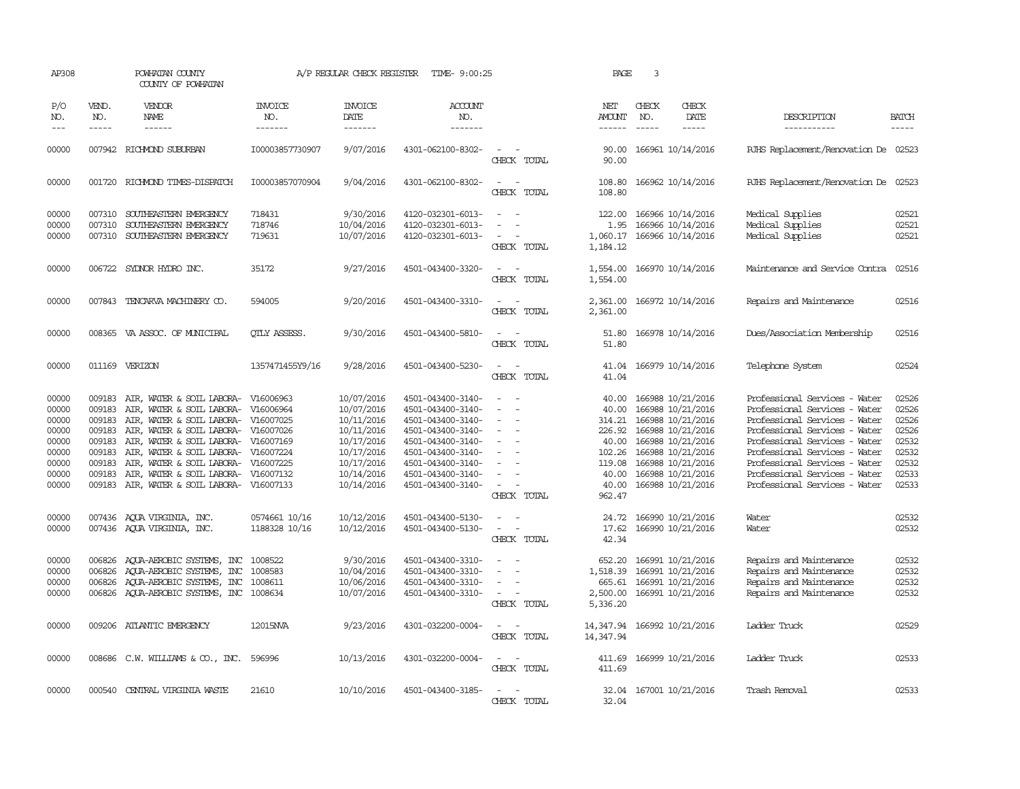| AP308                                                                         |                                                | POWHATAN COUNTY<br>COUNTY OF POWHATAN                                                                                                                                                                                                                                                                                                                                                                                                                                                        |                                          | A/P REGULAR CHECK REGISTER                                                                                                 | TIME- 9:00:25                                                                                                                                                                             |                                                                                                                                           | PAGE                                                                              | 3                             |                                                                                                                                                                                                  |                                                                                                                                                                                                                                                                                                       |                                                                               |
|-------------------------------------------------------------------------------|------------------------------------------------|----------------------------------------------------------------------------------------------------------------------------------------------------------------------------------------------------------------------------------------------------------------------------------------------------------------------------------------------------------------------------------------------------------------------------------------------------------------------------------------------|------------------------------------------|----------------------------------------------------------------------------------------------------------------------------|-------------------------------------------------------------------------------------------------------------------------------------------------------------------------------------------|-------------------------------------------------------------------------------------------------------------------------------------------|-----------------------------------------------------------------------------------|-------------------------------|--------------------------------------------------------------------------------------------------------------------------------------------------------------------------------------------------|-------------------------------------------------------------------------------------------------------------------------------------------------------------------------------------------------------------------------------------------------------------------------------------------------------|-------------------------------------------------------------------------------|
| P/O<br>NO.<br>$---$                                                           | VEND.<br>NO.<br>$\frac{1}{2}$                  | VENDOR<br>NAME<br>$\frac{1}{2} \left( \frac{1}{2} \right) \left( \frac{1}{2} \right) \left( \frac{1}{2} \right) \left( \frac{1}{2} \right) \left( \frac{1}{2} \right) \left( \frac{1}{2} \right) \left( \frac{1}{2} \right) \left( \frac{1}{2} \right) \left( \frac{1}{2} \right) \left( \frac{1}{2} \right) \left( \frac{1}{2} \right) \left( \frac{1}{2} \right) \left( \frac{1}{2} \right) \left( \frac{1}{2} \right) \left( \frac{1}{2} \right) \left( \frac{1}{2} \right) \left( \frac$ | INVOICE<br>NO.<br>-------                | <b>INVOICE</b><br>DATE<br>--------                                                                                         | <b>ACCOUNT</b><br>NO.<br>-------                                                                                                                                                          |                                                                                                                                           | NET<br><b>AMOUNT</b><br>$- - - - - -$                                             | CHECK<br>NO.<br>$\frac{1}{2}$ | CHECK<br>DATE<br>-----                                                                                                                                                                           | DESCRIPTION<br>-----------                                                                                                                                                                                                                                                                            | <b>BATCH</b><br>-----                                                         |
| 00000                                                                         |                                                | 007942 RICHMOND SUBURBAN                                                                                                                                                                                                                                                                                                                                                                                                                                                                     | I00003857730907                          | 9/07/2016                                                                                                                  | 4301-062100-8302-                                                                                                                                                                         | $\overline{\phantom{a}}$<br>CHECK TOTAL                                                                                                   | 90.00<br>90.00                                                                    |                               | 166961 10/14/2016                                                                                                                                                                                | RJHS Replacement/Renovation De 02523                                                                                                                                                                                                                                                                  |                                                                               |
| 00000                                                                         |                                                | 001720 RICHMOND TIMES-DISPATCH                                                                                                                                                                                                                                                                                                                                                                                                                                                               | I00003857070904                          | 9/04/2016                                                                                                                  | 4301-062100-8302-                                                                                                                                                                         | $\overline{\phantom{a}}$<br>CHECK TOTAL                                                                                                   | 108.80<br>108.80                                                                  |                               | 166962 10/14/2016                                                                                                                                                                                | RJHS Replacement/Renovation De 02523                                                                                                                                                                                                                                                                  |                                                                               |
| 00000<br>00000<br>00000                                                       |                                                | 007310 SOUTHEASTERN EMERGENCY<br>007310 SOUTHEASTERN EMERGENCY<br>007310 SOUTHEASTERN EMERGENCY                                                                                                                                                                                                                                                                                                                                                                                              | 718431<br>718746<br>719631               | 9/30/2016<br>10/04/2016<br>10/07/2016                                                                                      | 4120-032301-6013-<br>4120-032301-6013-<br>4120-032301-6013-                                                                                                                               | $\equiv$<br>$\overline{\phantom{a}}$<br>$\sim$<br>CHECK TOTAL                                                                             | 122.00<br>1.95<br>1,060.17<br>1,184.12                                            |                               | 166966 10/14/2016<br>166966 10/14/2016<br>166966 10/14/2016                                                                                                                                      | Medical Supplies<br>Medical Supplies<br>Medical Supplies                                                                                                                                                                                                                                              | 02521<br>02521<br>02521                                                       |
| 00000                                                                         |                                                | 006722 SYDNOR HYDRO INC.                                                                                                                                                                                                                                                                                                                                                                                                                                                                     | 35172                                    | 9/27/2016                                                                                                                  | 4501-043400-3320-                                                                                                                                                                         | $\sim$ 10 $\sim$<br>$\sim$<br>CHECK TOTAL                                                                                                 | 1,554.00<br>1,554.00                                                              |                               | 166970 10/14/2016                                                                                                                                                                                | Maintenance and Service Contra                                                                                                                                                                                                                                                                        | 02516                                                                         |
| 00000                                                                         |                                                | 007843 TENCARVA MACHINERY CO.                                                                                                                                                                                                                                                                                                                                                                                                                                                                | 594005                                   | 9/20/2016                                                                                                                  | 4501-043400-3310-                                                                                                                                                                         | $\overline{\phantom{a}}$<br>$\sim$<br>CHECK TOTAL                                                                                         | 2,361.00<br>2,361.00                                                              |                               | 166972 10/14/2016                                                                                                                                                                                | Repairs and Maintenance                                                                                                                                                                                                                                                                               | 02516                                                                         |
| 00000                                                                         |                                                | 008365 VA ASSOC. OF MUNICIPAL                                                                                                                                                                                                                                                                                                                                                                                                                                                                | <b>QTLY ASSESS.</b>                      | 9/30/2016                                                                                                                  | 4501-043400-5810-                                                                                                                                                                         | $\sim$ $\sim$<br>CHECK TOTAL                                                                                                              | 51.80<br>51.80                                                                    |                               | 166978 10/14/2016                                                                                                                                                                                | Dues/Association Membership                                                                                                                                                                                                                                                                           | 02516                                                                         |
| 00000                                                                         |                                                | 011169 VERIZON                                                                                                                                                                                                                                                                                                                                                                                                                                                                               | 1357471455Y9/16                          | 9/28/2016                                                                                                                  | 4501-043400-5230-                                                                                                                                                                         | $\sim$ $\sim$<br>CHECK TOTAL                                                                                                              | 41.04<br>41.04                                                                    |                               | 166979 10/14/2016                                                                                                                                                                                | Telephone System                                                                                                                                                                                                                                                                                      | 02524                                                                         |
| 00000<br>00000<br>00000<br>00000<br>00000<br>00000<br>00000<br>00000<br>00000 | 009183<br>009183<br>009183<br>009183<br>009183 | AIR, WATER & SOIL LABORA- V16006963<br>AIR, WATER & SOIL LABORA- V16006964<br>AIR, WATER & SOIL LABORA- V16007025<br>009183 AIR, WATER & SOIL LABORA- V16007026<br>009183 AIR, WATER & SOIL LABORA- V16007169<br>AIR, WATER & SOIL LABORA- V16007224<br>009183 AIR, WATER & SOIL LABORA- V16007225<br>AIR, WATER & SOIL LABORA- V16007132<br>009183 AIR, WATER & SOIL LABORA- V16007133                                                                                                      |                                          | 10/07/2016<br>10/07/2016<br>10/11/2016<br>10/11/2016<br>10/17/2016<br>10/17/2016<br>10/17/2016<br>10/14/2016<br>10/14/2016 | 4501-043400-3140-<br>4501-043400-3140-<br>4501-043400-3140-<br>4501-043400-3140-<br>4501-043400-3140-<br>4501-043400-3140-<br>4501-043400-3140-<br>4501-043400-3140-<br>4501-043400-3140- | $\sim$<br>$\overline{\phantom{a}}$<br>$\overline{\phantom{a}}$<br>$\sim$<br>$\equiv$<br>$\sim$<br>$\overline{\phantom{a}}$<br>CHECK TOTAL | 40.00<br>40.00<br>314.21<br>40.00<br>102.26<br>119.08<br>40.00<br>40.00<br>962.47 |                               | 166988 10/21/2016<br>166988 10/21/2016<br>166988 10/21/2016<br>226.92 166988 10/21/2016<br>166988 10/21/2016<br>166988 10/21/2016<br>166988 10/21/2016<br>166988 10/21/2016<br>166988 10/21/2016 | Professional Services - Water<br>Professional Services - Water<br>Professional Services - Water<br>Professional Services - Water<br>Professional Services - Water<br>Professional Services - Water<br>Professional Services - Water<br>Professional Services - Water<br>Professional Services - Water | 02526<br>02526<br>02526<br>02526<br>02532<br>02532<br>02532<br>02533<br>02533 |
| 00000<br>00000                                                                |                                                | 007436 AQUA VIRGINIA, INC.<br>007436 AQUA VIRGINIA, INC.                                                                                                                                                                                                                                                                                                                                                                                                                                     | 0574661 10/16<br>1188328 10/16           | 10/12/2016<br>10/12/2016                                                                                                   | 4501-043400-5130-<br>4501-043400-5130-                                                                                                                                                    | $\sim$<br>$\sim$<br>$\overline{\phantom{a}}$<br>CHECK TOTAL                                                                               | 24.72<br>17.62<br>42.34                                                           |                               | 166990 10/21/2016<br>166990 10/21/2016                                                                                                                                                           | Water<br>Water                                                                                                                                                                                                                                                                                        | 02532<br>02532                                                                |
| 00000<br>00000<br>00000<br>00000                                              | 006826                                         | 006826 AQUA-AEROBIC SYSTEMS, INC<br>AQUA-AEROBIC SYSTEMS, INC<br>006826 AQUA-AEROBIC SYSTEMS, INC<br>006826 AQUA-AEROBIC SYSTEMS, INC                                                                                                                                                                                                                                                                                                                                                        | 1008522<br>1008583<br>1008611<br>1008634 | 9/30/2016<br>10/04/2016<br>10/06/2016<br>10/07/2016                                                                        | 4501-043400-3310-<br>4501-043400-3310-<br>4501-043400-3310-<br>4501-043400-3310-                                                                                                          | $\sim$<br>$\overline{\phantom{a}}$<br>$\sim$<br>CHECK TOTAL                                                                               | 652.20<br>1,518.39<br>665.61<br>2,500.00<br>5,336.20                              |                               | 166991 10/21/2016<br>166991 10/21/2016<br>166991 10/21/2016<br>166991 10/21/2016                                                                                                                 | Repairs and Maintenance<br>Repairs and Maintenance<br>Repairs and Maintenance<br>Repairs and Maintenance                                                                                                                                                                                              | 02532<br>02532<br>02532<br>02532                                              |
| 00000                                                                         |                                                | 009206 ATLANTIC EMERGENCY                                                                                                                                                                                                                                                                                                                                                                                                                                                                    | 12015NVA                                 | 9/23/2016                                                                                                                  | 4301-032200-0004-                                                                                                                                                                         | $\overline{\phantom{a}}$<br>CHECK TOTAL                                                                                                   | 14, 347.94                                                                        |                               | 14, 347.94 166992 10/21/2016                                                                                                                                                                     | Ladder Truck                                                                                                                                                                                                                                                                                          | 02529                                                                         |
| 00000                                                                         |                                                | 008686 C.W. WILLIAMS & CO., INC.                                                                                                                                                                                                                                                                                                                                                                                                                                                             | 596996                                   | 10/13/2016                                                                                                                 | 4301-032200-0004-                                                                                                                                                                         | CHECK TOTAL                                                                                                                               | 411.69<br>411.69                                                                  |                               | 166999 10/21/2016                                                                                                                                                                                | Ladder Truck                                                                                                                                                                                                                                                                                          | 02533                                                                         |
| 00000                                                                         |                                                | 000540 CENTRAL VIRGINIA WASTE                                                                                                                                                                                                                                                                                                                                                                                                                                                                | 21610                                    | 10/10/2016                                                                                                                 | 4501-043400-3185-                                                                                                                                                                         | CHECK<br>TOTAL                                                                                                                            | 32.04                                                                             |                               | 32.04 167001 10/21/2016                                                                                                                                                                          | Trash Removal                                                                                                                                                                                                                                                                                         | 02533                                                                         |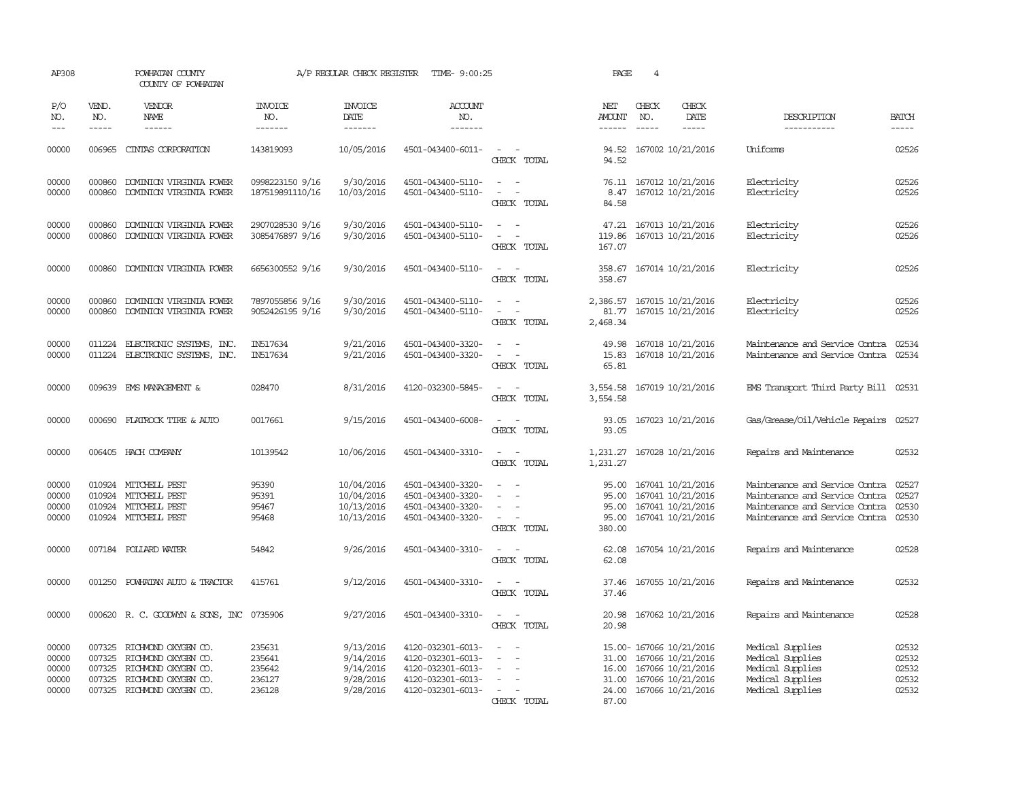| AP308                                     |                             | POWHATAN COUNTY<br>COUNTY OF POWHATAN                                                                                         |                                                | A/P REGULAR CHECK REGISTER                                    | TIME- 9:00:25                                                                                         |                                                                                                                             | PAGE                                       | $\overline{4}$                |                                                                                                                          |                                                                                                                                      |                                           |
|-------------------------------------------|-----------------------------|-------------------------------------------------------------------------------------------------------------------------------|------------------------------------------------|---------------------------------------------------------------|-------------------------------------------------------------------------------------------------------|-----------------------------------------------------------------------------------------------------------------------------|--------------------------------------------|-------------------------------|--------------------------------------------------------------------------------------------------------------------------|--------------------------------------------------------------------------------------------------------------------------------------|-------------------------------------------|
| P/O<br>NO.<br>$---$                       | VEND.<br>NO.<br>$- - - - -$ | <b>VENDOR</b><br>NAME<br>------                                                                                               | <b>INVOICE</b><br>NO.<br>-------               | <b>INVOICE</b><br>DATE<br>-------                             | ACCOUNT<br>NO.<br>-------                                                                             |                                                                                                                             | NET<br>AMOUNT<br>$- - - - - -$             | CHECK<br>NO.<br>$\frac{1}{2}$ | CHECK<br>DATE<br>-----                                                                                                   | DESCRIPTION<br>-----------                                                                                                           | <b>BATCH</b><br>$- - - - -$               |
|                                           |                             |                                                                                                                               |                                                |                                                               |                                                                                                       |                                                                                                                             |                                            |                               |                                                                                                                          |                                                                                                                                      |                                           |
| 00000                                     |                             | 006965 CINIAS CORPORATION                                                                                                     | 143819093                                      | 10/05/2016                                                    | 4501-043400-6011-                                                                                     | $\overline{\phantom{a}}$<br>CHECK TOTAL                                                                                     | 94.52                                      |                               | 94.52 167002 10/21/2016                                                                                                  | Uniforms                                                                                                                             | 02526                                     |
| 00000<br>00000                            | 000860<br>000860            | DOMINION VIRGINIA POWER<br>DOMINION VIRGINIA POWER                                                                            | 0998223150 9/16<br>187519891110/16             | 9/30/2016<br>10/03/2016                                       | 4501-043400-5110-<br>4501-043400-5110-                                                                | $\overline{\phantom{a}}$<br>$\overline{\phantom{a}}$<br>$\overline{\phantom{a}}$<br>$\overline{\phantom{a}}$<br>CHECK TOTAL | 8.47<br>84.58                              |                               | 76.11 167012 10/21/2016<br>167012 10/21/2016                                                                             | Electricity<br>Electricity                                                                                                           | 02526<br>02526                            |
| 00000<br>00000                            | 000860<br>000860            | DOMINION VIRGINIA POWER<br>DOMINION VIRGINIA POWER                                                                            | 2907028530 9/16<br>3085476897 9/16             | 9/30/2016<br>9/30/2016                                        | 4501-043400-5110-<br>4501-043400-5110-                                                                | $\sim$<br>$\overline{\phantom{a}}$<br>$\sim$<br>CHECK TOTAL                                                                 | 47.21<br>119.86<br>167.07                  |                               | 167013 10/21/2016<br>167013 10/21/2016                                                                                   | Electricity<br>Electricity                                                                                                           | 02526<br>02526                            |
| 00000                                     |                             | 000860 DOMINION VIRGINIA POWER                                                                                                | 6656300552 9/16                                | 9/30/2016                                                     | 4501-043400-5110-                                                                                     | $\sim$ $\sim$<br>CHECK TOTAL                                                                                                | 358.67                                     |                               | 358.67 167014 10/21/2016                                                                                                 | Electricity                                                                                                                          | 02526                                     |
| 00000<br>00000                            | 000860<br>000860            | DOMINION VIRGINIA POWER<br>DOMINION VIRGINIA POWER                                                                            | 7897055856 9/16<br>9052426195 9/16             | 9/30/2016<br>9/30/2016                                        | 4501-043400-5110-<br>4501-043400-5110-                                                                | $\sim$<br>$\sim$<br>$\overline{a}$<br>CHECK TOTAL                                                                           | 2,386.57<br>81.77<br>2,468.34              |                               | 167015 10/21/2016<br>167015 10/21/2016                                                                                   | Electricity<br>Electricity                                                                                                           | 02526<br>02526                            |
| 00000<br>00000                            | 011224<br>011224            | ELECTRONIC SYSTEMS, INC.<br>ELECTRONIC SYSTEMS, INC.                                                                          | IN517634<br>IN517634                           | 9/21/2016<br>9/21/2016                                        | 4501-043400-3320-<br>4501-043400-3320-                                                                | CHECK TOTAL                                                                                                                 | 49.98<br>15.83<br>65.81                    |                               | 167018 10/21/2016<br>167018 10/21/2016                                                                                   | Maintenance and Service Contra<br>Maintenance and Service Contra                                                                     | 02534<br>02534                            |
| 00000                                     |                             | 009639 EMS MANAGEMENT &                                                                                                       | 028470                                         | 8/31/2016                                                     | 4120-032300-5845-                                                                                     | $\overline{\phantom{a}}$<br>CHECK TOTAL                                                                                     | 3,554.58<br>3,554.58                       |                               | 167019 10/21/2016                                                                                                        | EMS Transport Third Party Bill 02531                                                                                                 |                                           |
| 00000                                     |                             | 000690 FLATROCK TIRE & AUTO                                                                                                   | 0017661                                        | 9/15/2016                                                     | 4501-043400-6008-                                                                                     | $\overline{\phantom{a}}$<br>CHECK TOTAL                                                                                     | 93.05<br>93.05                             |                               | 167023 10/21/2016                                                                                                        | Gas/Grease/Oil/Vehicle Repairs                                                                                                       | 02527                                     |
| 00000                                     |                             | 006405 HACH COMPANY                                                                                                           | 10139542                                       | 10/06/2016                                                    | 4501-043400-3310-                                                                                     | $\overline{\phantom{a}}$<br>$\sim$<br>CHECK TOTAL                                                                           | 1,231.27<br>1,231.27                       |                               | 167028 10/21/2016                                                                                                        | Repairs and Maintenance                                                                                                              | 02532                                     |
| 00000<br>00000<br>00000<br>00000          |                             | 010924 MITCHELL PEST<br>010924 MITCHELL PEST<br>010924 MITCHELL PEST<br>010924 MITCHELL PEST                                  | 95390<br>95391<br>95467<br>95468               | 10/04/2016<br>10/04/2016<br>10/13/2016<br>10/13/2016          | 4501-043400-3320-<br>4501-043400-3320-<br>4501-043400-3320-<br>4501-043400-3320-                      | $\equiv$<br>$\sim$<br>CHECK TOTAL                                                                                           | 95.00<br>95.00<br>95.00<br>95.00<br>380.00 |                               | 167041 10/21/2016<br>167041 10/21/2016<br>167041 10/21/2016<br>167041 10/21/2016                                         | Maintenance and Service Contra<br>Maintenance and Service Contra<br>Maintenance and Service Contra<br>Maintenance and Service Contra | 02527<br>02527<br>02530<br>02530          |
| 00000                                     |                             | 007184 POLLARD WATER                                                                                                          | 54842                                          | 9/26/2016                                                     | 4501-043400-3310-                                                                                     | $\overline{\phantom{a}}$<br>- -<br>CHECK TOTAL                                                                              | 62.08<br>62.08                             |                               | 167054 10/21/2016                                                                                                        | Repairs and Maintenance                                                                                                              | 02528                                     |
| 00000                                     |                             | 001250 POWHATAN AUTO & TRACTOR                                                                                                | 415761                                         | 9/12/2016                                                     | 4501-043400-3310-                                                                                     | CHECK TOTAL                                                                                                                 | 37.46<br>37.46                             |                               | 167055 10/21/2016                                                                                                        | Repairs and Maintenance                                                                                                              | 02532                                     |
| 00000                                     |                             | 000620 R. C. GOODWYN & SONS, INC 0735906                                                                                      |                                                | 9/27/2016                                                     | 4501-043400-3310-                                                                                     | CHECK TOTAL                                                                                                                 | 20.98<br>20.98                             |                               | 167062 10/21/2016                                                                                                        | Repairs and Maintenance                                                                                                              | 02528                                     |
| 00000<br>00000<br>00000<br>00000<br>00000 | 007325<br>007325<br>007325  | 007325 RICHMOND OXYGEN CO.<br>RICHMOND OXYGEN CO.<br>RICHMOND OXYGEN CO.<br>RICHMOND OXYGEN CO.<br>007325 RICHMOND OXYGEN CO. | 235631<br>235641<br>235642<br>236127<br>236128 | 9/13/2016<br>9/14/2016<br>9/14/2016<br>9/28/2016<br>9/28/2016 | 4120-032301-6013-<br>4120-032301-6013-<br>4120-032301-6013-<br>4120-032301-6013-<br>4120-032301-6013- | $\overline{\phantom{a}}$<br>$\overline{\phantom{a}}$<br>CHECK TOTAL                                                         | 31.00<br>31.00<br>87.00                    |                               | 15.00- 167066 10/21/2016<br>167066 10/21/2016<br>16.00 167066 10/21/2016<br>167066 10/21/2016<br>24.00 167066 10/21/2016 | Medical Supplies<br>Medical Supplies<br>Medical Supplies<br>Medical Supplies<br>Medical Supplies                                     | 02532<br>02532<br>02532<br>02532<br>02532 |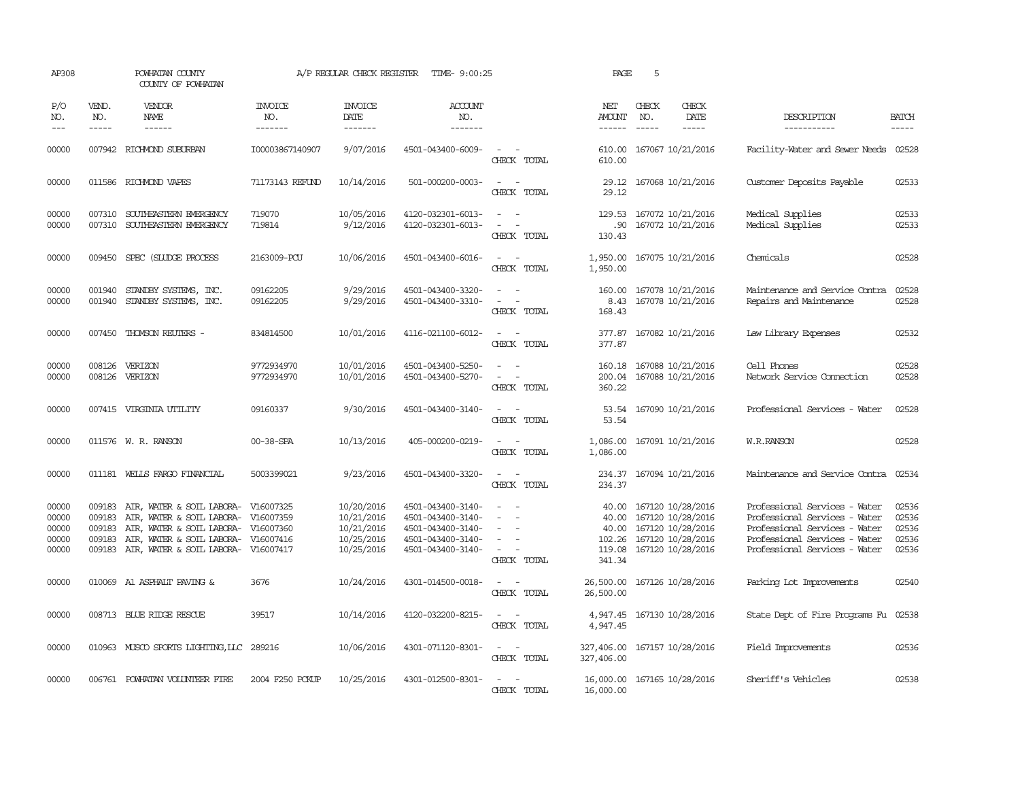| AP308                                     |                             | POWHATAN COUNTY<br>COUNTY OF POWHATAN                                                                                                                                           |                                     | A/P REGULAR CHECK REGISTER                                         | TIME- 9:00:25                                                                                         |                                                                                                                             | PAGE                                         | 5                                                                                                           |                                                                                                                                                                   |                                           |
|-------------------------------------------|-----------------------------|---------------------------------------------------------------------------------------------------------------------------------------------------------------------------------|-------------------------------------|--------------------------------------------------------------------|-------------------------------------------------------------------------------------------------------|-----------------------------------------------------------------------------------------------------------------------------|----------------------------------------------|-------------------------------------------------------------------------------------------------------------|-------------------------------------------------------------------------------------------------------------------------------------------------------------------|-------------------------------------------|
| P/O<br>NO.<br>$---$                       | VEND.<br>NO.<br>$- - - - -$ | VENDOR<br>NAME                                                                                                                                                                  | <b>INVOICE</b><br>NO.<br>-------    | <b>INVOICE</b><br>DATE<br>-------                                  | <b>ACCOUNT</b><br>NO.<br>-------                                                                      |                                                                                                                             | NET<br>AMOUNT<br>$- - - - - -$               | CHECK<br>CHECK<br>NO.<br>DATE<br>$\frac{1}{2}$                                                              | DESCRIPTION<br>-----------                                                                                                                                        | <b>BATCH</b><br>-----                     |
| 00000                                     |                             | 007942 RICHMOND SUBURBAN                                                                                                                                                        | I00003867140907                     | 9/07/2016                                                          | 4501-043400-6009-                                                                                     | $\sim$<br>CHECK TOTAL                                                                                                       | 610.00<br>610.00                             | 167067 10/21/2016                                                                                           | Facility-Water and Sewer Needs                                                                                                                                    | 02528                                     |
| 00000                                     |                             | 011586 RICHMOND VAPES                                                                                                                                                           | 71173143 REFUND                     | 10/14/2016                                                         | 501-000200-0003-                                                                                      | $\overline{\phantom{a}}$<br>$\sim$<br>CHECK TOTAL                                                                           | 29.12                                        | 29.12 167068 10/21/2016                                                                                     | Customer Deposits Payable                                                                                                                                         | 02533                                     |
| 00000<br>00000                            | 007310                      | 007310 SOUTHEASTERN EMERGENCY<br>SOUTHEASTERN EMERGENCY                                                                                                                         | 719070<br>719814                    | 10/05/2016<br>9/12/2016                                            | 4120-032301-6013-<br>4120-032301-6013-                                                                | $\sim$<br>$\sim$<br>CHECK TOTAL                                                                                             | 129.53<br>.90<br>130.43                      | 167072 10/21/2016<br>167072 10/21/2016                                                                      | Medical Supplies<br>Medical Supplies                                                                                                                              | 02533<br>02533                            |
| 00000                                     |                             | 009450 SPEC (SLUDGE PROCESS                                                                                                                                                     | 2163009-PCU                         | 10/06/2016                                                         | 4501-043400-6016-                                                                                     | $\sim$ 100 $\mu$<br>CHECK TOTAL                                                                                             | 1,950.00<br>1,950.00                         | 167075 10/21/2016                                                                                           | Chemicals                                                                                                                                                         | 02528                                     |
| 00000<br>00000                            | 001940<br>001940            | STANDBY SYSTEMS, INC.<br>STANDBY SYSTEMS, INC.                                                                                                                                  | 09162205<br>09162205                | 9/29/2016<br>9/29/2016                                             | 4501-043400-3320-<br>4501-043400-3310-                                                                | $\sim$<br>$\overline{\phantom{a}}$<br>CHECK TOTAL                                                                           | 160.00<br>8.43<br>168.43                     | 167078 10/21/2016<br>167078 10/21/2016                                                                      | Maintenance and Service Contra<br>Repairs and Maintenance                                                                                                         | 02528<br>02528                            |
| 00000                                     |                             | 007450 THOMSON REUTERS -                                                                                                                                                        | 834814500                           | 10/01/2016                                                         | 4116-021100-6012-                                                                                     | $\sim$ $\sim$<br>CHECK TOTAL                                                                                                | 377.87                                       | 377.87 167082 10/21/2016                                                                                    | Law Library Expenses                                                                                                                                              | 02532                                     |
| 00000<br>00000                            | 008126                      | VERIZON<br>008126 VERIZON                                                                                                                                                       | 9772934970<br>9772934970            | 10/01/2016<br>10/01/2016                                           | 4501-043400-5250-<br>4501-043400-5270-                                                                | CHECK TOTAL                                                                                                                 | 200.04<br>360.22                             | 160.18 167088 10/21/2016<br>167088 10/21/2016                                                               | Cell Phones<br>Network Service Cornection                                                                                                                         | 02528<br>02528                            |
| 00000                                     |                             | 007415 VIRGINIA UTILITY                                                                                                                                                         | 09160337                            | 9/30/2016                                                          | 4501-043400-3140-                                                                                     | CHECK TOTAL                                                                                                                 | 53.54                                        | 53.54 167090 10/21/2016                                                                                     | Professional Services - Water                                                                                                                                     | 02528                                     |
| 00000                                     |                             | 011576 W. R. RANSON                                                                                                                                                             | 00-38-SPA                           | 10/13/2016                                                         | 405-000200-0219-                                                                                      | $ -$<br>CHECK TOTAL                                                                                                         | 1,086.00<br>1,086.00                         | 167091 10/21/2016                                                                                           | W.R.RANSON                                                                                                                                                        | 02528                                     |
| 00000                                     |                             | 011181 WELLS FARGO FINANCIAL                                                                                                                                                    | 5003399021                          | 9/23/2016                                                          | 4501-043400-3320-                                                                                     | CHECK TOTAL                                                                                                                 | 234.37                                       | 234.37 167094 10/21/2016                                                                                    | Maintenance and Service Contra                                                                                                                                    | 02534                                     |
| 00000<br>00000<br>00000<br>00000<br>00000 | 009183<br>009183<br>009183  | 009183 AIR, WATER & SOIL LABORA- V16007325<br>AIR, WATER & SOIL LABORA-<br>AIR, WATER & SOIL LABORA-<br>AIR, WATER & SOIL LABORA-<br>009183 AIR, WATER & SOIL LABORA- V16007417 | V16007359<br>V16007360<br>V16007416 | 10/20/2016<br>10/21/2016<br>10/21/2016<br>10/25/2016<br>10/25/2016 | 4501-043400-3140-<br>4501-043400-3140-<br>4501-043400-3140-<br>4501-043400-3140-<br>4501-043400-3140- | $\equiv$<br>$\sim$<br>CHECK TOTAL                                                                                           | 40.00<br>40.00<br>102.26<br>119.08<br>341.34 | 40.00 167120 10/28/2016<br>167120 10/28/2016<br>167120 10/28/2016<br>167120 10/28/2016<br>167120 10/28/2016 | Professional Services - Water<br>Professional Services - Water<br>Professional Services - Water<br>Professional Services - Water<br>Professional Services - Water | 02536<br>02536<br>02536<br>02536<br>02536 |
| 00000                                     |                             | 010069 A1 ASPHALT PAVING &                                                                                                                                                      | 3676                                | 10/24/2016                                                         | 4301-014500-0018-                                                                                     | $\sim$<br>CHECK TOTAL                                                                                                       | 26,500.00<br>26,500.00                       | 167126 10/28/2016                                                                                           | Parking Lot Improvements                                                                                                                                          | 02540                                     |
| 00000                                     |                             | 008713 BLUE RIDGE RESCUE                                                                                                                                                        | 39517                               | 10/14/2016                                                         | 4120-032200-8215-                                                                                     | $\overline{\phantom{a}}$<br>CHECK TOTAL                                                                                     | 4,947.45<br>4,947.45                         | 167130 10/28/2016                                                                                           | State Dept of Fire Programs Fu                                                                                                                                    | 02538                                     |
| 00000                                     |                             | 010963 MUSCO SPORTS LIGHTING, LLC                                                                                                                                               | 289216                              | 10/06/2016                                                         | 4301-071120-8301-                                                                                     | $\frac{1}{2} \left( \frac{1}{2} \right) \left( \frac{1}{2} \right) = \frac{1}{2} \left( \frac{1}{2} \right)$<br>CHECK TOTAL | 327,406.00<br>327,406.00                     | 167157 10/28/2016                                                                                           | Field Improvements                                                                                                                                                | 02536                                     |
| 00000                                     |                             | 006761 POWHATAN VOLUNTEER FIRE                                                                                                                                                  | 2004 F250 PCKUP                     | 10/25/2016                                                         | 4301-012500-8301-                                                                                     | CHECK TOTAL                                                                                                                 | 16,000.00                                    | 16,000.00 167165 10/28/2016                                                                                 | Sheriff's Vehicles                                                                                                                                                | 02538                                     |